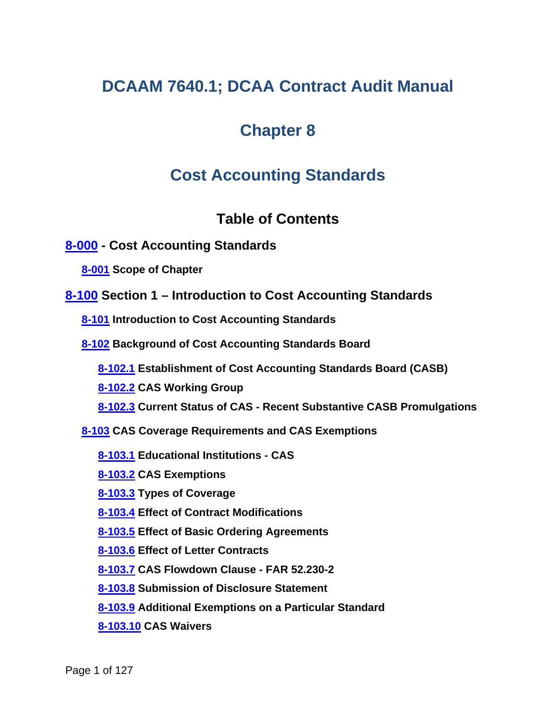# **DCAAM 7640.1; DCAA Contract Audit Manual**

# **Chapter 8**

# **Cost Accounting Standards**

# <span id="page-0-8"></span><span id="page-0-7"></span><span id="page-0-5"></span><span id="page-0-4"></span><span id="page-0-3"></span><span id="page-0-2"></span><span id="page-0-1"></span><span id="page-0-0"></span>**Table of Contents**

## **[8-000](#page-5-0) - Cost Accounting Standards**

**[8-001](#page-5-1) Scope of Chapter**

**[8-100](#page-6-0) Section 1 – Introduction to Cost Accounting Standards**

**[8-101](#page-6-1) Introduction to Cost Accounting Standards**

**[8-102](#page-6-2) Background of Cost Accounting Standards Board**

**[8-102.1](#page-6-3) Establishment of Cost Accounting Standards Board (CASB)**

<span id="page-0-6"></span>**[8-102.2](#page-6-4) CAS Working Group**

**[8-102.3](#page-8-0) Current Status of CAS - Recent Substantive CASB Promulgations**

**[8-103](#page-9-0) CAS Coverage Requirements and CAS Exemptions**

<span id="page-0-9"></span>**[8-103.1](#page-9-1) Educational Institutions - CAS**

<span id="page-0-10"></span>**[8-103.2](#page-9-2) CAS Exemptions**

<span id="page-0-11"></span>**[8-103.3](#page-10-0) Types of Coverage**

<span id="page-0-12"></span>**[8-103.4](#page-12-0) Effect of Contract Modifications**

<span id="page-0-13"></span>**[8-103.5](#page-12-1) Effect of Basic Ordering Agreements**

<span id="page-0-14"></span>**[8-103.6](#page-12-2) Effect of Letter Contracts**

<span id="page-0-15"></span>**[8-103.7](#page-12-3) CAS Flowdown Clause - FAR 52.230-2**

<span id="page-0-16"></span>**[8-103.8](#page-12-4) Submission of Disclosure Statement**

<span id="page-0-17"></span>**[8-103.9](#page-13-0) Additional Exemptions on a Particular Standard**

<span id="page-0-18"></span>**[8-103.10](#page-13-1) CAS Waivers**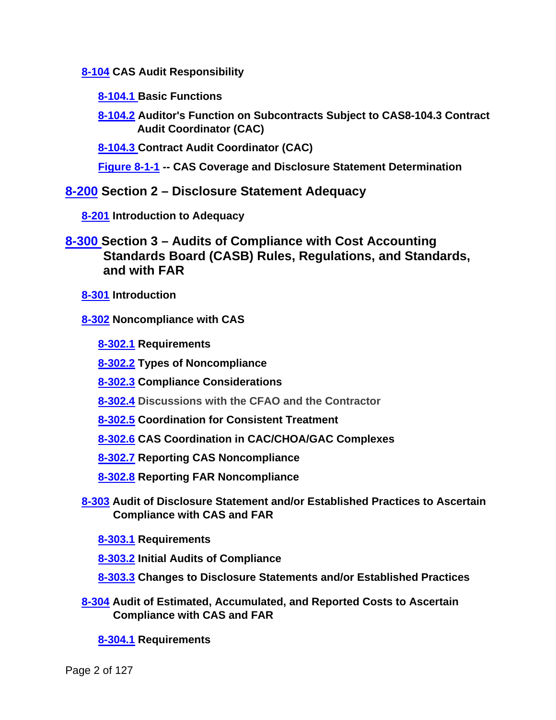**[8-104](#page-14-0) CAS Audit Responsibility**

<span id="page-1-1"></span><span id="page-1-0"></span>**[8-104.1](#page-14-1) Basic Functions**

<span id="page-1-2"></span>**[8-104.2](#page-14-2) Auditor's Function on Subcontracts Subject to CAS8-104.3 Contract Audit Coordinator (CAC)**

**[8-104.3](#page-15-0) Contract Audit Coordinator (CAC)**

<span id="page-1-6"></span><span id="page-1-5"></span><span id="page-1-4"></span><span id="page-1-3"></span>**[Figure 8-1-1](#page-16-0) -- CAS Coverage and Disclosure Statement Determination**

**[8-200](#page-17-0) Section 2 – Disclosure Statement Adequacy**

**[8-201](#page-17-1) Introduction to Adequacy**

**[8-300](#page-17-2) Section 3 – Audits of Compliance with Cost Accounting Standards Board (CASB) Rules, Regulations, and Standards, and with FAR**

<span id="page-1-7"></span>**[8-301](#page-17-3) Introduction**

**[8-302](#page-19-0) Noncompliance with CAS**

- <span id="page-1-10"></span><span id="page-1-9"></span><span id="page-1-8"></span>**[8-302.1](#page-19-1) Requirements**
- <span id="page-1-11"></span>**[8-302.2](#page-20-0) Types of Noncompliance**
- <span id="page-1-12"></span>**[8-302.3](#page-21-0) Compliance Considerations**
- <span id="page-1-13"></span>**[8-302.4](#page-22-0) Discussions with the CFAO and the Contractor**
- <span id="page-1-14"></span>**[8-302.5](#page-22-1) Coordination for Consistent Treatment**
- <span id="page-1-15"></span>**[8-302.6](#page-22-2) CAS Coordination in CAC/CHOA/GAC Complexes**
- <span id="page-1-16"></span>**[8-302.7](#page-23-0) Reporting CAS Noncompliance**
- <span id="page-1-20"></span><span id="page-1-19"></span><span id="page-1-18"></span><span id="page-1-17"></span>**[8-302.8](#page-26-0) Reporting FAR Noncompliance**
- **[8-303](#page-26-1) Audit of Disclosure Statement and/or Established Practices to Ascertain Compliance with CAS and FAR**
	- **[8-303.1](#page-26-2) Requirements**
	- **[8-303.2](#page-26-3) Initial Audits of Compliance**
	- **[8-303.3](#page-27-0) Changes to Disclosure Statements and/or Established Practices**
- **[8-304](#page-28-0) Audit of Estimated, Accumulated, and Reported Costs to Ascertain Compliance with CAS and FAR**

<span id="page-1-23"></span><span id="page-1-22"></span><span id="page-1-21"></span>**[8-304.1](#page-28-1) Requirements**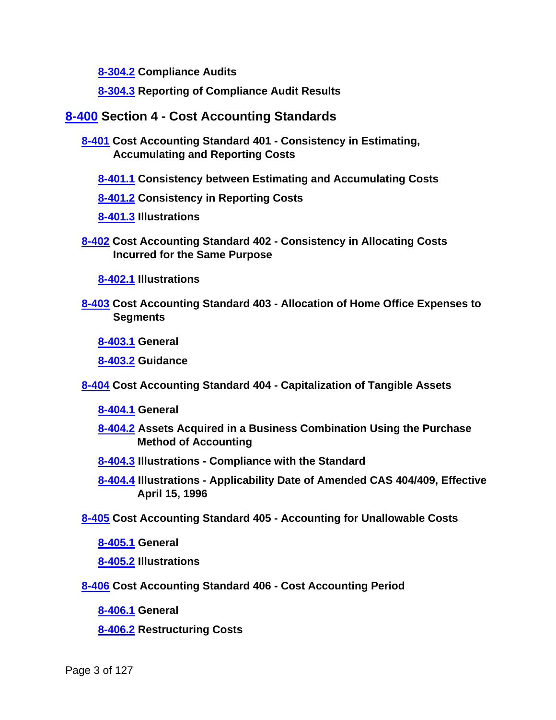<span id="page-2-0"></span>**[8-304.2](#page-28-2) Compliance Audits**

<span id="page-2-4"></span><span id="page-2-3"></span><span id="page-2-2"></span><span id="page-2-1"></span>**[8-304.3](#page-29-0) Reporting of Compliance Audit Results**

### **[8-400](#page-29-1) Section 4 - Cost Accounting Standards**

- **[8-401](#page-30-0) Cost Accounting Standard 401 - Consistency in Estimating, Accumulating and Reporting Costs**
	- **[8-401.1](#page-30-1) Consistency between Estimating and Accumulating Costs**
	- **[8-401.2](#page-33-0) Consistency in Reporting Costs**
	- **[8-401.3](#page-33-1) Illustrations**
- **[8-402](#page-35-0) Cost Accounting Standard 402 - Consistency in Allocating Costs Incurred for the Same Purpose**

<span id="page-2-7"></span><span id="page-2-6"></span><span id="page-2-5"></span>**[8-402.1](#page-36-0) Illustrations**

- **[8-403](#page-37-0) Cost Accounting Standard 403 - Allocation of Home Office Expenses to Segments**
	- **[8-403.1](#page-37-1) General**

**[8-403.2](#page-39-0) Guidance**

**[8-404](#page-40-0) Cost Accounting Standard 404 - Capitalization of Tangible Assets**

**[8-404.1](#page-41-0) General**

- **[8-404.2](#page-42-0) Assets Acquired in a Business Combination Using the Purchase Method of Accounting**
- **[8-404.3](#page-44-0) Illustrations - Compliance with the Standard**
- **[8-404.4](#page-47-0) Illustrations - Applicability Date of Amended CAS 404/409, Effective April 15, 1996**

**[8-405](#page-48-0) Cost Accounting Standard 405 - Accounting for Unallowable Costs**

**[8-405.1](#page-48-1) General**

**[8-405.2](#page-50-0) Illustrations**

**[8-406](#page-51-0) Cost Accounting Standard 406 - Cost Accounting Period**

**[8-406.1](#page-51-1) General**

**[8-406.2](#page-52-0) Restructuring Costs**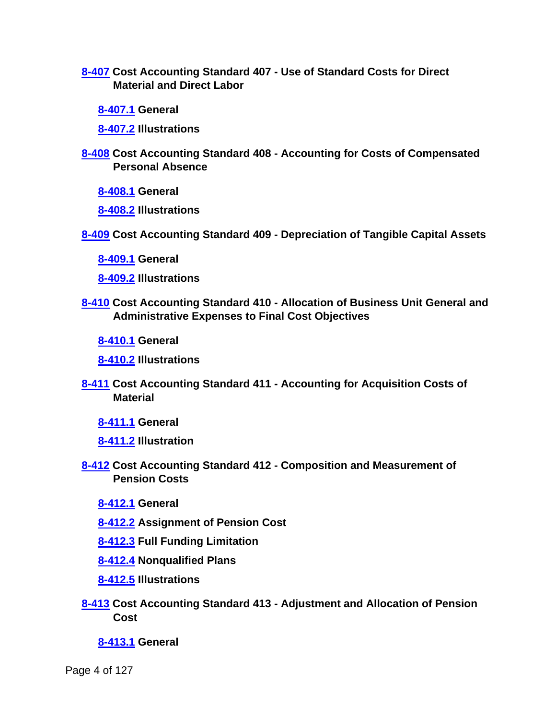- **[8-407](#page-53-0) Cost Accounting Standard 407 - Use of Standard Costs for Direct Material and Direct Labor**
	- **[8-407.1](#page-53-1) General**
	- **[8-407.2](#page-54-0) Illustrations**
- **[8-408](#page-56-0) Cost Accounting Standard 408 - Accounting for Costs of Compensated Personal Absence**
	- **[8-408.1](#page-56-1) General**
	- **[8-408.2](#page-58-0) Illustrations**
- **[8-409](#page-63-0) Cost Accounting Standard 409 - Depreciation of Tangible Capital Assets**
	- **[8-409.1](#page-64-0) General**
	- **[8-409.2](#page-67-0) Illustrations**
- **[8-410](#page-70-0) Cost Accounting Standard 410 - Allocation of Business Unit General and Administrative Expenses to Final Cost Objectives**
	- **[8-410.1](#page-70-1) General**
	- **[8-410.2](#page-76-0) Illustrations**
- **[8-411](#page-77-0) Cost Accounting Standard 411 - Accounting for Acquisition Costs of Material**
	- **[8-411.1](#page-78-0) General**
	- **[8-411.2](#page-79-0) Illustration**
- **[8-412](#page-80-0) Cost Accounting Standard 412 - Composition and Measurement of Pension Costs**
	- **[8-412.1](#page-80-1) General**
	- **[8-412.2](#page-83-0) Assignment of Pension Cost**
	- **[8-412.3](#page-84-0) Full Funding Limitation**
	- **[8-412.4](#page-85-0) Nonqualified Plans**
	- **[8-412.5](#page-85-1) Illustrations**
- **[8-413](#page-86-0) Cost Accounting Standard 413 - Adjustment and Allocation of Pension Cost**
	- **[8-413.1](#page-87-0) General**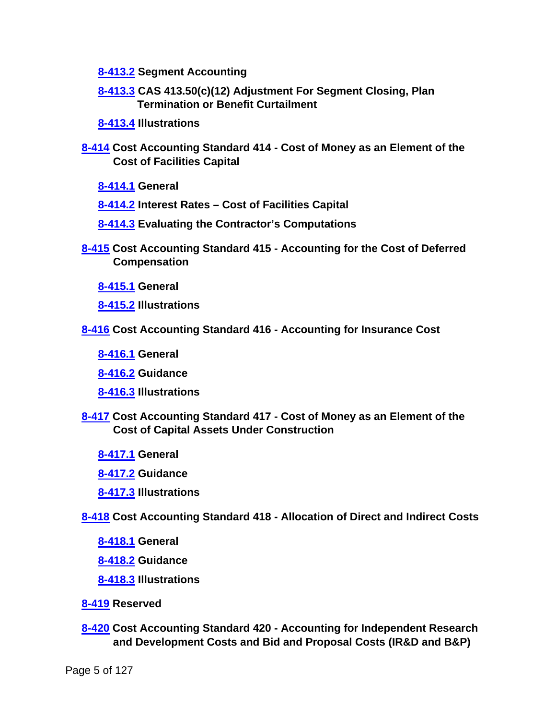**[8-413.2](#page-88-0) Segment Accounting**

**[8-413.3](#page-90-0) CAS 413.50(c)(12) Adjustment For Segment Closing, Plan Termination or Benefit Curtailment**

- **[8-413.4](#page-92-0) Illustrations**
- **[8-414](#page-93-0) Cost Accounting Standard 414 - Cost of Money as an Element of the Cost of Facilities Capital**
	- **[8-414.1](#page-93-1) General**
	- **[8-414.2](#page-97-0) Interest Rates – Cost of Facilities Capital**
	- **[8-414.3](#page-98-0) Evaluating the Contractor's Computations**
- **[8-415](#page-100-0) Cost Accounting Standard 415 - Accounting for the Cost of Deferred Compensation**
	- **[8-415.1](#page-100-1) General**
	- **[8-415.2](#page-103-0) Illustrations**
- **[8-416](#page-104-0) Cost Accounting Standard 416 - Accounting for Insurance Cost**
	- **[8-416.1](#page-104-1) General**
	- **[8-416.2](#page-105-0) Guidance**
	- **[8-416.3](#page-106-0) Illustrations**
- **[8-417](#page-107-0) Cost Accounting Standard 417 - Cost of Money as an Element of the Cost of Capital Assets Under Construction**
	- **[8-417.1](#page-107-1) General**
	- **[8-417.2](#page-108-0) Guidance**
	- **[8-417.3](#page-109-0) Illustrations**

**[8-418](#page-109-1) Cost Accounting Standard 418 - Allocation of Direct and Indirect Costs**

- **[8-418.1](#page-109-2) General**
- **[8-418.2](#page-109-3) Guidance**
- **[8-418.3](#page-111-0) Illustrations**
- **[8-419](#page-113-0) Reserved**
- **[8-420](#page-113-1) Cost Accounting Standard 420 - Accounting for Independent Research and Development Costs and Bid and Proposal Costs (IR&D and B&P)**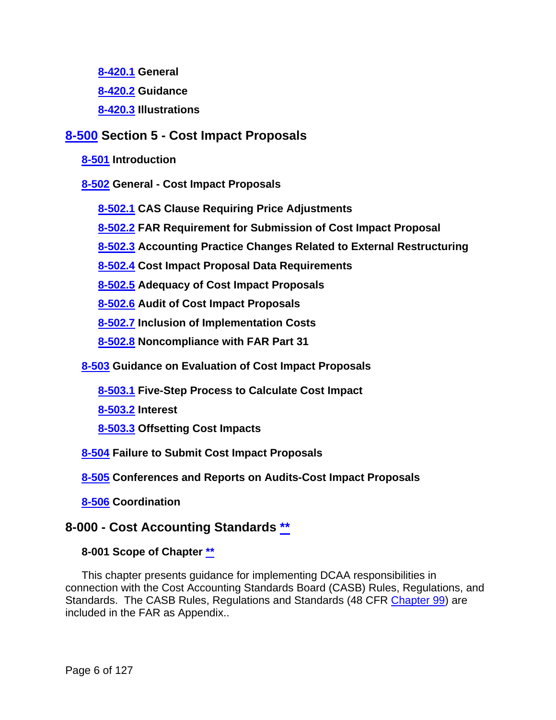**[8-420.1](#page-113-2) General [8-420.2](#page-114-0) Guidance [8-420.3](#page-115-0) Illustrations**

# **[8-500](#page-116-0) Section 5 - Cost Impact Proposals**

**[8-501](#page-116-1) Introduction**

**[8-502](#page-116-2) General - Cost Impact Proposals**

**[8-502.1](#page-116-3) CAS Clause Requiring Price Adjustments**

**[8-502.2](#page-117-0) FAR Requirement for Submission of Cost Impact Proposal**

**[8-502.3](#page-119-0) Accounting Practice Changes Related to External Restructuring**

**[8-502.4](#page-119-1) Cost Impact Proposal Data Requirements**

**[8-502.5](#page-119-2) Adequacy of Cost Impact Proposals**

**[8-502.6](#page-120-0) Audit of Cost Impact Proposals**

**[8-502.7](#page-120-1) Inclusion of Implementation Costs**

**[8-502.8](#page-121-0) Noncompliance with FAR Part 31**

**[8-503](#page-121-1) Guidance on Evaluation of Cost Impact Proposals**

**[8-503.1](#page-121-2) Five-Step Process to Calculate Cost Impact**

**[8-503.2](#page-125-0) Interest**

**[8-503.3](#page-125-1) Offsetting Cost Impacts**

**[8-504](#page-125-2) Failure to Submit Cost Impact Proposals**

**[8-505](#page-126-0) Conferences and Reports on Audits-Cost Impact Proposals**

<span id="page-5-0"></span>**[8-506](#page-126-1) Coordination**

## **8-000 - Cost Accounting Standards [\\*\\*](#page-0-0)**

### <span id="page-5-1"></span>**8-001 Scope of Chapter [\\*\\*](#page-0-1)**

This chapter presents guidance for implementing DCAA responsibilities in connection with the Cost Accounting Standards Board (CASB) Rules, Regulations, and Standards. The CASB Rules, Regulations and Standards (48 CFR [Chapter 99\)](http://www.ecfr.gov/cgi-bin/text-idx?SID=de5ba8787222b73abbffd5a85b174dfc&mc=true&tpl=/ecfrbrowse/Title48/48C99subchapB.tpl) are included in the FAR as Appendix..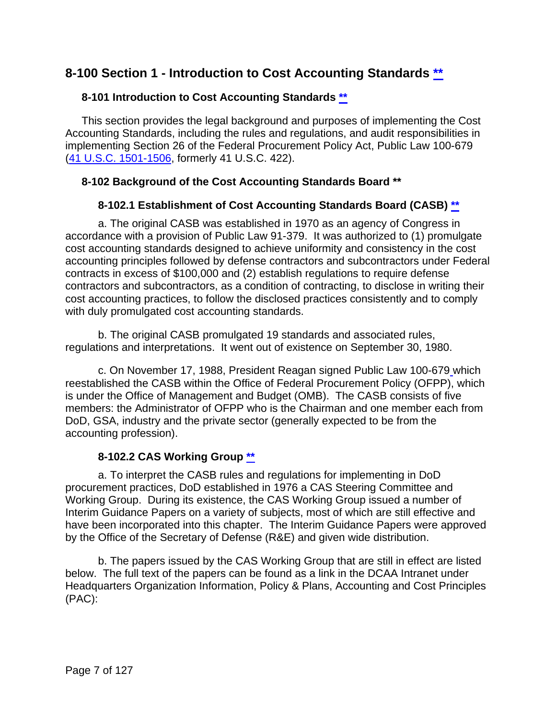# **8-100 Section 1 - Introduction to Cost Accounting Standards [\\*\\*](#page-0-2)**

### <span id="page-6-1"></span><span id="page-6-0"></span>**8-101 Introduction to Cost Accounting Standards [\\*\\*](#page-0-3)**

This section provides the legal background and purposes of implementing the Cost Accounting Standards, including the rules and regulations, and audit responsibilities in implementing Section 26 of the Federal Procurement Policy Act, Public Law 100-679 [\(41 U.S.C. 1501-1506,](http://uscode.house.gov/view.xhtml?req=granuleid%3AUSC-prelim-title41-chapter15&saved=%7CKHRpdGxlOjQxIHNlY3Rpb246MTUwMSBlZGl0aW9uOnByZWxpbSkgT1IgKGdyYW51bGVpZDpVU0MtcHJlbGltLXRpdGxlNDEtc2VjdGlvbjE1MDEp%7CdHJlZXNvcnQ%3D%7C%7C0%7Cfalse%7Cprelim&edition=prelim) formerly 41 U.S.C. 422).

### <span id="page-6-2"></span>**8-102 Background of the Cost Accounting Standards Board [\\*\\*](#page-0-4)**

### <span id="page-6-3"></span>**8-102.1 Establishment of Cost Accounting Standards Board (CASB) [\\*\\*](#page-0-5)**

a. The original CASB was established in 1970 as an agency of Congress in accordance with a provision of Public Law 91-379. It was authorized to (1) promulgate cost accounting standards designed to achieve uniformity and consistency in the cost accounting principles followed by defense contractors and subcontractors under Federal contracts in excess of \$100,000 and (2) establish regulations to require defense contractors and subcontractors, as a condition of contracting, to disclose in writing their cost accounting practices, to follow the disclosed practices consistently and to comply with duly promulgated cost accounting standards.

b. The original CASB promulgated 19 standards and associated rules, regulations and interpretations. It went out of existence on September 30, 1980.

c. On November 17, 1988, President Reagan signed Public Law 100-679 which reestablished the CASB within the Office of Federal Procurement Policy (OFPP), which is under the Office of Management and Budget (OMB). The CASB consists of five members: the Administrator of OFPP who is the Chairman and one member each from DoD, GSA, industry and the private sector (generally expected to be from the accounting profession).

### <span id="page-6-4"></span>**8-102.2 CAS Working Group [\\*\\*](#page-0-6)**

a. To interpret the CASB rules and regulations for implementing in DoD procurement practices, DoD established in 1976 a CAS Steering Committee and Working Group. During its existence, the CAS Working Group issued a number of Interim Guidance Papers on a variety of subjects, most of which are still effective and have been incorporated into this chapter. The Interim Guidance Papers were approved by the Office of the Secretary of Defense (R&E) and given wide distribution.

b. The papers issued by the CAS Working Group that are still in effect are listed below. The full text of the papers can be found as a link in the DCAA Intranet under Headquarters Organization Information, Policy & Plans, Accounting and Cost Principles (PAC):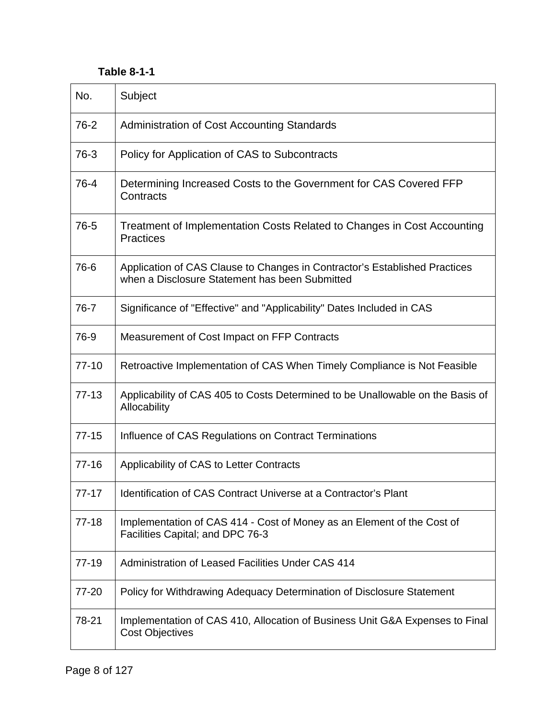### **Table 8-1-1**

| No.      | Subject                                                                                                                      |
|----------|------------------------------------------------------------------------------------------------------------------------------|
| $76-2$   | Administration of Cost Accounting Standards                                                                                  |
| $76-3$   | Policy for Application of CAS to Subcontracts                                                                                |
| 76-4     | Determining Increased Costs to the Government for CAS Covered FFP<br>Contracts                                               |
| $76-5$   | Treatment of Implementation Costs Related to Changes in Cost Accounting<br><b>Practices</b>                                  |
| 76-6     | Application of CAS Clause to Changes in Contractor's Established Practices<br>when a Disclosure Statement has been Submitted |
| $76 - 7$ | Significance of "Effective" and "Applicability" Dates Included in CAS                                                        |
| 76-9     | Measurement of Cost Impact on FFP Contracts                                                                                  |
| $77-10$  | Retroactive Implementation of CAS When Timely Compliance is Not Feasible                                                     |
| $77-13$  | Applicability of CAS 405 to Costs Determined to be Unallowable on the Basis of<br>Allocability                               |
| $77-15$  | Influence of CAS Regulations on Contract Terminations                                                                        |
| $77-16$  | Applicability of CAS to Letter Contracts                                                                                     |
| $77-17$  | Identification of CAS Contract Universe at a Contractor's Plant                                                              |
| $77-18$  | Implementation of CAS 414 - Cost of Money as an Element of the Cost of<br>Facilities Capital; and DPC 76-3                   |
| $77-19$  | <b>Administration of Leased Facilities Under CAS 414</b>                                                                     |
| 77-20    | Policy for Withdrawing Adequacy Determination of Disclosure Statement                                                        |
| 78-21    | Implementation of CAS 410, Allocation of Business Unit G&A Expenses to Final<br><b>Cost Objectives</b>                       |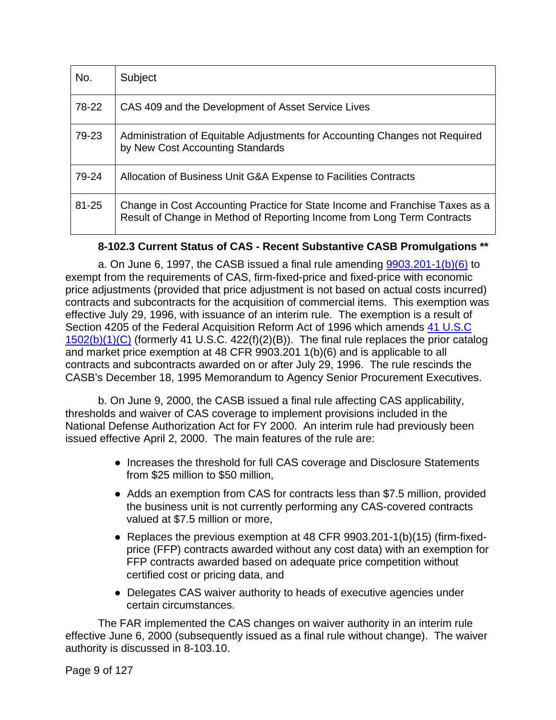| No.       | Subject                                                                                                                                                 |
|-----------|---------------------------------------------------------------------------------------------------------------------------------------------------------|
| 78-22     | CAS 409 and the Development of Asset Service Lives                                                                                                      |
| 79-23     | Administration of Equitable Adjustments for Accounting Changes not Required<br>by New Cost Accounting Standards                                         |
| 79-24     | Allocation of Business Unit G&A Expense to Facilities Contracts                                                                                         |
| $81 - 25$ | Change in Cost Accounting Practice for State Income and Franchise Taxes as a<br>Result of Change in Method of Reporting Income from Long Term Contracts |

### <span id="page-8-0"></span>**8-102.3 Current Status of CAS - Recent Substantive CASB Promulgations [\\*\\*](#page-0-7)**

a. On June 6, 1997, the CASB issued a final rule amending  $9903.201 - 1(b)(6)$  to exempt from the requirements of CAS, firm-fixed-price and fixed-price with economic price adjustments (provided that price adjustment is not based on actual costs incurred) contracts and subcontracts for the acquisition of commercial items. This exemption was effective July 29, 1996, with issuance of an interim rule. The exemption is a result of Section 4205 of the Federal Acquisition Reform Act of 1996 which amends 41 [U.S.C](http://uscode.house.gov/view.xhtml?req=(title:41%20section:1502%20edition:prelim)%20OR%20(granuleid:USC-prelim-title41-section1502)&f=treesort&edition=prelim&num=0&jumpTo=true#substructure-location_b) [1502\(b\)\(1\)\(C\)](http://uscode.house.gov/view.xhtml?req=(title:41%20section:1502%20edition:prelim)%20OR%20(granuleid:USC-prelim-title41-section1502)&f=treesort&edition=prelim&num=0&jumpTo=true#substructure-location_b) (formerly 41 U.S.C. 422(f)(2)(B)). The final rule replaces the prior catalog and market price exemption at 48 CFR 9903.201 1(b)(6) and is applicable to all contracts and subcontracts awarded on or after July 29, 1996. The rule rescinds the CASB's December 18, 1995 Memorandum to Agency Senior Procurement Executives.

b. On June 9, 2000, the CASB issued a final rule affecting CAS applicability, thresholds and waiver of CAS coverage to implement provisions included in the National Defense Authorization Act for FY 2000. An interim rule had previously been issued effective April 2, 2000. The main features of the rule are:

- Increases the threshold for full CAS coverage and Disclosure Statements from \$25 million to \$50 million,
- Adds an exemption from CAS for contracts less than \$7.5 million, provided the business unit is not currently performing any CAS-covered contracts valued at \$7.5 million or more,
- Replaces the previous exemption at 48 CFR 9903.201-1(b)(15) (firm-fixedprice (FFP) contracts awarded without any cost data) with an exemption for FFP contracts awarded based on adequate price competition without certified cost or pricing data, and
- Delegates CAS waiver authority to heads of executive agencies under certain circumstances.

The FAR implemented the CAS changes on waiver authority in an interim rule effective June 6, 2000 (subsequently issued as a final rule without change). The waiver authority is discussed in 8-103.10.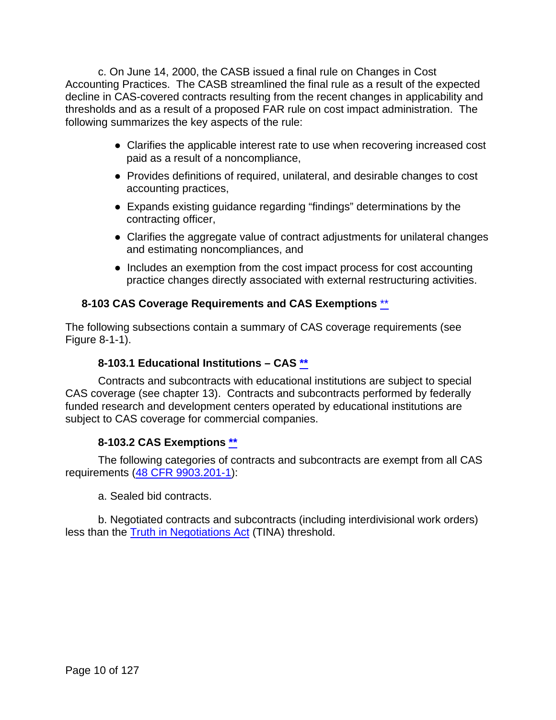c. On June 14, 2000, the CASB issued a final rule on Changes in Cost Accounting Practices. The CASB streamlined the final rule as a result of the expected decline in CAS-covered contracts resulting from the recent changes in applicability and thresholds and as a result of a proposed FAR rule on cost impact administration. The following summarizes the key aspects of the rule:

- Clarifies the applicable interest rate to use when recovering increased cost paid as a result of a noncompliance,
- Provides definitions of required, unilateral, and desirable changes to cost accounting practices,
- Expands existing guidance regarding "findings" determinations by the contracting officer,
- Clarifies the aggregate value of contract adjustments for unilateral changes and estimating noncompliances, and
- Includes an exemption from the cost impact process for cost accounting practice changes directly associated with external restructuring activities.

### <span id="page-9-0"></span>**8-103 CAS Coverage Requirements and CAS Exemptions** [\\*\\*](#page-0-8)

The following subsections contain a summary of CAS coverage requirements (see Figure 8-1-1).

### <span id="page-9-1"></span>**8-103.1 Educational Institutions – CAS [\\*\\*](#page-0-9)**

Contracts and subcontracts with educational institutions are subject to special CAS coverage (see chapter 13). Contracts and subcontracts performed by federally funded research and development centers operated by educational institutions are subject to CAS coverage for commercial companies.

### <span id="page-9-2"></span>**8-103.2 CAS Exemptions [\\*\\*](#page-0-10)**

The following categories of contracts and subcontracts are exempt from all CAS requirements [\(48 CFR 9903.201-1\)](http://www.ecfr.gov/cgi-bin/text-idx?SID=79bcbf2a20877d7396c30589fc035401&mc=true&node=se48.7.9903_1201_61&rgn=div8):

a. Sealed bid contracts.

b. Negotiated contracts and subcontracts (including interdivisional work orders) less than the [Truth in Negotiations Act](http://uscode.house.gov/view.xhtml?req=truth+in+negotiations&f=treesort&fq=true&num=2&hl=true&edition=prelim&granuleId=USC-prelim-title10-section2306a) (TINA) threshold.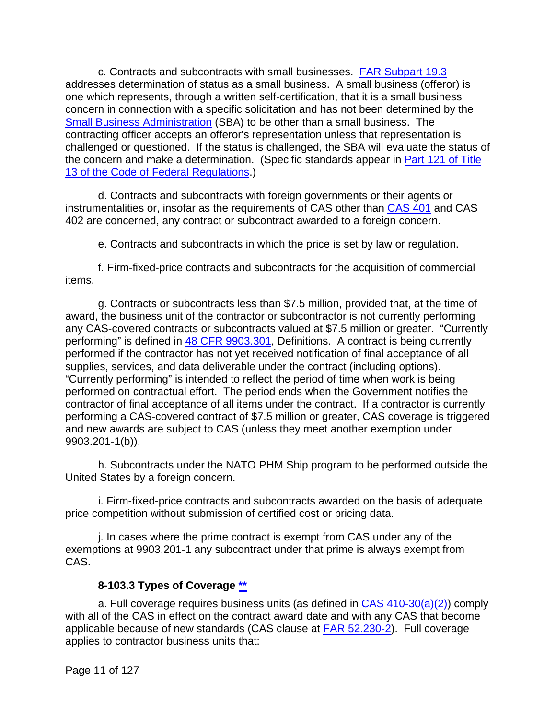c. Contracts and subcontracts with small businesses. [FAR Subpart 19.3](http://www.ecfr.gov/cgi-bin/text-idx?SID=dca8b034093a7d470ceb974781744b5f&mc=true&node=sp48.1.19.19_13&rgn=div6) addresses determination of status as a small business. A small business (offeror) is one which represents, through a written self-certification, that it is a small business concern in connection with a specific solicitation and has not been determined by the [Small Business Administration](https://www.sba.gov/about-sba/what-we-do/mission) (SBA) to be other than a small business. The contracting officer accepts an offeror's representation unless that representation is challenged or questioned. If the status is challenged, the SBA will evaluate the status of the concern and make a determination. (Specific standards appear in [Part 121 of Title](http://www.ecfr.gov/cgi-bin/text-idx?SID=72d14f54e5330c1725df4440910fef84&mc=true&node=pt13.1.121&rgn=div5)  [13 of the Code of Federal Regulations.](http://www.ecfr.gov/cgi-bin/text-idx?SID=72d14f54e5330c1725df4440910fef84&mc=true&node=pt13.1.121&rgn=div5))

d. Contracts and subcontracts with foreign governments or their agents or instrumentalities or, insofar as the requirements of CAS other than [CAS 401](http://www.ecfr.gov/cgi-bin/text-idx?SID=e4bbe738fb9fc2e9a98a58aed8459460&mc=true&tpl=/ecfrbrowse/Title48/48cfr9904_main_02.tpl) and CAS 402 are concerned, any contract or subcontract awarded to a foreign concern.

e. Contracts and subcontracts in which the price is set by law or regulation.

f. Firm-fixed-price contracts and subcontracts for the acquisition of commercial items.

g. Contracts or subcontracts less than \$7.5 million, provided that, at the time of award, the business unit of the contractor or subcontractor is not currently performing any CAS-covered contracts or subcontracts valued at \$7.5 million or greater. "Currently performing" is defined in [48 CFR 9903.301,](http://www.ecfr.gov/cgi-bin/text-idx?SID=b9ac1b62cfcb631c74084ea84897fa69&mc=true&node=se48.7.9903_1301&rgn=div8) Definitions. A contract is being currently performed if the contractor has not yet received notification of final acceptance of all supplies, services, and data deliverable under the contract (including options). "Currently performing" is intended to reflect the period of time when work is being performed on contractual effort. The period ends when the Government notifies the contractor of final acceptance of all items under the contract. If a contractor is currently performing a CAS-covered contract of \$7.5 million or greater, CAS coverage is triggered and new awards are subject to CAS (unless they meet another exemption under 9903.201-1(b)).

h. Subcontracts under the NATO PHM Ship program to be performed outside the United States by a foreign concern.

i. Firm-fixed-price contracts and subcontracts awarded on the basis of adequate price competition without submission of certified cost or pricing data.

j. In cases where the prime contract is exempt from CAS under any of the exemptions at 9903.201-1 any subcontract under that prime is always exempt from CAS.

### <span id="page-10-0"></span>**8-103.3 Types of Coverage [\\*\\*](#page-0-11)**

a. Full coverage requires business units (as defined in  $CAS$  410-30(a)(2)) comply with all of the CAS in effect on the contract award date and with any CAS that become applicable because of new standards (CAS clause at **FAR 52.230-2)**. Full coverage applies to contractor business units that: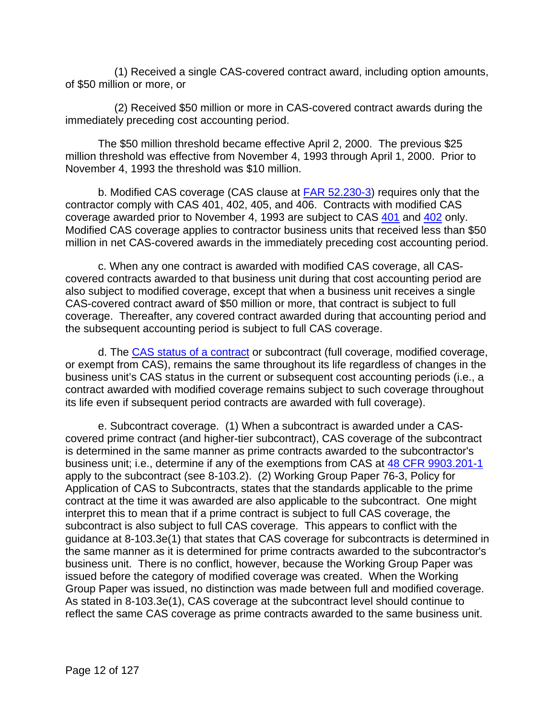(1) Received a single CAS-covered contract award, including option amounts, of \$50 million or more, or

(2) Received \$50 million or more in CAS-covered contract awards during the immediately preceding cost accounting period.

The \$50 million threshold became effective April 2, 2000. The previous \$25 million threshold was effective from November 4, 1993 through April 1, 2000. Prior to November 4, 1993 the threshold was \$10 million.

b. Modified CAS coverage (CAS clause at **FAR 52.230-3**) requires only that the contractor comply with CAS 401, 402, 405, and 406. Contracts with modified CAS coverage awarded prior to November 4, 1993 are subject to CAS [401](http://www.ecfr.gov/cgi-bin/text-idx?SID=e4bbe738fb9fc2e9a98a58aed8459460&mc=true&tpl=/ecfrbrowse/Title48/48cfr9904_main_02.tpl) and [402](http://www.ecfr.gov/cgi-bin/text-idx?SID=e4bbe738fb9fc2e9a98a58aed8459460&mc=true&tpl=/ecfrbrowse/Title48/48cfr9904_main_02.tpl) only. Modified CAS coverage applies to contractor business units that received less than \$50 million in net CAS-covered awards in the immediately preceding cost accounting period.

c. When any one contract is awarded with modified CAS coverage, all CAScovered contracts awarded to that business unit during that cost accounting period are also subject to modified coverage, except that when a business unit receives a single CAS-covered contract award of \$50 million or more, that contract is subject to full coverage. Thereafter, any covered contract awarded during that accounting period and the subsequent accounting period is subject to full CAS coverage.

d. The [CAS status of a contract](http://www.ecfr.gov/cgi-bin/retrieveECFR?gp=&SID=86abf3bf660fb96953c1a0786e0ee290&mc=true&r=SECTION&n=se48.7.9903_1201_62) or subcontract (full coverage, modified coverage, or exempt from CAS), remains the same throughout its life regardless of changes in the business unit's CAS status in the current or subsequent cost accounting periods (i.e., a contract awarded with modified coverage remains subject to such coverage throughout its life even if subsequent period contracts are awarded with full coverage).

e. Subcontract coverage. (1) When a subcontract is awarded under a CAScovered prime contract (and higher-tier subcontract), CAS coverage of the subcontract is determined in the same manner as prime contracts awarded to the subcontractor's business unit; i.e., determine if any of the exemptions from CAS at [48 CFR 9903.201-1](http://www.ecfr.gov/cgi-bin/text-idx?SID=6742db3aac9ccec0470d913c42e898ba&mc=true&node=se48.7.9903_1201_61&rgn=div8) apply to the subcontract (see 8-103.2). (2) Working Group Paper 76-3, Policy for Application of CAS to Subcontracts, states that the standards applicable to the prime contract at the time it was awarded are also applicable to the subcontract. One might interpret this to mean that if a prime contract is subject to full CAS coverage, the subcontract is also subject to full CAS coverage. This appears to conflict with the guidance at 8-103.3e(1) that states that CAS coverage for subcontracts is determined in the same manner as it is determined for prime contracts awarded to the subcontractor's business unit. There is no conflict, however, because the Working Group Paper was issued before the category of modified coverage was created. When the Working Group Paper was issued, no distinction was made between full and modified coverage. As stated in 8-103.3e(1), CAS coverage at the subcontract level should continue to reflect the same CAS coverage as prime contracts awarded to the same business unit.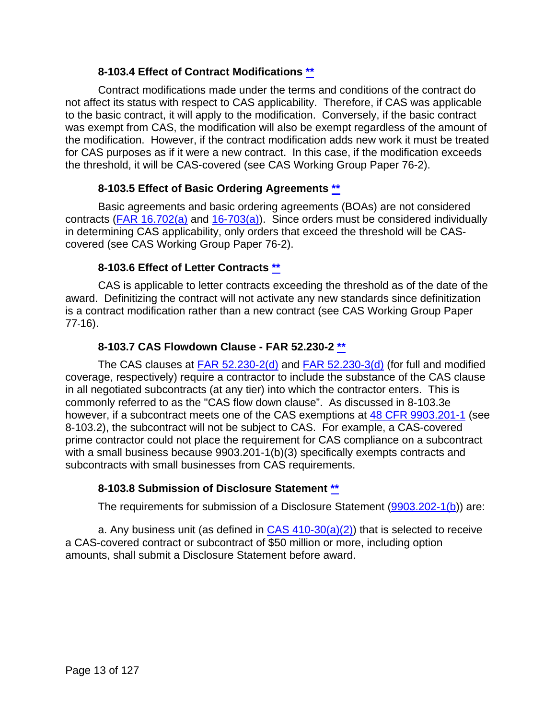### <span id="page-12-0"></span>**8-103.4 Effect of Contract Modifications [\\*\\*](#page-0-12)**

Contract modifications made under the terms and conditions of the contract do not affect its status with respect to CAS applicability. Therefore, if CAS was applicable to the basic contract, it will apply to the modification. Conversely, if the basic contract was exempt from CAS, the modification will also be exempt regardless of the amount of the modification. However, if the contract modification adds new work it must be treated for CAS purposes as if it were a new contract. In this case, if the modification exceeds the threshold, it will be CAS-covered (see CAS Working Group Paper 76-2).

### <span id="page-12-1"></span>**8-103.5 Effect of Basic Ordering Agreements [\\*\\*](#page-0-13)**

Basic agreements and basic ordering agreements (BOAs) are not considered contracts ( $FAR$  16.702(a) and  $16-703(a)$ ). Since orders must be considered individually in determining CAS applicability, only orders that exceed the threshold will be CAScovered (see CAS Working Group Paper 76-2).

### <span id="page-12-2"></span>**8-103.6 Effect of Letter Contracts [\\*\\*](#page-0-14)**

CAS is applicable to letter contracts exceeding the threshold as of the date of the award. Definitizing the contract will not activate any new standards since definitization is a contract modification rather than a new contract (see CAS Working Group Paper 77-16).

### <span id="page-12-3"></span>**8-103.7 CAS Flowdown Clause - FAR 52.230-2 [\\*\\*](#page-0-15)**

The CAS clauses at [FAR 52.230-2\(d\)](http://www.ecfr.gov/cgi-bin/text-idx?SID=6742db3aac9ccec0470d913c42e898ba&mc=true&node=se48.2.52_1230_62&rgn=div8) and [FAR 52.230-3\(d\)](http://www.ecfr.gov/cgi-bin/retrieveECFR?gp=&SID=6742db3aac9ccec0470d913c42e898ba&mc=true&r=SECTION&n=se48.2.52_1230_63) (for full and modified coverage, respectively) require a contractor to include the substance of the CAS clause in all negotiated subcontracts (at any tier) into which the contractor enters. This is commonly referred to as the "CAS flow down clause". As discussed in 8-103.3e however, if a subcontract meets one of the CAS exemptions at [48 CFR 9903.201-1](http://www.ecfr.gov/cgi-bin/text-idx?SID=6742db3aac9ccec0470d913c42e898ba&mc=true&node=se48.7.9903_1201_61&rgn=div8) (see 8-103.2), the subcontract will not be subject to CAS. For example, a CAS-covered prime contractor could not place the requirement for CAS compliance on a subcontract with a small business because 9903.201-1(b)(3) specifically exempts contracts and subcontracts with small businesses from CAS requirements.

### <span id="page-12-4"></span>**8-103.8 Submission of Disclosure Statement [\\*\\*](#page-0-16)**

The requirements for submission of a Disclosure Statement [\(9903.202-1\(b\)](http://www.ecfr.gov/cgi-bin/text-idx?SID=14cf879f4d0ec0f25500c78892939db6&mc=true&node=se48.7.9903_1202_61&rgn=div8)) are:

a. Any business unit (as defined in  $CAS$  410-30(a)(2)) that is selected to receive a CAS-covered contract or subcontract of \$50 million or more, including option amounts, shall submit a Disclosure Statement before award.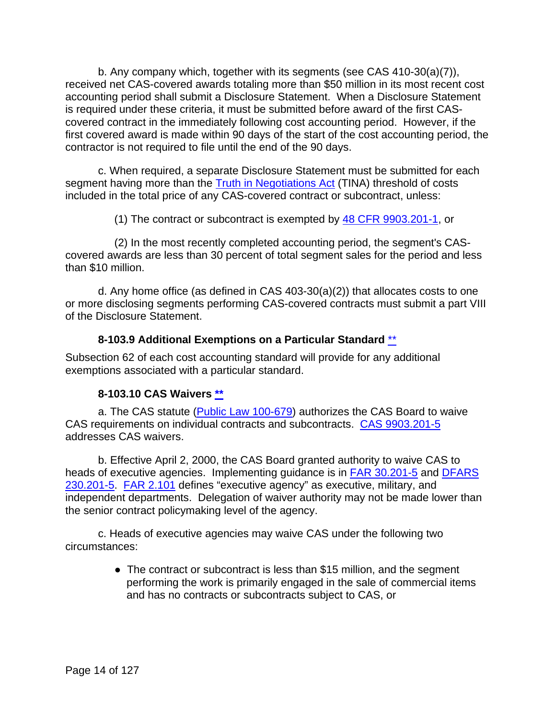b. Any company which, together with its segments (see CAS 410-30(a)(7)), received net CAS-covered awards totaling more than \$50 million in its most recent cost accounting period shall submit a Disclosure Statement. When a Disclosure Statement is required under these criteria, it must be submitted before award of the first CAScovered contract in the immediately following cost accounting period. However, if the first covered award is made within 90 days of the start of the cost accounting period, the contractor is not required to file until the end of the 90 days.

c. When required, a separate Disclosure Statement must be submitted for each segment having more than the [Truth in Negotiations Act](http://uscode.house.gov/view.xhtml?req=truth+in+negotiations&f=treesort&fq=true&num=2&hl=true&edition=prelim&granuleId=USC-prelim-title10-section2306a) (TINA) threshold of costs included in the total price of any CAS-covered contract or subcontract, unless:

(1) The contract or subcontract is exempted by [48 CFR 9903.201-1,](http://www.ecfr.gov/cgi-bin/text-idx?SID=8c138ba0c0f09380cdc230127ebba3c0&mc=true&node=se48.7.9903_1201_61&rgn=div8) or

(2) In the most recently completed accounting period, the segment's CAScovered awards are less than 30 percent of total segment sales for the period and less than \$10 million.

d. Any home office (as defined in CAS 403-30(a)(2)) that allocates costs to one or more disclosing segments performing CAS-covered contracts must submit a part VIII of the Disclosure Statement.

### <span id="page-13-0"></span>**8-103.9 Additional Exemptions on a Particular Standard** [\\*\\*](#page-0-17)

Subsection 62 of each cost accounting standard will provide for any additional exemptions associated with a particular standard.

### <span id="page-13-1"></span>**8-103.10 CAS Waivers [\\*\\*](#page-0-18)**

a. The CAS statute [\(Public Law 100-679\)](https://www.govinfo.gov/content/pkg/STATUTE-102/pdf/STATUTE-102-Pg4055.pdf) authorizes the CAS Board to waive CAS requirements on individual contracts and subcontracts. [CAS 9903.201-5](http://www.ecfr.gov/cgi-bin/text-idx?SID=8c138ba0c0f09380cdc230127ebba3c0&mc=true&node=se48.7.9903_1201_65&rgn=div8) addresses CAS waivers.

b. Effective April 2, 2000, the CAS Board granted authority to waive CAS to heads of executive agencies. Implementing guidance is in **FAR 30.201-5** and **DFARS** [230.201-5.](http://www.ecfr.gov/cgi-bin/text-idx?SID=8c138ba0c0f09380cdc230127ebba3c0&mc=true&node=se48.3.230_1201_65&rgn=div8) [FAR 2.101](http://www.ecfr.gov/cgi-bin/text-idx?SID=8c138ba0c0f09380cdc230127ebba3c0&mc=true&node=se48.1.2_1101&rgn=div8) defines "executive agency" as executive, military, and independent departments. Delegation of waiver authority may not be made lower than the senior contract policymaking level of the agency.

c. Heads of executive agencies may waive CAS under the following two circumstances:

> • The contract or subcontract is less than \$15 million, and the segment performing the work is primarily engaged in the sale of commercial items and has no contracts or subcontracts subject to CAS, or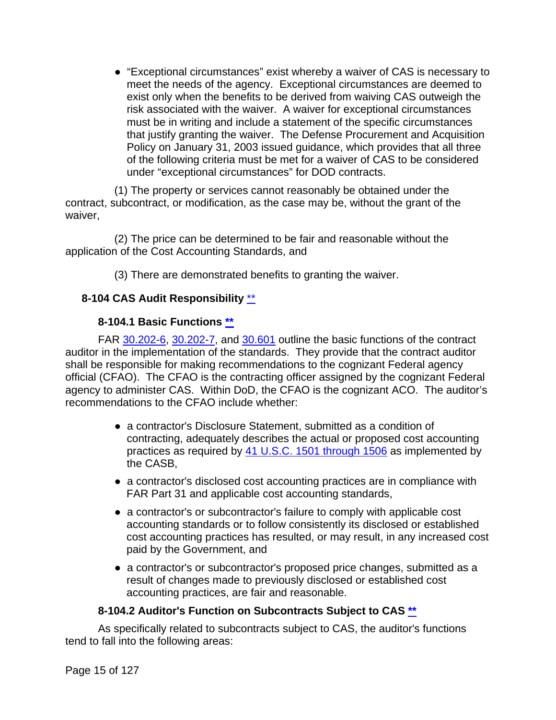● "Exceptional circumstances" exist whereby a waiver of CAS is necessary to meet the needs of the agency. Exceptional circumstances are deemed to exist only when the benefits to be derived from waiving CAS outweigh the risk associated with the waiver. A waiver for exceptional circumstances must be in writing and include a statement of the specific circumstances that justify granting the waiver. The Defense Procurement and Acquisition Policy on January 31, 2003 issued guidance, which provides that all three of the following criteria must be met for a waiver of CAS to be considered under "exceptional circumstances" for DOD contracts.

(1) The property or services cannot reasonably be obtained under the contract, subcontract, or modification, as the case may be, without the grant of the waiver,

(2) The price can be determined to be fair and reasonable without the application of the Cost Accounting Standards, and

<span id="page-14-0"></span>(3) There are demonstrated benefits to granting the waiver.

### **8-104 CAS Audit Responsibility** [\\*\\*](#page-1-0)

### <span id="page-14-1"></span>**8-104.1 Basic Functions [\\*\\*](#page-1-1)**

FAR [30.202-6,](http://www.ecfr.gov/cgi-bin/text-idx?SID=8c138ba0c0f09380cdc230127ebba3c0&mc=true&node=se48.1.30_1202_66&rgn=div8) [30.202-7,](http://www.ecfr.gov/cgi-bin/text-idx?SID=2fd609bdaa5e1a6c507c4f628dd55198&mc=true&node=se48.1.30_1202_67&rgn=div8) and [30.601](http://www.ecfr.gov/cgi-bin/text-idx?SID=2fd609bdaa5e1a6c507c4f628dd55198&mc=true&node=se48.1.30_1601&rgn=div8) outline the basic functions of the contract auditor in the implementation of the standards. They provide that the contract auditor shall be responsible for making recommendations to the cognizant Federal agency official (CFAO). The CFAO is the contracting officer assigned by the cognizant Federal agency to administer CAS. Within DoD, the CFAO is the cognizant ACO. The auditor's recommendations to the CFAO include whether:

- a contractor's Disclosure Statement, submitted as a condition of contracting, adequately describes the actual or proposed cost accounting practices as required by [41 U.S.C. 1501](http://uscode.house.gov/view.xhtml?hl=false&edition=prelim&req=granuleid%3AUSC-prelim-title41-chapter15-front&f=treesort&num=0&saved=%7CKHRpdGxlOjQxIHNlY3Rpb246MTUwMSBlZGl0aW9uOnByZWxpbSkgT1IgKGdyYW51bGVpZDpVU0MtcHJlbGltLXRpdGxlNDEtc2VjdGlvbjE1MDEp%7CdHJlZXNvcnQ%3D%7C%7C0%7Cfalse%7Cprelim) through 1506 as implemented by the CASB,
- a contractor's disclosed cost accounting practices are in compliance with FAR Part 31 and applicable cost accounting standards,
- a contractor's or subcontractor's failure to comply with applicable cost accounting standards or to follow consistently its disclosed or established cost accounting practices has resulted, or may result, in any increased cost paid by the Government, and
- a contractor's or subcontractor's proposed price changes, submitted as a result of changes made to previously disclosed or established cost accounting practices, are fair and reasonable.

### <span id="page-14-2"></span>**8-104.2 Auditor's Function on Subcontracts Subject to CAS [\\*\\*](#page-1-2)**

As specifically related to subcontracts subject to CAS, the auditor's functions tend to fall into the following areas: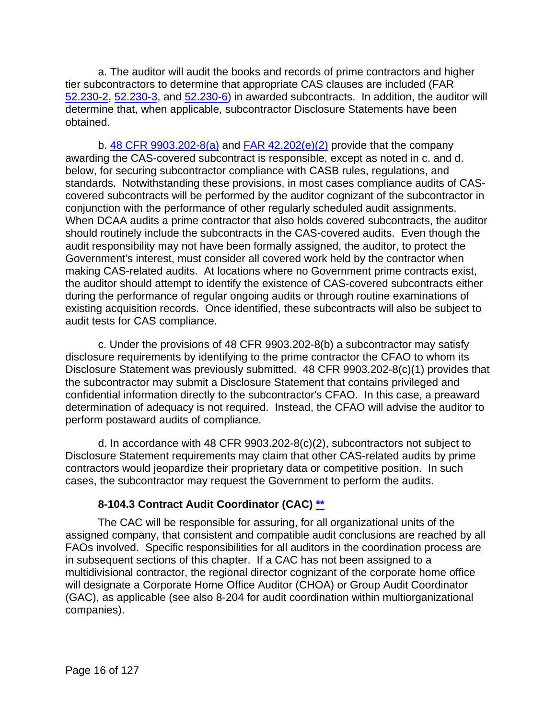a. The auditor will audit the books and records of prime contractors and higher tier subcontractors to determine that appropriate CAS clauses are included (FAR [52.230-2,](http://www.ecfr.gov/cgi-bin/text-idx?SID=2fd609bdaa5e1a6c507c4f628dd55198&mc=true&node=se48.2.52_1230_62&rgn=div8) [52.230-3,](http://www.ecfr.gov/cgi-bin/text-idx?SID=2fd609bdaa5e1a6c507c4f628dd55198&mc=true&node=se48.2.52_1230_63&rgn=div8) and [52.230-6\)](http://www.ecfr.gov/cgi-bin/text-idx?SID=2fd609bdaa5e1a6c507c4f628dd55198&mc=true&node=se48.2.52_1230_66&rgn=div8) in awarded subcontracts. In addition, the auditor will determine that, when applicable, subcontractor Disclosure Statements have been obtained.

b. [48 CFR 9903.202-8\(a\)](http://www.ecfr.gov/cgi-bin/text-idx?SID=2fd609bdaa5e1a6c507c4f628dd55198&mc=true&node=se48.7.9903_1202_68&rgn=div8) and FAR  $42.202(e)(2)$  provide that the company awarding the CAS-covered subcontract is responsible, except as noted in c. and d. below, for securing subcontractor compliance with CASB rules, regulations, and standards. Notwithstanding these provisions, in most cases compliance audits of CAScovered subcontracts will be performed by the auditor cognizant of the subcontractor in conjunction with the performance of other regularly scheduled audit assignments. When DCAA audits a prime contractor that also holds covered subcontracts, the auditor should routinely include the subcontracts in the CAS-covered audits. Even though the audit responsibility may not have been formally assigned, the auditor, to protect the Government's interest, must consider all covered work held by the contractor when making CAS-related audits. At locations where no Government prime contracts exist, the auditor should attempt to identify the existence of CAS-covered subcontracts either during the performance of regular ongoing audits or through routine examinations of existing acquisition records. Once identified, these subcontracts will also be subject to audit tests for CAS compliance.

c. Under the provisions of 48 CFR 9903.202-8(b) a subcontractor may satisfy disclosure requirements by identifying to the prime contractor the CFAO to whom its Disclosure Statement was previously submitted. 48 CFR 9903.202-8(c)(1) provides that the subcontractor may submit a Disclosure Statement that contains privileged and confidential information directly to the subcontractor's CFAO. In this case, a preaward determination of adequacy is not required. Instead, the CFAO will advise the auditor to perform postaward audits of compliance.

d. In accordance with 48 CFR 9903.202-8(c)(2), subcontractors not subject to Disclosure Statement requirements may claim that other CAS-related audits by prime contractors would jeopardize their proprietary data or competitive position. In such cases, the subcontractor may request the Government to perform the audits.

### <span id="page-15-0"></span>**8-104.3 Contract Audit Coordinator (CAC) [\\*\\*](#page-1-3)**

The CAC will be responsible for assuring, for all organizational units of the assigned company, that consistent and compatible audit conclusions are reached by all FAOs involved. Specific responsibilities for all auditors in the coordination process are in subsequent sections of this chapter. If a CAC has not been assigned to a multidivisional contractor, the regional director cognizant of the corporate home office will designate a Corporate Home Office Auditor (CHOA) or Group Audit Coordinator (GAC), as applicable (see also 8-204 for audit coordination within multiorganizational companies).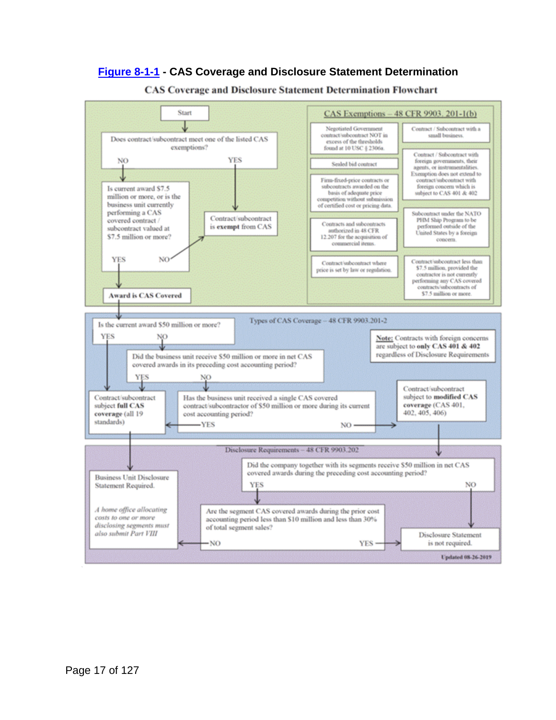### **[Figure 8-1-1](#page-1-4) - CAS Coverage and Disclosure Statement Determination**



#### <span id="page-16-0"></span>**CAS Coverage and Disclosure Statement Determination Flowchart**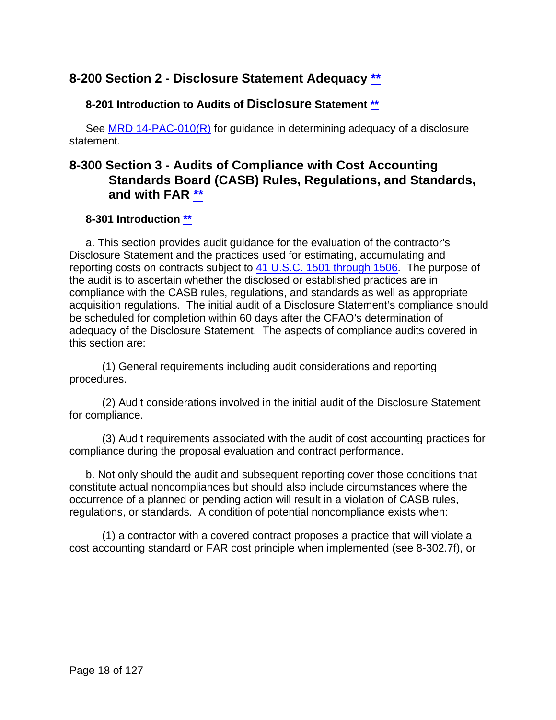# **8-200 Section 2 - Disclosure Statement Adequacy [\\*\\*](#page-1-5)**

### <span id="page-17-1"></span><span id="page-17-0"></span>**8-201 Introduction to Audits of Disclosure Statement [\\*\\*](#page-1-6)**

See  $MRD$  14-PAC-010 $(R)$  for guidance in determining adequacy of a disclosure statement.

## <span id="page-17-2"></span>**8-300 Section 3 - Audits of Compliance with Cost Accounting Standards Board (CASB) Rules, Regulations, and Standards, and with FAR [\\*\\*](#page-1-7)**

### <span id="page-17-3"></span>**8-301 Introduction [\\*\\*](#page-1-8)**

a. This section provides audit guidance for the evaluation of the contractor's Disclosure Statement and the practices used for estimating, accumulating and reporting costs on contracts subject to [41 U.S.C. 1501](http://uscode.house.gov/view.xhtml?hl=false&edition=prelim&req=granuleid%3AUSC-prelim-title41-chapter15-front&f=treesort&num=0&saved=%7CKHRpdGxlOjQxIHNlY3Rpb246MTUwMSBlZGl0aW9uOnByZWxpbSkgT1IgKGdyYW51bGVpZDpVU0MtcHJlbGltLXRpdGxlNDEtc2VjdGlvbjE1MDEp%7CdHJlZXNvcnQ%3D%7C%7C0%7Cfalse%7Cprelim) through 1506. The purpose of the audit is to ascertain whether the disclosed or established practices are in compliance with the CASB rules, regulations, and standards as well as appropriate acquisition regulations. The initial audit of a Disclosure Statement's compliance should be scheduled for completion within 60 days after the CFAO's determination of adequacy of the Disclosure Statement. The aspects of compliance audits covered in this section are:

(1) General requirements including audit considerations and reporting procedures.

(2) Audit considerations involved in the initial audit of the Disclosure Statement for compliance.

(3) Audit requirements associated with the audit of cost accounting practices for compliance during the proposal evaluation and contract performance.

b. Not only should the audit and subsequent reporting cover those conditions that constitute actual noncompliances but should also include circumstances where the occurrence of a planned or pending action will result in a violation of CASB rules, regulations, or standards. A condition of potential noncompliance exists when:

(1) a contractor with a covered contract proposes a practice that will violate a cost accounting standard or FAR cost principle when implemented (see 8-302.7f), or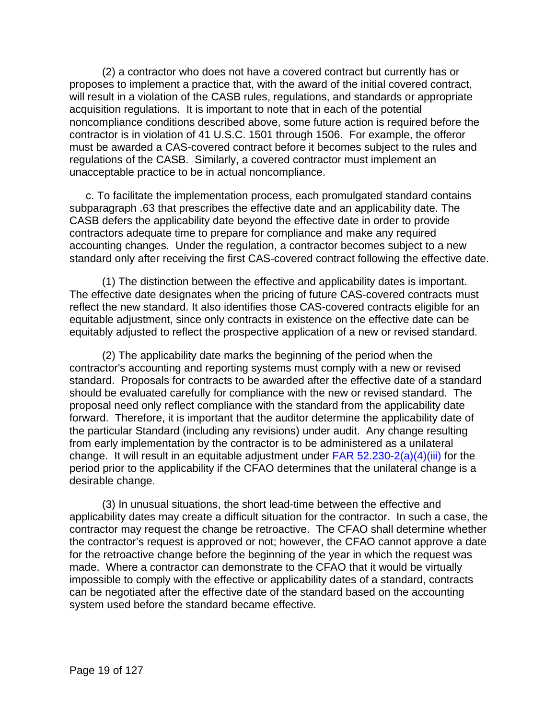(2) a contractor who does not have a covered contract but currently has or proposes to implement a practice that, with the award of the initial covered contract, will result in a violation of the CASB rules, regulations, and standards or appropriate acquisition regulations. It is important to note that in each of the potential noncompliance conditions described above, some future action is required before the contractor is in violation of 41 U.S.C. 1501 through 1506. For example, the offeror must be awarded a CAS-covered contract before it becomes subject to the rules and regulations of the CASB. Similarly, a covered contractor must implement an unacceptable practice to be in actual noncompliance.

c. To facilitate the implementation process, each promulgated standard contains subparagraph .63 that prescribes the effective date and an applicability date. The CASB defers the applicability date beyond the effective date in order to provide contractors adequate time to prepare for compliance and make any required accounting changes. Under the regulation, a contractor becomes subject to a new standard only after receiving the first CAS-covered contract following the effective date.

(1) The distinction between the effective and applicability dates is important. The effective date designates when the pricing of future CAS-covered contracts must reflect the new standard. It also identifies those CAS-covered contracts eligible for an equitable adjustment, since only contracts in existence on the effective date can be equitably adjusted to reflect the prospective application of a new or revised standard.

(2) The applicability date marks the beginning of the period when the contractor's accounting and reporting systems must comply with a new or revised standard. Proposals for contracts to be awarded after the effective date of a standard should be evaluated carefully for compliance with the new or revised standard. The proposal need only reflect compliance with the standard from the applicability date forward. Therefore, it is important that the auditor determine the applicability date of the particular Standard (including any revisions) under audit. Any change resulting from early implementation by the contractor is to be administered as a unilateral change. It will result in an equitable adjustment under FAR  $52.230-2(a)(4)(iii)$  for the period prior to the applicability if the CFAO determines that the unilateral change is a desirable change.

(3) In unusual situations, the short lead-time between the effective and applicability dates may create a difficult situation for the contractor. In such a case, the contractor may request the change be retroactive. The CFAO shall determine whether the contractor's request is approved or not; however, the CFAO cannot approve a date for the retroactive change before the beginning of the year in which the request was made. Where a contractor can demonstrate to the CFAO that it would be virtually impossible to comply with the effective or applicability dates of a standard, contracts can be negotiated after the effective date of the standard based on the accounting system used before the standard became effective.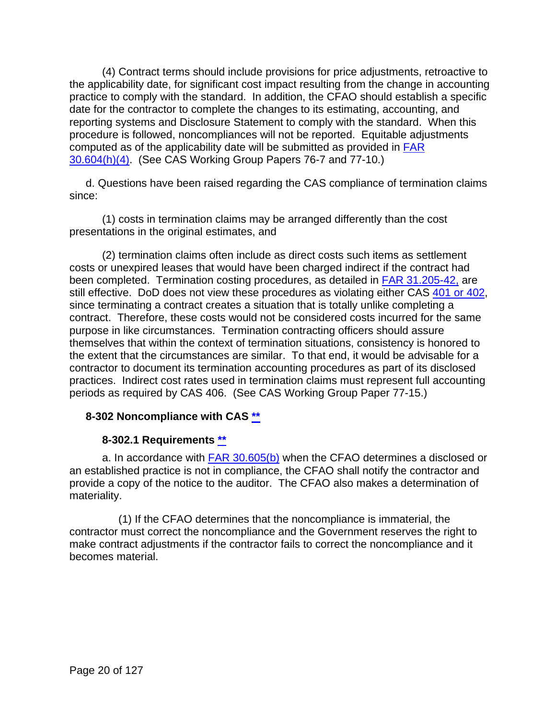(4) Contract terms should include provisions for price adjustments, retroactive to the applicability date, for significant cost impact resulting from the change in accounting practice to comply with the standard. In addition, the CFAO should establish a specific date for the contractor to complete the changes to its estimating, accounting, and reporting systems and Disclosure Statement to comply with the standard. When this procedure is followed, noncompliances will not be reported. Equitable adjustments computed as of the applicability date will be submitted as provided in [FAR](http://www.ecfr.gov/cgi-bin/text-idx?SID=0cd61e8ca3ffffbee84486a529be0e6d&mc=true&node=se48.1.30_1604&rgn=div8)  [30.604\(h\)\(4\).](http://www.ecfr.gov/cgi-bin/text-idx?SID=0cd61e8ca3ffffbee84486a529be0e6d&mc=true&node=se48.1.30_1604&rgn=div8) (See CAS Working Group Papers 76-7 and 77-10.)

d. Questions have been raised regarding the CAS compliance of termination claims since:

(1) costs in termination claims may be arranged differently than the cost presentations in the original estimates, and

(2) termination claims often include as direct costs such items as settlement costs or unexpired leases that would have been charged indirect if the contract had been completed. Termination costing procedures, as detailed in [FAR 31.205-42,](http://www.ecfr.gov/cgi-bin/text-idx?SID=0cd61e8ca3ffffbee84486a529be0e6d&mc=true&node=se48.1.31_1205_642&rgn=div8) are still effective. DoD does not view these procedures as violating either CAS [401 or 402,](http://www.ecfr.gov/cgi-bin/text-idx?SID=64ad9df24058aefe6e620b621b9ac997&mc=true&tpl=/ecfrbrowse/Title48/48cfr9904_main_02.tpl) since terminating a contract creates a situation that is totally unlike completing a contract. Therefore, these costs would not be considered costs incurred for the same purpose in like circumstances. Termination contracting officers should assure themselves that within the context of termination situations, consistency is honored to the extent that the circumstances are similar. To that end, it would be advisable for a contractor to document its termination accounting procedures as part of its disclosed practices. Indirect cost rates used in termination claims must represent full accounting periods as required by CAS 406. (See CAS Working Group Paper 77-15.)

### <span id="page-19-0"></span>**8-302 Noncompliance with CAS [\\*\\*](#page-1-9)**

### <span id="page-19-1"></span>**8-302.1 Requirements [\\*\\*](#page-1-10)**

a. In accordance with **FAR 30.605(b)** when the CFAO determines a disclosed or an established practice is not in compliance, the CFAO shall notify the contractor and provide a copy of the notice to the auditor. The CFAO also makes a determination of materiality.

(1) If the CFAO determines that the noncompliance is immaterial, the contractor must correct the noncompliance and the Government reserves the right to make contract adjustments if the contractor fails to correct the noncompliance and it becomes material.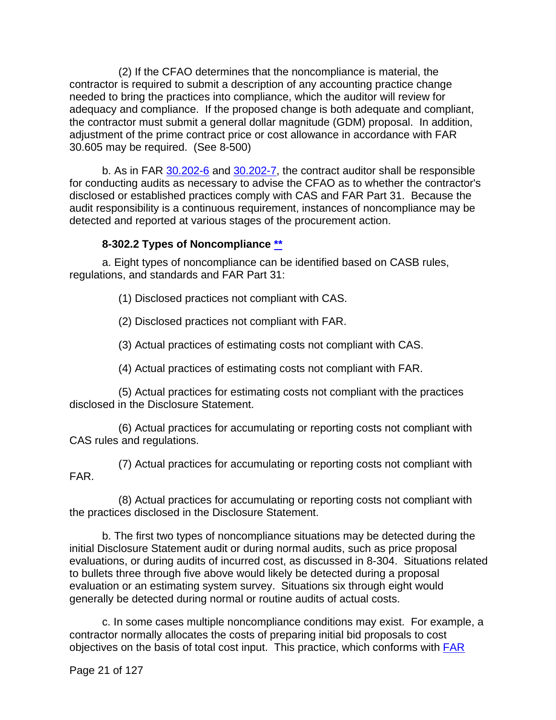(2) If the CFAO determines that the noncompliance is material, the contractor is required to submit a description of any accounting practice change needed to bring the practices into compliance, which the auditor will review for adequacy and compliance. If the proposed change is both adequate and compliant, the contractor must submit a general dollar magnitude (GDM) proposal. In addition, adjustment of the prime contract price or cost allowance in accordance with FAR 30.605 may be required. (See 8-500)

b. As in FAR [30.202-6](http://www.ecfr.gov/cgi-bin/text-idx?SID=0cd61e8ca3ffffbee84486a529be0e6d&mc=true&node=se48.1.30_1202_66&rgn=div8) and [30.202-7,](http://www.ecfr.gov/cgi-bin/text-idx?SID=0cd61e8ca3ffffbee84486a529be0e6d&mc=true&node=se48.1.30_1202_67&rgn=div8) the contract auditor shall be responsible for conducting audits as necessary to advise the CFAO as to whether the contractor's disclosed or established practices comply with CAS and FAR Part 31. Because the audit responsibility is a continuous requirement, instances of noncompliance may be detected and reported at various stages of the procurement action.

#### <span id="page-20-0"></span>**8-302.2 Types of Noncompliance [\\*\\*](#page-1-11)**

a. Eight types of noncompliance can be identified based on CASB rules, regulations, and standards and FAR Part 31:

(1) Disclosed practices not compliant with CAS.

(2) Disclosed practices not compliant with FAR.

(3) Actual practices of estimating costs not compliant with CAS.

(4) Actual practices of estimating costs not compliant with FAR.

(5) Actual practices for estimating costs not compliant with the practices disclosed in the Disclosure Statement.

(6) Actual practices for accumulating or reporting costs not compliant with CAS rules and regulations.

(7) Actual practices for accumulating or reporting costs not compliant with FAR.

(8) Actual practices for accumulating or reporting costs not compliant with the practices disclosed in the Disclosure Statement.

b. The first two types of noncompliance situations may be detected during the initial Disclosure Statement audit or during normal audits, such as price proposal evaluations, or during audits of incurred cost, as discussed in 8-304. Situations related to bullets three through five above would likely be detected during a proposal evaluation or an estimating system survey. Situations six through eight would generally be detected during normal or routine audits of actual costs.

c. In some cases multiple noncompliance conditions may exist. For example, a contractor normally allocates the costs of preparing initial bid proposals to cost objectives on the basis of total cost input. This practice, which conforms with [FAR](http://www.ecfr.gov/cgi-bin/text-idx?SID=0cd61e8ca3ffffbee84486a529be0e6d&mc=true&node=se48.1.31_1205_618&rgn=div8) 

Page 21 of 127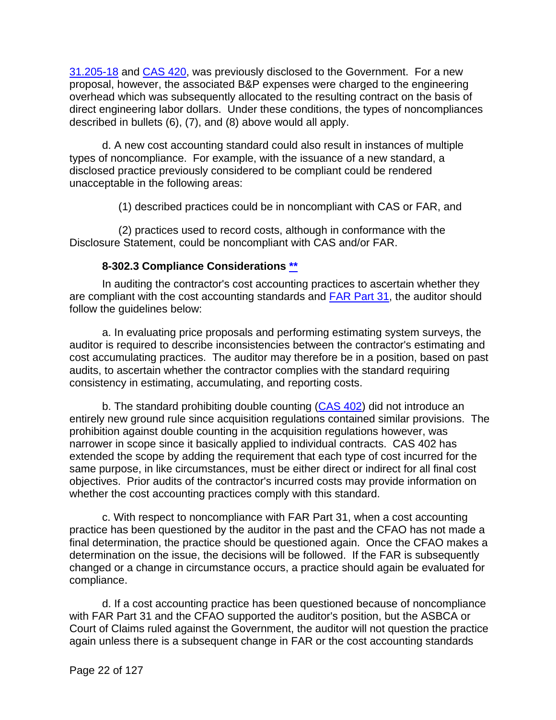[31.205-18](http://www.ecfr.gov/cgi-bin/text-idx?SID=0cd61e8ca3ffffbee84486a529be0e6d&mc=true&node=se48.1.31_1205_618&rgn=div8) and [CAS 420,](http://www.ecfr.gov/cgi-bin/text-idx?SID=64ad9df24058aefe6e620b621b9ac997&mc=true&tpl=/ecfrbrowse/Title48/48cfr9904_main_02.tpl) was previously disclosed to the Government. For a new proposal, however, the associated B&P expenses were charged to the engineering overhead which was subsequently allocated to the resulting contract on the basis of direct engineering labor dollars. Under these conditions, the types of noncompliances described in bullets (6), (7), and (8) above would all apply.

d. A new cost accounting standard could also result in instances of multiple types of noncompliance. For example, with the issuance of a new standard, a disclosed practice previously considered to be compliant could be rendered unacceptable in the following areas:

(1) described practices could be in noncompliant with CAS or FAR, and

(2) practices used to record costs, although in conformance with the Disclosure Statement, could be noncompliant with CAS and/or FAR.

### <span id="page-21-0"></span>**8-302.3 Compliance Considerations [\\*\\*](#page-1-12)**

In auditing the contractor's cost accounting practices to ascertain whether they are compliant with the cost accounting standards and [FAR Part 31,](http://www.ecfr.gov/cgi-bin/text-idx?SID=22a0d7d645c04f6fe8be7f79786514b5&mc=true&node=pt48.1.31&rgn=div5) the auditor should follow the guidelines below:

a. In evaluating price proposals and performing estimating system surveys, the auditor is required to describe inconsistencies between the contractor's estimating and cost accumulating practices. The auditor may therefore be in a position, based on past audits, to ascertain whether the contractor complies with the standard requiring consistency in estimating, accumulating, and reporting costs.

b. The standard prohibiting double counting [\(CAS 402\)](http://www.ecfr.gov/cgi-bin/text-idx?SID=64ad9df24058aefe6e620b621b9ac997&mc=true&tpl=/ecfrbrowse/Title48/48cfr9904_main_02.tpl) did not introduce an entirely new ground rule since acquisition regulations contained similar provisions. The prohibition against double counting in the acquisition regulations however, was narrower in scope since it basically applied to individual contracts. CAS 402 has extended the scope by adding the requirement that each type of cost incurred for the same purpose, in like circumstances, must be either direct or indirect for all final cost objectives. Prior audits of the contractor's incurred costs may provide information on whether the cost accounting practices comply with this standard.

c. With respect to noncompliance with FAR Part 31, when a cost accounting practice has been questioned by the auditor in the past and the CFAO has not made a final determination, the practice should be questioned again. Once the CFAO makes a determination on the issue, the decisions will be followed. If the FAR is subsequently changed or a change in circumstance occurs, a practice should again be evaluated for compliance.

d. If a cost accounting practice has been questioned because of noncompliance with FAR Part 31 and the CFAO supported the auditor's position, but the ASBCA or Court of Claims ruled against the Government, the auditor will not question the practice again unless there is a subsequent change in FAR or the cost accounting standards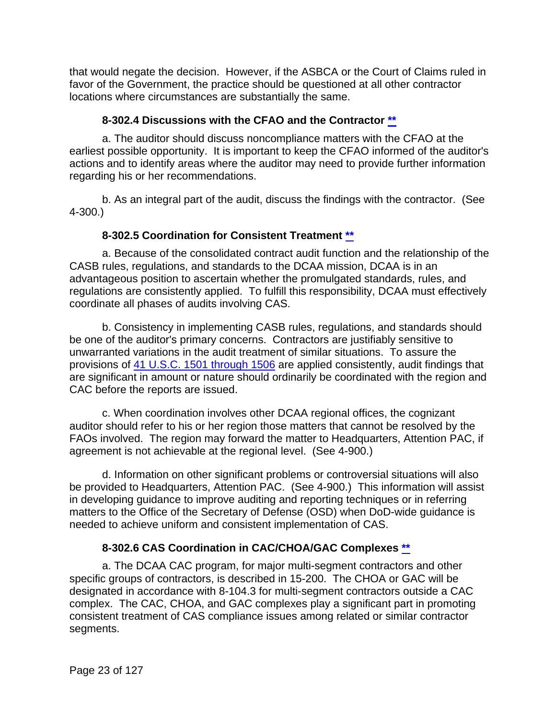that would negate the decision. However, if the ASBCA or the Court of Claims ruled in favor of the Government, the practice should be questioned at all other contractor locations where circumstances are substantially the same.

### <span id="page-22-0"></span>**8-302.4 Discussions with the CFAO and the Contractor [\\*\\*](#page-1-13)**

a. The auditor should discuss noncompliance matters with the CFAO at the earliest possible opportunity. It is important to keep the CFAO informed of the auditor's actions and to identify areas where the auditor may need to provide further information regarding his or her recommendations.

b. As an integral part of the audit, discuss the findings with the contractor. (See 4-300.)

### <span id="page-22-1"></span>**8-302.5 Coordination for Consistent Treatment [\\*\\*](#page-1-14)**

a. Because of the consolidated contract audit function and the relationship of the CASB rules, regulations, and standards to the DCAA mission, DCAA is in an advantageous position to ascertain whether the promulgated standards, rules, and regulations are consistently applied. To fulfill this responsibility, DCAA must effectively coordinate all phases of audits involving CAS.

b. Consistency in implementing CASB rules, regulations, and standards should be one of the auditor's primary concerns. Contractors are justifiably sensitive to unwarranted variations in the audit treatment of similar situations. To assure the provisions of [41 U.S.C. 1501 through 1506](http://uscode.house.gov/view.xhtml?hl=false&edition=prelim&req=granuleid%3AUSC-prelim-title41-chapter15-front&f=treesort&num=0&saved=%7CKHRpdGxlOjQxIHNlY3Rpb246MTUwMSBlZGl0aW9uOnByZWxpbSkgT1IgKGdyYW51bGVpZDpVU0MtcHJlbGltLXRpdGxlNDEtc2VjdGlvbjE1MDEp%7CdHJlZXNvcnQ%3D%7C%7C0%7Cfalse%7Cprelim) are applied consistently, audit findings that are significant in amount or nature should ordinarily be coordinated with the region and CAC before the reports are issued.

c. When coordination involves other DCAA regional offices, the cognizant auditor should refer to his or her region those matters that cannot be resolved by the FAOs involved. The region may forward the matter to Headquarters, Attention PAC, if agreement is not achievable at the regional level. (See 4-900.)

d. Information on other significant problems or controversial situations will also be provided to Headquarters, Attention PAC. (See 4-900.) This information will assist in developing guidance to improve auditing and reporting techniques or in referring matters to the Office of the Secretary of Defense (OSD) when DoD-wide guidance is needed to achieve uniform and consistent implementation of CAS.

### <span id="page-22-2"></span>**8-302.6 CAS Coordination in CAC/CHOA/GAC Complexes [\\*\\*](#page-1-15)**

a. The DCAA CAC program, for major multi-segment contractors and other specific groups of contractors, is described in 15-200. The CHOA or GAC will be designated in accordance with 8-104.3 for multi-segment contractors outside a CAC complex. The CAC, CHOA, and GAC complexes play a significant part in promoting consistent treatment of CAS compliance issues among related or similar contractor segments.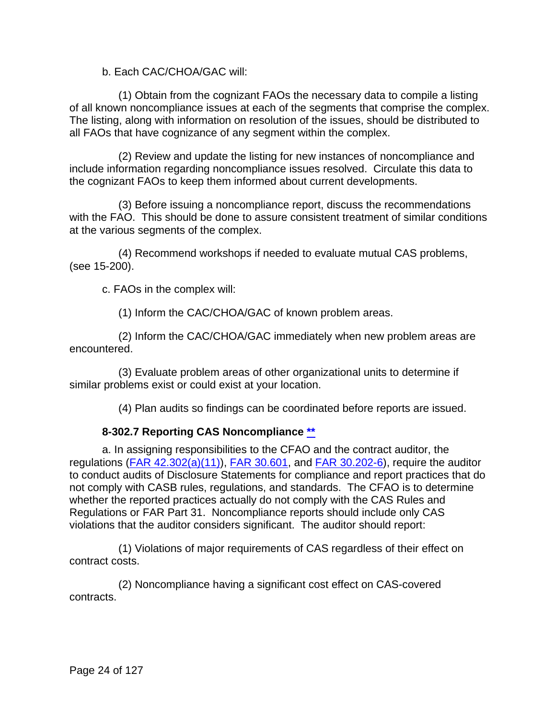b. Each CAC/CHOA/GAC will:

(1) Obtain from the cognizant FAOs the necessary data to compile a listing of all known noncompliance issues at each of the segments that comprise the complex. The listing, along with information on resolution of the issues, should be distributed to all FAOs that have cognizance of any segment within the complex.

(2) Review and update the listing for new instances of noncompliance and include information regarding noncompliance issues resolved. Circulate this data to the cognizant FAOs to keep them informed about current developments.

(3) Before issuing a noncompliance report, discuss the recommendations with the FAO. This should be done to assure consistent treatment of similar conditions at the various segments of the complex.

(4) Recommend workshops if needed to evaluate mutual CAS problems, (see 15-200).

c. FAOs in the complex will:

(1) Inform the CAC/CHOA/GAC of known problem areas.

(2) Inform the CAC/CHOA/GAC immediately when new problem areas are encountered.

(3) Evaluate problem areas of other organizational units to determine if similar problems exist or could exist at your location.

<span id="page-23-0"></span>(4) Plan audits so findings can be coordinated before reports are issued.

### **8-302.7 Reporting CAS Noncompliance [\\*\\*](#page-1-16)**

a. In assigning responsibilities to the CFAO and the contract auditor, the regulations (FAR  $42.302(a)(11)$ ), FAR  $30.601$ , and FAR  $30.202-6$ ), require the auditor to conduct audits of Disclosure Statements for compliance and report practices that do not comply with CASB rules, regulations, and standards. The CFAO is to determine whether the reported practices actually do not comply with the CAS Rules and Regulations or FAR Part 31. Noncompliance reports should include only CAS violations that the auditor considers significant. The auditor should report:

(1) Violations of major requirements of CAS regardless of their effect on contract costs.

(2) Noncompliance having a significant cost effect on CAS-covered contracts.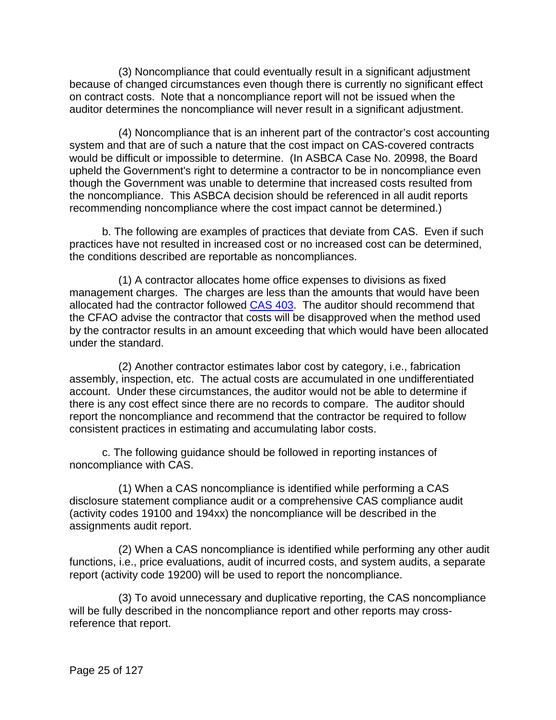(3) Noncompliance that could eventually result in a significant adjustment because of changed circumstances even though there is currently no significant effect on contract costs. Note that a noncompliance report will not be issued when the auditor determines the noncompliance will never result in a significant adjustment.

(4) Noncompliance that is an inherent part of the contractor's cost accounting system and that are of such a nature that the cost impact on CAS-covered contracts would be difficult or impossible to determine. (In ASBCA Case No. 20998, the Board upheld the Government's right to determine a contractor to be in noncompliance even though the Government was unable to determine that increased costs resulted from the noncompliance. This ASBCA decision should be referenced in all audit reports recommending noncompliance where the cost impact cannot be determined.)

b. The following are examples of practices that deviate from CAS. Even if such practices have not resulted in increased cost or no increased cost can be determined, the conditions described are reportable as noncompliances.

(1) A contractor allocates home office expenses to divisions as fixed management charges. The charges are less than the amounts that would have been allocated had the contractor followed [CAS 403.](http://www.ecfr.gov/cgi-bin/text-idx?SID=150febf0c99eb4d736e9847862f7fdae&mc=true&tpl=/ecfrbrowse/Title48/48cfr9904_main_02.tpl) The auditor should recommend that the CFAO advise the contractor that costs will be disapproved when the method used by the contractor results in an amount exceeding that which would have been allocated under the standard.

(2) Another contractor estimates labor cost by category, i.e., fabrication assembly, inspection, etc. The actual costs are accumulated in one undifferentiated account. Under these circumstances, the auditor would not be able to determine if there is any cost effect since there are no records to compare. The auditor should report the noncompliance and recommend that the contractor be required to follow consistent practices in estimating and accumulating labor costs.

c. The following guidance should be followed in reporting instances of noncompliance with CAS.

(1) When a CAS noncompliance is identified while performing a CAS disclosure statement compliance audit or a comprehensive CAS compliance audit (activity codes 19100 and 194xx) the noncompliance will be described in the assignments audit report.

(2) When a CAS noncompliance is identified while performing any other audit functions, i.e., price evaluations, audit of incurred costs, and system audits, a separate report (activity code 19200) will be used to report the noncompliance.

(3) To avoid unnecessary and duplicative reporting, the CAS noncompliance will be fully described in the noncompliance report and other reports may crossreference that report.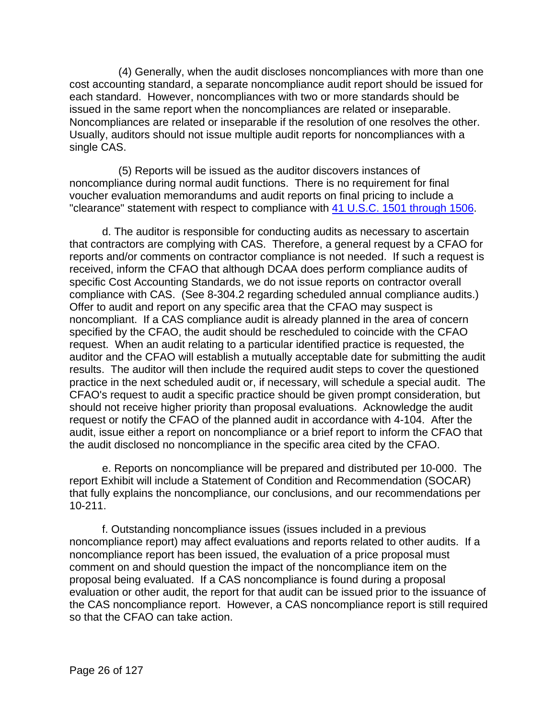(4) Generally, when the audit discloses noncompliances with more than one cost accounting standard, a separate noncompliance audit report should be issued for each standard. However, noncompliances with two or more standards should be issued in the same report when the noncompliances are related or inseparable. Noncompliances are related or inseparable if the resolution of one resolves the other. Usually, auditors should not issue multiple audit reports for noncompliances with a single CAS.

(5) Reports will be issued as the auditor discovers instances of noncompliance during normal audit functions. There is no requirement for final voucher evaluation memorandums and audit reports on final pricing to include a "clearance" statement with respect to compliance with [41 U.S.C. 1501 through 1506.](http://uscode.house.gov/view.xhtml?hl=false&edition=prelim&req=granuleid%3AUSC-prelim-title41-chapter15-front&f=treesort&num=0&saved=%7CKHRpdGxlOjQxIHNlY3Rpb246MTUwMSBlZGl0aW9uOnByZWxpbSkgT1IgKGdyYW51bGVpZDpVU0MtcHJlbGltLXRpdGxlNDEtc2VjdGlvbjE1MDEp%7CdHJlZXNvcnQ%3D%7C%7C0%7Cfalse%7Cprelim)

d. The auditor is responsible for conducting audits as necessary to ascertain that contractors are complying with CAS. Therefore, a general request by a CFAO for reports and/or comments on contractor compliance is not needed. If such a request is received, inform the CFAO that although DCAA does perform compliance audits of specific Cost Accounting Standards, we do not issue reports on contractor overall compliance with CAS. (See 8-304.2 regarding scheduled annual compliance audits.) Offer to audit and report on any specific area that the CFAO may suspect is noncompliant. If a CAS compliance audit is already planned in the area of concern specified by the CFAO, the audit should be rescheduled to coincide with the CFAO request. When an audit relating to a particular identified practice is requested, the auditor and the CFAO will establish a mutually acceptable date for submitting the audit results. The auditor will then include the required audit steps to cover the questioned practice in the next scheduled audit or, if necessary, will schedule a special audit. The CFAO's request to audit a specific practice should be given prompt consideration, but should not receive higher priority than proposal evaluations. Acknowledge the audit request or notify the CFAO of the planned audit in accordance with 4-104. After the audit, issue either a report on noncompliance or a brief report to inform the CFAO that the audit disclosed no noncompliance in the specific area cited by the CFAO.

e. Reports on noncompliance will be prepared and distributed per 10-000. The report Exhibit will include a Statement of Condition and Recommendation (SOCAR) that fully explains the noncompliance, our conclusions, and our recommendations per 10-211.

f. Outstanding noncompliance issues (issues included in a previous noncompliance report) may affect evaluations and reports related to other audits. If a noncompliance report has been issued, the evaluation of a price proposal must comment on and should question the impact of the noncompliance item on the proposal being evaluated. If a CAS noncompliance is found during a proposal evaluation or other audit, the report for that audit can be issued prior to the issuance of the CAS noncompliance report. However, a CAS noncompliance report is still required so that the CFAO can take action.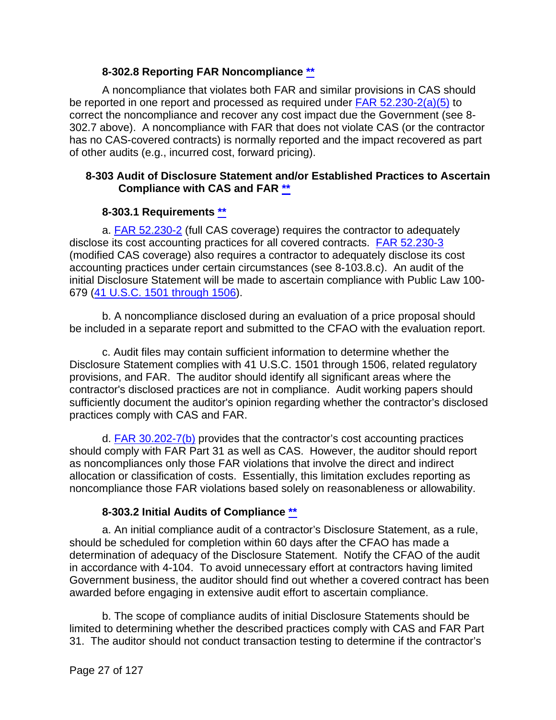### <span id="page-26-0"></span>**8-302.8 Reporting FAR Noncompliance [\\*\\*](#page-1-17)**

A noncompliance that violates both FAR and similar provisions in CAS should be reported in one report and processed as required under [FAR 52.230-2\(a\)\(5\)](http://www.ecfr.gov/cgi-bin/text-idx?SID=32fe305cb3d5d64eb2a9fc4d43a0dbc5&mc=true&node=se48.2.52_1230_62&rgn=div8) to correct the noncompliance and recover any cost impact due the Government (see 8- 302.7 above). A noncompliance with FAR that does not violate CAS (or the contractor has no CAS-covered contracts) is normally reported and the impact recovered as part of other audits (e.g., incurred cost, forward pricing).

### <span id="page-26-1"></span>**8-303 Audit of Disclosure Statement and/or Established Practices to Ascertain Compliance with CAS and FAR [\\*\\*](#page-1-18)**

### <span id="page-26-2"></span>**8-303.1 Requirements [\\*\\*](#page-1-19)**

a. [FAR 52.230-2](http://www.ecfr.gov/cgi-bin/text-idx?SID=32fe305cb3d5d64eb2a9fc4d43a0dbc5&mc=true&node=se48.2.52_1230_62&rgn=div8) (full CAS coverage) requires the contractor to adequately disclose its cost accounting practices for all covered contracts. [FAR 52.230-3](http://www.ecfr.gov/cgi-bin/text-idx?SID=32fe305cb3d5d64eb2a9fc4d43a0dbc5&mc=true&node=se48.2.52_1230_63&rgn=div8) (modified CAS coverage) also requires a contractor to adequately disclose its cost accounting practices under certain circumstances (see 8-103.8.c). An audit of the initial Disclosure Statement will be made to ascertain compliance with Public Law 100- 679 [\(41 U.S.C. 1501 through 1506\)](http://uscode.house.gov/view.xhtml?hl=false&edition=prelim&req=granuleid%3AUSC-prelim-title41-chapter15-front&f=treesort&num=0&saved=%7CKHRpdGxlOjQxIHNlY3Rpb246MTUwMSBlZGl0aW9uOnByZWxpbSkgT1IgKGdyYW51bGVpZDpVU0MtcHJlbGltLXRpdGxlNDEtc2VjdGlvbjE1MDEp%7CdHJlZXNvcnQ%3D%7C%7C0%7Cfalse%7Cprelim).

b. A noncompliance disclosed during an evaluation of a price proposal should be included in a separate report and submitted to the CFAO with the evaluation report.

c. Audit files may contain sufficient information to determine whether the Disclosure Statement complies with 41 U.S.C. 1501 through 1506, related regulatory provisions, and FAR. The auditor should identify all significant areas where the contractor's disclosed practices are not in compliance. Audit working papers should sufficiently document the auditor's opinion regarding whether the contractor's disclosed practices comply with CAS and FAR.

d. [FAR 30.202-7\(b\)](http://www.ecfr.gov/cgi-bin/text-idx?SID=32fe305cb3d5d64eb2a9fc4d43a0dbc5&mc=true&node=se48.1.30_1202_67&rgn=div8) provides that the contractor's cost accounting practices should comply with FAR Part 31 as well as CAS. However, the auditor should report as noncompliances only those FAR violations that involve the direct and indirect allocation or classification of costs. Essentially, this limitation excludes reporting as noncompliance those FAR violations based solely on reasonableness or allowability.

### <span id="page-26-3"></span>**8-303.2 Initial Audits of Compliance [\\*\\*](#page-1-20)**

a. An initial compliance audit of a contractor's Disclosure Statement, as a rule, should be scheduled for completion within 60 days after the CFAO has made a determination of adequacy of the Disclosure Statement. Notify the CFAO of the audit in accordance with 4-104. To avoid unnecessary effort at contractors having limited Government business, the auditor should find out whether a covered contract has been awarded before engaging in extensive audit effort to ascertain compliance.

b. The scope of compliance audits of initial Disclosure Statements should be limited to determining whether the described practices comply with CAS and FAR Part 31. The auditor should not conduct transaction testing to determine if the contractor's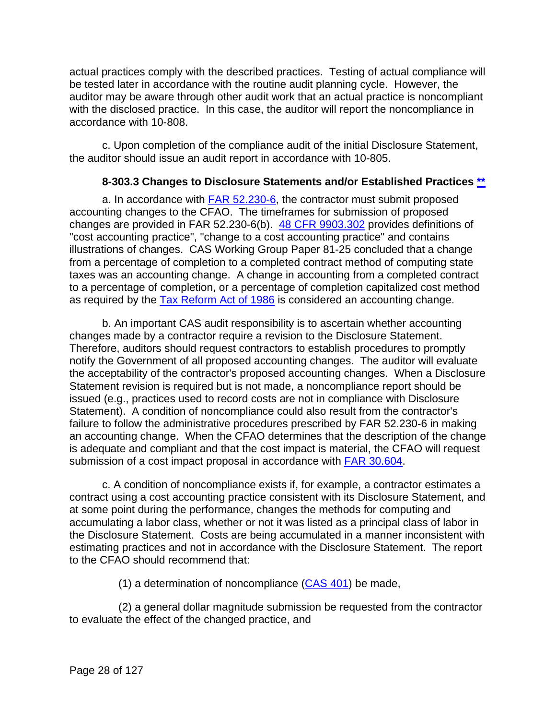actual practices comply with the described practices. Testing of actual compliance will be tested later in accordance with the routine audit planning cycle. However, the auditor may be aware through other audit work that an actual practice is noncompliant with the disclosed practice. In this case, the auditor will report the noncompliance in accordance with 10-808.

c. Upon completion of the compliance audit of the initial Disclosure Statement, the auditor should issue an audit report in accordance with 10-805.

### <span id="page-27-0"></span>**8-303.3 Changes to Disclosure Statements and/or Established Practices [\\*\\*](#page-1-21)**

a. In accordance with **FAR 52.230-6**, the contractor must submit proposed accounting changes to the CFAO. The timeframes for submission of proposed changes are provided in FAR 52.230-6(b).  $48$  CFR 9903.302 provides definitions of "cost accounting practice", "change to a cost accounting practice" and contains illustrations of changes. CAS Working Group Paper 81-25 concluded that a change from a percentage of completion to a completed contract method of computing state taxes was an accounting change. A change in accounting from a completed contract to a percentage of completion, or a percentage of completion capitalized cost method as required by the [Tax Reform Act of 1986](https://uscode.house.gov/view.xhtml?path=/prelim@title26&edition=prelim) is considered an accounting change.

b. An important CAS audit responsibility is to ascertain whether accounting changes made by a contractor require a revision to the Disclosure Statement. Therefore, auditors should request contractors to establish procedures to promptly notify the Government of all proposed accounting changes. The auditor will evaluate the acceptability of the contractor's proposed accounting changes. When a Disclosure Statement revision is required but is not made, a noncompliance report should be issued (e.g., practices used to record costs are not in compliance with Disclosure Statement). A condition of noncompliance could also result from the contractor's failure to follow the administrative procedures prescribed by FAR 52.230-6 in making an accounting change. When the CFAO determines that the description of the change is adequate and compliant and that the cost impact is material, the CFAO will request submission of a cost impact proposal in accordance with **FAR 30.604**.

c. A condition of noncompliance exists if, for example, a contractor estimates a contract using a cost accounting practice consistent with its Disclosure Statement, and at some point during the performance, changes the methods for computing and accumulating a labor class, whether or not it was listed as a principal class of labor in the Disclosure Statement. Costs are being accumulated in a manner inconsistent with estimating practices and not in accordance with the Disclosure Statement. The report to the CFAO should recommend that:

(1) a determination of noncompliance  $(CAS 401)$  be made,

(2) a general dollar magnitude submission be requested from the contractor to evaluate the effect of the changed practice, and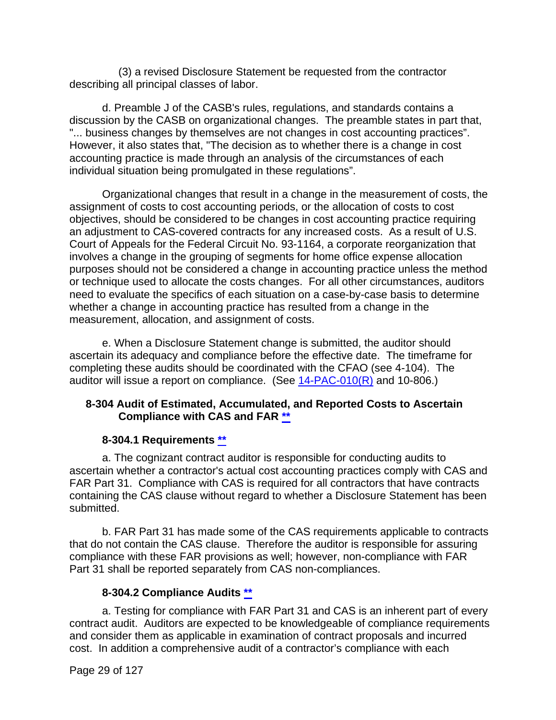(3) a revised Disclosure Statement be requested from the contractor describing all principal classes of labor.

d. Preamble J of the CASB's rules, regulations, and standards contains a discussion by the CASB on organizational changes. The preamble states in part that, "... business changes by themselves are not changes in cost accounting practices". However, it also states that, "The decision as to whether there is a change in cost accounting practice is made through an analysis of the circumstances of each individual situation being promulgated in these regulations".

Organizational changes that result in a change in the measurement of costs, the assignment of costs to cost accounting periods, or the allocation of costs to cost objectives, should be considered to be changes in cost accounting practice requiring an adjustment to CAS-covered contracts for any increased costs. As a result of U.S. Court of Appeals for the Federal Circuit No. 93-1164, a corporate reorganization that involves a change in the grouping of segments for home office expense allocation purposes should not be considered a change in accounting practice unless the method or technique used to allocate the costs changes. For all other circumstances, auditors need to evaluate the specifics of each situation on a case-by-case basis to determine whether a change in accounting practice has resulted from a change in the measurement, allocation, and assignment of costs.

e. When a Disclosure Statement change is submitted, the auditor should ascertain its adequacy and compliance before the effective date. The timeframe for completing these audits should be coordinated with the CFAO (see 4-104). The auditor will issue a report on compliance. (See  $14$ -PAC-010(R) and 10-806.)

### <span id="page-28-0"></span>**8-304 Audit of Estimated, Accumulated, and Reported Costs to Ascertain Compliance with CAS and FAR [\\*\\*](#page-1-22)**

### <span id="page-28-1"></span>**8-304.1 Requirements [\\*\\*](#page-1-23)**

a. The cognizant contract auditor is responsible for conducting audits to ascertain whether a contractor's actual cost accounting practices comply with CAS and FAR Part 31. Compliance with CAS is required for all contractors that have contracts containing the CAS clause without regard to whether a Disclosure Statement has been submitted.

b. FAR Part 31 has made some of the CAS requirements applicable to contracts that do not contain the CAS clause. Therefore the auditor is responsible for assuring compliance with these FAR provisions as well; however, non-compliance with FAR Part 31 shall be reported separately from CAS non-compliances.

### <span id="page-28-2"></span>**8-304.2 Compliance Audits [\\*\\*](#page-2-0)**

a. Testing for compliance with FAR Part 31 and CAS is an inherent part of every contract audit. Auditors are expected to be knowledgeable of compliance requirements and consider them as applicable in examination of contract proposals and incurred cost. In addition a comprehensive audit of a contractor's compliance with each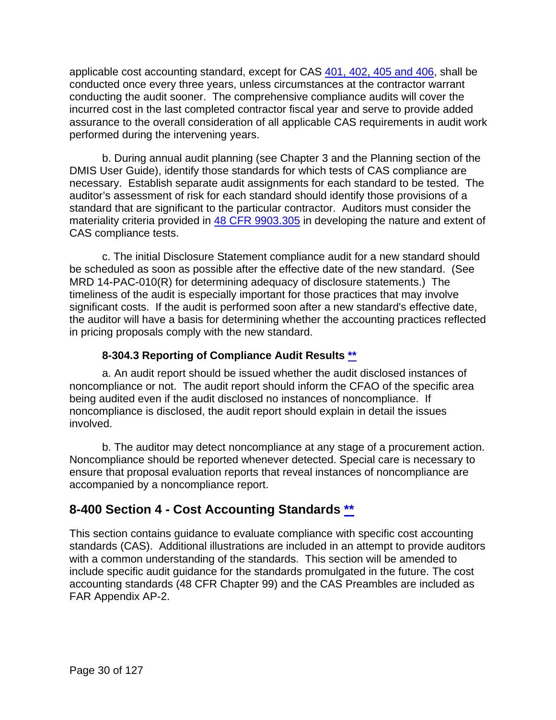applicable cost accounting standard, except for CAS [401, 402, 405 and 406,](http://www.ecfr.gov/cgi-bin/text-idx?SID=150febf0c99eb4d736e9847862f7fdae&mc=true&tpl=/ecfrbrowse/Title48/48cfr9904_main_02.tpl) shall be conducted once every three years, unless circumstances at the contractor warrant conducting the audit sooner. The comprehensive compliance audits will cover the incurred cost in the last completed contractor fiscal year and serve to provide added assurance to the overall consideration of all applicable CAS requirements in audit work performed during the intervening years.

b. During annual audit planning (see Chapter 3 and the Planning section of the DMIS User Guide), identify those standards for which tests of CAS compliance are necessary. Establish separate audit assignments for each standard to be tested. The auditor's assessment of risk for each standard should identify those provisions of a standard that are significant to the particular contractor. Auditors must consider the materiality criteria provided in [48 CFR 9903.305](http://www.ecfr.gov/cgi-bin/text-idx?SID=57e4f12dedba3851a7d82e6c664541c4&mc=true&node=se48.7.9903_1305&rgn=div8) in developing the nature and extent of CAS compliance tests.

c. The initial Disclosure Statement compliance audit for a new standard should be scheduled as soon as possible after the effective date of the new standard. (See MRD 14-PAC-010(R) for determining adequacy of disclosure statements.) The timeliness of the audit is especially important for those practices that may involve significant costs. If the audit is performed soon after a new standard's effective date, the auditor will have a basis for determining whether the accounting practices reflected in pricing proposals comply with the new standard.

### <span id="page-29-0"></span>**8-304.3 Reporting of Compliance Audit Results [\\*\\*](#page-2-1)**

a. An audit report should be issued whether the audit disclosed instances of noncompliance or not. The audit report should inform the CFAO of the specific area being audited even if the audit disclosed no instances of noncompliance. If noncompliance is disclosed, the audit report should explain in detail the issues involved.

b. The auditor may detect noncompliance at any stage of a procurement action. Noncompliance should be reported whenever detected. Special care is necessary to ensure that proposal evaluation reports that reveal instances of noncompliance are accompanied by a noncompliance report.

# <span id="page-29-1"></span>**8-400 Section 4 - Cost Accounting Standards [\\*\\*](#page-2-2)**

This section contains guidance to evaluate compliance with specific cost accounting standards (CAS). Additional illustrations are included in an attempt to provide auditors with a common understanding of the standards. This section will be amended to include specific audit guidance for the standards promulgated in the future. The cost accounting standards (48 CFR Chapter 99) and the CAS Preambles are included as FAR Appendix AP-2.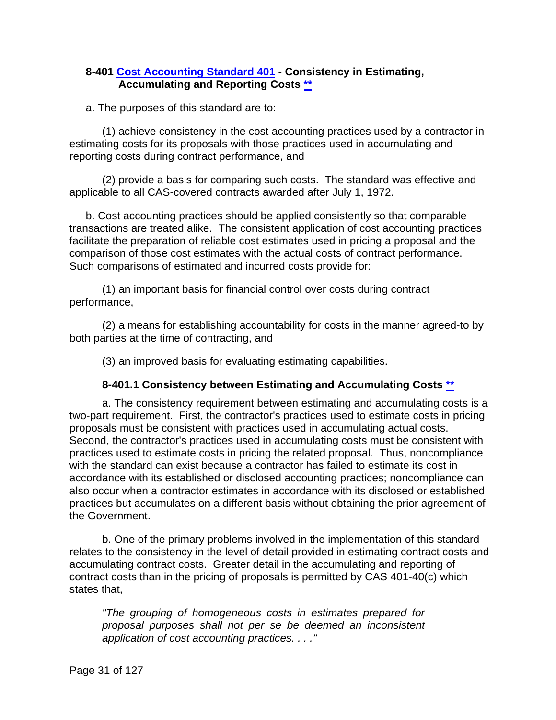### <span id="page-30-0"></span>**8-401 [Cost Accounting Standard 401](http://www.ecfr.gov/cgi-bin/text-idx?SID=150febf0c99eb4d736e9847862f7fdae&mc=true&tpl=/ecfrbrowse/Title48/48cfr9904_main_02.tpl) - Consistency in Estimating, Accumulating and Reporting Costs [\\*\\*](#page-2-3)**

a. The purposes of this standard are to:

(1) achieve consistency in the cost accounting practices used by a contractor in estimating costs for its proposals with those practices used in accumulating and reporting costs during contract performance, and

(2) provide a basis for comparing such costs. The standard was effective and applicable to all CAS-covered contracts awarded after July 1, 1972.

b. Cost accounting practices should be applied consistently so that comparable transactions are treated alike. The consistent application of cost accounting practices facilitate the preparation of reliable cost estimates used in pricing a proposal and the comparison of those cost estimates with the actual costs of contract performance. Such comparisons of estimated and incurred costs provide for:

(1) an important basis for financial control over costs during contract performance,

(2) a means for establishing accountability for costs in the manner agreed-to by both parties at the time of contracting, and

(3) an improved basis for evaluating estimating capabilities.

### <span id="page-30-1"></span>**8-401.1 Consistency between Estimating and Accumulating Costs [\\*\\*](#page-2-4)**

a. The consistency requirement between estimating and accumulating costs is a two-part requirement. First, the contractor's practices used to estimate costs in pricing proposals must be consistent with practices used in accumulating actual costs. Second, the contractor's practices used in accumulating costs must be consistent with practices used to estimate costs in pricing the related proposal. Thus, noncompliance with the standard can exist because a contractor has failed to estimate its cost in accordance with its established or disclosed accounting practices; noncompliance can also occur when a contractor estimates in accordance with its disclosed or established practices but accumulates on a different basis without obtaining the prior agreement of the Government.

b. One of the primary problems involved in the implementation of this standard relates to the consistency in the level of detail provided in estimating contract costs and accumulating contract costs. Greater detail in the accumulating and reporting of contract costs than in the pricing of proposals is permitted by CAS 401-40(c) which states that,

*"The grouping of homogeneous costs in estimates prepared for proposal purposes shall not per se be deemed an inconsistent application of cost accounting practices. . . ."*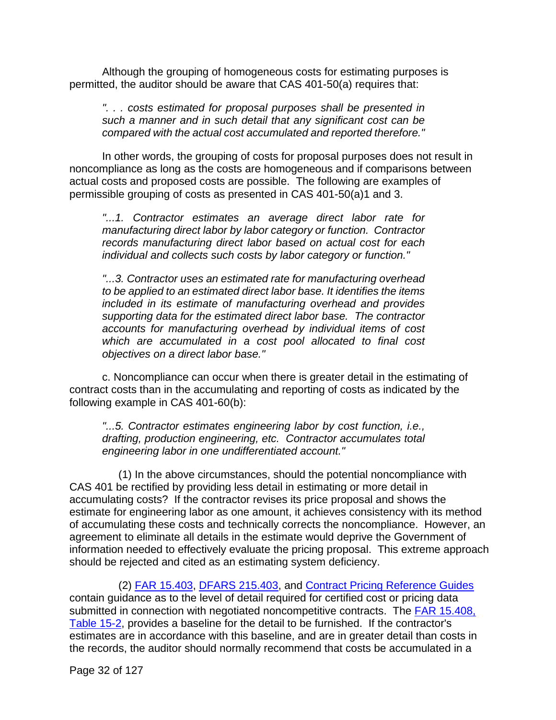Although the grouping of homogeneous costs for estimating purposes is permitted, the auditor should be aware that CAS 401-50(a) requires that:

*". . . costs estimated for proposal purposes shall be presented in such a manner and in such detail that any significant cost can be compared with the actual cost accumulated and reported therefore."*

In other words, the grouping of costs for proposal purposes does not result in noncompliance as long as the costs are homogeneous and if comparisons between actual costs and proposed costs are possible. The following are examples of permissible grouping of costs as presented in CAS 401-50(a)1 and 3.

"...1. Contractor estimates an average direct labor rate for *manufacturing direct labor by labor category or function. Contractor records manufacturing direct labor based on actual cost for each individual and collects such costs by labor category or function."*

*"...3. Contractor uses an estimated rate for manufacturing overhead to be applied to an estimated direct labor base. It identifies the items included in its estimate of manufacturing overhead and provides supporting data for the estimated direct labor base. The contractor accounts for manufacturing overhead by individual items of cost which are accumulated in a cost pool allocated to final cost objectives on a direct labor base."*

c. Noncompliance can occur when there is greater detail in the estimating of contract costs than in the accumulating and reporting of costs as indicated by the following example in CAS 401-60(b):

*"...5. Contractor estimates engineering labor by cost function, i.e., drafting, production engineering, etc. Contractor accumulates total engineering labor in one undifferentiated account."*

(1) In the above circumstances, should the potential noncompliance with CAS 401 be rectified by providing less detail in estimating or more detail in accumulating costs? If the contractor revises its price proposal and shows the estimate for engineering labor as one amount, it achieves consistency with its method of accumulating these costs and technically corrects the noncompliance. However, an agreement to eliminate all details in the estimate would deprive the Government of information needed to effectively evaluate the pricing proposal. This extreme approach should be rejected and cited as an estimating system deficiency.

(2) [FAR 15.403,](http://www.ecfr.gov/cgi-bin/text-idx?SID=839c918d5d9c6eda8d79c83dbc9a55ab&mc=true&node=sp48.1.15.15_14&rgn=div6) [DFARS 215.403,](http://www.ecfr.gov/cgi-bin/text-idx?SID=f389a8c823fad9f52ac3ed78b3b29b1f&mc=true&node=sp48.3.215.215_14&rgn=div6) and [Contract Pricing Reference](https://www.dau.edu/tools/p/cprg) Guides contain guidance as to the level of detail required for certified cost or pricing data submitted in connection with negotiated noncompetitive contracts. The FAR 15.408, [Table 15-2,](http://www.ecfr.gov/cgi-bin/text-idx?SID=4134d7698a3f178727405f3572e15646&mc=true&node=se48.1.15_1408&rgn=div8) provides a baseline for the detail to be furnished. If the contractor's estimates are in accordance with this baseline, and are in greater detail than costs in the records, the auditor should normally recommend that costs be accumulated in a

Page 32 of 127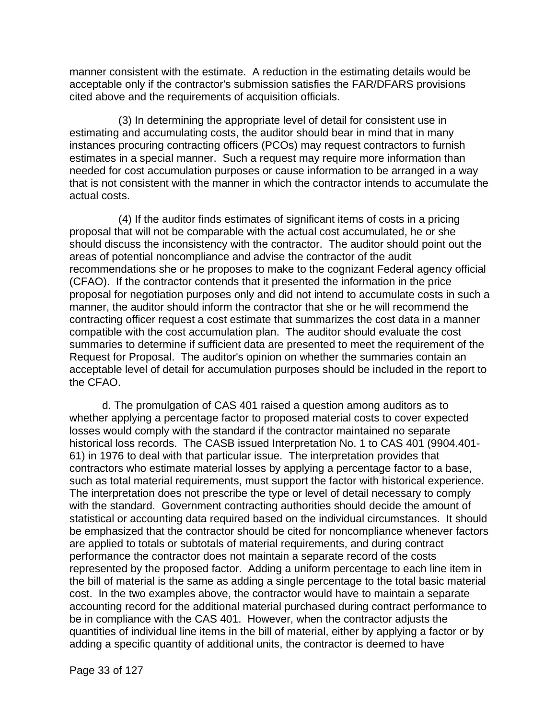manner consistent with the estimate. A reduction in the estimating details would be acceptable only if the contractor's submission satisfies the FAR/DFARS provisions cited above and the requirements of acquisition officials.

(3) In determining the appropriate level of detail for consistent use in estimating and accumulating costs, the auditor should bear in mind that in many instances procuring contracting officers (PCOs) may request contractors to furnish estimates in a special manner. Such a request may require more information than needed for cost accumulation purposes or cause information to be arranged in a way that is not consistent with the manner in which the contractor intends to accumulate the actual costs.

(4) If the auditor finds estimates of significant items of costs in a pricing proposal that will not be comparable with the actual cost accumulated, he or she should discuss the inconsistency with the contractor. The auditor should point out the areas of potential noncompliance and advise the contractor of the audit recommendations she or he proposes to make to the cognizant Federal agency official (CFAO). If the contractor contends that it presented the information in the price proposal for negotiation purposes only and did not intend to accumulate costs in such a manner, the auditor should inform the contractor that she or he will recommend the contracting officer request a cost estimate that summarizes the cost data in a manner compatible with the cost accumulation plan. The auditor should evaluate the cost summaries to determine if sufficient data are presented to meet the requirement of the Request for Proposal. The auditor's opinion on whether the summaries contain an acceptable level of detail for accumulation purposes should be included in the report to the CFAO.

d. The promulgation of CAS 401 raised a question among auditors as to whether applying a percentage factor to proposed material costs to cover expected losses would comply with the standard if the contractor maintained no separate historical loss records. The CASB issued Interpretation No. 1 to CAS 401 (9904.401- 61) in 1976 to deal with that particular issue. The interpretation provides that contractors who estimate material losses by applying a percentage factor to a base, such as total material requirements, must support the factor with historical experience. The interpretation does not prescribe the type or level of detail necessary to comply with the standard. Government contracting authorities should decide the amount of statistical or accounting data required based on the individual circumstances. It should be emphasized that the contractor should be cited for noncompliance whenever factors are applied to totals or subtotals of material requirements, and during contract performance the contractor does not maintain a separate record of the costs represented by the proposed factor. Adding a uniform percentage to each line item in the bill of material is the same as adding a single percentage to the total basic material cost. In the two examples above, the contractor would have to maintain a separate accounting record for the additional material purchased during contract performance to be in compliance with the CAS 401. However, when the contractor adjusts the quantities of individual line items in the bill of material, either by applying a factor or by adding a specific quantity of additional units, the contractor is deemed to have

Page 33 of 127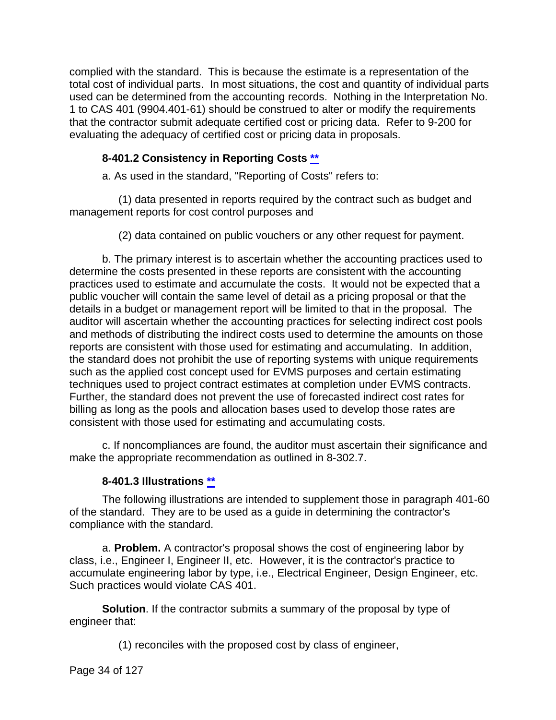complied with the standard. This is because the estimate is a representation of the total cost of individual parts. In most situations, the cost and quantity of individual parts used can be determined from the accounting records. Nothing in the Interpretation No. 1 to CAS 401 (9904.401-61) should be construed to alter or modify the requirements that the contractor submit adequate certified cost or pricing data. Refer to 9-200 for evaluating the adequacy of certified cost or pricing data in proposals.

### <span id="page-33-0"></span>**8-401.2 Consistency in Reporting Costs [\\*\\*](#page-2-5)**

a. As used in the standard, "Reporting of Costs" refers to:

(1) data presented in reports required by the contract such as budget and management reports for cost control purposes and

(2) data contained on public vouchers or any other request for payment.

b. The primary interest is to ascertain whether the accounting practices used to determine the costs presented in these reports are consistent with the accounting practices used to estimate and accumulate the costs. It would not be expected that a public voucher will contain the same level of detail as a pricing proposal or that the details in a budget or management report will be limited to that in the proposal. The auditor will ascertain whether the accounting practices for selecting indirect cost pools and methods of distributing the indirect costs used to determine the amounts on those reports are consistent with those used for estimating and accumulating. In addition, the standard does not prohibit the use of reporting systems with unique requirements such as the applied cost concept used for EVMS purposes and certain estimating techniques used to project contract estimates at completion under EVMS contracts. Further, the standard does not prevent the use of forecasted indirect cost rates for billing as long as the pools and allocation bases used to develop those rates are consistent with those used for estimating and accumulating costs.

c. If noncompliances are found, the auditor must ascertain their significance and make the appropriate recommendation as outlined in 8-302.7.

### <span id="page-33-1"></span>**8-401.3 Illustrations [\\*\\*](#page-2-6)**

The following illustrations are intended to supplement those in paragraph 401-60 of the standard. They are to be used as a guide in determining the contractor's compliance with the standard.

a. **Problem.** A contractor's proposal shows the cost of engineering labor by class, i.e., Engineer I, Engineer II, etc. However, it is the contractor's practice to accumulate engineering labor by type, i.e., Electrical Engineer, Design Engineer, etc. Such practices would violate CAS 401.

**Solution**. If the contractor submits a summary of the proposal by type of engineer that:

(1) reconciles with the proposed cost by class of engineer,

Page 34 of 127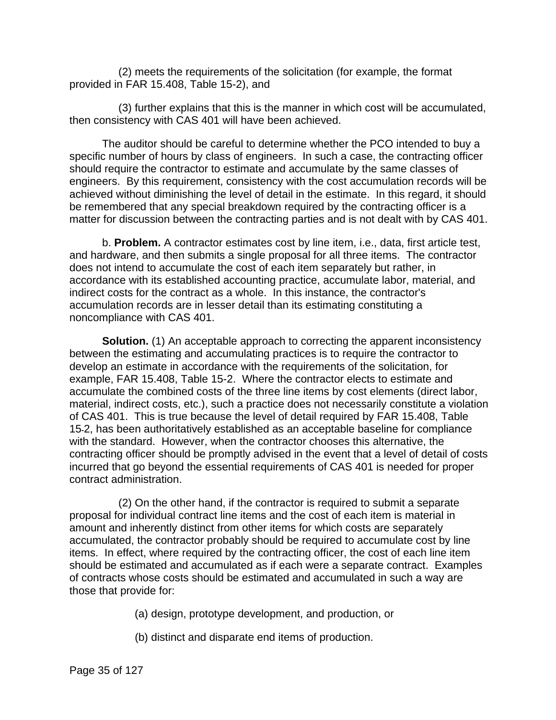(2) meets the requirements of the solicitation (for example, the format provided in FAR 15.408, Table 15-2), and

(3) further explains that this is the manner in which cost will be accumulated, then consistency with CAS 401 will have been achieved.

The auditor should be careful to determine whether the PCO intended to buy a specific number of hours by class of engineers. In such a case, the contracting officer should require the contractor to estimate and accumulate by the same classes of engineers. By this requirement, consistency with the cost accumulation records will be achieved without diminishing the level of detail in the estimate. In this regard, it should be remembered that any special breakdown required by the contracting officer is a matter for discussion between the contracting parties and is not dealt with by CAS 401.

b. **Problem.** A contractor estimates cost by line item, i.e., data, first article test, and hardware, and then submits a single proposal for all three items. The contractor does not intend to accumulate the cost of each item separately but rather, in accordance with its established accounting practice, accumulate labor, material, and indirect costs for the contract as a whole. In this instance, the contractor's accumulation records are in lesser detail than its estimating constituting a noncompliance with CAS 401.

**Solution.** (1) An acceptable approach to correcting the apparent inconsistency between the estimating and accumulating practices is to require the contractor to develop an estimate in accordance with the requirements of the solicitation, for example, FAR 15.408, Table 15-2. Where the contractor elects to estimate and accumulate the combined costs of the three line items by cost elements (direct labor, material, indirect costs, etc.), such a practice does not necessarily constitute a violation of CAS 401. This is true because the level of detail required by FAR 15.408, Table 15**-**2, has been authoritatively established as an acceptable baseline for compliance with the standard. However, when the contractor chooses this alternative, the contracting officer should be promptly advised in the event that a level of detail of costs incurred that go beyond the essential requirements of CAS 401 is needed for proper contract administration.

(2) On the other hand, if the contractor is required to submit a separate proposal for individual contract line items and the cost of each item is material in amount and inherently distinct from other items for which costs are separately accumulated, the contractor probably should be required to accumulate cost by line items. In effect, where required by the contracting officer, the cost of each line item should be estimated and accumulated as if each were a separate contract. Examples of contracts whose costs should be estimated and accumulated in such a way are those that provide for:

- (a) design, prototype development, and production, or
- (b) distinct and disparate end items of production.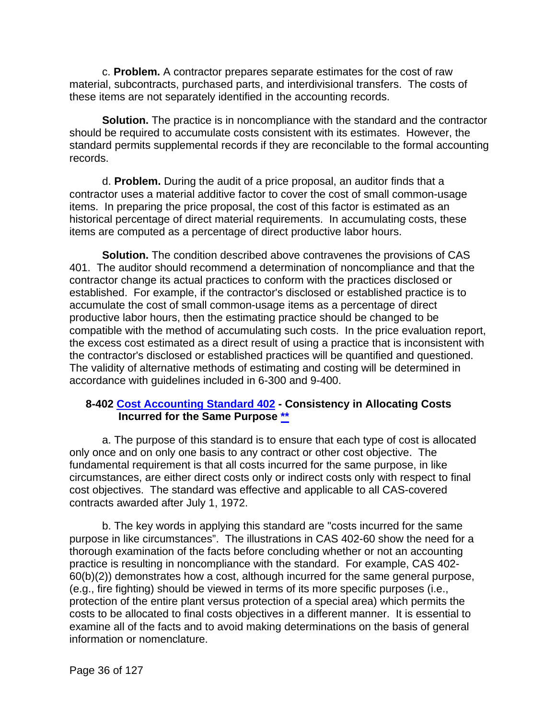c. **Problem.** A contractor prepares separate estimates for the cost of raw material, subcontracts, purchased parts, and interdivisional transfers. The costs of these items are not separately identified in the accounting records.

**Solution.** The practice is in noncompliance with the standard and the contractor should be required to accumulate costs consistent with its estimates. However, the standard permits supplemental records if they are reconcilable to the formal accounting records.

d. **Problem.** During the audit of a price proposal, an auditor finds that a contractor uses a material additive factor to cover the cost of small common-usage items. In preparing the price proposal, the cost of this factor is estimated as an historical percentage of direct material requirements. In accumulating costs, these items are computed as a percentage of direct productive labor hours.

**Solution.** The condition described above contravenes the provisions of CAS 401. The auditor should recommend a determination of noncompliance and that the contractor change its actual practices to conform with the practices disclosed or established. For example, if the contractor's disclosed or established practice is to accumulate the cost of small common-usage items as a percentage of direct productive labor hours, then the estimating practice should be changed to be compatible with the method of accumulating such costs. In the price evaluation report, the excess cost estimated as a direct result of using a practice that is inconsistent with the contractor's disclosed or established practices will be quantified and questioned. The validity of alternative methods of estimating and costing will be determined in accordance with guidelines included in 6-300 and 9-400.

### <span id="page-35-0"></span>**8-402 [Cost Accounting Standard 402](http://www.ecfr.gov/cgi-bin/text-idx?SID=83769badf5d445ea15898e24cdd53619&mc=true&tpl=/ecfrbrowse/Title48/48cfr9904_main_02.tpl) - Consistency in Allocating Costs Incurred for the Same Purpose [\\*\\*](#page-2-7)**

a. The purpose of this standard is to ensure that each type of cost is allocated only once and on only one basis to any contract or other cost objective. The fundamental requirement is that all costs incurred for the same purpose, in like circumstances, are either direct costs only or indirect costs only with respect to final cost objectives. The standard was effective and applicable to all CAS-covered contracts awarded after July 1, 1972.

b. The key words in applying this standard are "costs incurred for the same purpose in like circumstances". The illustrations in CAS 402-60 show the need for a thorough examination of the facts before concluding whether or not an accounting practice is resulting in noncompliance with the standard. For example, CAS 402- 60(b)(2)) demonstrates how a cost, although incurred for the same general purpose, (e.g., fire fighting) should be viewed in terms of its more specific purposes (i.e., protection of the entire plant versus protection of a special area) which permits the costs to be allocated to final costs objectives in a different manner. It is essential to examine all of the facts and to avoid making determinations on the basis of general information or nomenclature.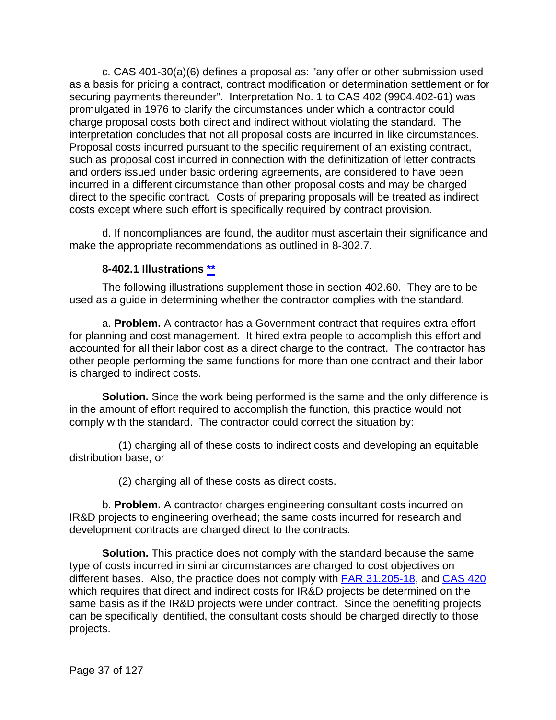c. CAS 401-30(a)(6) defines a proposal as: "any offer or other submission used as a basis for pricing a contract, contract modification or determination settlement or for securing payments thereunder". Interpretation No. 1 to CAS 402 (9904.402-61) was promulgated in 1976 to clarify the circumstances under which a contractor could charge proposal costs both direct and indirect without violating the standard. The interpretation concludes that not all proposal costs are incurred in like circumstances. Proposal costs incurred pursuant to the specific requirement of an existing contract, such as proposal cost incurred in connection with the definitization of letter contracts and orders issued under basic ordering agreements, are considered to have been incurred in a different circumstance than other proposal costs and may be charged direct to the specific contract. Costs of preparing proposals will be treated as indirect costs except where such effort is specifically required by contract provision.

d. If noncompliances are found, the auditor must ascertain their significance and make the appropriate recommendations as outlined in 8-302.7.

# **8-402.1 Illustrations [\\*\\*](#page-2-0)**

The following illustrations supplement those in section 402.60. They are to be used as a guide in determining whether the contractor complies with the standard.

a. **Problem.** A contractor has a Government contract that requires extra effort for planning and cost management. It hired extra people to accomplish this effort and accounted for all their labor cost as a direct charge to the contract. The contractor has other people performing the same functions for more than one contract and their labor is charged to indirect costs.

**Solution.** Since the work being performed is the same and the only difference is in the amount of effort required to accomplish the function, this practice would not comply with the standard. The contractor could correct the situation by:

(1) charging all of these costs to indirect costs and developing an equitable distribution base, or

(2) charging all of these costs as direct costs.

b. **Problem.** A contractor charges engineering consultant costs incurred on IR&D projects to engineering overhead; the same costs incurred for research and development contracts are charged direct to the contracts.

**Solution.** This practice does not comply with the standard because the same type of costs incurred in similar circumstances are charged to cost objectives on different bases. Also, the practice does not comply with **FAR 31.205-18**, and [CAS 420](http://www.ecfr.gov/cgi-bin/text-idx?SID=83769badf5d445ea15898e24cdd53619&mc=true&tpl=/ecfrbrowse/Title48/48cfr9904_main_02.tpl) which requires that direct and indirect costs for IR&D projects be determined on the same basis as if the IR&D projects were under contract. Since the benefiting projects can be specifically identified, the consultant costs should be charged directly to those projects.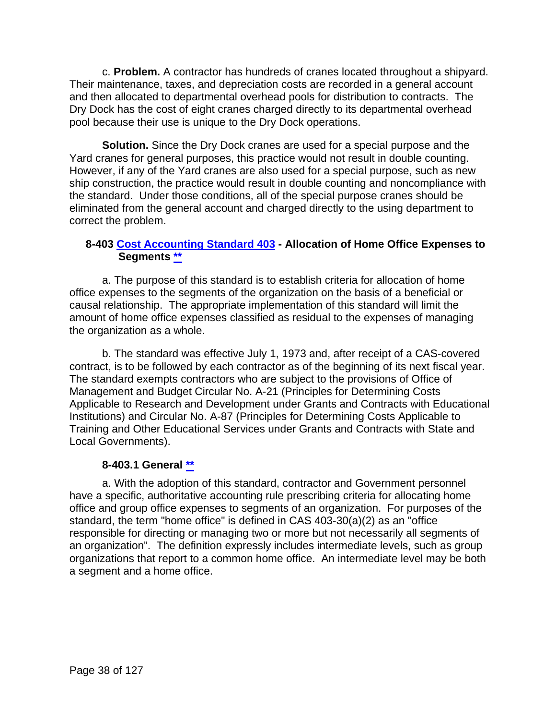c. **Problem.** A contractor has hundreds of cranes located throughout a shipyard. Their maintenance, taxes, and depreciation costs are recorded in a general account and then allocated to departmental overhead pools for distribution to contracts. The Dry Dock has the cost of eight cranes charged directly to its departmental overhead pool because their use is unique to the Dry Dock operations.

**Solution.** Since the Dry Dock cranes are used for a special purpose and the Yard cranes for general purposes, this practice would not result in double counting. However, if any of the Yard cranes are also used for a special purpose, such as new ship construction, the practice would result in double counting and noncompliance with the standard. Under those conditions, all of the special purpose cranes should be eliminated from the general account and charged directly to the using department to correct the problem.

# **8-403 [Cost Accounting Standard 403](http://www.ecfr.gov/cgi-bin/text-idx?SID=83769badf5d445ea15898e24cdd53619&mc=true&tpl=/ecfrbrowse/Title48/48cfr9904_main_02.tpl) - Allocation of Home Office Expenses to Segments [\\*\\*](#page-2-1)**

a. The purpose of this standard is to establish criteria for allocation of home office expenses to the segments of the organization on the basis of a beneficial or causal relationship. The appropriate implementation of this standard will limit the amount of home office expenses classified as residual to the expenses of managing the organization as a whole.

b. The standard was effective July 1, 1973 and, after receipt of a CAS-covered contract, is to be followed by each contractor as of the beginning of its next fiscal year. The standard exempts contractors who are subject to the provisions of Office of Management and Budget Circular No. A-21 (Principles for Determining Costs Applicable to Research and Development under Grants and Contracts with Educational Institutions) and Circular No. A-87 (Principles for Determining Costs Applicable to Training and Other Educational Services under Grants and Contracts with State and Local Governments).

#### **8-403.1 General [\\*\\*](#page-2-2)**

a. With the adoption of this standard, contractor and Government personnel have a specific, authoritative accounting rule prescribing criteria for allocating home office and group office expenses to segments of an organization. For purposes of the standard, the term "home office" is defined in CAS 403-30(a)(2) as an "office responsible for directing or managing two or more but not necessarily all segments of an organization". The definition expressly includes intermediate levels, such as group organizations that report to a common home office. An intermediate level may be both a segment and a home office.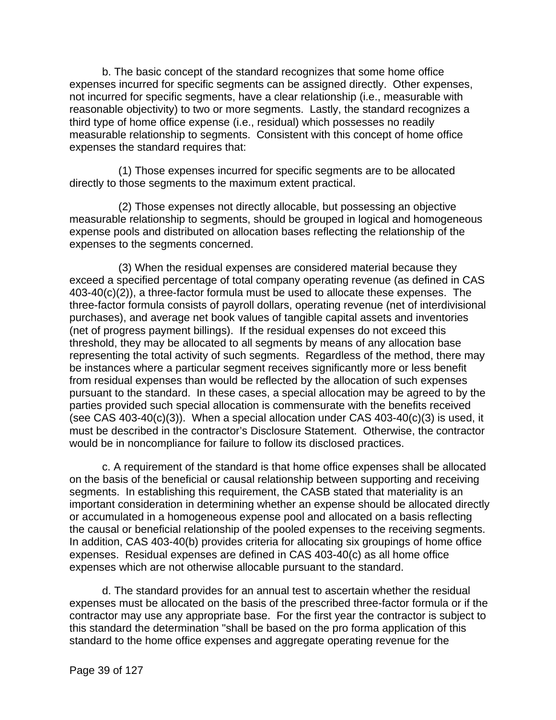b. The basic concept of the standard recognizes that some home office expenses incurred for specific segments can be assigned directly. Other expenses, not incurred for specific segments, have a clear relationship (i.e., measurable with reasonable objectivity) to two or more segments. Lastly, the standard recognizes a third type of home office expense (i.e., residual) which possesses no readily measurable relationship to segments. Consistent with this concept of home office expenses the standard requires that:

(1) Those expenses incurred for specific segments are to be allocated directly to those segments to the maximum extent practical.

(2) Those expenses not directly allocable, but possessing an objective measurable relationship to segments, should be grouped in logical and homogeneous expense pools and distributed on allocation bases reflecting the relationship of the expenses to the segments concerned.

(3) When the residual expenses are considered material because they exceed a specified percentage of total company operating revenue (as defined in CAS 403-40(c)(2)), a three-factor formula must be used to allocate these expenses. The three-factor formula consists of payroll dollars, operating revenue (net of interdivisional purchases), and average net book values of tangible capital assets and inventories (net of progress payment billings). If the residual expenses do not exceed this threshold, they may be allocated to all segments by means of any allocation base representing the total activity of such segments. Regardless of the method, there may be instances where a particular segment receives significantly more or less benefit from residual expenses than would be reflected by the allocation of such expenses pursuant to the standard. In these cases, a special allocation may be agreed to by the parties provided such special allocation is commensurate with the benefits received (see CAS  $403-40(c)(3)$ ). When a special allocation under CAS  $403-40(c)(3)$  is used, it must be described in the contractor's Disclosure Statement. Otherwise, the contractor would be in noncompliance for failure to follow its disclosed practices.

c. A requirement of the standard is that home office expenses shall be allocated on the basis of the beneficial or causal relationship between supporting and receiving segments. In establishing this requirement, the CASB stated that materiality is an important consideration in determining whether an expense should be allocated directly or accumulated in a homogeneous expense pool and allocated on a basis reflecting the causal or beneficial relationship of the pooled expenses to the receiving segments. In addition, CAS 403-40(b) provides criteria for allocating six groupings of home office expenses. Residual expenses are defined in CAS 403-40(c) as all home office expenses which are not otherwise allocable pursuant to the standard.

d. The standard provides for an annual test to ascertain whether the residual expenses must be allocated on the basis of the prescribed three-factor formula or if the contractor may use any appropriate base. For the first year the contractor is subject to this standard the determination "shall be based on the pro forma application of this standard to the home office expenses and aggregate operating revenue for the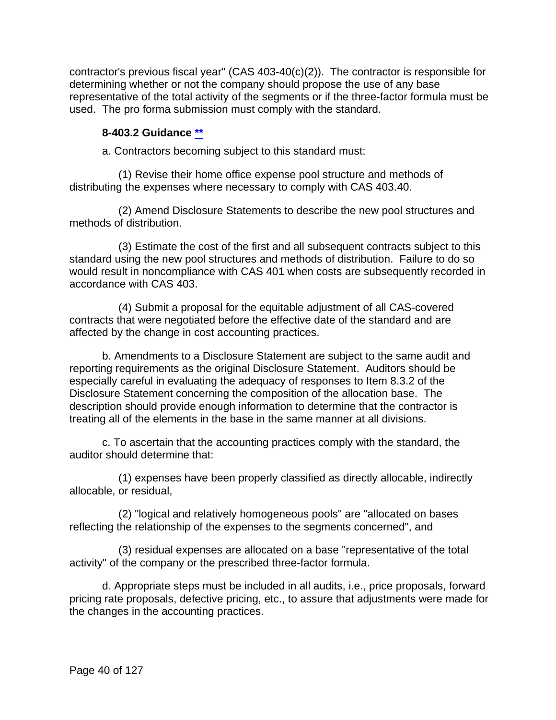contractor's previous fiscal year" (CAS 403-40(c)(2)). The contractor is responsible for determining whether or not the company should propose the use of any base representative of the total activity of the segments or if the three-factor formula must be used. The pro forma submission must comply with the standard.

# **8-403.2 Guidance [\\*\\*](#page-2-3)**

a. Contractors becoming subject to this standard must:

(1) Revise their home office expense pool structure and methods of distributing the expenses where necessary to comply with CAS 403.40.

(2) Amend Disclosure Statements to describe the new pool structures and methods of distribution.

(3) Estimate the cost of the first and all subsequent contracts subject to this standard using the new pool structures and methods of distribution. Failure to do so would result in noncompliance with CAS 401 when costs are subsequently recorded in accordance with CAS 403.

(4) Submit a proposal for the equitable adjustment of all CAS-covered contracts that were negotiated before the effective date of the standard and are affected by the change in cost accounting practices.

b. Amendments to a Disclosure Statement are subject to the same audit and reporting requirements as the original Disclosure Statement. Auditors should be especially careful in evaluating the adequacy of responses to Item 8.3.2 of the Disclosure Statement concerning the composition of the allocation base. The description should provide enough information to determine that the contractor is treating all of the elements in the base in the same manner at all divisions.

c. To ascertain that the accounting practices comply with the standard, the auditor should determine that:

(1) expenses have been properly classified as directly allocable, indirectly allocable, or residual,

(2) "logical and relatively homogeneous pools" are "allocated on bases reflecting the relationship of the expenses to the segments concerned", and

(3) residual expenses are allocated on a base "representative of the total activity" of the company or the prescribed three-factor formula.

d. Appropriate steps must be included in all audits, i.e., price proposals, forward pricing rate proposals, defective pricing, etc., to assure that adjustments were made for the changes in the accounting practices.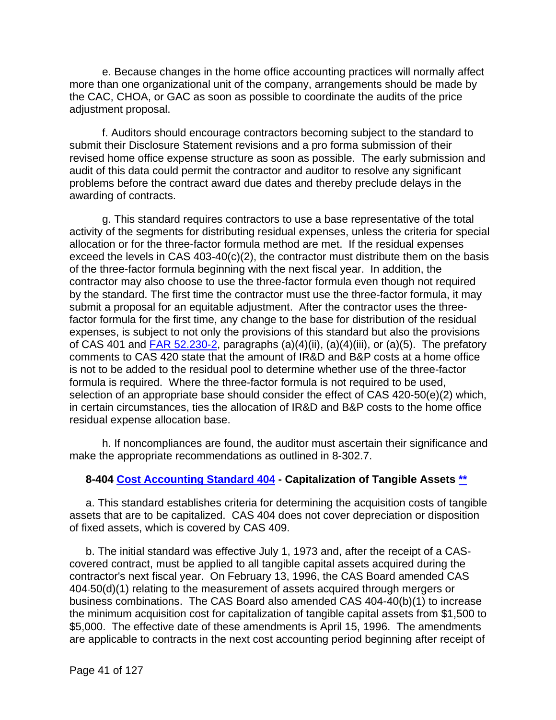e. Because changes in the home office accounting practices will normally affect more than one organizational unit of the company, arrangements should be made by the CAC, CHOA, or GAC as soon as possible to coordinate the audits of the price adjustment proposal.

f. Auditors should encourage contractors becoming subject to the standard to submit their Disclosure Statement revisions and a pro forma submission of their revised home office expense structure as soon as possible. The early submission and audit of this data could permit the contractor and auditor to resolve any significant problems before the contract award due dates and thereby preclude delays in the awarding of contracts.

g. This standard requires contractors to use a base representative of the total activity of the segments for distributing residual expenses, unless the criteria for special allocation or for the three-factor formula method are met. If the residual expenses exceed the levels in CAS 403-40(c)(2), the contractor must distribute them on the basis of the three-factor formula beginning with the next fiscal year. In addition, the contractor may also choose to use the three-factor formula even though not required by the standard. The first time the contractor must use the three-factor formula, it may submit a proposal for an equitable adjustment. After the contractor uses the threefactor formula for the first time, any change to the base for distribution of the residual expenses, is subject to not only the provisions of this standard but also the provisions of CAS 401 and  $FAR$  52.230-2, paragraphs (a)(4)(ii), (a)(4)(iii), or (a)(5). The prefatory comments to CAS 420 state that the amount of IR&D and B&P costs at a home office is not to be added to the residual pool to determine whether use of the three-factor formula is required. Where the three-factor formula is not required to be used, selection of an appropriate base should consider the effect of CAS 420-50(e)(2) which, in certain circumstances, ties the allocation of IR&D and B&P costs to the home office residual expense allocation base.

h. If noncompliances are found, the auditor must ascertain their significance and make the appropriate recommendations as outlined in 8-302.7.

#### **8-404 [Cost Accounting Standard 404](http://www.ecfr.gov/cgi-bin/text-idx?SID=83769badf5d445ea15898e24cdd53619&mc=true&tpl=/ecfrbrowse/Title48/48cfr9904_main_02.tpl) - Capitalization of Tangible Assets [\\*\\*](#page-2-4)**

a. This standard establishes criteria for determining the acquisition costs of tangible assets that are to be capitalized. CAS 404 does not cover depreciation or disposition of fixed assets, which is covered by CAS 409.

b. The initial standard was effective July 1, 1973 and, after the receipt of a CAScovered contract, must be applied to all tangible capital assets acquired during the contractor's next fiscal year. On February 13, 1996, the CAS Board amended CAS 404-50(d)(1) relating to the measurement of assets acquired through mergers or business combinations. The CAS Board also amended CAS 404-40(b)(1) to increase the minimum acquisition cost for capitalization of tangible capital assets from \$1,500 to \$5,000. The effective date of these amendments is April 15, 1996. The amendments are applicable to contracts in the next cost accounting period beginning after receipt of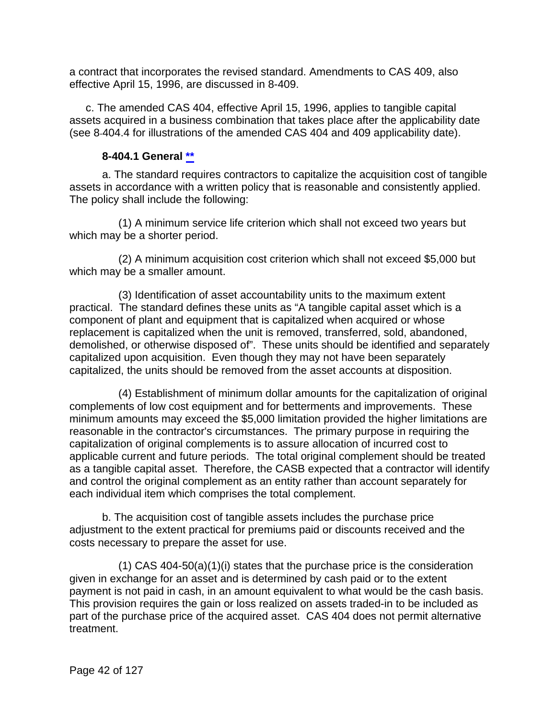a contract that incorporates the revised standard. Amendments to CAS 409, also effective April 15, 1996, are discussed in 8-409.

c. The amended CAS 404, effective April 15, 1996, applies to tangible capital assets acquired in a business combination that takes place after the applicability date (see 8-404.4 for illustrations of the amended CAS 404 and 409 applicability date).

### **8-404.1 General [\\*\\*](#page-2-5)**

a. The standard requires contractors to capitalize the acquisition cost of tangible assets in accordance with a written policy that is reasonable and consistently applied. The policy shall include the following:

(1) A minimum service life criterion which shall not exceed two years but which may be a shorter period.

(2) A minimum acquisition cost criterion which shall not exceed \$5,000 but which may be a smaller amount.

(3) Identification of asset accountability units to the maximum extent practical. The standard defines these units as "A tangible capital asset which is a component of plant and equipment that is capitalized when acquired or whose replacement is capitalized when the unit is removed, transferred, sold, abandoned, demolished, or otherwise disposed of". These units should be identified and separately capitalized upon acquisition. Even though they may not have been separately capitalized, the units should be removed from the asset accounts at disposition.

(4) Establishment of minimum dollar amounts for the capitalization of original complements of low cost equipment and for betterments and improvements. These minimum amounts may exceed the \$5,000 limitation provided the higher limitations are reasonable in the contractor's circumstances. The primary purpose in requiring the capitalization of original complements is to assure allocation of incurred cost to applicable current and future periods. The total original complement should be treated as a tangible capital asset. Therefore, the CASB expected that a contractor will identify and control the original complement as an entity rather than account separately for each individual item which comprises the total complement.

b. The acquisition cost of tangible assets includes the purchase price adjustment to the extent practical for premiums paid or discounts received and the costs necessary to prepare the asset for use.

 $(1)$  CAS 404-50(a) $(1)$ (i) states that the purchase price is the consideration given in exchange for an asset and is determined by cash paid or to the extent payment is not paid in cash, in an amount equivalent to what would be the cash basis. This provision requires the gain or loss realized on assets traded-in to be included as part of the purchase price of the acquired asset. CAS 404 does not permit alternative treatment.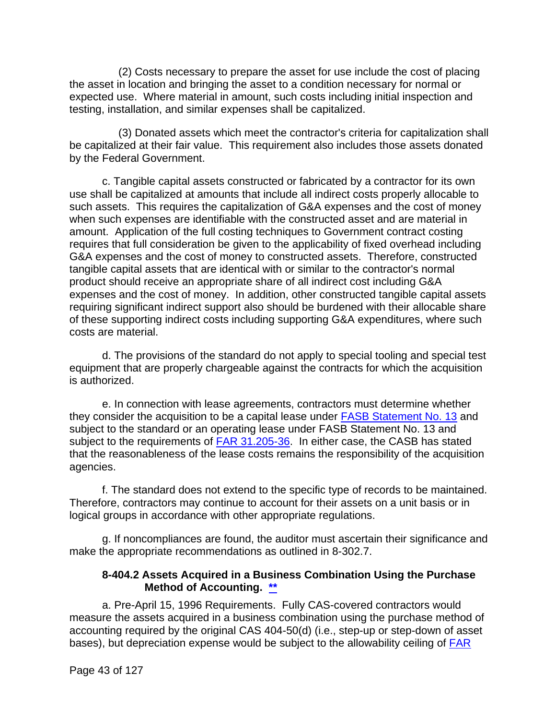(2) Costs necessary to prepare the asset for use include the cost of placing the asset in location and bringing the asset to a condition necessary for normal or expected use. Where material in amount, such costs including initial inspection and testing, installation, and similar expenses shall be capitalized.

(3) Donated assets which meet the contractor's criteria for capitalization shall be capitalized at their fair value. This requirement also includes those assets donated by the Federal Government.

c. Tangible capital assets constructed or fabricated by a contractor for its own use shall be capitalized at amounts that include all indirect costs properly allocable to such assets. This requires the capitalization of G&A expenses and the cost of money when such expenses are identifiable with the constructed asset and are material in amount. Application of the full costing techniques to Government contract costing requires that full consideration be given to the applicability of fixed overhead including G&A expenses and the cost of money to constructed assets. Therefore, constructed tangible capital assets that are identical with or similar to the contractor's normal product should receive an appropriate share of all indirect cost including G&A expenses and the cost of money. In addition, other constructed tangible capital assets requiring significant indirect support also should be burdened with their allocable share of these supporting indirect costs including supporting G&A expenditures, where such costs are material.

d. The provisions of the standard do not apply to special tooling and special test equipment that are properly chargeable against the contracts for which the acquisition is authorized.

e. In connection with lease agreements, contractors must determine whether they consider the acquisition to be a capital lease under [FASB Statement No. 13](https://asc.fasb.org/imageRoot/39/117422939.pdf) and subject to the standard or an operating lease under FASB Statement No. 13 and subject to the requirements of **FAR 31.205-36.** In either case, the CASB has stated that the reasonableness of the lease costs remains the responsibility of the acquisition agencies.

f. The standard does not extend to the specific type of records to be maintained. Therefore, contractors may continue to account for their assets on a unit basis or in logical groups in accordance with other appropriate regulations.

g. If noncompliances are found, the auditor must ascertain their significance and make the appropriate recommendations as outlined in 8-302.7.

# **8-404.2 Assets Acquired in a Business Combination Using the Purchase Method of Accounting. [\\*\\*](#page-2-6)**

a. Pre-April 15, 1996 Requirements. Fully CAS-covered contractors would measure the assets acquired in a business combination using the purchase method of accounting required by the original CAS 404-50(d) (i.e., step-up or step-down of asset bases), but depreciation expense would be subject to the allowability ceiling of [FAR](http://www.ecfr.gov/cgi-bin/text-idx?SID=05f6a595b68aa74dea5f7e35e05a7f29&mc=true&node=se48.1.31_1205_652&rgn=div8)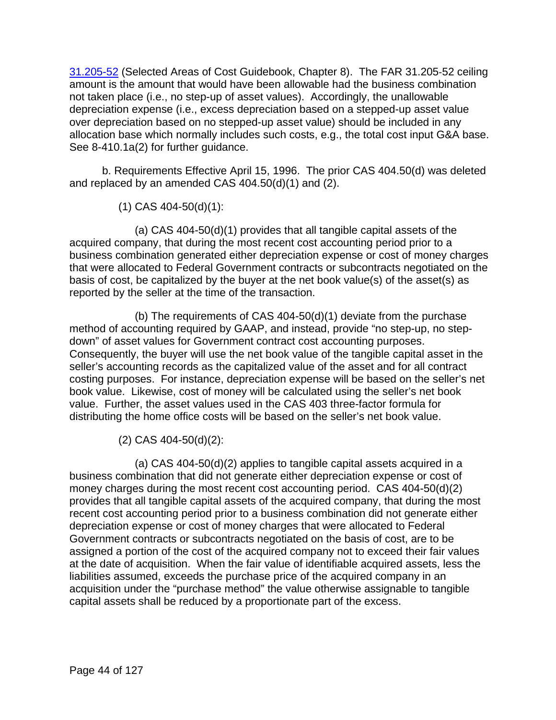[31.205-52](http://www.ecfr.gov/cgi-bin/text-idx?SID=05f6a595b68aa74dea5f7e35e05a7f29&mc=true&node=se48.1.31_1205_652&rgn=div8) (Selected Areas of Cost Guidebook, Chapter 8). The FAR 31.205-52 ceiling amount is the amount that would have been allowable had the business combination not taken place (i.e., no step-up of asset values). Accordingly, the unallowable depreciation expense (i.e., excess depreciation based on a stepped-up asset value over depreciation based on no stepped-up asset value) should be included in any allocation base which normally includes such costs, e.g., the total cost input G&A base. See 8-410.1a(2) for further guidance.

b. Requirements Effective April 15, 1996. The prior CAS 404.50(d) was deleted and replaced by an amended CAS 404.50(d)(1) and (2).

(1) CAS 404-50(d)(1):

(a) CAS 404-50(d)(1) provides that all tangible capital assets of the acquired company, that during the most recent cost accounting period prior to a business combination generated either depreciation expense or cost of money charges that were allocated to Federal Government contracts or subcontracts negotiated on the basis of cost, be capitalized by the buyer at the net book value(s) of the asset(s) as reported by the seller at the time of the transaction.

(b) The requirements of CAS 404-50(d)(1) deviate from the purchase method of accounting required by GAAP, and instead, provide "no step-up, no stepdown" of asset values for Government contract cost accounting purposes. Consequently, the buyer will use the net book value of the tangible capital asset in the seller's accounting records as the capitalized value of the asset and for all contract costing purposes. For instance, depreciation expense will be based on the seller's net book value. Likewise, cost of money will be calculated using the seller's net book value. Further, the asset values used in the CAS 403 three-factor formula for distributing the home office costs will be based on the seller's net book value.

(2) CAS 404-50(d)(2):

(a) CAS 404-50(d)(2) applies to tangible capital assets acquired in a business combination that did not generate either depreciation expense or cost of money charges during the most recent cost accounting period. CAS 404-50(d)(2) provides that all tangible capital assets of the acquired company, that during the most recent cost accounting period prior to a business combination did not generate either depreciation expense or cost of money charges that were allocated to Federal Government contracts or subcontracts negotiated on the basis of cost, are to be assigned a portion of the cost of the acquired company not to exceed their fair values at the date of acquisition. When the fair value of identifiable acquired assets, less the liabilities assumed, exceeds the purchase price of the acquired company in an acquisition under the "purchase method" the value otherwise assignable to tangible capital assets shall be reduced by a proportionate part of the excess.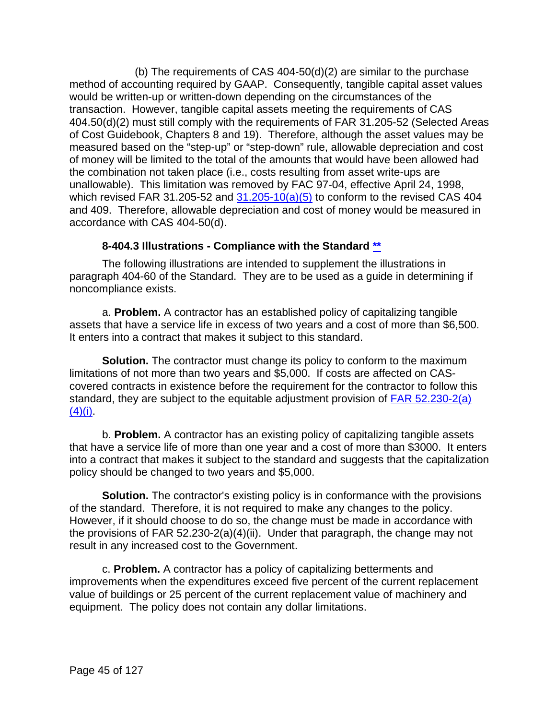(b) The requirements of CAS 404-50(d)(2) are similar to the purchase method of accounting required by GAAP. Consequently, tangible capital asset values would be written-up or written-down depending on the circumstances of the transaction. However, tangible capital assets meeting the requirements of CAS 404.50(d)(2) must still comply with the requirements of FAR 31.205-52 (Selected Areas of Cost Guidebook, Chapters 8 and 19). Therefore, although the asset values may be measured based on the "step-up" or "step-down" rule, allowable depreciation and cost of money will be limited to the total of the amounts that would have been allowed had the combination not taken place (i.e., costs resulting from asset write-ups are unallowable). This limitation was removed by FAC 97-04, effective April 24, 1998, which revised FAR 31.205-52 and  $31.205-10(a)(5)$  to conform to the revised CAS 404 and 409. Therefore, allowable depreciation and cost of money would be measured in accordance with CAS 404-50(d).

# **8-404.3 Illustrations - Compliance with the Standard [\\*\\*](#page-2-7)**

The following illustrations are intended to supplement the illustrations in paragraph 404-60 of the Standard. They are to be used as a guide in determining if noncompliance exists.

a. **Problem.** A contractor has an established policy of capitalizing tangible assets that have a service life in excess of two years and a cost of more than \$6,500. It enters into a contract that makes it subject to this standard.

**Solution.** The contractor must change its policy to conform to the maximum limitations of not more than two years and \$5,000. If costs are affected on CAScovered contracts in existence before the requirement for the contractor to follow this standard, they are subject to the equitable adjustment provision of **FAR 52.230-2(a)**  $(4)(i)$ .

b. **Problem.** A contractor has an existing policy of capitalizing tangible assets that have a service life of more than one year and a cost of more than \$3000. It enters into a contract that makes it subject to the standard and suggests that the capitalization policy should be changed to two years and \$5,000.

**Solution.** The contractor's existing policy is in conformance with the provisions of the standard. Therefore, it is not required to make any changes to the policy. However, if it should choose to do so, the change must be made in accordance with the provisions of FAR 52.230-2(a)(4)(ii). Under that paragraph, the change may not result in any increased cost to the Government.

c. **Problem.** A contractor has a policy of capitalizing betterments and improvements when the expenditures exceed five percent of the current replacement value of buildings or 25 percent of the current replacement value of machinery and equipment. The policy does not contain any dollar limitations.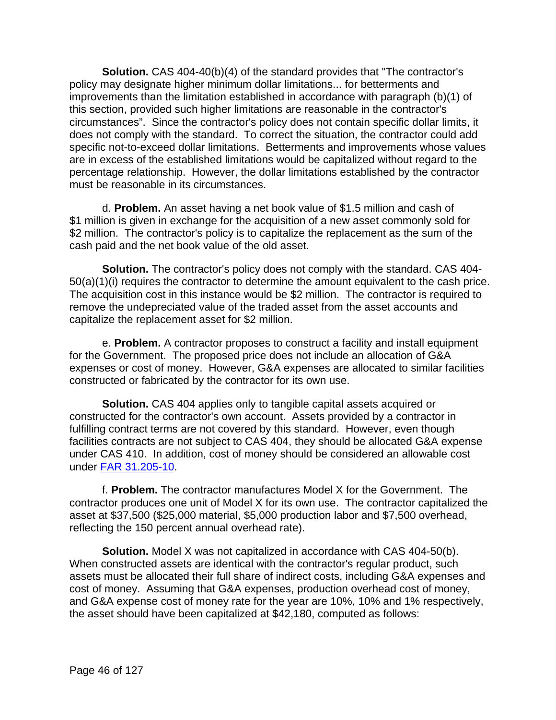**Solution.** CAS 404-40(b)(4) of the standard provides that "The contractor's policy may designate higher minimum dollar limitations... for betterments and improvements than the limitation established in accordance with paragraph (b)(1) of this section, provided such higher limitations are reasonable in the contractor's circumstances". Since the contractor's policy does not contain specific dollar limits, it does not comply with the standard. To correct the situation, the contractor could add specific not-to-exceed dollar limitations. Betterments and improvements whose values are in excess of the established limitations would be capitalized without regard to the percentage relationship. However, the dollar limitations established by the contractor must be reasonable in its circumstances.

d. **Problem.** An asset having a net book value of \$1.5 million and cash of \$1 million is given in exchange for the acquisition of a new asset commonly sold for \$2 million. The contractor's policy is to capitalize the replacement as the sum of the cash paid and the net book value of the old asset.

**Solution.** The contractor's policy does not comply with the standard. CAS 404-50(a)(1)(i) requires the contractor to determine the amount equivalent to the cash price. The acquisition cost in this instance would be \$2 million. The contractor is required to remove the undepreciated value of the traded asset from the asset accounts and capitalize the replacement asset for \$2 million.

e. **Problem.** A contractor proposes to construct a facility and install equipment for the Government. The proposed price does not include an allocation of G&A expenses or cost of money. However, G&A expenses are allocated to similar facilities constructed or fabricated by the contractor for its own use.

**Solution.** CAS 404 applies only to tangible capital assets acquired or constructed for the contractor's own account. Assets provided by a contractor in fulfilling contract terms are not covered by this standard. However, even though facilities contracts are not subject to CAS 404, they should be allocated G&A expense under CAS 410. In addition, cost of money should be considered an allowable cost under [FAR 31.205-10.](http://www.ecfr.gov/cgi-bin/text-idx?SID=f0da6f9f114690d7d7e9a731b4c69508&mc=true&node=se48.1.31_1205_610&rgn=div8)

f. **Problem.** The contractor manufactures Model X for the Government. The contractor produces one unit of Model X for its own use. The contractor capitalized the asset at \$37,500 (\$25,000 material, \$5,000 production labor and \$7,500 overhead, reflecting the 150 percent annual overhead rate).

**Solution.** Model X was not capitalized in accordance with CAS 404-50(b). When constructed assets are identical with the contractor's regular product, such assets must be allocated their full share of indirect costs, including G&A expenses and cost of money. Assuming that G&A expenses, production overhead cost of money, and G&A expense cost of money rate for the year are 10%, 10% and 1% respectively, the asset should have been capitalized at \$42,180, computed as follows: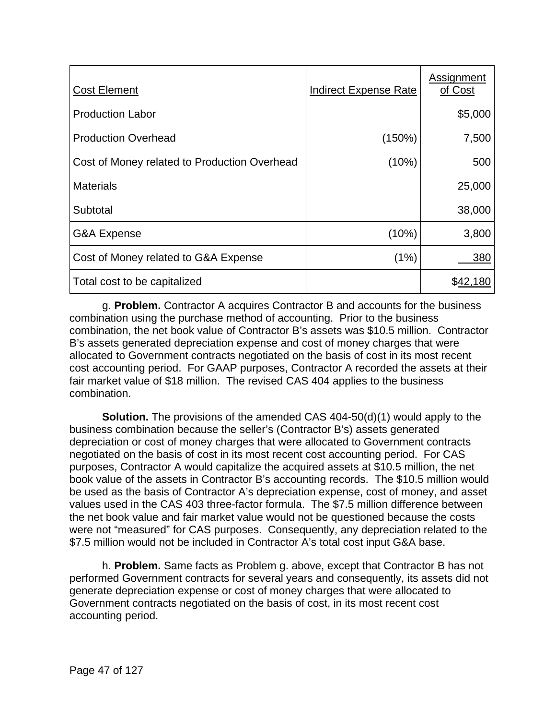| <b>Cost Element</b>                          | <b>Indirect Expense Rate</b> | Assignment<br>of Cost |
|----------------------------------------------|------------------------------|-----------------------|
| <b>Production Labor</b>                      |                              | \$5,000               |
| <b>Production Overhead</b>                   | (150%)                       | 7,500                 |
| Cost of Money related to Production Overhead | (10%)                        | 500                   |
| <b>Materials</b>                             |                              | 25,000                |
| Subtotal                                     |                              | 38,000                |
| G&A Expense                                  | (10%)                        | 3,800                 |
| Cost of Money related to G&A Expense         | (1%)                         | 380                   |
| Total cost to be capitalized                 |                              |                       |

g. **Problem.** Contractor A acquires Contractor B and accounts for the business combination using the purchase method of accounting. Prior to the business combination, the net book value of Contractor B's assets was \$10.5 million. Contractor B's assets generated depreciation expense and cost of money charges that were allocated to Government contracts negotiated on the basis of cost in its most recent cost accounting period. For GAAP purposes, Contractor A recorded the assets at their fair market value of \$18 million. The revised CAS 404 applies to the business combination.

**Solution.** The provisions of the amended CAS 404-50(d)(1) would apply to the business combination because the seller's (Contractor B's) assets generated depreciation or cost of money charges that were allocated to Government contracts negotiated on the basis of cost in its most recent cost accounting period. For CAS purposes, Contractor A would capitalize the acquired assets at \$10.5 million, the net book value of the assets in Contractor B's accounting records. The \$10.5 million would be used as the basis of Contractor A's depreciation expense, cost of money, and asset values used in the CAS 403 three-factor formula. The \$7.5 million difference between the net book value and fair market value would not be questioned because the costs were not "measured" for CAS purposes. Consequently, any depreciation related to the \$7.5 million would not be included in Contractor A's total cost input G&A base.

h. **Problem.** Same facts as Problem g. above, except that Contractor B has not performed Government contracts for several years and consequently, its assets did not generate depreciation expense or cost of money charges that were allocated to Government contracts negotiated on the basis of cost, in its most recent cost accounting period.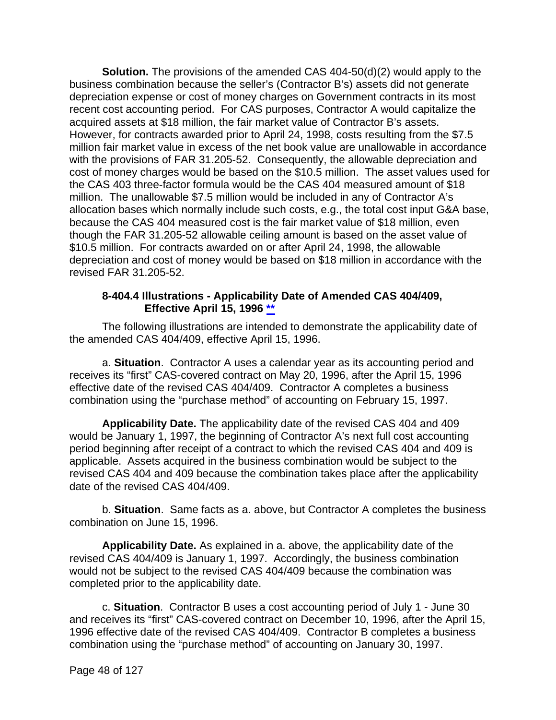**Solution.** The provisions of the amended CAS 404-50(d)(2) would apply to the business combination because the seller's (Contractor B's) assets did not generate depreciation expense or cost of money charges on Government contracts in its most recent cost accounting period. For CAS purposes, Contractor A would capitalize the acquired assets at \$18 million, the fair market value of Contractor B's assets. However, for contracts awarded prior to April 24, 1998, costs resulting from the \$7.5 million fair market value in excess of the net book value are unallowable in accordance with the provisions of FAR 31.205-52. Consequently, the allowable depreciation and cost of money charges would be based on the \$10.5 million. The asset values used for the CAS 403 three-factor formula would be the CAS 404 measured amount of \$18 million. The unallowable \$7.5 million would be included in any of Contractor A's allocation bases which normally include such costs, e.g., the total cost input G&A base, because the CAS 404 measured cost is the fair market value of \$18 million, even though the FAR 31.205-52 allowable ceiling amount is based on the asset value of \$10.5 million. For contracts awarded on or after April 24, 1998, the allowable depreciation and cost of money would be based on \$18 million in accordance with the revised FAR 31.205-52.

#### **8-404.4 Illustrations - Applicability Date of Amended CAS 404/409, Effective April 15, 1996 [\\*\\*](#page-2-8)**

The following illustrations are intended to demonstrate the applicability date of the amended CAS 404/409, effective April 15, 1996.

a. **Situation**. Contractor A uses a calendar year as its accounting period and receives its "first" CAS-covered contract on May 20, 1996, after the April 15, 1996 effective date of the revised CAS 404/409. Contractor A completes a business combination using the "purchase method" of accounting on February 15, 1997.

**Applicability Date.** The applicability date of the revised CAS 404 and 409 would be January 1, 1997, the beginning of Contractor A's next full cost accounting period beginning after receipt of a contract to which the revised CAS 404 and 409 is applicable. Assets acquired in the business combination would be subject to the revised CAS 404 and 409 because the combination takes place after the applicability date of the revised CAS 404/409.

b. **Situation**. Same facts as a. above, but Contractor A completes the business combination on June 15, 1996.

**Applicability Date.** As explained in a. above, the applicability date of the revised CAS 404/409 is January 1, 1997. Accordingly, the business combination would not be subject to the revised CAS 404/409 because the combination was completed prior to the applicability date.

c. **Situation**. Contractor B uses a cost accounting period of July 1 - June 30 and receives its "first" CAS-covered contract on December 10, 1996, after the April 15, 1996 effective date of the revised CAS 404/409. Contractor B completes a business combination using the "purchase method" of accounting on January 30, 1997.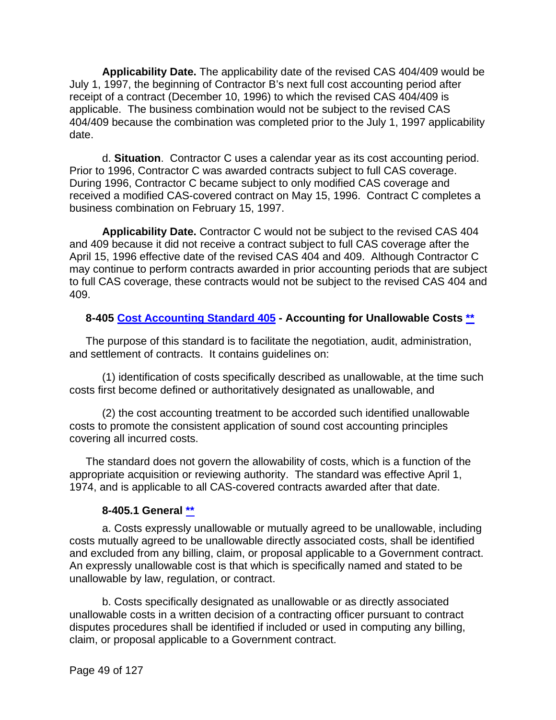**Applicability Date.** The applicability date of the revised CAS 404/409 would be July 1, 1997, the beginning of Contractor B's next full cost accounting period after receipt of a contract (December 10, 1996) to which the revised CAS 404/409 is applicable. The business combination would not be subject to the revised CAS 404/409 because the combination was completed prior to the July 1, 1997 applicability date.

d. **Situation**. Contractor C uses a calendar year as its cost accounting period. Prior to 1996, Contractor C was awarded contracts subject to full CAS coverage. During 1996, Contractor C became subject to only modified CAS coverage and received a modified CAS-covered contract on May 15, 1996. Contract C completes a business combination on February 15, 1997.

**Applicability Date.** Contractor C would not be subject to the revised CAS 404 and 409 because it did not receive a contract subject to full CAS coverage after the April 15, 1996 effective date of the revised CAS 404 and 409. Although Contractor C may continue to perform contracts awarded in prior accounting periods that are subject to full CAS coverage, these contracts would not be subject to the revised CAS 404 and 409.

#### **8-405 [Cost Accounting Standard 405](http://www.ecfr.gov/cgi-bin/text-idx?SID=83769badf5d445ea15898e24cdd53619&mc=true&tpl=/ecfrbrowse/Title48/48cfr9904_main_02.tpl) - Accounting for Unallowable Costs [\\*\\*](#page-2-9)**

The purpose of this standard is to facilitate the negotiation, audit, administration, and settlement of contracts. It contains guidelines on:

(1) identification of costs specifically described as unallowable, at the time such costs first become defined or authoritatively designated as unallowable, and

(2) the cost accounting treatment to be accorded such identified unallowable costs to promote the consistent application of sound cost accounting principles covering all incurred costs.

The standard does not govern the allowability of costs, which is a function of the appropriate acquisition or reviewing authority. The standard was effective April 1, 1974, and is applicable to all CAS-covered contracts awarded after that date.

#### **8-405.1 General [\\*\\*](#page-2-10)**

a. Costs expressly unallowable or mutually agreed to be unallowable, including costs mutually agreed to be unallowable directly associated costs, shall be identified and excluded from any billing, claim, or proposal applicable to a Government contract. An expressly unallowable cost is that which is specifically named and stated to be unallowable by law, regulation, or contract.

b. Costs specifically designated as unallowable or as directly associated unallowable costs in a written decision of a contracting officer pursuant to contract disputes procedures shall be identified if included or used in computing any billing, claim, or proposal applicable to a Government contract.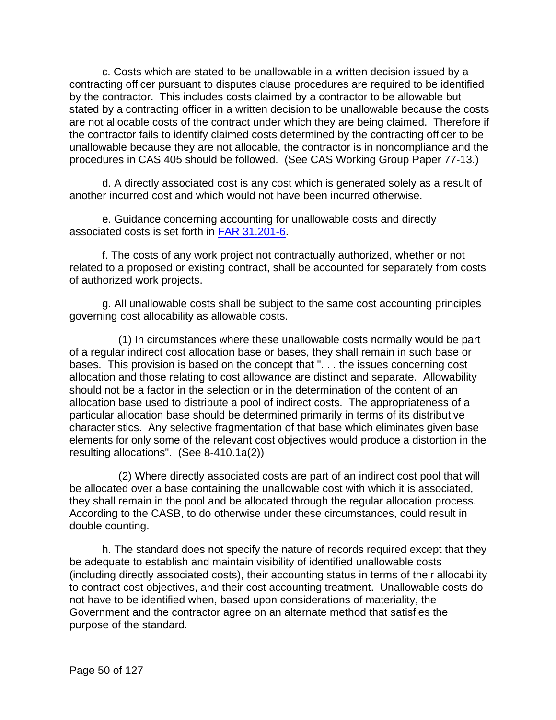c. Costs which are stated to be unallowable in a written decision issued by a contracting officer pursuant to disputes clause procedures are required to be identified by the contractor. This includes costs claimed by a contractor to be allowable but stated by a contracting officer in a written decision to be unallowable because the costs are not allocable costs of the contract under which they are being claimed. Therefore if the contractor fails to identify claimed costs determined by the contracting officer to be unallowable because they are not allocable, the contractor is in noncompliance and the procedures in CAS 405 should be followed. (See CAS Working Group Paper 77-13.)

d. A directly associated cost is any cost which is generated solely as a result of another incurred cost and which would not have been incurred otherwise.

e. Guidance concerning accounting for unallowable costs and directly associated costs is set forth in [FAR 31.201-6.](http://www.ecfr.gov/cgi-bin/text-idx?SID=f9d399294f8e8156538ce877c5f35823&mc=true&node=se48.1.31_1201_66&rgn=div8)

f. The costs of any work project not contractually authorized, whether or not related to a proposed or existing contract, shall be accounted for separately from costs of authorized work projects.

g. All unallowable costs shall be subject to the same cost accounting principles governing cost allocability as allowable costs.

(1) In circumstances where these unallowable costs normally would be part of a regular indirect cost allocation base or bases, they shall remain in such base or bases. This provision is based on the concept that ". . . the issues concerning cost allocation and those relating to cost allowance are distinct and separate. Allowability should not be a factor in the selection or in the determination of the content of an allocation base used to distribute a pool of indirect costs. The appropriateness of a particular allocation base should be determined primarily in terms of its distributive characteristics. Any selective fragmentation of that base which eliminates given base elements for only some of the relevant cost objectives would produce a distortion in the resulting allocations". (See 8-410.1a(2))

(2) Where directly associated costs are part of an indirect cost pool that will be allocated over a base containing the unallowable cost with which it is associated, they shall remain in the pool and be allocated through the regular allocation process. According to the CASB, to do otherwise under these circumstances, could result in double counting.

h. The standard does not specify the nature of records required except that they be adequate to establish and maintain visibility of identified unallowable costs (including directly associated costs), their accounting status in terms of their allocability to contract cost objectives, and their cost accounting treatment. Unallowable costs do not have to be identified when, based upon considerations of materiality, the Government and the contractor agree on an alternate method that satisfies the purpose of the standard.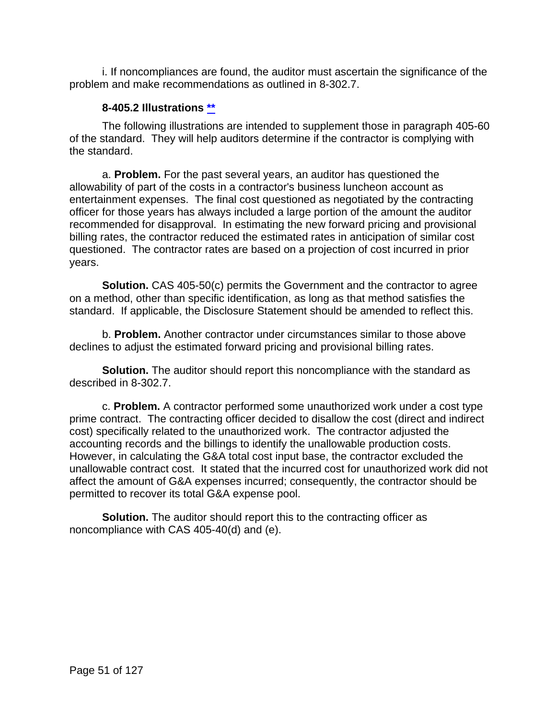i. If noncompliances are found, the auditor must ascertain the significance of the problem and make recommendations as outlined in 8-302.7.

# **8-405.2 Illustrations [\\*\\*](#page-2-11)**

The following illustrations are intended to supplement those in paragraph 405-60 of the standard. They will help auditors determine if the contractor is complying with the standard.

a. **Problem.** For the past several years, an auditor has questioned the allowability of part of the costs in a contractor's business luncheon account as entertainment expenses. The final cost questioned as negotiated by the contracting officer for those years has always included a large portion of the amount the auditor recommended for disapproval. In estimating the new forward pricing and provisional billing rates, the contractor reduced the estimated rates in anticipation of similar cost questioned. The contractor rates are based on a projection of cost incurred in prior years.

**Solution.** CAS 405-50(c) permits the Government and the contractor to agree on a method, other than specific identification, as long as that method satisfies the standard. If applicable, the Disclosure Statement should be amended to reflect this.

b. **Problem.** Another contractor under circumstances similar to those above declines to adjust the estimated forward pricing and provisional billing rates.

**Solution.** The auditor should report this noncompliance with the standard as described in 8-302.7.

c. **Problem.** A contractor performed some unauthorized work under a cost type prime contract. The contracting officer decided to disallow the cost (direct and indirect cost) specifically related to the unauthorized work. The contractor adjusted the accounting records and the billings to identify the unallowable production costs. However, in calculating the G&A total cost input base, the contractor excluded the unallowable contract cost. It stated that the incurred cost for unauthorized work did not affect the amount of G&A expenses incurred; consequently, the contractor should be permitted to recover its total G&A expense pool.

**Solution.** The auditor should report this to the contracting officer as noncompliance with CAS 405-40(d) and (e).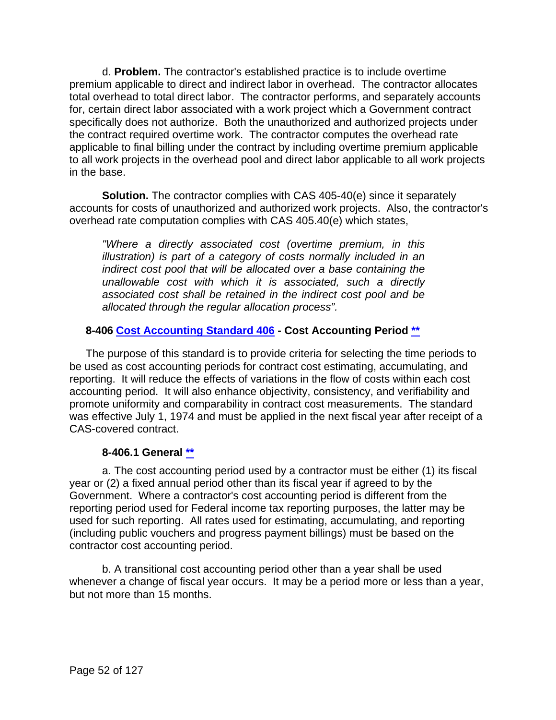d. **Problem.** The contractor's established practice is to include overtime premium applicable to direct and indirect labor in overhead. The contractor allocates total overhead to total direct labor. The contractor performs, and separately accounts for, certain direct labor associated with a work project which a Government contract specifically does not authorize. Both the unauthorized and authorized projects under the contract required overtime work. The contractor computes the overhead rate applicable to final billing under the contract by including overtime premium applicable to all work projects in the overhead pool and direct labor applicable to all work projects in the base.

**Solution.** The contractor complies with CAS 405-40(e) since it separately accounts for costs of unauthorized and authorized work projects. Also, the contractor's overhead rate computation complies with CAS 405.40(e) which states,

*"Where a directly associated cost (overtime premium, in this illustration) is part of a category of costs normally included in an indirect cost pool that will be allocated over a base containing the unallowable cost with which it is associated, such a directly associated cost shall be retained in the indirect cost pool and be allocated through the regular allocation process".*

# **8-406 [Cost Accounting Standard 406](http://www.ecfr.gov/cgi-bin/text-idx?SID=83769badf5d445ea15898e24cdd53619&mc=true&tpl=/ecfrbrowse/Title48/48cfr9904_main_02.tpl) - Cost Accounting Period [\\*\\*](#page-2-12)**

The purpose of this standard is to provide criteria for selecting the time periods to be used as cost accounting periods for contract cost estimating, accumulating, and reporting. It will reduce the effects of variations in the flow of costs within each cost accounting period. It will also enhance objectivity, consistency, and verifiability and promote uniformity and comparability in contract cost measurements. The standard was effective July 1, 1974 and must be applied in the next fiscal year after receipt of a CAS-covered contract.

#### **8-406.1 General [\\*\\*](#page-2-13)**

a. The cost accounting period used by a contractor must be either (1) its fiscal year or (2) a fixed annual period other than its fiscal year if agreed to by the Government. Where a contractor's cost accounting period is different from the reporting period used for Federal income tax reporting purposes, the latter may be used for such reporting. All rates used for estimating, accumulating, and reporting (including public vouchers and progress payment billings) must be based on the contractor cost accounting period.

b. A transitional cost accounting period other than a year shall be used whenever a change of fiscal year occurs. It may be a period more or less than a year, but not more than 15 months.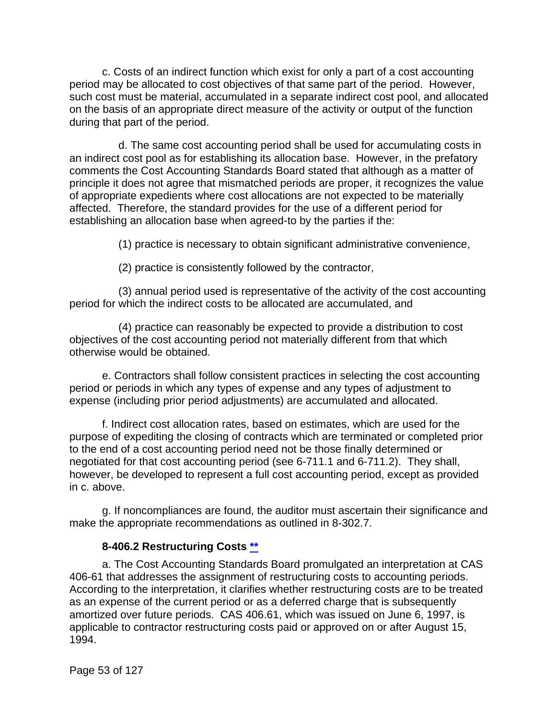c. Costs of an indirect function which exist for only a part of a cost accounting period may be allocated to cost objectives of that same part of the period. However, such cost must be material, accumulated in a separate indirect cost pool, and allocated on the basis of an appropriate direct measure of the activity or output of the function during that part of the period.

d. The same cost accounting period shall be used for accumulating costs in an indirect cost pool as for establishing its allocation base. However, in the prefatory comments the Cost Accounting Standards Board stated that although as a matter of principle it does not agree that mismatched periods are proper, it recognizes the value of appropriate expedients where cost allocations are not expected to be materially affected. Therefore, the standard provides for the use of a different period for establishing an allocation base when agreed-to by the parties if the:

(1) practice is necessary to obtain significant administrative convenience,

(2) practice is consistently followed by the contractor,

(3) annual period used is representative of the activity of the cost accounting period for which the indirect costs to be allocated are accumulated, and

(4) practice can reasonably be expected to provide a distribution to cost objectives of the cost accounting period not materially different from that which otherwise would be obtained.

e. Contractors shall follow consistent practices in selecting the cost accounting period or periods in which any types of expense and any types of adjustment to expense (including prior period adjustments) are accumulated and allocated.

f. Indirect cost allocation rates, based on estimates, which are used for the purpose of expediting the closing of contracts which are terminated or completed prior to the end of a cost accounting period need not be those finally determined or negotiated for that cost accounting period (see 6-711.1 and 6-711.2). They shall, however, be developed to represent a full cost accounting period, except as provided in c. above.

g. If noncompliances are found, the auditor must ascertain their significance and make the appropriate recommendations as outlined in 8-302.7.

# **8-406.2 Restructuring Costs [\\*\\*](#page-2-14)**

a. The Cost Accounting Standards Board promulgated an interpretation at CAS 406-61 that addresses the assignment of restructuring costs to accounting periods. According to the interpretation, it clarifies whether restructuring costs are to be treated as an expense of the current period or as a deferred charge that is subsequently amortized over future periods. CAS 406.61, which was issued on June 6, 1997, is applicable to contractor restructuring costs paid or approved on or after August 15, 1994.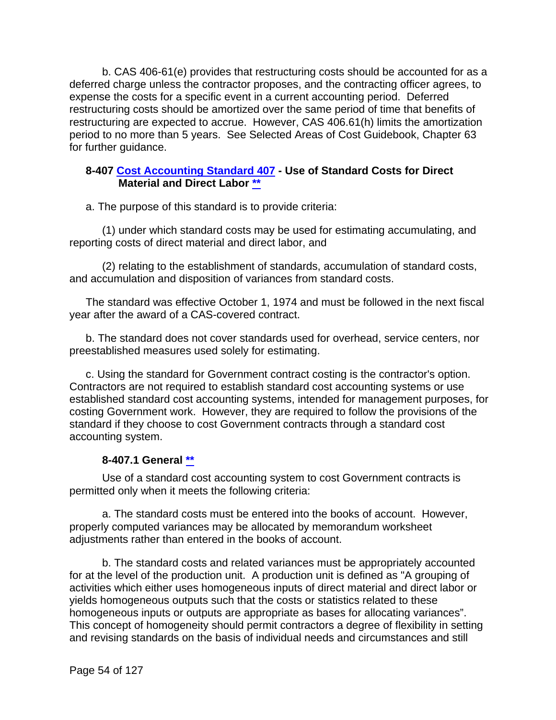b. CAS 406-61(e) provides that restructuring costs should be accounted for as a deferred charge unless the contractor proposes, and the contracting officer agrees, to expense the costs for a specific event in a current accounting period. Deferred restructuring costs should be amortized over the same period of time that benefits of restructuring are expected to accrue. However, CAS 406.61(h) limits the amortization period to no more than 5 years. See Selected Areas of Cost Guidebook, Chapter 63 for further guidance.

#### **8-407 [Cost Accounting Standard 407](http://www.ecfr.gov/cgi-bin/text-idx?SID=83769badf5d445ea15898e24cdd53619&mc=true&tpl=/ecfrbrowse/Title48/48cfr9904_main_02.tpl) - Use of Standard Costs for Direct Material and Direct Labor [\\*\\*](#page-3-0)**

a. The purpose of this standard is to provide criteria:

(1) under which standard costs may be used for estimating accumulating, and reporting costs of direct material and direct labor, and

(2) relating to the establishment of standards, accumulation of standard costs, and accumulation and disposition of variances from standard costs.

The standard was effective October 1, 1974 and must be followed in the next fiscal year after the award of a CAS-covered contract.

b. The standard does not cover standards used for overhead, service centers, nor preestablished measures used solely for estimating.

c. Using the standard for Government contract costing is the contractor's option. Contractors are not required to establish standard cost accounting systems or use established standard cost accounting systems, intended for management purposes, for costing Government work. However, they are required to follow the provisions of the standard if they choose to cost Government contracts through a standard cost accounting system.

# **8-407.1 General [\\*\\*](#page-3-1)**

Use of a standard cost accounting system to cost Government contracts is permitted only when it meets the following criteria:

a. The standard costs must be entered into the books of account. However, properly computed variances may be allocated by memorandum worksheet adjustments rather than entered in the books of account.

b. The standard costs and related variances must be appropriately accounted for at the level of the production unit. A production unit is defined as "A grouping of activities which either uses homogeneous inputs of direct material and direct labor or yields homogeneous outputs such that the costs or statistics related to these homogeneous inputs or outputs are appropriate as bases for allocating variances". This concept of homogeneity should permit contractors a degree of flexibility in setting and revising standards on the basis of individual needs and circumstances and still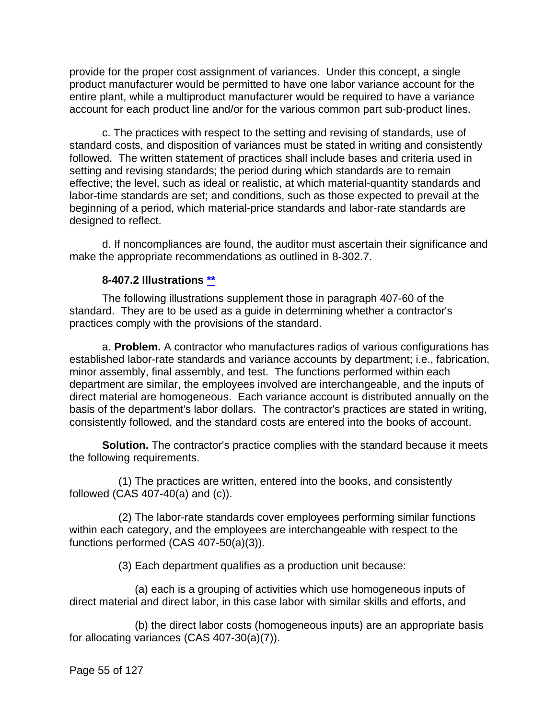provide for the proper cost assignment of variances. Under this concept, a single product manufacturer would be permitted to have one labor variance account for the entire plant, while a multiproduct manufacturer would be required to have a variance account for each product line and/or for the various common part sub-product lines.

c. The practices with respect to the setting and revising of standards, use of standard costs, and disposition of variances must be stated in writing and consistently followed. The written statement of practices shall include bases and criteria used in setting and revising standards; the period during which standards are to remain effective; the level, such as ideal or realistic, at which material-quantity standards and labor-time standards are set; and conditions, such as those expected to prevail at the beginning of a period, which material-price standards and labor-rate standards are designed to reflect.

d. If noncompliances are found, the auditor must ascertain their significance and make the appropriate recommendations as outlined in 8-302.7.

#### **8-407.2 Illustrations [\\*\\*](#page-3-2)**

The following illustrations supplement those in paragraph 407-60 of the standard. They are to be used as a guide in determining whether a contractor's practices comply with the provisions of the standard.

a. **Problem.** A contractor who manufactures radios of various configurations has established labor-rate standards and variance accounts by department; i.e., fabrication, minor assembly, final assembly, and test. The functions performed within each department are similar, the employees involved are interchangeable, and the inputs of direct material are homogeneous. Each variance account is distributed annually on the basis of the department's labor dollars. The contractor's practices are stated in writing, consistently followed, and the standard costs are entered into the books of account.

**Solution.** The contractor's practice complies with the standard because it meets the following requirements.

(1) The practices are written, entered into the books, and consistently followed (CAS 407-40(a) and (c)).

(2) The labor-rate standards cover employees performing similar functions within each category, and the employees are interchangeable with respect to the functions performed (CAS 407-50(a)(3)).

(3) Each department qualifies as a production unit because:

(a) each is a grouping of activities which use homogeneous inputs of direct material and direct labor, in this case labor with similar skills and efforts, and

(b) the direct labor costs (homogeneous inputs) are an appropriate basis for allocating variances (CAS 407-30(a)(7)).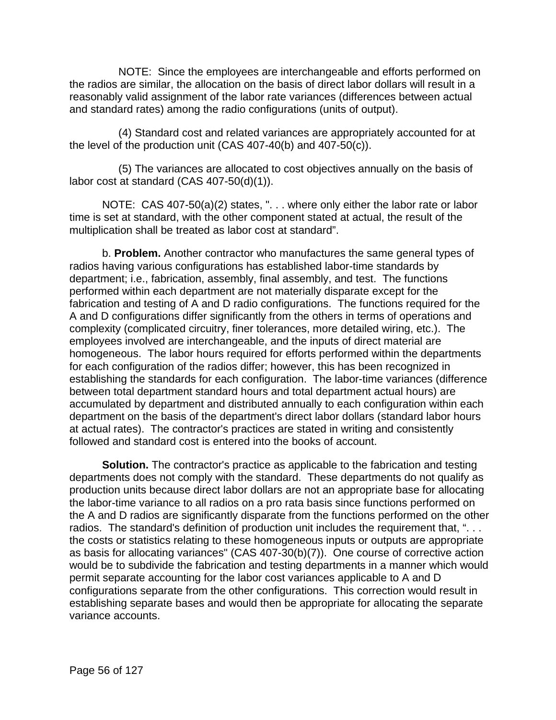NOTE: Since the employees are interchangeable and efforts performed on the radios are similar, the allocation on the basis of direct labor dollars will result in a reasonably valid assignment of the labor rate variances (differences between actual and standard rates) among the radio configurations (units of output).

(4) Standard cost and related variances are appropriately accounted for at the level of the production unit (CAS 407-40(b) and 407-50(c)).

(5) The variances are allocated to cost objectives annually on the basis of labor cost at standard (CAS 407-50(d)(1)).

NOTE: CAS 407-50(a)(2) states, ". . . where only either the labor rate or labor time is set at standard, with the other component stated at actual, the result of the multiplication shall be treated as labor cost at standard".

b. **Problem.** Another contractor who manufactures the same general types of radios having various configurations has established labor-time standards by department; i.e., fabrication, assembly, final assembly, and test. The functions performed within each department are not materially disparate except for the fabrication and testing of A and D radio configurations. The functions required for the A and D configurations differ significantly from the others in terms of operations and complexity (complicated circuitry, finer tolerances, more detailed wiring, etc.). The employees involved are interchangeable, and the inputs of direct material are homogeneous. The labor hours required for efforts performed within the departments for each configuration of the radios differ; however, this has been recognized in establishing the standards for each configuration. The labor-time variances (difference between total department standard hours and total department actual hours) are accumulated by department and distributed annually to each configuration within each department on the basis of the department's direct labor dollars (standard labor hours at actual rates). The contractor's practices are stated in writing and consistently followed and standard cost is entered into the books of account.

**Solution.** The contractor's practice as applicable to the fabrication and testing departments does not comply with the standard. These departments do not qualify as production units because direct labor dollars are not an appropriate base for allocating the labor-time variance to all radios on a pro rata basis since functions performed on the A and D radios are significantly disparate from the functions performed on the other radios. The standard's definition of production unit includes the requirement that, "... the costs or statistics relating to these homogeneous inputs or outputs are appropriate as basis for allocating variances" (CAS 407-30(b)(7)). One course of corrective action would be to subdivide the fabrication and testing departments in a manner which would permit separate accounting for the labor cost variances applicable to A and D configurations separate from the other configurations. This correction would result in establishing separate bases and would then be appropriate for allocating the separate variance accounts.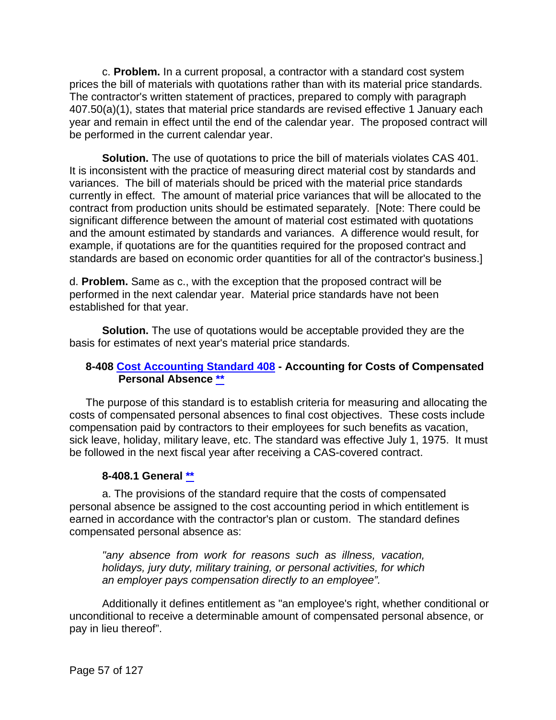c. **Problem.** In a current proposal, a contractor with a standard cost system prices the bill of materials with quotations rather than with its material price standards. The contractor's written statement of practices, prepared to comply with paragraph 407.50(a)(1), states that material price standards are revised effective 1 January each year and remain in effect until the end of the calendar year. The proposed contract will be performed in the current calendar year.

**Solution.** The use of quotations to price the bill of materials violates CAS 401. It is inconsistent with the practice of measuring direct material cost by standards and variances. The bill of materials should be priced with the material price standards currently in effect. The amount of material price variances that will be allocated to the contract from production units should be estimated separately. [Note: There could be significant difference between the amount of material cost estimated with quotations and the amount estimated by standards and variances. A difference would result, for example, if quotations are for the quantities required for the proposed contract and standards are based on economic order quantities for all of the contractor's business.]

d. **Problem.** Same as c., with the exception that the proposed contract will be performed in the next calendar year. Material price standards have not been established for that year.

**Solution.** The use of quotations would be acceptable provided they are the basis for estimates of next year's material price standards.

#### **8-408 [Cost Accounting Standard 408](http://www.ecfr.gov/cgi-bin/text-idx?SID=83769badf5d445ea15898e24cdd53619&mc=true&tpl=/ecfrbrowse/Title48/48cfr9904_main_02.tpl) - Accounting for Costs of Compensated Personal Absence [\\*\\*](#page-3-3)**

The purpose of this standard is to establish criteria for measuring and allocating the costs of compensated personal absences to final cost objectives. These costs include compensation paid by contractors to their employees for such benefits as vacation, sick leave, holiday, military leave, etc. The standard was effective July 1, 1975. It must be followed in the next fiscal year after receiving a CAS-covered contract.

#### **8-408.1 General [\\*\\*](#page-3-4)**

a. The provisions of the standard require that the costs of compensated personal absence be assigned to the cost accounting period in which entitlement is earned in accordance with the contractor's plan or custom. The standard defines compensated personal absence as:

*"any absence from work for reasons such as illness, vacation, holidays, jury duty, military training, or personal activities, for which an employer pays compensation directly to an employee".*

Additionally it defines entitlement as "an employee's right, whether conditional or unconditional to receive a determinable amount of compensated personal absence, or pay in lieu thereof".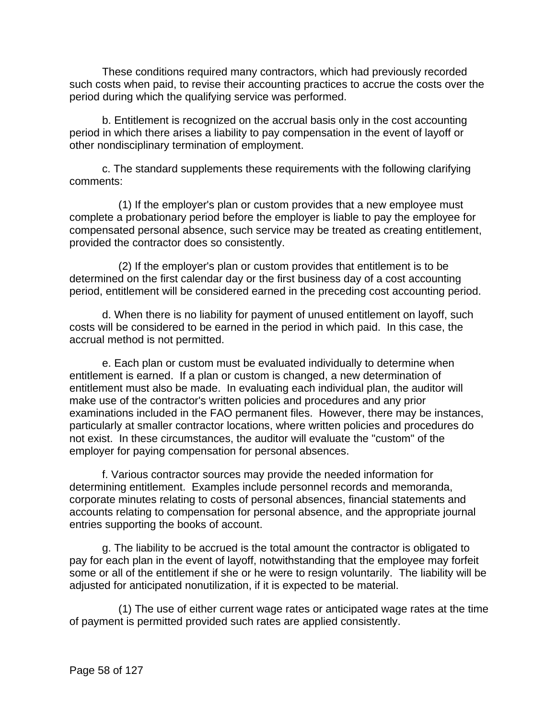These conditions required many contractors, which had previously recorded such costs when paid, to revise their accounting practices to accrue the costs over the period during which the qualifying service was performed.

b. Entitlement is recognized on the accrual basis only in the cost accounting period in which there arises a liability to pay compensation in the event of layoff or other nondisciplinary termination of employment.

c. The standard supplements these requirements with the following clarifying comments:

(1) If the employer's plan or custom provides that a new employee must complete a probationary period before the employer is liable to pay the employee for compensated personal absence, such service may be treated as creating entitlement, provided the contractor does so consistently.

(2) If the employer's plan or custom provides that entitlement is to be determined on the first calendar day or the first business day of a cost accounting period, entitlement will be considered earned in the preceding cost accounting period.

d. When there is no liability for payment of unused entitlement on layoff, such costs will be considered to be earned in the period in which paid. In this case, the accrual method is not permitted.

e. Each plan or custom must be evaluated individually to determine when entitlement is earned. If a plan or custom is changed, a new determination of entitlement must also be made. In evaluating each individual plan, the auditor will make use of the contractor's written policies and procedures and any prior examinations included in the FAO permanent files. However, there may be instances, particularly at smaller contractor locations, where written policies and procedures do not exist. In these circumstances, the auditor will evaluate the "custom" of the employer for paying compensation for personal absences.

f. Various contractor sources may provide the needed information for determining entitlement. Examples include personnel records and memoranda, corporate minutes relating to costs of personal absences, financial statements and accounts relating to compensation for personal absence, and the appropriate journal entries supporting the books of account.

g. The liability to be accrued is the total amount the contractor is obligated to pay for each plan in the event of layoff, notwithstanding that the employee may forfeit some or all of the entitlement if she or he were to resign voluntarily. The liability will be adjusted for anticipated nonutilization, if it is expected to be material.

(1) The use of either current wage rates or anticipated wage rates at the time of payment is permitted provided such rates are applied consistently.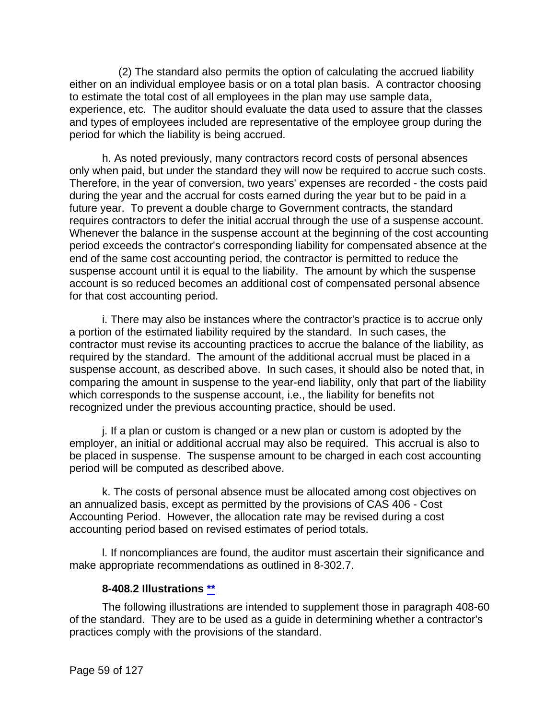(2) The standard also permits the option of calculating the accrued liability either on an individual employee basis or on a total plan basis. A contractor choosing to estimate the total cost of all employees in the plan may use sample data, experience, etc. The auditor should evaluate the data used to assure that the classes and types of employees included are representative of the employee group during the period for which the liability is being accrued.

h. As noted previously, many contractors record costs of personal absences only when paid, but under the standard they will now be required to accrue such costs. Therefore, in the year of conversion, two years' expenses are recorded - the costs paid during the year and the accrual for costs earned during the year but to be paid in a future year. To prevent a double charge to Government contracts, the standard requires contractors to defer the initial accrual through the use of a suspense account. Whenever the balance in the suspense account at the beginning of the cost accounting period exceeds the contractor's corresponding liability for compensated absence at the end of the same cost accounting period, the contractor is permitted to reduce the suspense account until it is equal to the liability. The amount by which the suspense account is so reduced becomes an additional cost of compensated personal absence for that cost accounting period.

i. There may also be instances where the contractor's practice is to accrue only a portion of the estimated liability required by the standard. In such cases, the contractor must revise its accounting practices to accrue the balance of the liability, as required by the standard. The amount of the additional accrual must be placed in a suspense account, as described above. In such cases, it should also be noted that, in comparing the amount in suspense to the year-end liability, only that part of the liability which corresponds to the suspense account, i.e., the liability for benefits not recognized under the previous accounting practice, should be used.

j. If a plan or custom is changed or a new plan or custom is adopted by the employer, an initial or additional accrual may also be required. This accrual is also to be placed in suspense. The suspense amount to be charged in each cost accounting period will be computed as described above.

k. The costs of personal absence must be allocated among cost objectives on an annualized basis, except as permitted by the provisions of CAS 406 - Cost Accounting Period. However, the allocation rate may be revised during a cost accounting period based on revised estimates of period totals.

l. If noncompliances are found, the auditor must ascertain their significance and make appropriate recommendations as outlined in 8-302.7.

#### **8-408.2 Illustrations [\\*\\*](#page-3-5)**

The following illustrations are intended to supplement those in paragraph 408-60 of the standard. They are to be used as a guide in determining whether a contractor's practices comply with the provisions of the standard.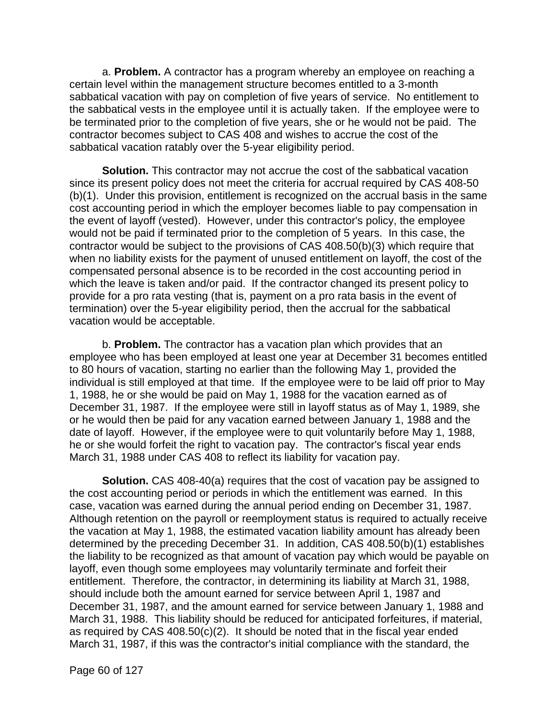a. **Problem.** A contractor has a program whereby an employee on reaching a certain level within the management structure becomes entitled to a 3-month sabbatical vacation with pay on completion of five years of service. No entitlement to the sabbatical vests in the employee until it is actually taken. If the employee were to be terminated prior to the completion of five years, she or he would not be paid. The contractor becomes subject to CAS 408 and wishes to accrue the cost of the sabbatical vacation ratably over the 5-year eligibility period.

**Solution.** This contractor may not accrue the cost of the sabbatical vacation since its present policy does not meet the criteria for accrual required by CAS 408-50 (b)(1). Under this provision, entitlement is recognized on the accrual basis in the same cost accounting period in which the employer becomes liable to pay compensation in the event of layoff (vested). However, under this contractor's policy, the employee would not be paid if terminated prior to the completion of 5 years. In this case, the contractor would be subject to the provisions of CAS 408.50(b)(3) which require that when no liability exists for the payment of unused entitlement on layoff, the cost of the compensated personal absence is to be recorded in the cost accounting period in which the leave is taken and/or paid. If the contractor changed its present policy to provide for a pro rata vesting (that is, payment on a pro rata basis in the event of termination) over the 5-year eligibility period, then the accrual for the sabbatical vacation would be acceptable.

b. **Problem.** The contractor has a vacation plan which provides that an employee who has been employed at least one year at December 31 becomes entitled to 80 hours of vacation, starting no earlier than the following May 1, provided the individual is still employed at that time. If the employee were to be laid off prior to May 1, 1988, he or she would be paid on May 1, 1988 for the vacation earned as of December 31, 1987. If the employee were still in layoff status as of May 1, 1989, she or he would then be paid for any vacation earned between January 1, 1988 and the date of layoff. However, if the employee were to quit voluntarily before May 1, 1988, he or she would forfeit the right to vacation pay. The contractor's fiscal year ends March 31, 1988 under CAS 408 to reflect its liability for vacation pay.

**Solution.** CAS 408-40(a) requires that the cost of vacation pay be assigned to the cost accounting period or periods in which the entitlement was earned. In this case, vacation was earned during the annual period ending on December 31, 1987. Although retention on the payroll or reemployment status is required to actually receive the vacation at May 1, 1988, the estimated vacation liability amount has already been determined by the preceding December 31. In addition, CAS 408.50(b)(1) establishes the liability to be recognized as that amount of vacation pay which would be payable on layoff, even though some employees may voluntarily terminate and forfeit their entitlement. Therefore, the contractor, in determining its liability at March 31, 1988, should include both the amount earned for service between April 1, 1987 and December 31, 1987, and the amount earned for service between January 1, 1988 and March 31, 1988. This liability should be reduced for anticipated forfeitures, if material, as required by CAS 408.50(c)(2). It should be noted that in the fiscal year ended March 31, 1987, if this was the contractor's initial compliance with the standard, the

Page 60 of 127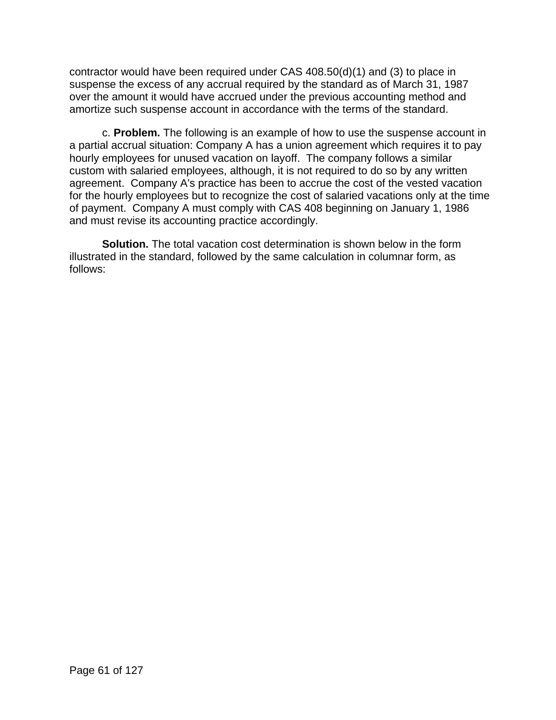contractor would have been required under CAS 408.50(d)(1) and (3) to place in suspense the excess of any accrual required by the standard as of March 31, 1987 over the amount it would have accrued under the previous accounting method and amortize such suspense account in accordance with the terms of the standard.

c. **Problem.** The following is an example of how to use the suspense account in a partial accrual situation: Company A has a union agreement which requires it to pay hourly employees for unused vacation on layoff. The company follows a similar custom with salaried employees, although, it is not required to do so by any written agreement. Company A's practice has been to accrue the cost of the vested vacation for the hourly employees but to recognize the cost of salaried vacations only at the time of payment. Company A must comply with CAS 408 beginning on January 1, 1986 and must revise its accounting practice accordingly.

**Solution.** The total vacation cost determination is shown below in the form illustrated in the standard, followed by the same calculation in columnar form, as follows: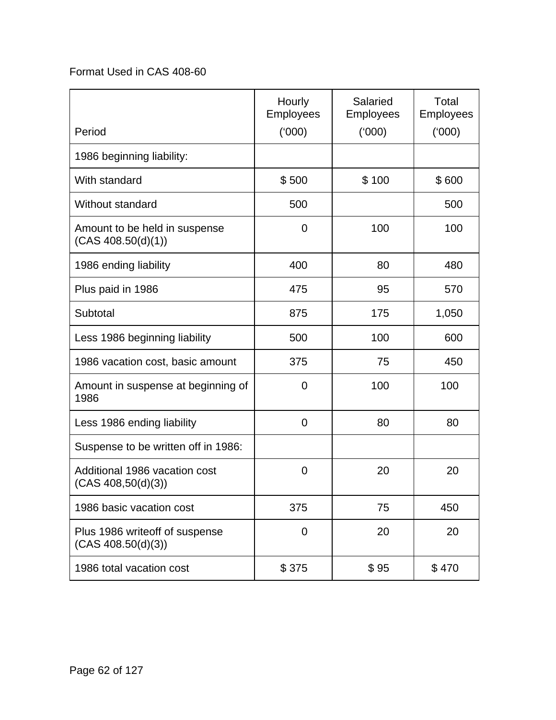# Format Used in CAS 408-60

|                                                      | Hourly<br><b>Employees</b> | Salaried<br><b>Employees</b> | Total<br><b>Employees</b> |
|------------------------------------------------------|----------------------------|------------------------------|---------------------------|
| Period                                               | (000)                      | (000)                        | (000)                     |
| 1986 beginning liability:                            |                            |                              |                           |
| With standard                                        | \$500                      | \$100                        | \$600                     |
| Without standard                                     | 500                        |                              | 500                       |
| Amount to be held in suspense<br>(CAS 408.50(d)(1))  | $\overline{0}$             | 100                          | 100                       |
| 1986 ending liability                                | 400                        | 80                           | 480                       |
| Plus paid in 1986                                    | 475                        | 95                           | 570                       |
| Subtotal                                             | 875                        | 175                          | 1,050                     |
| Less 1986 beginning liability                        | 500                        | 100                          | 600                       |
| 1986 vacation cost, basic amount                     | 375                        | 75                           | 450                       |
| Amount in suspense at beginning of<br>1986           | $\overline{0}$             | 100                          | 100                       |
| Less 1986 ending liability                           | 0                          | 80                           | 80                        |
| Suspense to be written off in 1986:                  |                            |                              |                           |
| Additional 1986 vacation cost<br>(CAS 408, 50(d)(3)) | $\overline{0}$             | 20                           | 20                        |
| 1986 basic vacation cost                             | 375                        | 75                           | 450                       |
| Plus 1986 writeoff of suspense<br>(CAS 408.50(d)(3)) | $\overline{0}$             | 20                           | 20                        |
| 1986 total vacation cost                             | \$375                      | \$95                         | \$470                     |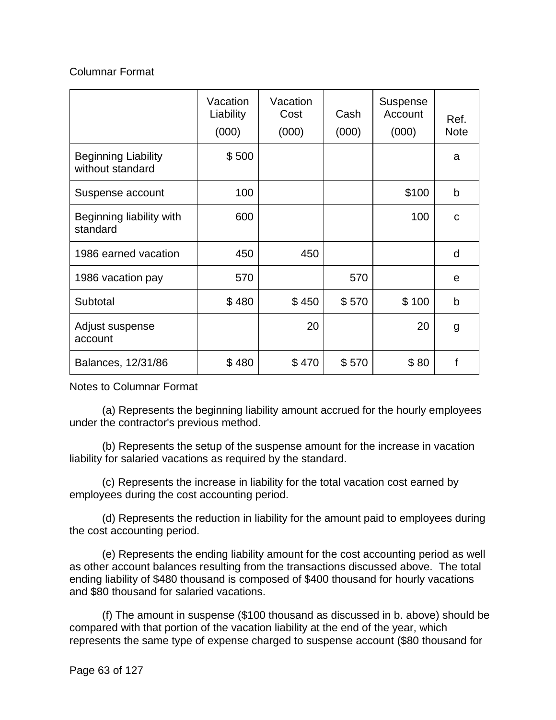# Columnar Format

|                                                | Vacation<br>Liability<br>(000) | Vacation<br>Cost<br>(000) | Cash<br>(000) | Suspense<br>Account<br>(000) | Ref.<br><b>Note</b> |
|------------------------------------------------|--------------------------------|---------------------------|---------------|------------------------------|---------------------|
| <b>Beginning Liability</b><br>without standard | \$500                          |                           |               |                              | a                   |
| Suspense account                               | 100                            |                           |               | \$100                        | b                   |
| Beginning liability with<br>standard           | 600                            |                           |               | 100                          | $\mathbf C$         |
| 1986 earned vacation                           | 450                            | 450                       |               |                              | d                   |
| 1986 vacation pay                              | 570                            |                           | 570           |                              | e                   |
| Subtotal                                       | \$480                          | \$450                     | \$570         | \$100                        | $\mathsf b$         |
| Adjust suspense<br>account                     |                                | 20                        |               | 20                           | g                   |
| Balances, 12/31/86                             | \$480                          | \$470                     | \$570         | \$80                         |                     |

Notes to Columnar Format

(a) Represents the beginning liability amount accrued for the hourly employees under the contractor's previous method.

(b) Represents the setup of the suspense amount for the increase in vacation liability for salaried vacations as required by the standard.

(c) Represents the increase in liability for the total vacation cost earned by employees during the cost accounting period.

(d) Represents the reduction in liability for the amount paid to employees during the cost accounting period.

(e) Represents the ending liability amount for the cost accounting period as well as other account balances resulting from the transactions discussed above. The total ending liability of \$480 thousand is composed of \$400 thousand for hourly vacations and \$80 thousand for salaried vacations.

(f) The amount in suspense (\$100 thousand as discussed in b. above) should be compared with that portion of the vacation liability at the end of the year, which represents the same type of expense charged to suspense account (\$80 thousand for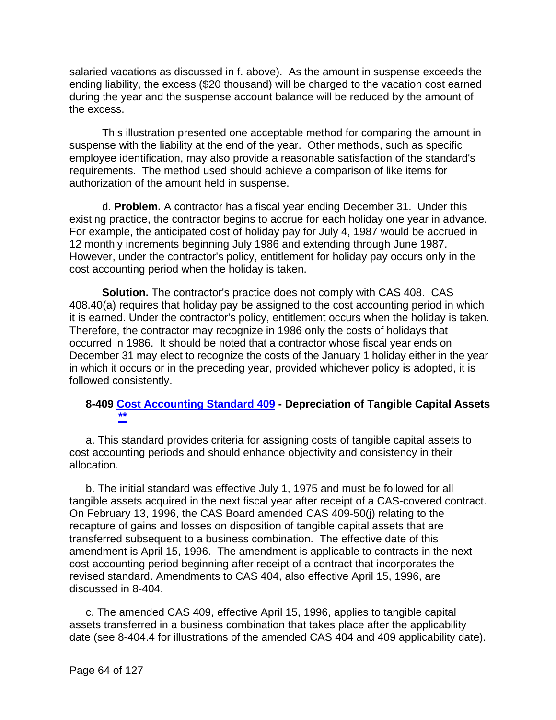salaried vacations as discussed in f. above). As the amount in suspense exceeds the ending liability, the excess (\$20 thousand) will be charged to the vacation cost earned during the year and the suspense account balance will be reduced by the amount of the excess.

This illustration presented one acceptable method for comparing the amount in suspense with the liability at the end of the year. Other methods, such as specific employee identification, may also provide a reasonable satisfaction of the standard's requirements. The method used should achieve a comparison of like items for authorization of the amount held in suspense.

d. **Problem.** A contractor has a fiscal year ending December 31. Under this existing practice, the contractor begins to accrue for each holiday one year in advance. For example, the anticipated cost of holiday pay for July 4, 1987 would be accrued in 12 monthly increments beginning July 1986 and extending through June 1987. However, under the contractor's policy, entitlement for holiday pay occurs only in the cost accounting period when the holiday is taken.

**Solution.** The contractor's practice does not comply with CAS 408. CAS 408.40(a) requires that holiday pay be assigned to the cost accounting period in which it is earned. Under the contractor's policy, entitlement occurs when the holiday is taken. Therefore, the contractor may recognize in 1986 only the costs of holidays that occurred in 1986. It should be noted that a contractor whose fiscal year ends on December 31 may elect to recognize the costs of the January 1 holiday either in the year in which it occurs or in the preceding year, provided whichever policy is adopted, it is followed consistently.

# **8-409 [Cost Accounting Standard 409](http://www.ecfr.gov/cgi-bin/text-idx?SID=83769badf5d445ea15898e24cdd53619&mc=true&tpl=/ecfrbrowse/Title48/48cfr9904_main_02.tpl) - Depreciation of Tangible Capital Assets [\\*\\*](#page-3-6)**

a. This standard provides criteria for assigning costs of tangible capital assets to cost accounting periods and should enhance objectivity and consistency in their allocation.

b. The initial standard was effective July 1, 1975 and must be followed for all tangible assets acquired in the next fiscal year after receipt of a CAS-covered contract. On February 13, 1996, the CAS Board amended CAS 409-50(j) relating to the recapture of gains and losses on disposition of tangible capital assets that are transferred subsequent to a business combination. The effective date of this amendment is April 15, 1996. The amendment is applicable to contracts in the next cost accounting period beginning after receipt of a contract that incorporates the revised standard. Amendments to CAS 404, also effective April 15, 1996, are discussed in 8-404.

c. The amended CAS 409, effective April 15, 1996, applies to tangible capital assets transferred in a business combination that takes place after the applicability date (see 8-404.4 for illustrations of the amended CAS 404 and 409 applicability date).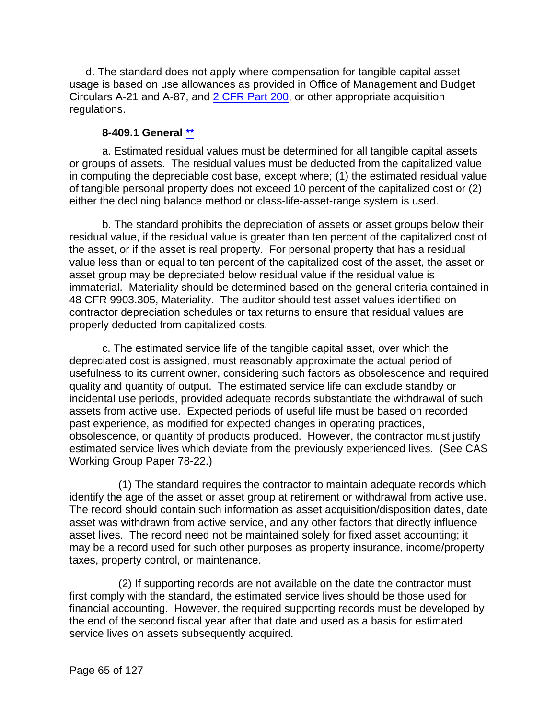d. The standard does not apply where compensation for tangible capital asset usage is based on use allowances as provided in Office of Management and Budget Circulars A-21 and A-87, and [2 CFR Part 200,](http://www.ecfr.gov/cgi-bin/text-idx?SID=f9156be6e2d49193e04c157e70cad890&mc=true&node=pt2.1.200&rgn=div5) or other appropriate acquisition regulations.

### **8-409.1 General [\\*\\*](#page-3-7)**

a. Estimated residual values must be determined for all tangible capital assets or groups of assets. The residual values must be deducted from the capitalized value in computing the depreciable cost base, except where; (1) the estimated residual value of tangible personal property does not exceed 10 percent of the capitalized cost or (2) either the declining balance method or class-life-asset-range system is used.

b. The standard prohibits the depreciation of assets or asset groups below their residual value, if the residual value is greater than ten percent of the capitalized cost of the asset, or if the asset is real property. For personal property that has a residual value less than or equal to ten percent of the capitalized cost of the asset, the asset or asset group may be depreciated below residual value if the residual value is immaterial. Materiality should be determined based on the general criteria contained in 48 CFR 9903.305, Materiality. The auditor should test asset values identified on contractor depreciation schedules or tax returns to ensure that residual values are properly deducted from capitalized costs.

c. The estimated service life of the tangible capital asset, over which the depreciated cost is assigned, must reasonably approximate the actual period of usefulness to its current owner, considering such factors as obsolescence and required quality and quantity of output. The estimated service life can exclude standby or incidental use periods, provided adequate records substantiate the withdrawal of such assets from active use. Expected periods of useful life must be based on recorded past experience, as modified for expected changes in operating practices, obsolescence, or quantity of products produced. However, the contractor must justify estimated service lives which deviate from the previously experienced lives. (See CAS Working Group Paper 78-22.)

(1) The standard requires the contractor to maintain adequate records which identify the age of the asset or asset group at retirement or withdrawal from active use. The record should contain such information as asset acquisition/disposition dates, date asset was withdrawn from active service, and any other factors that directly influence asset lives. The record need not be maintained solely for fixed asset accounting; it may be a record used for such other purposes as property insurance, income/property taxes, property control, or maintenance.

(2) If supporting records are not available on the date the contractor must first comply with the standard, the estimated service lives should be those used for financial accounting. However, the required supporting records must be developed by the end of the second fiscal year after that date and used as a basis for estimated service lives on assets subsequently acquired.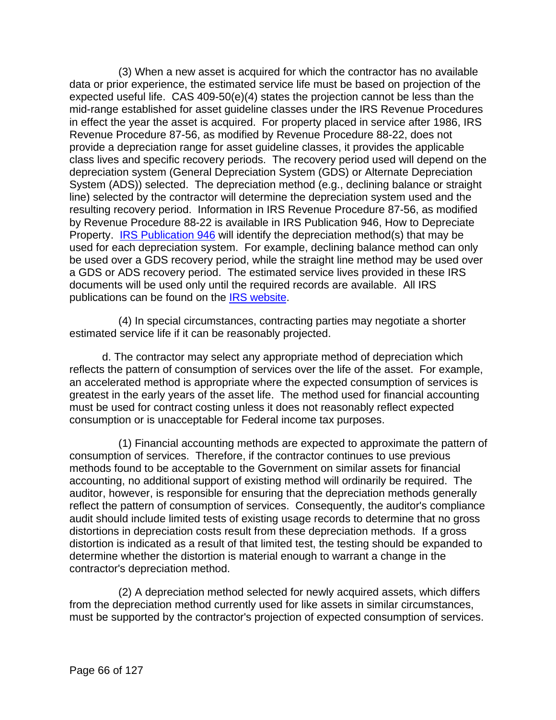(3) When a new asset is acquired for which the contractor has no available data or prior experience, the estimated service life must be based on projection of the expected useful life. CAS 409-50(e)(4) states the projection cannot be less than the mid-range established for asset guideline classes under the IRS Revenue Procedures in effect the year the asset is acquired. For property placed in service after 1986, IRS Revenue Procedure 87-56, as modified by Revenue Procedure 88-22, does not provide a depreciation range for asset guideline classes, it provides the applicable class lives and specific recovery periods. The recovery period used will depend on the depreciation system (General Depreciation System (GDS) or Alternate Depreciation System (ADS)) selected. The depreciation method (e.g., declining balance or straight line) selected by the contractor will determine the depreciation system used and the resulting recovery period. Information in IRS Revenue Procedure 87-56, as modified by Revenue Procedure 88-22 is available in IRS Publication 946, How to Depreciate Property. [IRS Publication 946](https://www.irs.gov/uac/about-publication-946) will identify the depreciation method(s) that may be used for each depreciation system. For example, declining balance method can only be used over a GDS recovery period, while the straight line method may be used over a GDS or ADS recovery period. The estimated service lives provided in these IRS documents will be used only until the required records are available. All IRS publications can be found on the [IRS website.](https://www.irs.gov/forms-pubs)

(4) In special circumstances, contracting parties may negotiate a shorter estimated service life if it can be reasonably projected.

d. The contractor may select any appropriate method of depreciation which reflects the pattern of consumption of services over the life of the asset. For example, an accelerated method is appropriate where the expected consumption of services is greatest in the early years of the asset life. The method used for financial accounting must be used for contract costing unless it does not reasonably reflect expected consumption or is unacceptable for Federal income tax purposes.

(1) Financial accounting methods are expected to approximate the pattern of consumption of services. Therefore, if the contractor continues to use previous methods found to be acceptable to the Government on similar assets for financial accounting, no additional support of existing method will ordinarily be required. The auditor, however, is responsible for ensuring that the depreciation methods generally reflect the pattern of consumption of services. Consequently, the auditor's compliance audit should include limited tests of existing usage records to determine that no gross distortions in depreciation costs result from these depreciation methods. If a gross distortion is indicated as a result of that limited test, the testing should be expanded to determine whether the distortion is material enough to warrant a change in the contractor's depreciation method.

(2) A depreciation method selected for newly acquired assets, which differs from the depreciation method currently used for like assets in similar circumstances, must be supported by the contractor's projection of expected consumption of services.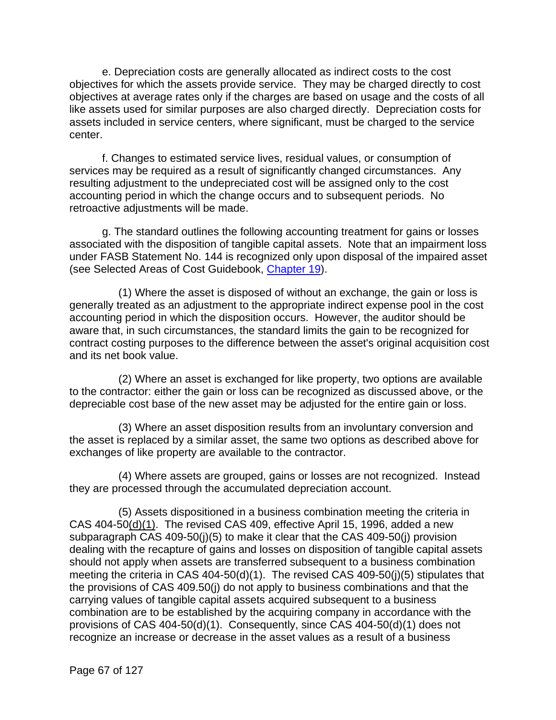e. Depreciation costs are generally allocated as indirect costs to the cost objectives for which the assets provide service. They may be charged directly to cost objectives at average rates only if the charges are based on usage and the costs of all like assets used for similar purposes are also charged directly. Depreciation costs for assets included in service centers, where significant, must be charged to the service center.

f. Changes to estimated service lives, residual values, or consumption of services may be required as a result of significantly changed circumstances. Any resulting adjustment to the undepreciated cost will be assigned only to the cost accounting period in which the change occurs and to subsequent periods. No retroactive adjustments will be made.

g. The standard outlines the following accounting treatment for gains or losses associated with the disposition of tangible capital assets. Note that an impairment loss under FASB Statement No. 144 is recognized only upon disposal of the impaired asset (see Selected Areas of Cost Guidebook, [Chapter 19\)](https://viper.dcaa.mil/guidance/guidebooks/selected-areas-of-cost/3055/depreciation-costs).

(1) Where the asset is disposed of without an exchange, the gain or loss is generally treated as an adjustment to the appropriate indirect expense pool in the cost accounting period in which the disposition occurs. However, the auditor should be aware that, in such circumstances, the standard limits the gain to be recognized for contract costing purposes to the difference between the asset's original acquisition cost and its net book value.

(2) Where an asset is exchanged for like property, two options are available to the contractor: either the gain or loss can be recognized as discussed above, or the depreciable cost base of the new asset may be adjusted for the entire gain or loss.

(3) Where an asset disposition results from an involuntary conversion and the asset is replaced by a similar asset, the same two options as described above for exchanges of like property are available to the contractor.

(4) Where assets are grouped, gains or losses are not recognized. Instead they are processed through the accumulated depreciation account.

(5) Assets dispositioned in a business combination meeting the criteria in CAS 404-50(d)(1). The revised CAS 409, effective April 15, 1996, added a new subparagraph CAS 409-50(j)(5) to make it clear that the CAS 409-50(j) provision dealing with the recapture of gains and losses on disposition of tangible capital assets should not apply when assets are transferred subsequent to a business combination meeting the criteria in CAS 404-50(d)(1). The revised CAS 409-50(j)(5) stipulates that the provisions of CAS 409.50(j) do not apply to business combinations and that the carrying values of tangible capital assets acquired subsequent to a business combination are to be established by the acquiring company in accordance with the provisions of CAS 404-50(d)(1). Consequently, since CAS 404-50(d)(1) does not recognize an increase or decrease in the asset values as a result of a business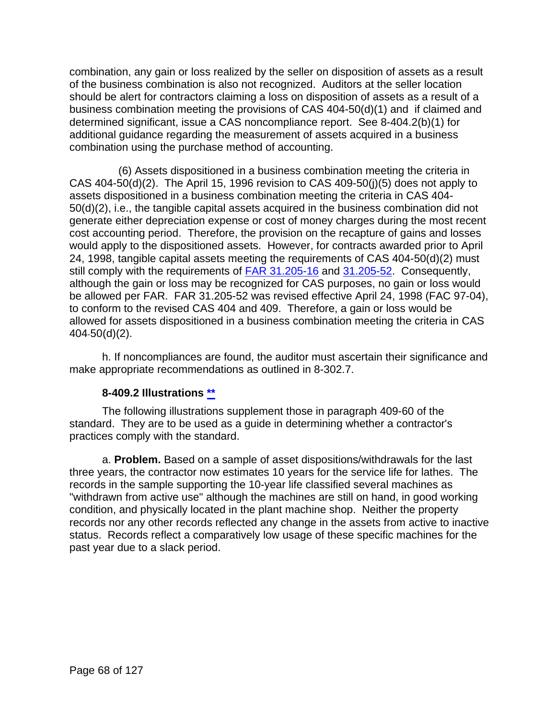combination, any gain or loss realized by the seller on disposition of assets as a result of the business combination is also not recognized. Auditors at the seller location should be alert for contractors claiming a loss on disposition of assets as a result of a business combination meeting the provisions of CAS 404-50(d)(1) and if claimed and determined significant, issue a CAS noncompliance report. See 8-404.2(b)(1) for additional guidance regarding the measurement of assets acquired in a business combination using the purchase method of accounting.

(6) Assets dispositioned in a business combination meeting the criteria in CAS 404-50(d)(2). The April 15, 1996 revision to CAS 409-50(j)(5) does not apply to assets dispositioned in a business combination meeting the criteria in CAS 404- 50(d)(2), i.e., the tangible capital assets acquired in the business combination did not generate either depreciation expense or cost of money charges during the most recent cost accounting period. Therefore, the provision on the recapture of gains and losses would apply to the dispositioned assets. However, for contracts awarded prior to April 24, 1998, tangible capital assets meeting the requirements of CAS 404-50(d)(2) must still comply with the requirements of [FAR 31.205-16](http://www.ecfr.gov/cgi-bin/text-idx?SID=40be0d3e5916b5360241ca51b84a086f&mc=true&node=se48.1.31_1205_616&rgn=div8) and [31.205-52.](http://www.ecfr.gov/cgi-bin/text-idx?SID=40be0d3e5916b5360241ca51b84a086f&mc=true&node=se48.1.31_1205_652&rgn=div8) Consequently, although the gain or loss may be recognized for CAS purposes, no gain or loss would be allowed per FAR. FAR 31.205-52 was revised effective April 24, 1998 (FAC 97-04), to conform to the revised CAS 404 and 409. Therefore, a gain or loss would be allowed for assets dispositioned in a business combination meeting the criteria in CAS 404-50(d)(2).

h. If noncompliances are found, the auditor must ascertain their significance and make appropriate recommendations as outlined in 8-302.7.

# **8-409.2 Illustrations [\\*\\*](#page-3-8)**

The following illustrations supplement those in paragraph 409-60 of the standard. They are to be used as a guide in determining whether a contractor's practices comply with the standard.

a. **Problem.** Based on a sample of asset dispositions/withdrawals for the last three years, the contractor now estimates 10 years for the service life for lathes. The records in the sample supporting the 10-year life classified several machines as "withdrawn from active use" although the machines are still on hand, in good working condition, and physically located in the plant machine shop. Neither the property records nor any other records reflected any change in the assets from active to inactive status. Records reflect a comparatively low usage of these specific machines for the past year due to a slack period.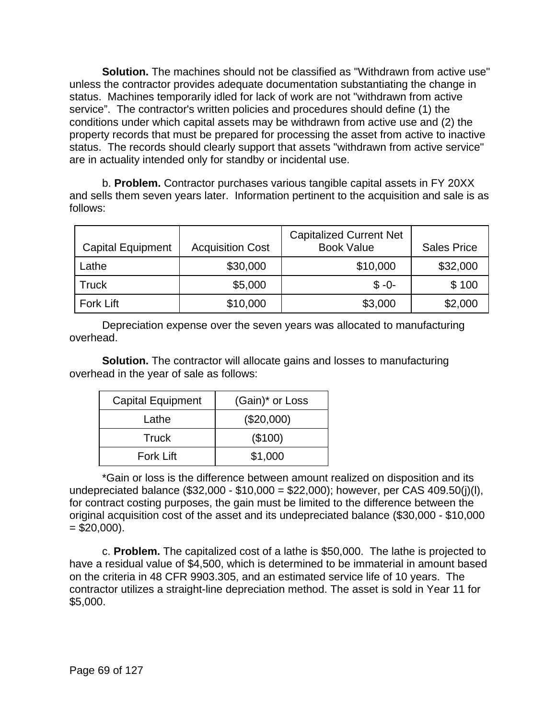**Solution.** The machines should not be classified as "Withdrawn from active use" unless the contractor provides adequate documentation substantiating the change in status. Machines temporarily idled for lack of work are not "withdrawn from active service". The contractor's written policies and procedures should define (1) the conditions under which capital assets may be withdrawn from active use and (2) the property records that must be prepared for processing the asset from active to inactive status. The records should clearly support that assets "withdrawn from active service" are in actuality intended only for standby or incidental use.

b. **Problem.** Contractor purchases various tangible capital assets in FY 20XX and sells them seven years later. Information pertinent to the acquisition and sale is as follows:

| <b>Capital Equipment</b> | <b>Acquisition Cost</b> | <b>Capitalized Current Net</b><br><b>Book Value</b> | <b>Sales Price</b> |
|--------------------------|-------------------------|-----------------------------------------------------|--------------------|
| Lathe                    | \$30,000                | \$10,000                                            | \$32,000           |
| <b>Truck</b>             | \$5,000                 | $$ -0-$                                             | \$100              |
| <b>Fork Lift</b>         | \$10,000                | \$3,000                                             | \$2,000            |

Depreciation expense over the seven years was allocated to manufacturing overhead.

**Solution.** The contractor will allocate gains and losses to manufacturing overhead in the year of sale as follows:

| <b>Capital Equipment</b> | (Gain)* or Loss |
|--------------------------|-----------------|
| Lathe                    | (\$20,000)      |
| <b>Truck</b>             | (\$100)         |
| <b>Fork Lift</b>         | \$1,000         |

\*Gain or loss is the difference between amount realized on disposition and its undepreciated balance (\$32,000 - \$10,000 = \$22,000); however, per CAS 409.50(j)(l), for contract costing purposes, the gain must be limited to the difference between the original acquisition cost of the asset and its undepreciated balance (\$30,000 - \$10,000  $=$  \$20,000).

c. **Problem.** The capitalized cost of a lathe is \$50,000. The lathe is projected to have a residual value of \$4,500, which is determined to be immaterial in amount based on the criteria in 48 CFR 9903.305, and an estimated service life of 10 years. The contractor utilizes a straight-line depreciation method. The asset is sold in Year 11 for \$5,000.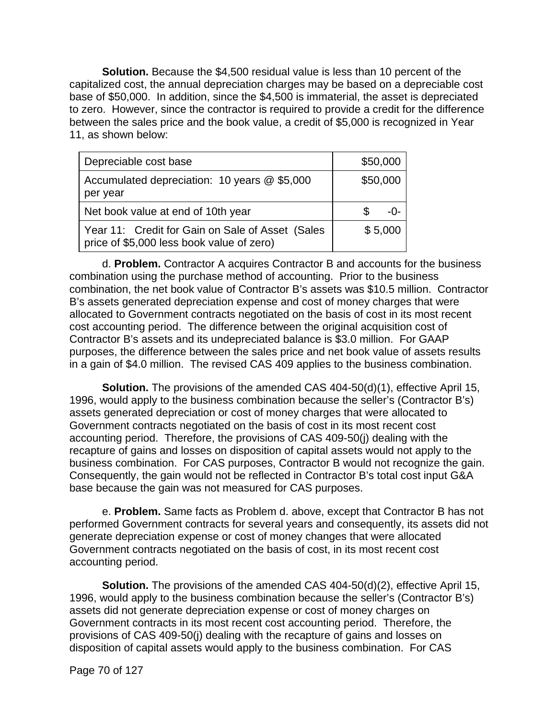**Solution.** Because the \$4,500 residual value is less than 10 percent of the capitalized cost, the annual depreciation charges may be based on a depreciable cost base of \$50,000. In addition, since the \$4,500 is immaterial, the asset is depreciated to zero. However, since the contractor is required to provide a credit for the difference between the sales price and the book value, a credit of \$5,000 is recognized in Year 11, as shown below:

| Depreciable cost base                                                                         | \$50,000 |
|-----------------------------------------------------------------------------------------------|----------|
| Accumulated depreciation: 10 years @ \$5,000<br>per year                                      | \$50,000 |
| Net book value at end of 10th year                                                            | -0-      |
| Year 11: Credit for Gain on Sale of Asset (Sales<br>price of \$5,000 less book value of zero) | \$5,000  |

d. **Problem.** Contractor A acquires Contractor B and accounts for the business combination using the purchase method of accounting. Prior to the business combination, the net book value of Contractor B's assets was \$10.5 million. Contractor B's assets generated depreciation expense and cost of money charges that were allocated to Government contracts negotiated on the basis of cost in its most recent cost accounting period. The difference between the original acquisition cost of Contractor B's assets and its undepreciated balance is \$3.0 million. For GAAP purposes, the difference between the sales price and net book value of assets results in a gain of \$4.0 million. The revised CAS 409 applies to the business combination.

**Solution.** The provisions of the amended CAS 404-50(d)(1), effective April 15, 1996, would apply to the business combination because the seller's (Contractor B's) assets generated depreciation or cost of money charges that were allocated to Government contracts negotiated on the basis of cost in its most recent cost accounting period. Therefore, the provisions of CAS 409-50(j) dealing with the recapture of gains and losses on disposition of capital assets would not apply to the business combination. For CAS purposes, Contractor B would not recognize the gain. Consequently, the gain would not be reflected in Contractor B's total cost input G&A base because the gain was not measured for CAS purposes.

e. **Problem.** Same facts as Problem d. above, except that Contractor B has not performed Government contracts for several years and consequently, its assets did not generate depreciation expense or cost of money changes that were allocated Government contracts negotiated on the basis of cost, in its most recent cost accounting period.

**Solution.** The provisions of the amended CAS 404-50(d)(2), effective April 15, 1996, would apply to the business combination because the seller's (Contractor B's) assets did not generate depreciation expense or cost of money charges on Government contracts in its most recent cost accounting period. Therefore, the provisions of CAS 409-50(j) dealing with the recapture of gains and losses on disposition of capital assets would apply to the business combination. For CAS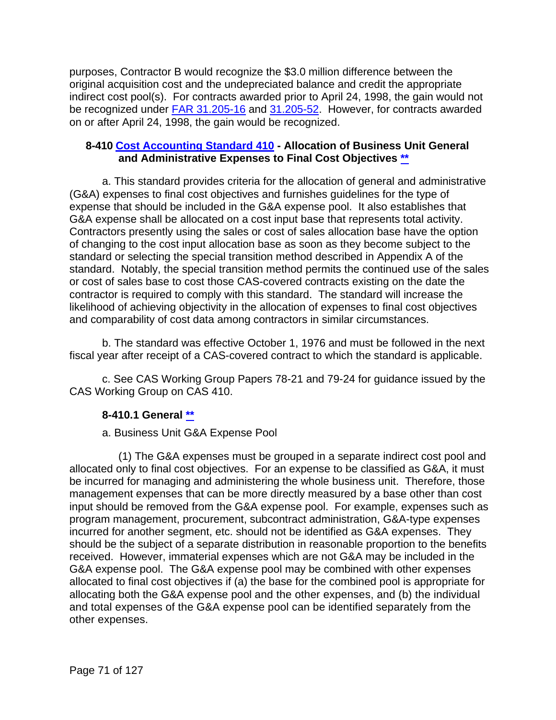purposes, Contractor B would recognize the \$3.0 million difference between the original acquisition cost and the undepreciated balance and credit the appropriate indirect cost pool(s). For contracts awarded prior to April 24, 1998, the gain would not be recognized under [FAR 31.205-16](http://www.ecfr.gov/cgi-bin/text-idx?SID=40be0d3e5916b5360241ca51b84a086f&mc=true&node=se48.1.31_1205_616&rgn=div8) and [31.205-52.](http://www.ecfr.gov/cgi-bin/text-idx?SID=40be0d3e5916b5360241ca51b84a086f&mc=true&node=se48.1.31_1205_652&rgn=div8) However, for contracts awarded on or after April 24, 1998, the gain would be recognized.

#### **8-410 [Cost Accounting Standard 410](http://www.ecfr.gov/cgi-bin/text-idx?SID=83769badf5d445ea15898e24cdd53619&mc=true&tpl=/ecfrbrowse/Title48/48cfr9904_main_02.tpl) - Allocation of Business Unit General and Administrative Expenses to Final Cost Objectives [\\*\\*](#page-3-9)**

a. This standard provides criteria for the allocation of general and administrative (G&A) expenses to final cost objectives and furnishes guidelines for the type of expense that should be included in the G&A expense pool. It also establishes that G&A expense shall be allocated on a cost input base that represents total activity. Contractors presently using the sales or cost of sales allocation base have the option of changing to the cost input allocation base as soon as they become subject to the standard or selecting the special transition method described in Appendix A of the standard. Notably, the special transition method permits the continued use of the sales or cost of sales base to cost those CAS-covered contracts existing on the date the contractor is required to comply with this standard. The standard will increase the likelihood of achieving objectivity in the allocation of expenses to final cost objectives and comparability of cost data among contractors in similar circumstances.

b. The standard was effective October 1, 1976 and must be followed in the next fiscal year after receipt of a CAS-covered contract to which the standard is applicable.

c. See CAS Working Group Papers 78-21 and 79-24 for guidance issued by the CAS Working Group on CAS 410.

#### **8-410.1 General [\\*\\*](#page-3-10)**

a. Business Unit G&A Expense Pool

(1) The G&A expenses must be grouped in a separate indirect cost pool and allocated only to final cost objectives. For an expense to be classified as G&A, it must be incurred for managing and administering the whole business unit. Therefore, those management expenses that can be more directly measured by a base other than cost input should be removed from the G&A expense pool. For example, expenses such as program management, procurement, subcontract administration, G&A-type expenses incurred for another segment, etc. should not be identified as G&A expenses. They should be the subject of a separate distribution in reasonable proportion to the benefits received. However, immaterial expenses which are not G&A may be included in the G&A expense pool. The G&A expense pool may be combined with other expenses allocated to final cost objectives if (a) the base for the combined pool is appropriate for allocating both the G&A expense pool and the other expenses, and (b) the individual and total expenses of the G&A expense pool can be identified separately from the other expenses.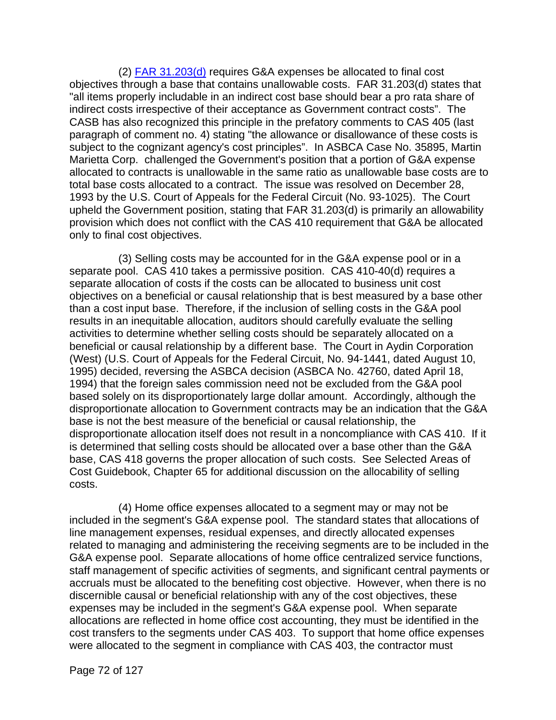(2) [FAR 31.203\(d\)](http://www.ecfr.gov/cgi-bin/text-idx?SID=c50c9e9390f73f924120e394c6cd7548&mc=true&node=se48.1.31_1203&rgn=div8) requires G&A expenses be allocated to final cost objectives through a base that contains unallowable costs. FAR 31.203(d) states that "all items properly includable in an indirect cost base should bear a pro rata share of indirect costs irrespective of their acceptance as Government contract costs". The CASB has also recognized this principle in the prefatory comments to CAS 405 (last paragraph of comment no. 4) stating "the allowance or disallowance of these costs is subject to the cognizant agency's cost principles". In ASBCA Case No. 35895, Martin Marietta Corp. challenged the Government's position that a portion of G&A expense allocated to contracts is unallowable in the same ratio as unallowable base costs are to total base costs allocated to a contract. The issue was resolved on December 28, 1993 by the U.S. Court of Appeals for the Federal Circuit (No. 93-1025). The Court upheld the Government position, stating that FAR 31.203(d) is primarily an allowability provision which does not conflict with the CAS 410 requirement that G&A be allocated only to final cost objectives.

(3) Selling costs may be accounted for in the G&A expense pool or in a separate pool. CAS 410 takes a permissive position. CAS 410-40(d) requires a separate allocation of costs if the costs can be allocated to business unit cost objectives on a beneficial or causal relationship that is best measured by a base other than a cost input base. Therefore, if the inclusion of selling costs in the G&A pool results in an inequitable allocation, auditors should carefully evaluate the selling activities to determine whether selling costs should be separately allocated on a beneficial or causal relationship by a different base. The Court in Aydin Corporation (West) (U.S. Court of Appeals for the Federal Circuit, No. 94-1441, dated August 10, 1995) decided, reversing the ASBCA decision (ASBCA No. 42760, dated April 18, 1994) that the foreign sales commission need not be excluded from the G&A pool based solely on its disproportionately large dollar amount. Accordingly, although the disproportionate allocation to Government contracts may be an indication that the G&A base is not the best measure of the beneficial or causal relationship, the disproportionate allocation itself does not result in a noncompliance with CAS 410. If it is determined that selling costs should be allocated over a base other than the G&A base, CAS 418 governs the proper allocation of such costs. See Selected Areas of Cost Guidebook, Chapter 65 for additional discussion on the allocability of selling costs.

(4) Home office expenses allocated to a segment may or may not be included in the segment's G&A expense pool. The standard states that allocations of line management expenses, residual expenses, and directly allocated expenses related to managing and administering the receiving segments are to be included in the G&A expense pool. Separate allocations of home office centralized service functions, staff management of specific activities of segments, and significant central payments or accruals must be allocated to the benefiting cost objective. However, when there is no discernible causal or beneficial relationship with any of the cost objectives, these expenses may be included in the segment's G&A expense pool. When separate allocations are reflected in home office cost accounting, they must be identified in the cost transfers to the segments under CAS 403. To support that home office expenses were allocated to the segment in compliance with CAS 403, the contractor must

Page 72 of 127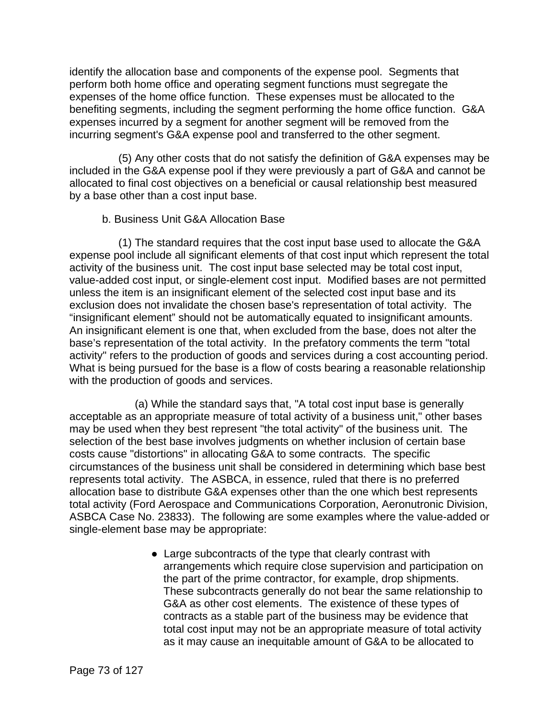identify the allocation base and components of the expense pool. Segments that perform both home office and operating segment functions must segregate the expenses of the home office function. These expenses must be allocated to the benefiting segments, including the segment performing the home office function. G&A expenses incurred by a segment for another segment will be removed from the incurring segment's G&A expense pool and transferred to the other segment.

(5) Any other costs that do not satisfy the definition of G&A expenses may be included in the G&A expense pool if they were previously a part of G&A and cannot be allocated to final cost objectives on a beneficial or causal relationship best measured by a base other than a cost input base.

# b. Business Unit G&A Allocation Base

(1) The standard requires that the cost input base used to allocate the G&A expense pool include all significant elements of that cost input which represent the total activity of the business unit. The cost input base selected may be total cost input, value-added cost input, or single-element cost input. Modified bases are not permitted unless the item is an insignificant element of the selected cost input base and its exclusion does not invalidate the chosen base's representation of total activity. The "insignificant element" should not be automatically equated to insignificant amounts. An insignificant element is one that, when excluded from the base, does not alter the base's representation of the total activity. In the prefatory comments the term "total activity" refers to the production of goods and services during a cost accounting period. What is being pursued for the base is a flow of costs bearing a reasonable relationship with the production of goods and services.

(a) While the standard says that, "A total cost input base is generally acceptable as an appropriate measure of total activity of a business unit," other bases may be used when they best represent "the total activity" of the business unit. The selection of the best base involves judgments on whether inclusion of certain base costs cause "distortions" in allocating G&A to some contracts. The specific circumstances of the business unit shall be considered in determining which base best represents total activity. The ASBCA, in essence, ruled that there is no preferred allocation base to distribute G&A expenses other than the one which best represents total activity (Ford Aerospace and Communications Corporation, Aeronutronic Division, ASBCA Case No. 23833). The following are some examples where the value-added or single-element base may be appropriate:

> • Large subcontracts of the type that clearly contrast with arrangements which require close supervision and participation on the part of the prime contractor, for example, drop shipments. These subcontracts generally do not bear the same relationship to G&A as other cost elements. The existence of these types of contracts as a stable part of the business may be evidence that total cost input may not be an appropriate measure of total activity as it may cause an inequitable amount of G&A to be allocated to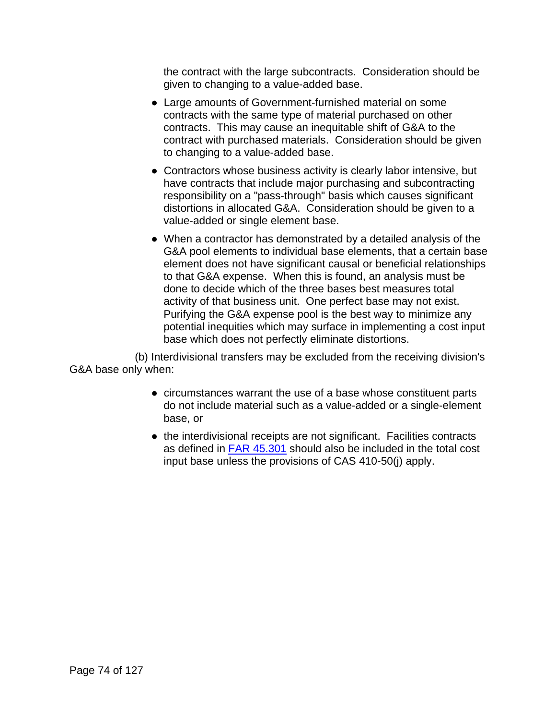the contract with the large subcontracts. Consideration should be given to changing to a value-added base.

- Large amounts of Government-furnished material on some contracts with the same type of material purchased on other contracts. This may cause an inequitable shift of G&A to the contract with purchased materials. Consideration should be given to changing to a value-added base.
- Contractors whose business activity is clearly labor intensive, but have contracts that include major purchasing and subcontracting responsibility on a "pass-through" basis which causes significant distortions in allocated G&A. Consideration should be given to a value-added or single element base.
- When a contractor has demonstrated by a detailed analysis of the G&A pool elements to individual base elements, that a certain base element does not have significant causal or beneficial relationships to that G&A expense. When this is found, an analysis must be done to decide which of the three bases best measures total activity of that business unit. One perfect base may not exist. Purifying the G&A expense pool is the best way to minimize any potential inequities which may surface in implementing a cost input base which does not perfectly eliminate distortions.

(b) Interdivisional transfers may be excluded from the receiving division's G&A base only when:

- circumstances warrant the use of a base whose constituent parts do not include material such as a value-added or a single-element base, or
- the interdivisional receipts are not significant. Facilities contracts as defined in [FAR 45.301](http://www.ecfr.gov/cgi-bin/text-idx?SID=3512b4a8322e057fd22fa63a12ccb85d&mc=true&node=se48.1.45_1301&rgn=div8) should also be included in the total cost input base unless the provisions of CAS 410-50(j) apply.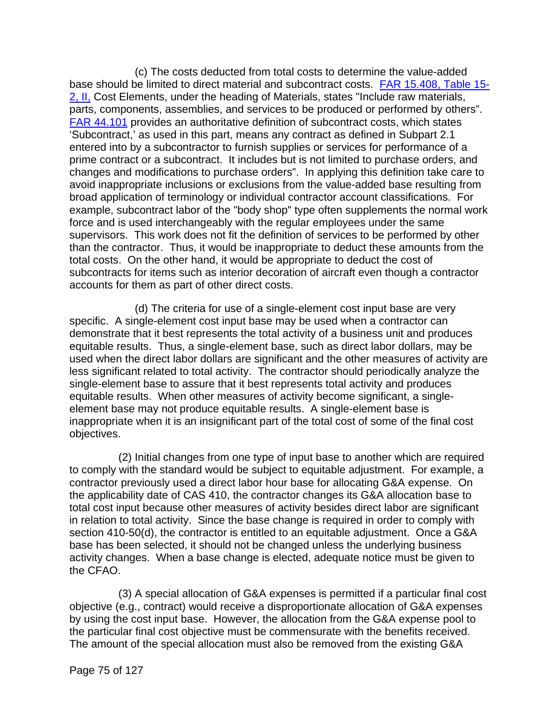(c) The costs deducted from total costs to determine the value-added base should be limited to direct material and subcontract costs. [FAR 15.408, Table 15-](http://www.ecfr.gov/cgi-bin/text-idx?SID=3512b4a8322e057fd22fa63a12ccb85d&mc=true&node=se48.1.15_1408&rgn=div8) [2, II,](http://www.ecfr.gov/cgi-bin/text-idx?SID=3512b4a8322e057fd22fa63a12ccb85d&mc=true&node=se48.1.15_1408&rgn=div8) Cost Elements, under the heading of Materials, states "Include raw materials, parts, components, assemblies, and services to be produced or performed by others". [FAR 44.101](http://www.ecfr.gov/cgi-bin/text-idx?SID=3512b4a8322e057fd22fa63a12ccb85d&mc=true&node=se48.1.44_1101&rgn=div8) provides an authoritative definition of subcontract costs, which states 'Subcontract,' as used in this part, means any contract as defined in Subpart 2.1 entered into by a subcontractor to furnish supplies or services for performance of a prime contract or a subcontract. It includes but is not limited to purchase orders, and changes and modifications to purchase orders". In applying this definition take care to avoid inappropriate inclusions or exclusions from the value-added base resulting from broad application of terminology or individual contractor account classifications. For example, subcontract labor of the "body shop" type often supplements the normal work force and is used interchangeably with the regular employees under the same supervisors. This work does not fit the definition of services to be performed by other than the contractor. Thus, it would be inappropriate to deduct these amounts from the total costs. On the other hand, it would be appropriate to deduct the cost of subcontracts for items such as interior decoration of aircraft even though a contractor accounts for them as part of other direct costs.

(d) The criteria for use of a single-element cost input base are very specific. A single-element cost input base may be used when a contractor can demonstrate that it best represents the total activity of a business unit and produces equitable results. Thus, a single-element base, such as direct labor dollars, may be used when the direct labor dollars are significant and the other measures of activity are less significant related to total activity. The contractor should periodically analyze the single-element base to assure that it best represents total activity and produces equitable results. When other measures of activity become significant, a singleelement base may not produce equitable results. A single-element base is inappropriate when it is an insignificant part of the total cost of some of the final cost objectives.

(2) Initial changes from one type of input base to another which are required to comply with the standard would be subject to equitable adjustment. For example, a contractor previously used a direct labor hour base for allocating G&A expense. On the applicability date of CAS 410, the contractor changes its G&A allocation base to total cost input because other measures of activity besides direct labor are significant in relation to total activity. Since the base change is required in order to comply with section 410-50(d), the contractor is entitled to an equitable adjustment. Once a G&A base has been selected, it should not be changed unless the underlying business activity changes. When a base change is elected, adequate notice must be given to the CFAO.

(3) A special allocation of G&A expenses is permitted if a particular final cost objective (e.g., contract) would receive a disproportionate allocation of G&A expenses by using the cost input base. However, the allocation from the G&A expense pool to the particular final cost objective must be commensurate with the benefits received. The amount of the special allocation must also be removed from the existing G&A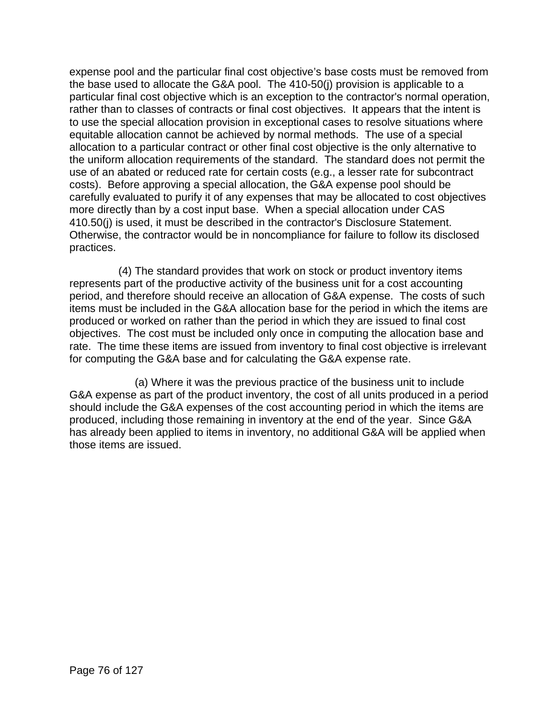expense pool and the particular final cost objective's base costs must be removed from the base used to allocate the G&A pool. The 410-50(j) provision is applicable to a particular final cost objective which is an exception to the contractor's normal operation, rather than to classes of contracts or final cost objectives. It appears that the intent is to use the special allocation provision in exceptional cases to resolve situations where equitable allocation cannot be achieved by normal methods. The use of a special allocation to a particular contract or other final cost objective is the only alternative to the uniform allocation requirements of the standard. The standard does not permit the use of an abated or reduced rate for certain costs (e.g., a lesser rate for subcontract costs). Before approving a special allocation, the G&A expense pool should be carefully evaluated to purify it of any expenses that may be allocated to cost objectives more directly than by a cost input base. When a special allocation under CAS 410.50(j) is used, it must be described in the contractor's Disclosure Statement. Otherwise, the contractor would be in noncompliance for failure to follow its disclosed practices.

(4) The standard provides that work on stock or product inventory items represents part of the productive activity of the business unit for a cost accounting period, and therefore should receive an allocation of G&A expense. The costs of such items must be included in the G&A allocation base for the period in which the items are produced or worked on rather than the period in which they are issued to final cost objectives. The cost must be included only once in computing the allocation base and rate. The time these items are issued from inventory to final cost objective is irrelevant for computing the G&A base and for calculating the G&A expense rate.

(a) Where it was the previous practice of the business unit to include G&A expense as part of the product inventory, the cost of all units produced in a period should include the G&A expenses of the cost accounting period in which the items are produced, including those remaining in inventory at the end of the year. Since G&A has already been applied to items in inventory, no additional G&A will be applied when those items are issued.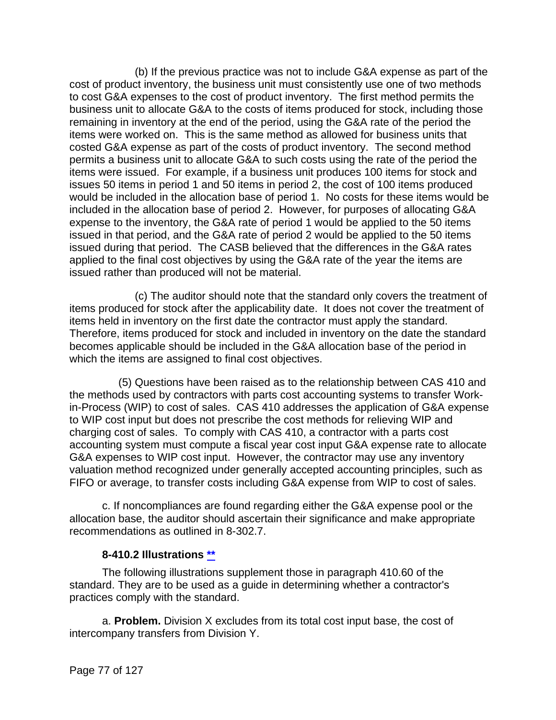(b) If the previous practice was not to include G&A expense as part of the cost of product inventory, the business unit must consistently use one of two methods to cost G&A expenses to the cost of product inventory. The first method permits the business unit to allocate G&A to the costs of items produced for stock, including those remaining in inventory at the end of the period, using the G&A rate of the period the items were worked on. This is the same method as allowed for business units that costed G&A expense as part of the costs of product inventory. The second method permits a business unit to allocate G&A to such costs using the rate of the period the items were issued. For example, if a business unit produces 100 items for stock and issues 50 items in period 1 and 50 items in period 2, the cost of 100 items produced would be included in the allocation base of period 1. No costs for these items would be included in the allocation base of period 2. However, for purposes of allocating G&A expense to the inventory, the G&A rate of period 1 would be applied to the 50 items issued in that period, and the G&A rate of period 2 would be applied to the 50 items issued during that period. The CASB believed that the differences in the G&A rates applied to the final cost objectives by using the G&A rate of the year the items are issued rather than produced will not be material.

(c) The auditor should note that the standard only covers the treatment of items produced for stock after the applicability date. It does not cover the treatment of items held in inventory on the first date the contractor must apply the standard. Therefore, items produced for stock and included in inventory on the date the standard becomes applicable should be included in the G&A allocation base of the period in which the items are assigned to final cost objectives.

(5) Questions have been raised as to the relationship between CAS 410 and the methods used by contractors with parts cost accounting systems to transfer Workin-Process (WIP) to cost of sales. CAS 410 addresses the application of G&A expense to WIP cost input but does not prescribe the cost methods for relieving WIP and charging cost of sales. To comply with CAS 410, a contractor with a parts cost accounting system must compute a fiscal year cost input G&A expense rate to allocate G&A expenses to WIP cost input. However, the contractor may use any inventory valuation method recognized under generally accepted accounting principles, such as FIFO or average, to transfer costs including G&A expense from WIP to cost of sales.

c. If noncompliances are found regarding either the G&A expense pool or the allocation base, the auditor should ascertain their significance and make appropriate recommendations as outlined in 8-302.7.

# **8-410.2 Illustrations [\\*\\*](#page-3-0)**

The following illustrations supplement those in paragraph 410.60 of the standard. They are to be used as a guide in determining whether a contractor's practices comply with the standard.

a. **Problem.** Division X excludes from its total cost input base, the cost of intercompany transfers from Division Y.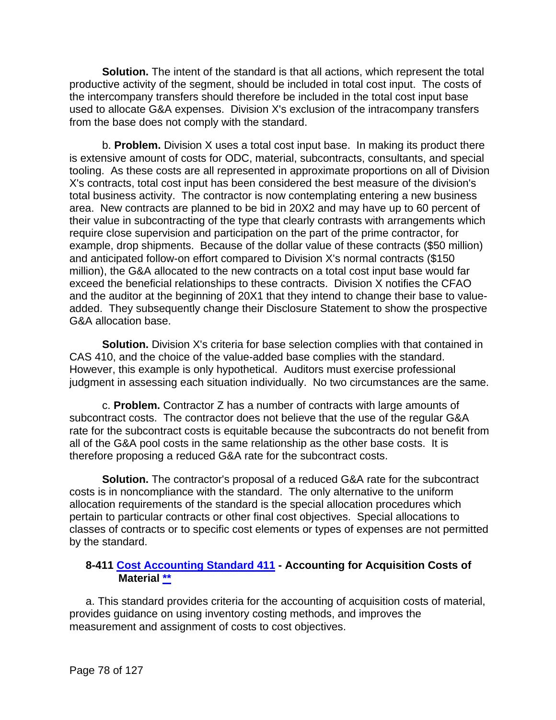**Solution.** The intent of the standard is that all actions, which represent the total productive activity of the segment, should be included in total cost input. The costs of the intercompany transfers should therefore be included in the total cost input base used to allocate G&A expenses. Division X's exclusion of the intracompany transfers from the base does not comply with the standard.

b. **Problem.** Division X uses a total cost input base. In making its product there is extensive amount of costs for ODC, material, subcontracts, consultants, and special tooling. As these costs are all represented in approximate proportions on all of Division X's contracts, total cost input has been considered the best measure of the division's total business activity. The contractor is now contemplating entering a new business area. New contracts are planned to be bid in 20X2 and may have up to 60 percent of their value in subcontracting of the type that clearly contrasts with arrangements which require close supervision and participation on the part of the prime contractor, for example, drop shipments. Because of the dollar value of these contracts (\$50 million) and anticipated follow-on effort compared to Division X's normal contracts (\$150 million), the G&A allocated to the new contracts on a total cost input base would far exceed the beneficial relationships to these contracts. Division X notifies the CFAO and the auditor at the beginning of 20X1 that they intend to change their base to valueadded. They subsequently change their Disclosure Statement to show the prospective G&A allocation base.

**Solution.** Division X's criteria for base selection complies with that contained in CAS 410, and the choice of the value-added base complies with the standard. However, this example is only hypothetical. Auditors must exercise professional judgment in assessing each situation individually. No two circumstances are the same.

c. **Problem.** Contractor Z has a number of contracts with large amounts of subcontract costs. The contractor does not believe that the use of the regular G&A rate for the subcontract costs is equitable because the subcontracts do not benefit from all of the G&A pool costs in the same relationship as the other base costs. It is therefore proposing a reduced G&A rate for the subcontract costs.

**Solution.** The contractor's proposal of a reduced G&A rate for the subcontract costs is in noncompliance with the standard. The only alternative to the uniform allocation requirements of the standard is the special allocation procedures which pertain to particular contracts or other final cost objectives. Special allocations to classes of contracts or to specific cost elements or types of expenses are not permitted by the standard.

## **8-411 [Cost Accounting Standard 411](http://www.ecfr.gov/cgi-bin/text-idx?SID=83769badf5d445ea15898e24cdd53619&mc=true&tpl=/ecfrbrowse/Title48/48cfr9904_main_02.tpl) - Accounting for Acquisition Costs of Material [\\*\\*](#page-3-1)**

a. This standard provides criteria for the accounting of acquisition costs of material, provides guidance on using inventory costing methods, and improves the measurement and assignment of costs to cost objectives.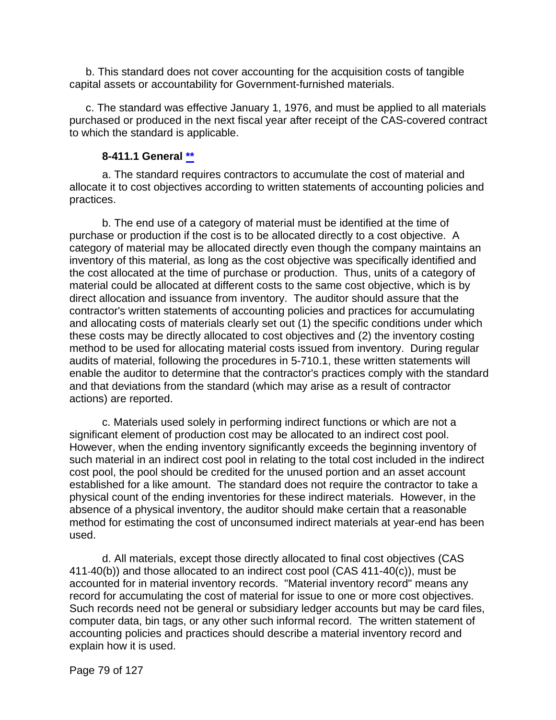b. This standard does not cover accounting for the acquisition costs of tangible capital assets or accountability for Government-furnished materials.

c. The standard was effective January 1, 1976, and must be applied to all materials purchased or produced in the next fiscal year after receipt of the CAS-covered contract to which the standard is applicable.

### **8-411.1 General [\\*\\*](#page-3-2)**

a. The standard requires contractors to accumulate the cost of material and allocate it to cost objectives according to written statements of accounting policies and practices.

b. The end use of a category of material must be identified at the time of purchase or production if the cost is to be allocated directly to a cost objective. A category of material may be allocated directly even though the company maintains an inventory of this material, as long as the cost objective was specifically identified and the cost allocated at the time of purchase or production. Thus, units of a category of material could be allocated at different costs to the same cost objective, which is by direct allocation and issuance from inventory. The auditor should assure that the contractor's written statements of accounting policies and practices for accumulating and allocating costs of materials clearly set out (1) the specific conditions under which these costs may be directly allocated to cost objectives and (2) the inventory costing method to be used for allocating material costs issued from inventory. During regular audits of material, following the procedures in 5-710.1, these written statements will enable the auditor to determine that the contractor's practices comply with the standard and that deviations from the standard (which may arise as a result of contractor actions) are reported.

c. Materials used solely in performing indirect functions or which are not a significant element of production cost may be allocated to an indirect cost pool. However, when the ending inventory significantly exceeds the beginning inventory of such material in an indirect cost pool in relating to the total cost included in the indirect cost pool, the pool should be credited for the unused portion and an asset account established for a like amount. The standard does not require the contractor to take a physical count of the ending inventories for these indirect materials. However, in the absence of a physical inventory, the auditor should make certain that a reasonable method for estimating the cost of unconsumed indirect materials at year-end has been used.

d. All materials, except those directly allocated to final cost objectives (CAS 411-40(b)) and those allocated to an indirect cost pool (CAS 411-40(c)), must be accounted for in material inventory records. "Material inventory record" means any record for accumulating the cost of material for issue to one or more cost objectives. Such records need not be general or subsidiary ledger accounts but may be card files, computer data, bin tags, or any other such informal record. The written statement of accounting policies and practices should describe a material inventory record and explain how it is used.

Page 79 of 127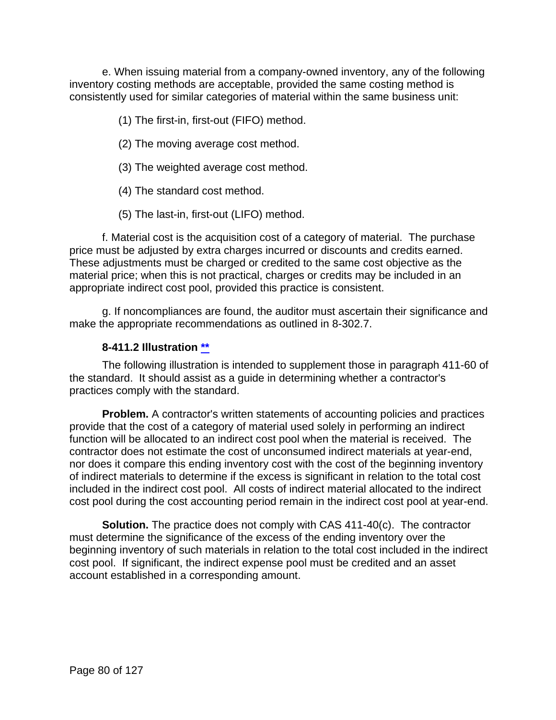e. When issuing material from a company-owned inventory, any of the following inventory costing methods are acceptable, provided the same costing method is consistently used for similar categories of material within the same business unit:

(1) The first-in, first-out (FIFO) method.

- (2) The moving average cost method.
- (3) The weighted average cost method.
- (4) The standard cost method.
- (5) The last-in, first-out (LIFO) method.

f. Material cost is the acquisition cost of a category of material. The purchase price must be adjusted by extra charges incurred or discounts and credits earned. These adjustments must be charged or credited to the same cost objective as the material price; when this is not practical, charges or credits may be included in an appropriate indirect cost pool, provided this practice is consistent.

g. If noncompliances are found, the auditor must ascertain their significance and make the appropriate recommendations as outlined in 8-302.7.

# **8-411.2 Illustration [\\*\\*](#page-3-3)**

The following illustration is intended to supplement those in paragraph 411-60 of the standard. It should assist as a guide in determining whether a contractor's practices comply with the standard.

**Problem.** A contractor's written statements of accounting policies and practices provide that the cost of a category of material used solely in performing an indirect function will be allocated to an indirect cost pool when the material is received. The contractor does not estimate the cost of unconsumed indirect materials at year-end, nor does it compare this ending inventory cost with the cost of the beginning inventory of indirect materials to determine if the excess is significant in relation to the total cost included in the indirect cost pool. All costs of indirect material allocated to the indirect cost pool during the cost accounting period remain in the indirect cost pool at year-end.

**Solution.** The practice does not comply with CAS 411-40(c). The contractor must determine the significance of the excess of the ending inventory over the beginning inventory of such materials in relation to the total cost included in the indirect cost pool. If significant, the indirect expense pool must be credited and an asset account established in a corresponding amount.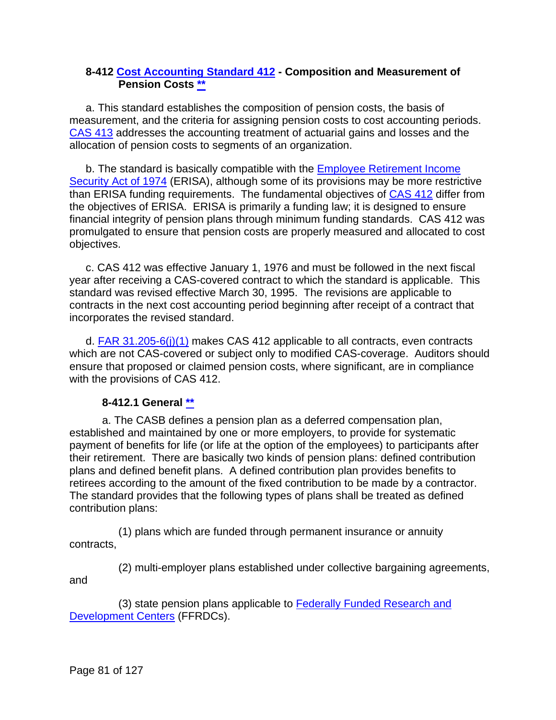### **8-412 [Cost Accounting Standard 412](http://www.ecfr.gov/cgi-bin/text-idx?SID=83769badf5d445ea15898e24cdd53619&mc=true&tpl=/ecfrbrowse/Title48/48cfr9904_main_02.tpl) - Composition and Measurement of Pension Costs [\\*\\*](#page-3-4)**

a. This standard establishes the composition of pension costs, the basis of measurement, and the criteria for assigning pension costs to cost accounting periods. [CAS 413](http://www.ecfr.gov/cgi-bin/text-idx?SID=83769badf5d445ea15898e24cdd53619&mc=true&tpl=/ecfrbrowse/Title48/48cfr9904_main_02.tpl) addresses the accounting treatment of actuarial gains and losses and the allocation of pension costs to segments of an organization.

b. The standard is basically compatible with the [Employee Retirement Income](https://www.dol.gov/general/topic/retirement/erisa)  [Security Act of 1974](https://www.dol.gov/general/topic/retirement/erisa) (ERISA), although some of its provisions may be more restrictive than ERISA funding requirements. The fundamental objectives of [CAS 412](http://www.ecfr.gov/cgi-bin/text-idx?SID=83769badf5d445ea15898e24cdd53619&mc=true&tpl=/ecfrbrowse/Title48/48cfr9904_main_02.tpl) differ from the objectives of ERISA. ERISA is primarily a funding law; it is designed to ensure financial integrity of pension plans through minimum funding standards. CAS 412 was promulgated to ensure that pension costs are properly measured and allocated to cost objectives.

c. CAS 412 was effective January 1, 1976 and must be followed in the next fiscal year after receiving a CAS-covered contract to which the standard is applicable. This standard was revised effective March 30, 1995. The revisions are applicable to contracts in the next cost accounting period beginning after receipt of a contract that incorporates the revised standard.

d. [FAR 31.205-6\(j\)\(1\)](http://www.ecfr.gov/cgi-bin/text-idx?SID=d42beadce7fcead65b36eca417b95477&mc=true&node=se48.1.31_1205_66&rgn=div8) makes CAS 412 applicable to all contracts, even contracts which are not CAS-covered or subject only to modified CAS-coverage. Auditors should ensure that proposed or claimed pension costs, where significant, are in compliance with the provisions of CAS 412.

## **8-412.1 General [\\*\\*](#page-3-5)**

a. The CASB defines a pension plan as a deferred compensation plan, established and maintained by one or more employers, to provide for systematic payment of benefits for life (or life at the option of the employees) to participants after their retirement. There are basically two kinds of pension plans: defined contribution plans and defined benefit plans. A defined contribution plan provides benefits to retirees according to the amount of the fixed contribution to be made by a contractor. The standard provides that the following types of plans shall be treated as defined contribution plans:

(1) plans which are funded through permanent insurance or annuity contracts,

(2) multi-employer plans established under collective bargaining agreements, and

(3) state pension plans applicable to [Federally Funded Research and](https://www.nsf.gov/statistics/ffrdclist/)  [Development Centers](https://www.nsf.gov/statistics/ffrdclist/) (FFRDCs).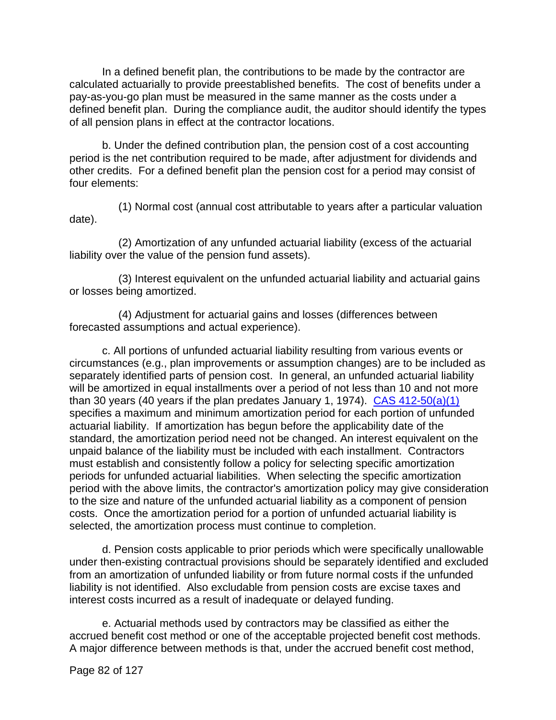In a defined benefit plan, the contributions to be made by the contractor are calculated actuarially to provide preestablished benefits. The cost of benefits under a pay-as-you-go plan must be measured in the same manner as the costs under a defined benefit plan. During the compliance audit, the auditor should identify the types of all pension plans in effect at the contractor locations.

b. Under the defined contribution plan, the pension cost of a cost accounting period is the net contribution required to be made, after adjustment for dividends and other credits. For a defined benefit plan the pension cost for a period may consist of four elements:

(1) Normal cost (annual cost attributable to years after a particular valuation date).

(2) Amortization of any unfunded actuarial liability (excess of the actuarial liability over the value of the pension fund assets).

(3) Interest equivalent on the unfunded actuarial liability and actuarial gains or losses being amortized.

(4) Adjustment for actuarial gains and losses (differences between forecasted assumptions and actual experience).

c. All portions of unfunded actuarial liability resulting from various events or circumstances (e.g., plan improvements or assumption changes) are to be included as separately identified parts of pension cost. In general, an unfunded actuarial liability will be amortized in equal installments over a period of not less than 10 and not more than 30 years (40 years if the plan predates January 1, 1974). [CAS 412-50\(a\)\(1\)](http://www.ecfr.gov/cgi-bin/text-idx?SID=d42beadce7fcead65b36eca417b95477&mc=true&node=se48.7.9904_1412_650&rgn=div8) specifies a maximum and minimum amortization period for each portion of unfunded actuarial liability. If amortization has begun before the applicability date of the standard, the amortization period need not be changed. An interest equivalent on the unpaid balance of the liability must be included with each installment. Contractors must establish and consistently follow a policy for selecting specific amortization periods for unfunded actuarial liabilities. When selecting the specific amortization period with the above limits, the contractor's amortization policy may give consideration to the size and nature of the unfunded actuarial liability as a component of pension costs. Once the amortization period for a portion of unfunded actuarial liability is selected, the amortization process must continue to completion.

d. Pension costs applicable to prior periods which were specifically unallowable under then-existing contractual provisions should be separately identified and excluded from an amortization of unfunded liability or from future normal costs if the unfunded liability is not identified. Also excludable from pension costs are excise taxes and interest costs incurred as a result of inadequate or delayed funding.

e. Actuarial methods used by contractors may be classified as either the accrued benefit cost method or one of the acceptable projected benefit cost methods. A major difference between methods is that, under the accrued benefit cost method,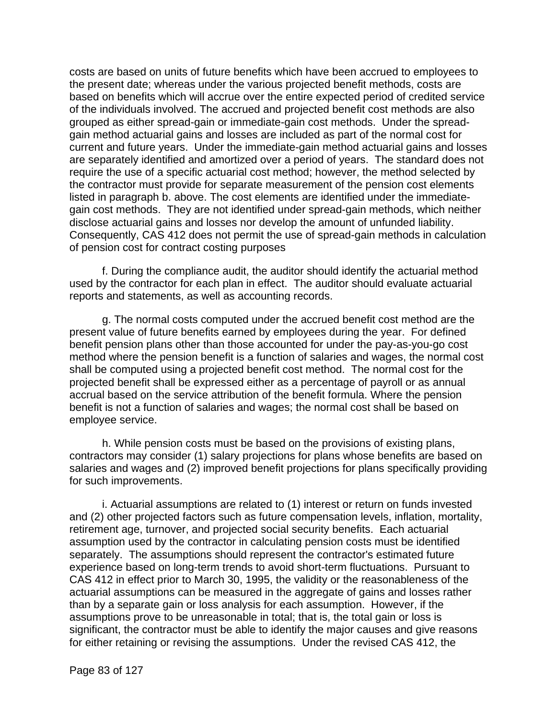costs are based on units of future benefits which have been accrued to employees to the present date; whereas under the various projected benefit methods, costs are based on benefits which will accrue over the entire expected period of credited service of the individuals involved. The accrued and projected benefit cost methods are also grouped as either spread-gain or immediate-gain cost methods. Under the spreadgain method actuarial gains and losses are included as part of the normal cost for current and future years. Under the immediate-gain method actuarial gains and losses are separately identified and amortized over a period of years. The standard does not require the use of a specific actuarial cost method; however, the method selected by the contractor must provide for separate measurement of the pension cost elements listed in paragraph b. above. The cost elements are identified under the immediategain cost methods. They are not identified under spread-gain methods, which neither disclose actuarial gains and losses nor develop the amount of unfunded liability. Consequently, CAS 412 does not permit the use of spread-gain methods in calculation of pension cost for contract costing purposes

f. During the compliance audit, the auditor should identify the actuarial method used by the contractor for each plan in effect. The auditor should evaluate actuarial reports and statements, as well as accounting records.

g. The normal costs computed under the accrued benefit cost method are the present value of future benefits earned by employees during the year. For defined benefit pension plans other than those accounted for under the pay-as-you-go cost method where the pension benefit is a function of salaries and wages, the normal cost shall be computed using a projected benefit cost method. The normal cost for the projected benefit shall be expressed either as a percentage of payroll or as annual accrual based on the service attribution of the benefit formula. Where the pension benefit is not a function of salaries and wages; the normal cost shall be based on employee service.

h. While pension costs must be based on the provisions of existing plans, contractors may consider (1) salary projections for plans whose benefits are based on salaries and wages and (2) improved benefit projections for plans specifically providing for such improvements.

i. Actuarial assumptions are related to (1) interest or return on funds invested and (2) other projected factors such as future compensation levels, inflation, mortality, retirement age, turnover, and projected social security benefits. Each actuarial assumption used by the contractor in calculating pension costs must be identified separately. The assumptions should represent the contractor's estimated future experience based on long-term trends to avoid short-term fluctuations. Pursuant to CAS 412 in effect prior to March 30, 1995, the validity or the reasonableness of the actuarial assumptions can be measured in the aggregate of gains and losses rather than by a separate gain or loss analysis for each assumption. However, if the assumptions prove to be unreasonable in total; that is, the total gain or loss is significant, the contractor must be able to identify the major causes and give reasons for either retaining or revising the assumptions. Under the revised CAS 412, the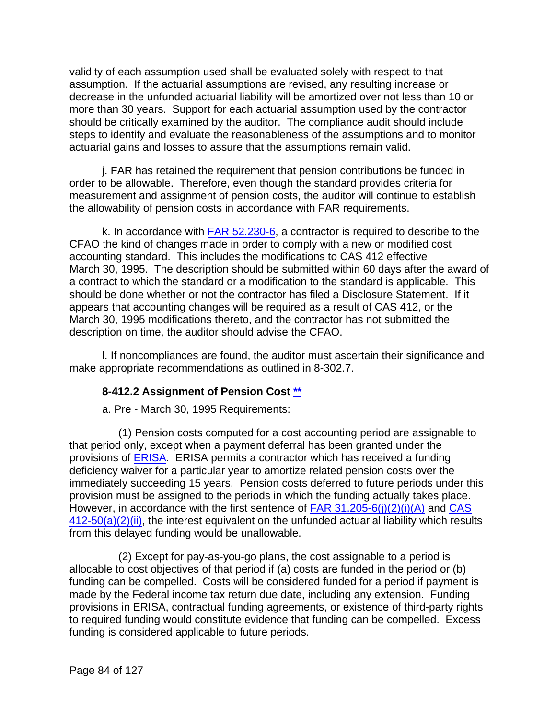validity of each assumption used shall be evaluated solely with respect to that assumption. If the actuarial assumptions are revised, any resulting increase or decrease in the unfunded actuarial liability will be amortized over not less than 10 or more than 30 years. Support for each actuarial assumption used by the contractor should be critically examined by the auditor. The compliance audit should include steps to identify and evaluate the reasonableness of the assumptions and to monitor actuarial gains and losses to assure that the assumptions remain valid.

j. FAR has retained the requirement that pension contributions be funded in order to be allowable. Therefore, even though the standard provides criteria for measurement and assignment of pension costs, the auditor will continue to establish the allowability of pension costs in accordance with FAR requirements.

k. In accordance with [FAR 52.230-6,](http://www.ecfr.gov/cgi-bin/text-idx?SID=d42beadce7fcead65b36eca417b95477&mc=true&node=se48.2.52_1230_66&rgn=div8) a contractor is required to describe to the CFAO the kind of changes made in order to comply with a new or modified cost accounting standard. This includes the modifications to CAS 412 effective March 30, 1995. The description should be submitted within 60 days after the award of a contract to which the standard or a modification to the standard is applicable. This should be done whether or not the contractor has filed a Disclosure Statement. If it appears that accounting changes will be required as a result of CAS 412, or the March 30, 1995 modifications thereto, and the contractor has not submitted the description on time, the auditor should advise the CFAO.

l. If noncompliances are found, the auditor must ascertain their significance and make appropriate recommendations as outlined in 8-302.7.

## **8-412.2 Assignment of Pension Cost [\\*\\*](#page-3-6)**

a. Pre - March 30, 1995 Requirements:

(1) Pension costs computed for a cost accounting period are assignable to that period only, except when a payment deferral has been granted under the provisions of **ERISA.** ERISA permits a contractor which has received a funding deficiency waiver for a particular year to amortize related pension costs over the immediately succeeding 15 years. Pension costs deferred to future periods under this provision must be assigned to the periods in which the funding actually takes place. However, in accordance with the first sentence of [FAR 31.205-6\(j\)\(2\)\(i\)\(A\)](http://www.ecfr.gov/cgi-bin/text-idx?SID=d42beadce7fcead65b36eca417b95477&mc=true&node=se48.1.31_1205_66&rgn=div8) and [CAS](http://www.ecfr.gov/cgi-bin/text-idx?SID=d42beadce7fcead65b36eca417b95477&mc=true&node=se48.7.9904_1412_650&rgn=div8)   $412-50(a)(2)(ii)$ , the interest equivalent on the unfunded actuarial liability which results from this delayed funding would be unallowable.

(2) Except for pay-as-you-go plans, the cost assignable to a period is allocable to cost objectives of that period if (a) costs are funded in the period or (b) funding can be compelled. Costs will be considered funded for a period if payment is made by the Federal income tax return due date, including any extension. Funding provisions in ERISA, contractual funding agreements, or existence of third-party rights to required funding would constitute evidence that funding can be compelled. Excess funding is considered applicable to future periods.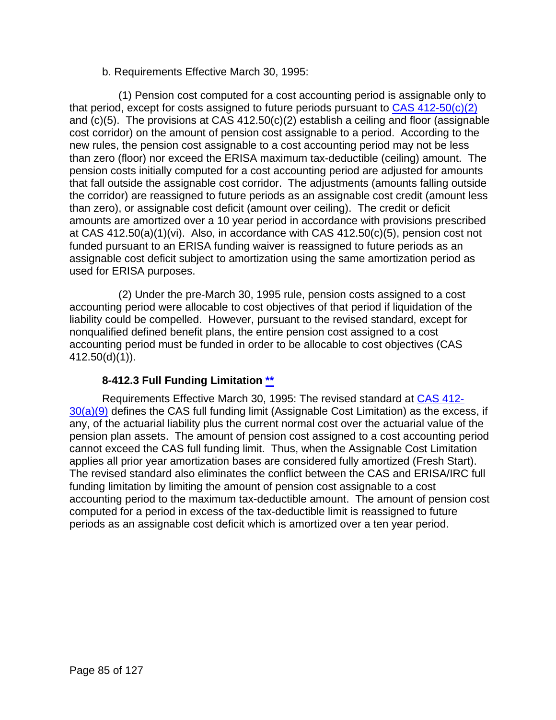## b. Requirements Effective March 30, 1995:

(1) Pension cost computed for a cost accounting period is assignable only to that period, except for costs assigned to future periods pursuant to  $CAS$  412-50(c)(2) and (c)(5). The provisions at CAS 412.50(c)(2) establish a ceiling and floor (assignable cost corridor) on the amount of pension cost assignable to a period. According to the new rules, the pension cost assignable to a cost accounting period may not be less than zero (floor) nor exceed the ERISA maximum tax-deductible (ceiling) amount. The pension costs initially computed for a cost accounting period are adjusted for amounts that fall outside the assignable cost corridor. The adjustments (amounts falling outside the corridor) are reassigned to future periods as an assignable cost credit (amount less than zero), or assignable cost deficit (amount over ceiling). The credit or deficit amounts are amortized over a 10 year period in accordance with provisions prescribed at CAS 412.50(a)(1)(vi). Also, in accordance with CAS 412.50(c)(5), pension cost not funded pursuant to an ERISA funding waiver is reassigned to future periods as an assignable cost deficit subject to amortization using the same amortization period as used for ERISA purposes.

(2) Under the pre-March 30, 1995 rule, pension costs assigned to a cost accounting period were allocable to cost objectives of that period if liquidation of the liability could be compelled. However, pursuant to the revised standard, except for nonqualified defined benefit plans, the entire pension cost assigned to a cost accounting period must be funded in order to be allocable to cost objectives (CAS 412.50(d)(1)).

# **8-412.3 Full Funding Limitation [\\*\\*](#page-3-7)**

Requirements Effective March 30, 1995: The revised standard at [CAS 412-](http://www.ecfr.gov/cgi-bin/retrieveECFR?gp=&SID=d42beadce7fcead65b36eca417b95477&mc=true&r=SECTION&n=se48.7.9904_1412_630) [30\(a\)\(9\)](http://www.ecfr.gov/cgi-bin/retrieveECFR?gp=&SID=d42beadce7fcead65b36eca417b95477&mc=true&r=SECTION&n=se48.7.9904_1412_630) defines the CAS full funding limit (Assignable Cost Limitation) as the excess, if any, of the actuarial liability plus the current normal cost over the actuarial value of the pension plan assets. The amount of pension cost assigned to a cost accounting period cannot exceed the CAS full funding limit. Thus, when the Assignable Cost Limitation applies all prior year amortization bases are considered fully amortized (Fresh Start). The revised standard also eliminates the conflict between the CAS and ERISA/IRC full funding limitation by limiting the amount of pension cost assignable to a cost accounting period to the maximum tax-deductible amount. The amount of pension cost computed for a period in excess of the tax-deductible limit is reassigned to future periods as an assignable cost deficit which is amortized over a ten year period.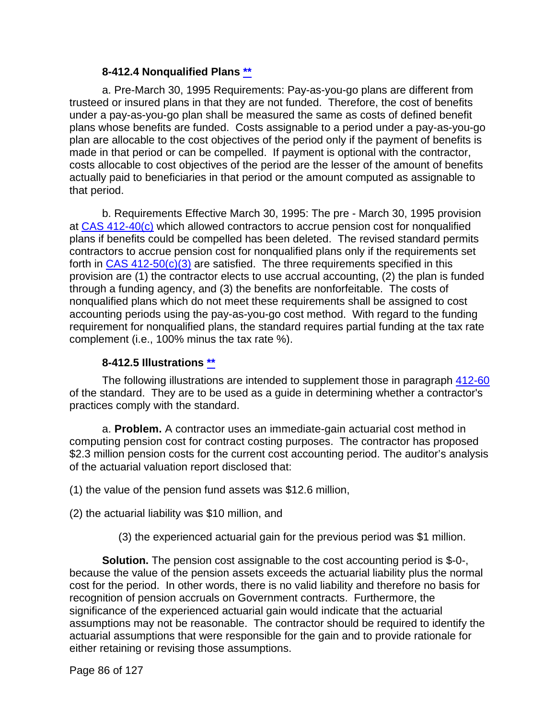## **8-412.4 Nonqualified Plans [\\*\\*](#page-3-8)**

a. Pre-March 30, 1995 Requirements: Pay-as-you-go plans are different from trusteed or insured plans in that they are not funded. Therefore, the cost of benefits under a pay-as-you-go plan shall be measured the same as costs of defined benefit plans whose benefits are funded. Costs assignable to a period under a pay-as-you-go plan are allocable to the cost objectives of the period only if the payment of benefits is made in that period or can be compelled. If payment is optional with the contractor, costs allocable to cost objectives of the period are the lesser of the amount of benefits actually paid to beneficiaries in that period or the amount computed as assignable to that period.

b. Requirements Effective March 30, 1995: The pre - March 30, 1995 provision at [CAS 412-40\(c\)](http://www.ecfr.gov/cgi-bin/retrieveECFR?gp=&SID=d42beadce7fcead65b36eca417b95477&mc=true&r=SECTION&n=se48.7.9904_1412_640) which allowed contractors to accrue pension cost for nonqualified plans if benefits could be compelled has been deleted. The revised standard permits contractors to accrue pension cost for nonqualified plans only if the requirements set forth in CAS  $412-50(c)(3)$  are satisfied. The three requirements specified in this provision are (1) the contractor elects to use accrual accounting, (2) the plan is funded through a funding agency, and (3) the benefits are nonforfeitable. The costs of nonqualified plans which do not meet these requirements shall be assigned to cost accounting periods using the pay-as-you-go cost method. With regard to the funding requirement for nonqualified plans, the standard requires partial funding at the tax rate complement (i.e., 100% minus the tax rate %).

# **8-412.5 Illustrations [\\*\\*](#page-3-9)**

The following illustrations are intended to supplement those in paragraph [412-60](http://www.ecfr.gov/cgi-bin/retrieveECFR?gp=&SID=d42beadce7fcead65b36eca417b95477&mc=true&r=SECTION&n=se48.7.9904_1412_660) of the standard. They are to be used as a guide in determining whether a contractor's practices comply with the standard.

a. **Problem.** A contractor uses an immediate-gain actuarial cost method in computing pension cost for contract costing purposes. The contractor has proposed \$2.3 million pension costs for the current cost accounting period. The auditor's analysis of the actuarial valuation report disclosed that:

(1) the value of the pension fund assets was \$12.6 million,

(2) the actuarial liability was \$10 million, and

(3) the experienced actuarial gain for the previous period was \$1 million.

**Solution.** The pension cost assignable to the cost accounting period is \$-0-, because the value of the pension assets exceeds the actuarial liability plus the normal cost for the period. In other words, there is no valid liability and therefore no basis for recognition of pension accruals on Government contracts. Furthermore, the significance of the experienced actuarial gain would indicate that the actuarial assumptions may not be reasonable. The contractor should be required to identify the actuarial assumptions that were responsible for the gain and to provide rationale for either retaining or revising those assumptions.

Page 86 of 127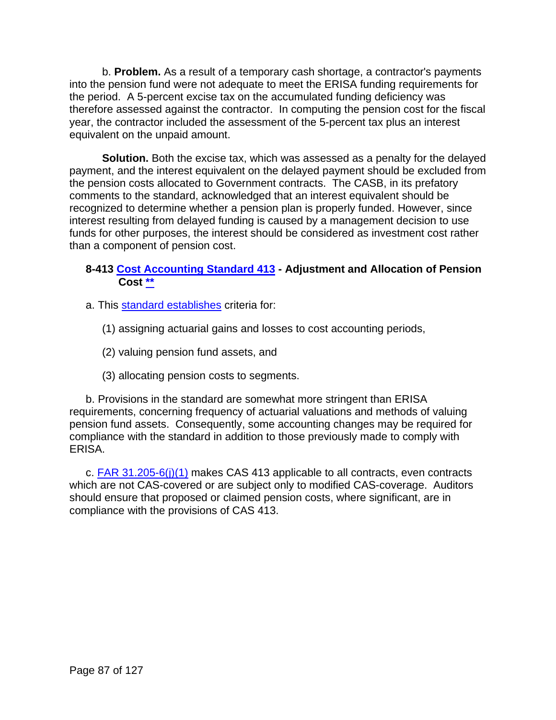b. **Problem.** As a result of a temporary cash shortage, a contractor's payments into the pension fund were not adequate to meet the ERISA funding requirements for the period. A 5-percent excise tax on the accumulated funding deficiency was therefore assessed against the contractor. In computing the pension cost for the fiscal year, the contractor included the assessment of the 5-percent tax plus an interest equivalent on the unpaid amount.

**Solution.** Both the excise tax, which was assessed as a penalty for the delayed payment, and the interest equivalent on the delayed payment should be excluded from the pension costs allocated to Government contracts. The CASB, in its prefatory comments to the standard, acknowledged that an interest equivalent should be recognized to determine whether a pension plan is properly funded. However, since interest resulting from delayed funding is caused by a management decision to use funds for other purposes, the interest should be considered as investment cost rather than a component of pension cost.

# **8-413 [Cost Accounting Standard 413](http://www.ecfr.gov/cgi-bin/text-idx?SID=4528dc4fead8ee26ff9b714667a83ddb&mc=true&tpl=/ecfrbrowse/Title48/48cfr9904_main_02.tpl) - Adjustment and Allocation of Pension Cost [\\*\\*](#page-3-10)**

- a. This [standard establishes](http://www.ecfr.gov/cgi-bin/retrieveECFR?gp=&SID=42ca8bb1f3e07f1f74c8e2dc71d4d47b&mc=true&r=SECTION&n=se48.7.9904_1413_620) criteria for:
	- (1) assigning actuarial gains and losses to cost accounting periods,
	- (2) valuing pension fund assets, and
	- (3) allocating pension costs to segments.

b. Provisions in the standard are somewhat more stringent than ERISA requirements, concerning frequency of actuarial valuations and methods of valuing pension fund assets. Consequently, some accounting changes may be required for compliance with the standard in addition to those previously made to comply with ERISA.

c.  $FAR$  31.205-6(j)(1) makes CAS 413 applicable to all contracts, even contracts which are not CAS-covered or are subject only to modified CAS-coverage. Auditors should ensure that proposed or claimed pension costs, where significant, are in compliance with the provisions of CAS 413.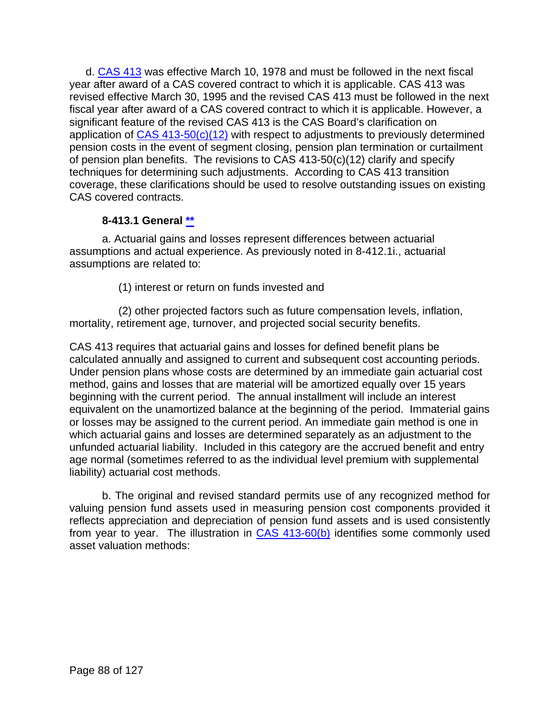d. [CAS 413](http://www.ecfr.gov/cgi-bin/text-idx?SID=4528dc4fead8ee26ff9b714667a83ddb&mc=true&tpl=/ecfrbrowse/Title48/48cfr9904_main_02.tpl) was effective March 10, 1978 and must be followed in the next fiscal year after award of a CAS covered contract to which it is applicable. CAS 413 was revised effective March 30, 1995 and the revised CAS 413 must be followed in the next fiscal year after award of a CAS covered contract to which it is applicable. However, a significant feature of the revised CAS 413 is the CAS Board's clarification on application of  $CAS$  413-50(c)(12) with respect to adjustments to previously determined pension costs in the event of segment closing, pension plan termination or curtailment of pension plan benefits. The revisions to CAS 413-50(c)(12) clarify and specify techniques for determining such adjustments. According to CAS 413 transition coverage, these clarifications should be used to resolve outstanding issues on existing CAS covered contracts.

# **8-413.1 General [\\*\\*](#page-3-11)**

a. Actuarial gains and losses represent differences between actuarial assumptions and actual experience. As previously noted in 8-412.1i., actuarial assumptions are related to:

(1) interest or return on funds invested and

(2) other projected factors such as future compensation levels, inflation, mortality, retirement age, turnover, and projected social security benefits.

CAS 413 requires that actuarial gains and losses for defined benefit plans be calculated annually and assigned to current and subsequent cost accounting periods. Under pension plans whose costs are determined by an immediate gain actuarial cost method, gains and losses that are material will be amortized equally over 15 years beginning with the current period. The annual installment will include an interest equivalent on the unamortized balance at the beginning of the period. Immaterial gains or losses may be assigned to the current period. An immediate gain method is one in which actuarial gains and losses are determined separately as an adjustment to the unfunded actuarial liability. Included in this category are the accrued benefit and entry age normal (sometimes referred to as the individual level premium with supplemental liability) actuarial cost methods.

b. The original and revised standard permits use of any recognized method for valuing pension fund assets used in measuring pension cost components provided it reflects appreciation and depreciation of pension fund assets and is used consistently from year to year. The illustration in [CAS 413-60\(b\)](http://www.ecfr.gov/cgi-bin/text-idx?SID=8db059d5c7ac6e5ca7daf0a133a5ac68&mc=true&node=se48.7.9904_1413_660&rgn=div8) identifies some commonly used asset valuation methods: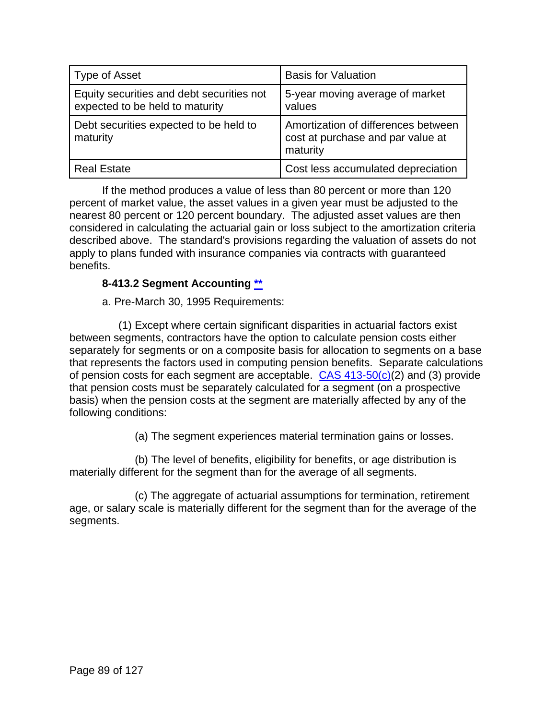| Type of Asset                                                                | <b>Basis for Valuation</b>                                                           |
|------------------------------------------------------------------------------|--------------------------------------------------------------------------------------|
| Equity securities and debt securities not<br>expected to be held to maturity | 5-year moving average of market<br>values                                            |
| Debt securities expected to be held to<br>maturity                           | Amortization of differences between<br>cost at purchase and par value at<br>maturity |
| <b>Real Estate</b>                                                           | Cost less accumulated depreciation                                                   |

If the method produces a value of less than 80 percent or more than 120 percent of market value, the asset values in a given year must be adjusted to the nearest 80 percent or 120 percent boundary. The adjusted asset values are then considered in calculating the actuarial gain or loss subject to the amortization criteria described above. The standard's provisions regarding the valuation of assets do not apply to plans funded with insurance companies via contracts with guaranteed benefits.

# **8-413.2 Segment Accounting [\\*\\*](#page-4-0)**

a. Pre-March 30, 1995 Requirements:

(1) Except where certain significant disparities in actuarial factors exist between segments, contractors have the option to calculate pension costs either separately for segments or on a composite basis for allocation to segments on a base that represents the factors used in computing pension benefits. Separate calculations of pension costs for each segment are acceptable.  $CAS$  413-50(c)(2) and (3) provide that pension costs must be separately calculated for a segment (on a prospective basis) when the pension costs at the segment are materially affected by any of the following conditions:

(a) The segment experiences material termination gains or losses.

(b) The level of benefits, eligibility for benefits, or age distribution is materially different for the segment than for the average of all segments.

(c) The aggregate of actuarial assumptions for termination, retirement age, or salary scale is materially different for the segment than for the average of the segments.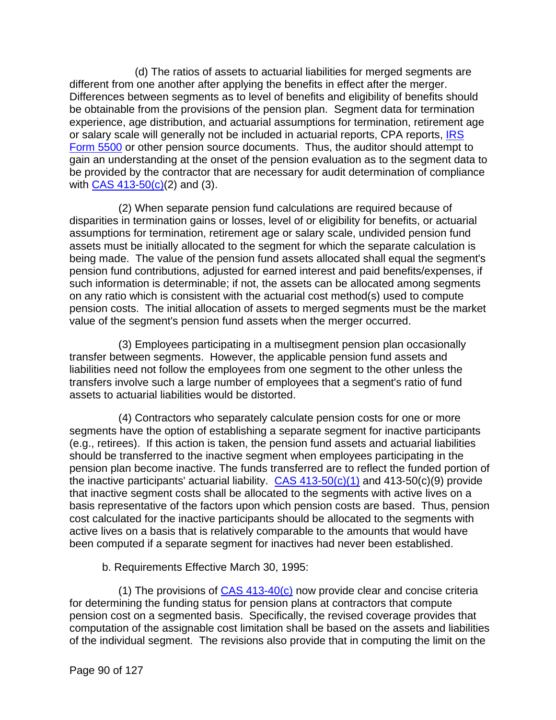(d) The ratios of assets to actuarial liabilities for merged segments are different from one another after applying the benefits in effect after the merger. Differences between segments as to level of benefits and eligibility of benefits should be obtainable from the provisions of the pension plan. Segment data for termination experience, age distribution, and actuarial assumptions for termination, retirement age or salary scale will generally not be included in actuarial reports, CPA reports, IRS [Form 5500](https://www.irs.gov/retirement-plans/form-5500-corner) or other pension source documents. Thus, the auditor should attempt to gain an understanding at the onset of the pension evaluation as to the segment data to be provided by the contractor that are necessary for audit determination of compliance with CAS  $413-50(c)(2)$  and (3).

(2) When separate pension fund calculations are required because of disparities in termination gains or losses, level of or eligibility for benefits, or actuarial assumptions for termination, retirement age or salary scale, undivided pension fund assets must be initially allocated to the segment for which the separate calculation is being made. The value of the pension fund assets allocated shall equal the segment's pension fund contributions, adjusted for earned interest and paid benefits/expenses, if such information is determinable; if not, the assets can be allocated among segments on any ratio which is consistent with the actuarial cost method(s) used to compute pension costs. The initial allocation of assets to merged segments must be the market value of the segment's pension fund assets when the merger occurred.

(3) Employees participating in a multisegment pension plan occasionally transfer between segments. However, the applicable pension fund assets and liabilities need not follow the employees from one segment to the other unless the transfers involve such a large number of employees that a segment's ratio of fund assets to actuarial liabilities would be distorted.

(4) Contractors who separately calculate pension costs for one or more segments have the option of establishing a separate segment for inactive participants (e.g., retirees). If this action is taken, the pension fund assets and actuarial liabilities should be transferred to the inactive segment when employees participating in the pension plan become inactive. The funds transferred are to reflect the funded portion of the inactive participants' actuarial liability.  $CAS$  413-50(c)(1) and 413-50(c)(9) provide that inactive segment costs shall be allocated to the segments with active lives on a basis representative of the factors upon which pension costs are based. Thus, pension cost calculated for the inactive participants should be allocated to the segments with active lives on a basis that is relatively comparable to the amounts that would have been computed if a separate segment for inactives had never been established.

b. Requirements Effective March 30, 1995:

(1) The provisions of  $CAS$  413-40( $c$ ) now provide clear and concise criteria for determining the funding status for pension plans at contractors that compute pension cost on a segmented basis. Specifically, the revised coverage provides that computation of the assignable cost limitation shall be based on the assets and liabilities of the individual segment. The revisions also provide that in computing the limit on the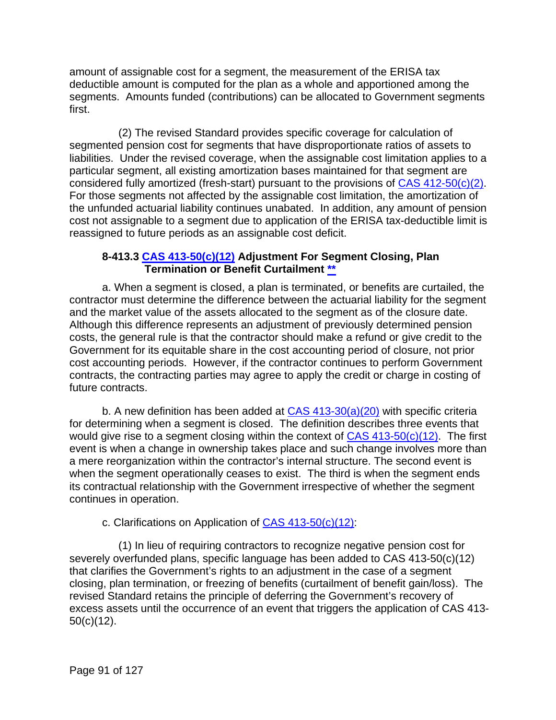amount of assignable cost for a segment, the measurement of the ERISA tax deductible amount is computed for the plan as a whole and apportioned among the segments. Amounts funded (contributions) can be allocated to Government segments first.

(2) The revised Standard provides specific coverage for calculation of segmented pension cost for segments that have disproportionate ratios of assets to liabilities. Under the revised coverage, when the assignable cost limitation applies to a particular segment, all existing amortization bases maintained for that segment are considered fully amortized (fresh-start) pursuant to the provisions of [CAS 412-50\(c\)\(2\).](http://www.ecfr.gov/cgi-bin/text-idx?SID=42ca8bb1f3e07f1f74c8e2dc71d4d47b&mc=true&node=se48.7.9904_1412_650&rgn=div8) For those segments not affected by the assignable cost limitation, the amortization of the unfunded actuarial liability continues unabated. In addition, any amount of pension cost not assignable to a segment due to application of the ERISA tax-deductible limit is reassigned to future periods as an assignable cost deficit.

# **8-413.3 [CAS 413-50\(c\)\(12\)](http://www.ecfr.gov/cgi-bin/text-idx?SID=42ca8bb1f3e07f1f74c8e2dc71d4d47b&mc=true&node=se48.7.9904_1413_650&rgn=div8) Adjustment For Segment Closing, Plan Termination or Benefit Curtailment [\\*\\*](#page-4-1)**

a. When a segment is closed, a plan is terminated, or benefits are curtailed, the contractor must determine the difference between the actuarial liability for the segment and the market value of the assets allocated to the segment as of the closure date. Although this difference represents an adjustment of previously determined pension costs, the general rule is that the contractor should make a refund or give credit to the Government for its equitable share in the cost accounting period of closure, not prior cost accounting periods. However, if the contractor continues to perform Government contracts, the contracting parties may agree to apply the credit or charge in costing of future contracts.

b. A new definition has been added at [CAS 413-30\(a\)\(20\)](http://www.ecfr.gov/cgi-bin/retrieveECFR?gp=&SID=42ca8bb1f3e07f1f74c8e2dc71d4d47b&mc=true&r=SECTION&n=se48.7.9904_1413_630) with specific criteria for determining when a segment is closed. The definition describes three events that would give rise to a segment closing within the context of  $CAS$  413-50(c)(12). The first event is when a change in ownership takes place and such change involves more than a mere reorganization within the contractor's internal structure. The second event is when the segment operationally ceases to exist. The third is when the segment ends its contractual relationship with the Government irrespective of whether the segment continues in operation.

c. Clarifications on Application of  $CAS$  413-50(c)(12):

(1) In lieu of requiring contractors to recognize negative pension cost for severely overfunded plans, specific language has been added to CAS 413-50(c)(12) that clarifies the Government's rights to an adjustment in the case of a segment closing, plan termination, or freezing of benefits (curtailment of benefit gain/loss). The revised Standard retains the principle of deferring the Government's recovery of excess assets until the occurrence of an event that triggers the application of CAS 413- 50(c)(12).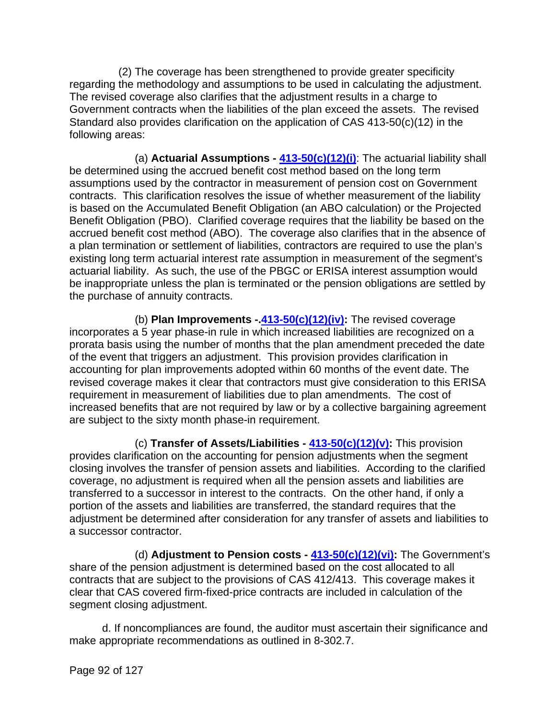(2) The coverage has been strengthened to provide greater specificity regarding the methodology and assumptions to be used in calculating the adjustment. The revised coverage also clarifies that the adjustment results in a charge to Government contracts when the liabilities of the plan exceed the assets. The revised Standard also provides clarification on the application of CAS 413-50(c)(12) in the following areas:

(a) **Actuarial Assumptions - [413-50\(c\)\(12\)\(i\)](http://www.ecfr.gov/cgi-bin/retrieveECFR?gp=&SID=8db059d5c7ac6e5ca7daf0a133a5ac68&mc=true&r=SECTION&n=se48.7.9904_1413_650)**: The actuarial liability shall be determined using the accrued benefit cost method based on the long term assumptions used by the contractor in measurement of pension cost on Government contracts. This clarification resolves the issue of whether measurement of the liability is based on the Accumulated Benefit Obligation (an ABO calculation) or the Projected Benefit Obligation (PBO). Clarified coverage requires that the liability be based on the accrued benefit cost method (ABO). The coverage also clarifies that in the absence of a plan termination or settlement of liabilities, contractors are required to use the plan's existing long term actuarial interest rate assumption in measurement of the segment's actuarial liability. As such, the use of the PBGC or ERISA interest assumption would be inappropriate unless the plan is terminated or the pension obligations are settled by the purchase of annuity contracts.

(b) **Plan Improvements -[.413-50\(c\)\(12\)\(iv\):](http://www.ecfr.gov/cgi-bin/retrieveECFR?gp=&SID=8db059d5c7ac6e5ca7daf0a133a5ac68&mc=true&r=SECTION&n=se48.7.9904_1413_650)** The revised coverage incorporates a 5 year phase-in rule in which increased liabilities are recognized on a prorata basis using the number of months that the plan amendment preceded the date of the event that triggers an adjustment. This provision provides clarification in accounting for plan improvements adopted within 60 months of the event date. The revised coverage makes it clear that contractors must give consideration to this ERISA requirement in measurement of liabilities due to plan amendments. The cost of increased benefits that are not required by law or by a collective bargaining agreement are subject to the sixty month phase-in requirement.

(c) **Transfer of Assets/Liabilities - [413-50\(c\)\(12\)\(v\):](http://www.ecfr.gov/cgi-bin/retrieveECFR?gp=&SID=8db059d5c7ac6e5ca7daf0a133a5ac68&mc=true&r=SECTION&n=se48.7.9904_1413_650)** This provision provides clarification on the accounting for pension adjustments when the segment closing involves the transfer of pension assets and liabilities. According to the clarified coverage, no adjustment is required when all the pension assets and liabilities are transferred to a successor in interest to the contracts. On the other hand, if only a portion of the assets and liabilities are transferred, the standard requires that the adjustment be determined after consideration for any transfer of assets and liabilities to a successor contractor.

(d) **Adjustment to Pension costs - [413-50\(c\)\(12\)\(vi\):](http://www.ecfr.gov/cgi-bin/retrieveECFR?gp=&SID=8db059d5c7ac6e5ca7daf0a133a5ac68&mc=true&r=SECTION&n=se48.7.9904_1413_650)** The Government's share of the pension adjustment is determined based on the cost allocated to all contracts that are subject to the provisions of CAS 412/413. This coverage makes it clear that CAS covered firm-fixed-price contracts are included in calculation of the segment closing adjustment.

d. If noncompliances are found, the auditor must ascertain their significance and make appropriate recommendations as outlined in 8-302.7.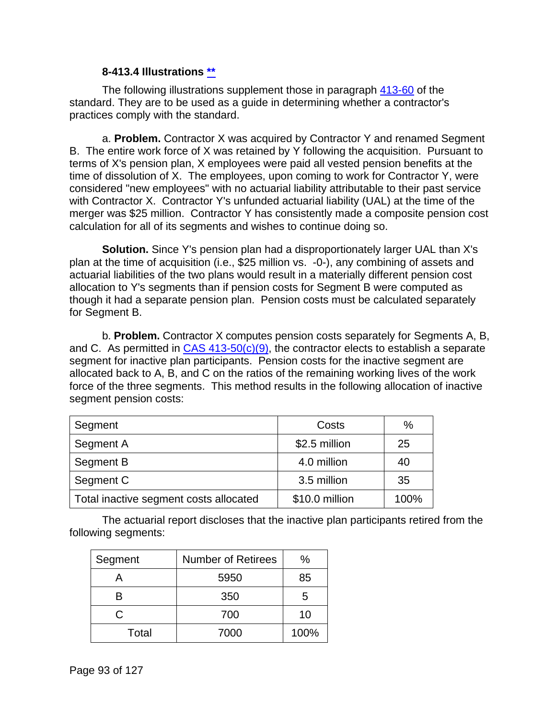#### **8-413.4 Illustrations [\\*\\*](#page-4-2)**

The following illustrations supplement those in paragraph [413-60](http://www.ecfr.gov/cgi-bin/retrieveECFR?gp=&SID=42ca8bb1f3e07f1f74c8e2dc71d4d47b&mc=true&r=SECTION&n=se48.7.9904_1413_660) of the standard. They are to be used as a guide in determining whether a contractor's practices comply with the standard.

a. **Problem.** Contractor X was acquired by Contractor Y and renamed Segment B. The entire work force of X was retained by Y following the acquisition. Pursuant to terms of X's pension plan, X employees were paid all vested pension benefits at the time of dissolution of X. The employees, upon coming to work for Contractor Y, were considered "new employees" with no actuarial liability attributable to their past service with Contractor X. Contractor Y's unfunded actuarial liability (UAL) at the time of the merger was \$25 million. Contractor Y has consistently made a composite pension cost calculation for all of its segments and wishes to continue doing so.

**Solution.** Since Y's pension plan had a disproportionately larger UAL than X's plan at the time of acquisition (i.e., \$25 million vs. -0-), any combining of assets and actuarial liabilities of the two plans would result in a materially different pension cost allocation to Y's segments than if pension costs for Segment B were computed as though it had a separate pension plan. Pension costs must be calculated separately for Segment B.

b. **Problem.** Contractor X computes pension costs separately for Segments A, B, and C. As permitted in  $CAS$  413-50(c)(9), the contractor elects to establish a separate segment for inactive plan participants. Pension costs for the inactive segment are allocated back to A, B, and C on the ratios of the remaining working lives of the work force of the three segments. This method results in the following allocation of inactive segment pension costs:

| Segment                                | Costs          | %    |
|----------------------------------------|----------------|------|
| Segment A                              | \$2.5 million  | 25   |
| Segment B                              | 4.0 million    | 40   |
| Segment C                              | 3.5 million    | 35   |
| Total inactive segment costs allocated | \$10.0 million | 100% |

The actuarial report discloses that the inactive plan participants retired from the following segments:

| Segment | <b>Number of Retirees</b> | ℅    |
|---------|---------------------------|------|
|         | 5950                      | 85   |
|         | 350                       | 5    |
| C.      | 700                       | 10   |
| Total   | 7000                      | 100% |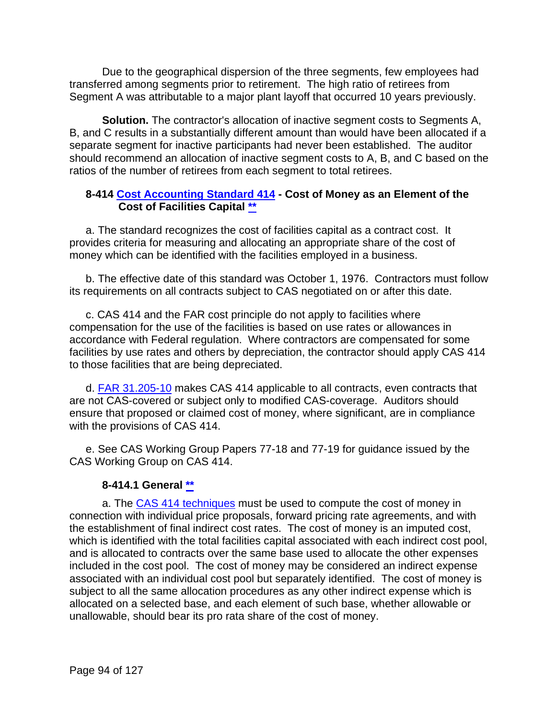Due to the geographical dispersion of the three segments, few employees had transferred among segments prior to retirement. The high ratio of retirees from Segment A was attributable to a major plant layoff that occurred 10 years previously.

**Solution.** The contractor's allocation of inactive segment costs to Segments A, B, and C results in a substantially different amount than would have been allocated if a separate segment for inactive participants had never been established. The auditor should recommend an allocation of inactive segment costs to A, B, and C based on the ratios of the number of retirees from each segment to total retirees.

# **8-414 [Cost Accounting Standard 414](http://www.ecfr.gov/cgi-bin/text-idx?SID=792ebd3b7d883a9f452693d7198a8a2c&mc=true&node=se48.7.9904_1414&rgn=div8) - Cost of Money as an Element of the Cost of Facilities Capital [\\*\\*](#page-4-3)**

a. The standard recognizes the cost of facilities capital as a contract cost. It provides criteria for measuring and allocating an appropriate share of the cost of money which can be identified with the facilities employed in a business.

b. The effective date of this standard was October 1, 1976. Contractors must follow its requirements on all contracts subject to CAS negotiated on or after this date.

c. CAS 414 and the FAR cost principle do not apply to facilities where compensation for the use of the facilities is based on use rates or allowances in accordance with Federal regulation. Where contractors are compensated for some facilities by use rates and others by depreciation, the contractor should apply CAS 414 to those facilities that are being depreciated.

d. [FAR 31.205-10](http://www.ecfr.gov/cgi-bin/text-idx?SID=d7b75bcb10fe4599f51bc640f9ad0ee2&mc=true&node=se48.1.31_1205_610&rgn=div8) makes CAS 414 applicable to all contracts, even contracts that are not CAS-covered or subject only to modified CAS-coverage. Auditors should ensure that proposed or claimed cost of money, where significant, are in compliance with the provisions of CAS 414.

e. See CAS Working Group Papers 77-18 and 77-19 for guidance issued by the CAS Working Group on CAS 414.

# **8-414.1 General [\\*\\*](#page-4-4)**

a. The [CAS 414 techniques](http://www.ecfr.gov/cgi-bin/text-idx?SID=89b921f7e3a119d3abacf27aaf481ffe&mc=true&node=se48.7.9904_1414_650&rgn=div8) must be used to compute the cost of money in connection with individual price proposals, forward pricing rate agreements, and with the establishment of final indirect cost rates. The cost of money is an imputed cost, which is identified with the total facilities capital associated with each indirect cost pool, and is allocated to contracts over the same base used to allocate the other expenses included in the cost pool. The cost of money may be considered an indirect expense associated with an individual cost pool but separately identified. The cost of money is subject to all the same allocation procedures as any other indirect expense which is allocated on a selected base, and each element of such base, whether allowable or unallowable, should bear its pro rata share of the cost of money.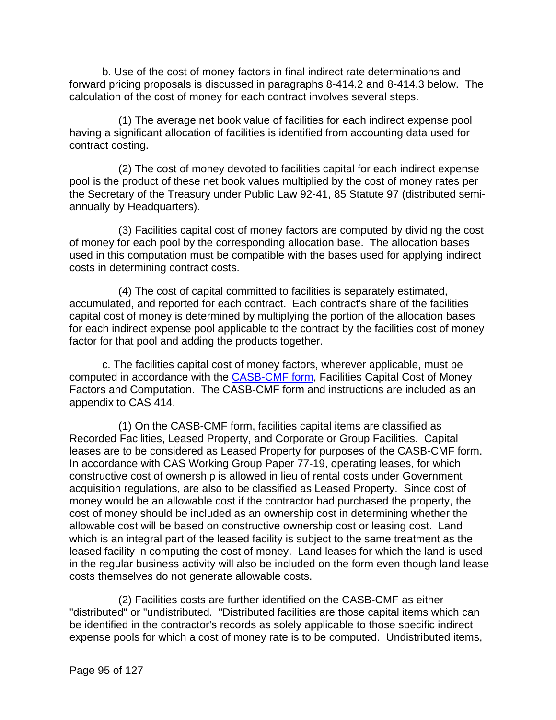b. Use of the cost of money factors in final indirect rate determinations and forward pricing proposals is discussed in paragraphs 8-414.2 and 8-414.3 below. The calculation of the cost of money for each contract involves several steps.

(1) The average net book value of facilities for each indirect expense pool having a significant allocation of facilities is identified from accounting data used for contract costing.

(2) The cost of money devoted to facilities capital for each indirect expense pool is the product of these net book values multiplied by the cost of money rates per the Secretary of the Treasury under Public Law 92-41, 85 Statute 97 (distributed semiannually by Headquarters).

(3) Facilities capital cost of money factors are computed by dividing the cost of money for each pool by the corresponding allocation base. The allocation bases used in this computation must be compatible with the bases used for applying indirect costs in determining contract costs.

(4) The cost of capital committed to facilities is separately estimated, accumulated, and reported for each contract. Each contract's share of the facilities capital cost of money is determined by multiplying the portion of the allocation bases for each indirect expense pool applicable to the contract by the facilities cost of money factor for that pool and adding the products together.

c. The facilities capital cost of money factors, wherever applicable, must be computed in accordance with the [CASB-CMF form,](http://www.ecfr.gov/cgi-bin/retrieveECFR?gp=&SID=9d2cc982a615b2dce3ece74f76d5019d&mc=true&r=SECTION&n=se48.7.9904_1414_663) Facilities Capital Cost of Money Factors and Computation. The CASB-CMF form and instructions are included as an appendix to CAS 414.

(1) On the CASB-CMF form, facilities capital items are classified as Recorded Facilities, Leased Property, and Corporate or Group Facilities. Capital leases are to be considered as Leased Property for purposes of the CASB-CMF form. In accordance with CAS Working Group Paper 77-19, operating leases, for which constructive cost of ownership is allowed in lieu of rental costs under Government acquisition regulations, are also to be classified as Leased Property. Since cost of money would be an allowable cost if the contractor had purchased the property, the cost of money should be included as an ownership cost in determining whether the allowable cost will be based on constructive ownership cost or leasing cost. Land which is an integral part of the leased facility is subject to the same treatment as the leased facility in computing the cost of money. Land leases for which the land is used in the regular business activity will also be included on the form even though land lease costs themselves do not generate allowable costs.

(2) Facilities costs are further identified on the CASB-CMF as either "distributed" or "undistributed. "Distributed facilities are those capital items which can be identified in the contractor's records as solely applicable to those specific indirect expense pools for which a cost of money rate is to be computed. Undistributed items,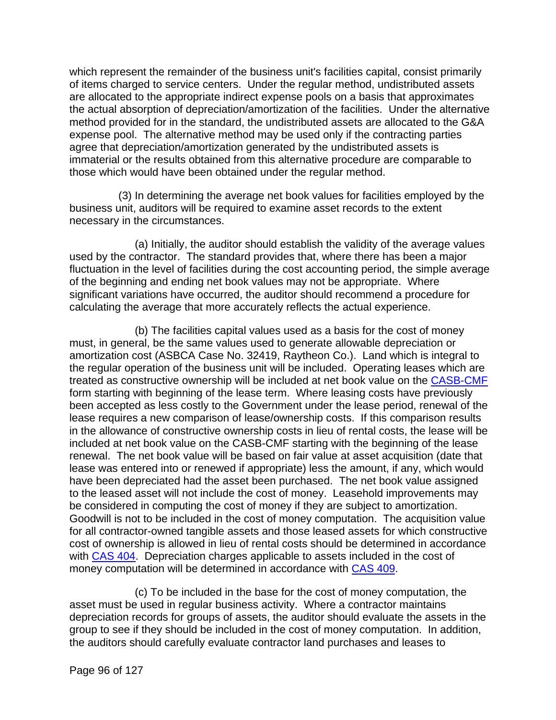which represent the remainder of the business unit's facilities capital, consist primarily of items charged to service centers. Under the regular method, undistributed assets are allocated to the appropriate indirect expense pools on a basis that approximates the actual absorption of depreciation/amortization of the facilities. Under the alternative method provided for in the standard, the undistributed assets are allocated to the G&A expense pool. The alternative method may be used only if the contracting parties agree that depreciation/amortization generated by the undistributed assets is immaterial or the results obtained from this alternative procedure are comparable to those which would have been obtained under the regular method.

(3) In determining the average net book values for facilities employed by the business unit, auditors will be required to examine asset records to the extent necessary in the circumstances.

(a) Initially, the auditor should establish the validity of the average values used by the contractor. The standard provides that, where there has been a major fluctuation in the level of facilities during the cost accounting period, the simple average of the beginning and ending net book values may not be appropriate. Where significant variations have occurred, the auditor should recommend a procedure for calculating the average that more accurately reflects the actual experience.

(b) The facilities capital values used as a basis for the cost of money must, in general, be the same values used to generate allowable depreciation or amortization cost (ASBCA Case No. 32419, Raytheon Co.). Land which is integral to the regular operation of the business unit will be included. Operating leases which are treated as constructive ownership will be included at net book value on the [CASB-CMF](http://www.ecfr.gov/cgi-bin/retrieveECFR?gp=&SID=9d2cc982a615b2dce3ece74f76d5019d&mc=true&r=SECTION&n=se48.7.9904_1414_663) form starting with beginning of the lease term. Where leasing costs have previously been accepted as less costly to the Government under the lease period, renewal of the lease requires a new comparison of lease/ownership costs. If this comparison results in the allowance of constructive ownership costs in lieu of rental costs, the lease will be included at net book value on the CASB-CMF starting with the beginning of the lease renewal. The net book value will be based on fair value at asset acquisition (date that lease was entered into or renewed if appropriate) less the amount, if any, which would have been depreciated had the asset been purchased. The net book value assigned to the leased asset will not include the cost of money. Leasehold improvements may be considered in computing the cost of money if they are subject to amortization. Goodwill is not to be included in the cost of money computation. The acquisition value for all contractor-owned tangible assets and those leased assets for which constructive cost of ownership is allowed in lieu of rental costs should be determined in accordance with [CAS 404.](http://www.ecfr.gov/cgi-bin/text-idx?SID=718855b61e3462e8ce5541a671a60d8c&mc=true&node=pt48.7.9904&rgn=div5) Depreciation charges applicable to assets included in the cost of money computation will be determined in accordance with [CAS 409.](http://www.ecfr.gov/cgi-bin/text-idx?SID=718855b61e3462e8ce5541a671a60d8c&mc=true&node=pt48.7.9904&rgn=div5)

(c) To be included in the base for the cost of money computation, the asset must be used in regular business activity. Where a contractor maintains depreciation records for groups of assets, the auditor should evaluate the assets in the group to see if they should be included in the cost of money computation. In addition, the auditors should carefully evaluate contractor land purchases and leases to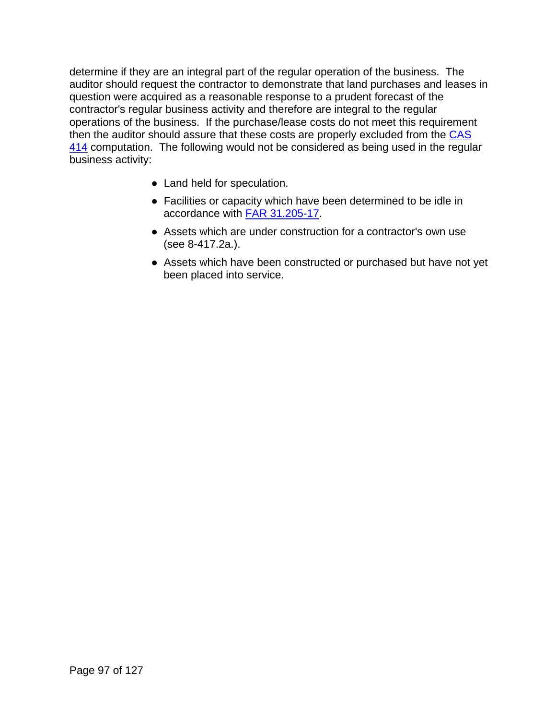determine if they are an integral part of the regular operation of the business. The auditor should request the contractor to demonstrate that land purchases and leases in question were acquired as a reasonable response to a prudent forecast of the contractor's regular business activity and therefore are integral to the regular operations of the business. If the purchase/lease costs do not meet this requirement then the auditor should assure that these costs are properly excluded from the [CAS](http://www.ecfr.gov/cgi-bin/text-idx?SID=718855b61e3462e8ce5541a671a60d8c&mc=true&node=pt48.7.9904&rgn=div5)  [414](http://www.ecfr.gov/cgi-bin/text-idx?SID=718855b61e3462e8ce5541a671a60d8c&mc=true&node=pt48.7.9904&rgn=div5) computation. The following would not be considered as being used in the regular business activity:

- Land held for speculation.
- Facilities or capacity which have been determined to be idle in accordance with [FAR 31.205-17.](http://www.ecfr.gov/cgi-bin/text-idx?SID=d7f74f0b6203f977aa7bd8383d5931a1&mc=true&node=se48.1.31_1205_617&rgn=div8)
- Assets which are under construction for a contractor's own use (see 8-417.2a.).
- Assets which have been constructed or purchased but have not yet been placed into service.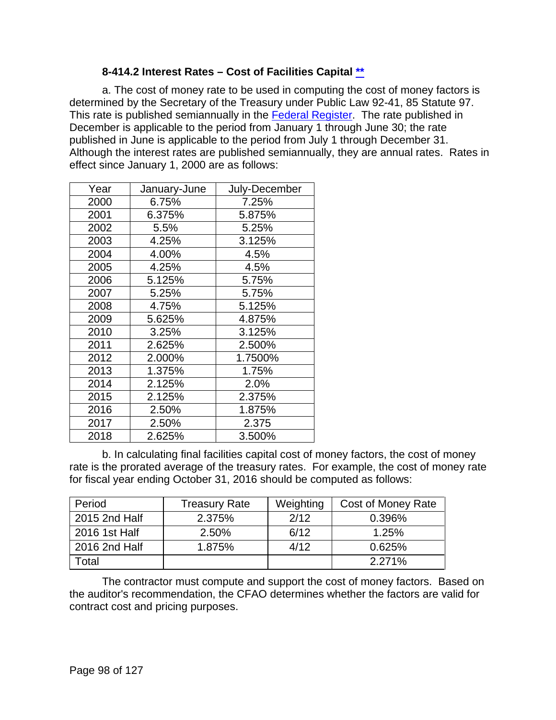# **8-414.2 Interest Rates – Cost of Facilities Capital [\\*\\*](#page-4-5)**

a. The cost of money rate to be used in computing the cost of money factors is determined by the Secretary of the Treasury under Public Law 92-41, 85 Statute 97. This rate is published semiannually in the [Federal Register.](https://www.federalregister.gov/agencies/fiscal-service) The rate published in December is applicable to the period from January 1 through June 30; the rate published in June is applicable to the period from July 1 through December 31. Although the interest rates are published semiannually, they are annual rates. Rates in effect since January 1, 2000 are as follows:

| Year | January-June | July-December |
|------|--------------|---------------|
| 2000 | 6.75%        | 7.25%         |
| 2001 | 6.375%       | 5.875%        |
| 2002 | 5.5%         | 5.25%         |
| 2003 | 4.25%        | 3.125%        |
| 2004 | 4.00%        | 4.5%          |
| 2005 | 4.25%        | 4.5%          |
| 2006 | 5.125%       | 5.75%         |
| 2007 | 5.25%        | 5.75%         |
| 2008 | 4.75%        | 5.125%        |
| 2009 | 5.625%       | 4.875%        |
| 2010 | 3.25%        | 3.125%        |
| 2011 | 2.625%       | 2.500%        |
| 2012 | 2.000%       | 1.7500%       |
| 2013 | 1.375%       | 1.75%         |
| 2014 | 2.125%       | 2.0%          |
| 2015 | 2.125%       | 2.375%        |
| 2016 | 2.50%        | 1.875%        |
| 2017 | 2.50%        | 2.375         |
| 2018 | 2.625%       | 3.500%        |

b. In calculating final facilities capital cost of money factors, the cost of money rate is the prorated average of the treasury rates. For example, the cost of money rate for fiscal year ending October 31, 2016 should be computed as follows:

| Period        | Treasury Rate | Weighting | Cost of Money Rate |
|---------------|---------------|-----------|--------------------|
| 2015 2nd Half | 2.375%        | 2/12      | 0.396%             |
| 2016 1st Half | 2.50%         | 6/12      | 1.25%              |
| 2016 2nd Half | 1.875%        | 4/12      | 0.625%             |
| Total         |               |           | 2.271%             |

The contractor must compute and support the cost of money factors. Based on the auditor's recommendation, the CFAO determines whether the factors are valid for contract cost and pricing purposes.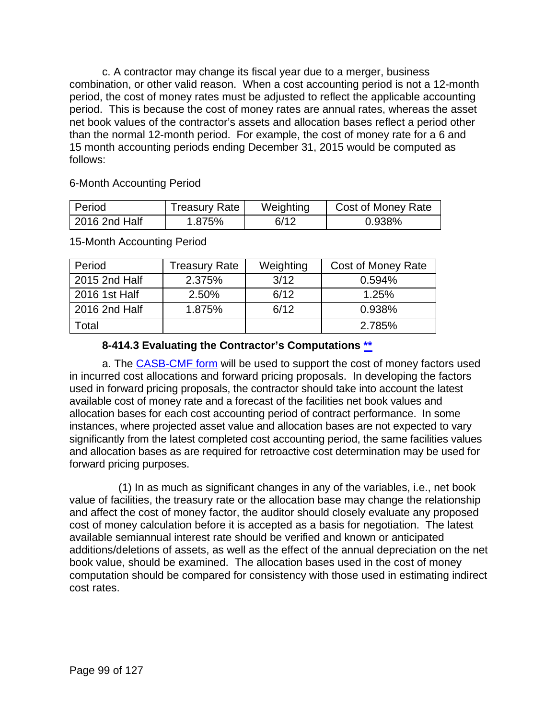c. A contractor may change its fiscal year due to a merger, business combination, or other valid reason. When a cost accounting period is not a 12-month period, the cost of money rates must be adjusted to reflect the applicable accounting period. This is because the cost of money rates are annual rates, whereas the asset net book values of the contractor's assets and allocation bases reflect a period other than the normal 12-month period. For example, the cost of money rate for a 6 and 15 month accounting periods ending December 31, 2015 would be computed as follows:

6-Month Accounting Period

| l Period      | <b>Treasury Rate</b> | Weighting | Cost of Money Rate |
|---------------|----------------------|-----------|--------------------|
| 2016 2nd Half | 1.875%               | 6/12      | 0.938%             |

15-Month Accounting Period

| Period        | Treasury Rate | Weighting | Cost of Money Rate |
|---------------|---------------|-----------|--------------------|
| 2015 2nd Half | 2.375%        | 3/12      | 0.594%             |
| 2016 1st Half | 2.50%         | 6/12      | 1.25%              |
| 2016 2nd Half | 1.875%        | 6/12      | 0.938%             |
| Total         |               |           | 2.785%             |

# **8-414.3 Evaluating the Contractor's Computations [\\*\\*](#page-4-6)**

a. The **CASB-CMF** form will be used to support the cost of money factors used in incurred cost allocations and forward pricing proposals. In developing the factors used in forward pricing proposals, the contractor should take into account the latest available cost of money rate and a forecast of the facilities net book values and allocation bases for each cost accounting period of contract performance. In some instances, where projected asset value and allocation bases are not expected to vary significantly from the latest completed cost accounting period, the same facilities values and allocation bases as are required for retroactive cost determination may be used for forward pricing purposes.

(1) In as much as significant changes in any of the variables, i.e., net book value of facilities, the treasury rate or the allocation base may change the relationship and affect the cost of money factor, the auditor should closely evaluate any proposed cost of money calculation before it is accepted as a basis for negotiation. The latest available semiannual interest rate should be verified and known or anticipated additions/deletions of assets, as well as the effect of the annual depreciation on the net book value, should be examined. The allocation bases used in the cost of money computation should be compared for consistency with those used in estimating indirect cost rates.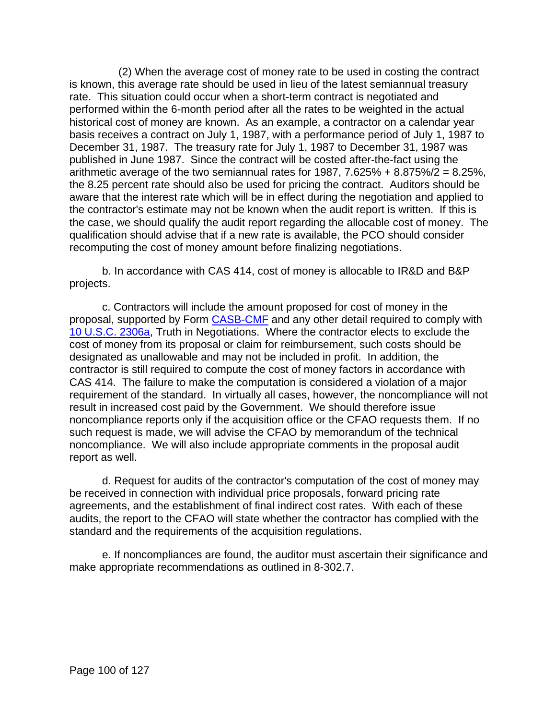(2) When the average cost of money rate to be used in costing the contract is known, this average rate should be used in lieu of the latest semiannual treasury rate. This situation could occur when a short-term contract is negotiated and performed within the 6-month period after all the rates to be weighted in the actual historical cost of money are known. As an example, a contractor on a calendar year basis receives a contract on July 1, 1987, with a performance period of July 1, 1987 to December 31, 1987. The treasury rate for July 1, 1987 to December 31, 1987 was published in June 1987. Since the contract will be costed after-the-fact using the arithmetic average of the two semiannual rates for 1987, 7.625% + 8.875%/2 = 8.25%, the 8.25 percent rate should also be used for pricing the contract. Auditors should be aware that the interest rate which will be in effect during the negotiation and applied to the contractor's estimate may not be known when the audit report is written. If this is the case, we should qualify the audit report regarding the allocable cost of money. The qualification should advise that if a new rate is available, the PCO should consider recomputing the cost of money amount before finalizing negotiations.

b. In accordance with CAS 414, cost of money is allocable to IR&D and B&P projects.

c. Contractors will include the amount proposed for cost of money in the proposal, supported by Form [CASB-CMF](http://www.ecfr.gov/cgi-bin/retrieveECFR?gp=&SID=c2fd566a362d11098c0b877882418444&mc=true&r=SECTION&n=se48.7.9904_1414_663) and any other detail required to comply with [10 U.S.C. 2306a,](http://uscode.house.gov/view.xhtml?req=(title:10%20section:2306a%20edition:prelim)%20OR%20(granuleid:USC-prelim-title10-section2306a)&f=treesort&edition=prelim&num=0&jumpTo=true) Truth in Negotiations. Where the contractor elects to exclude the cost of money from its proposal or claim for reimbursement, such costs should be designated as unallowable and may not be included in profit. In addition, the contractor is still required to compute the cost of money factors in accordance with CAS 414. The failure to make the computation is considered a violation of a major requirement of the standard. In virtually all cases, however, the noncompliance will not result in increased cost paid by the Government. We should therefore issue noncompliance reports only if the acquisition office or the CFAO requests them. If no such request is made, we will advise the CFAO by memorandum of the technical noncompliance. We will also include appropriate comments in the proposal audit report as well.

d. Request for audits of the contractor's computation of the cost of money may be received in connection with individual price proposals, forward pricing rate agreements, and the establishment of final indirect cost rates. With each of these audits, the report to the CFAO will state whether the contractor has complied with the standard and the requirements of the acquisition regulations.

e. If noncompliances are found, the auditor must ascertain their significance and make appropriate recommendations as outlined in 8-302.7.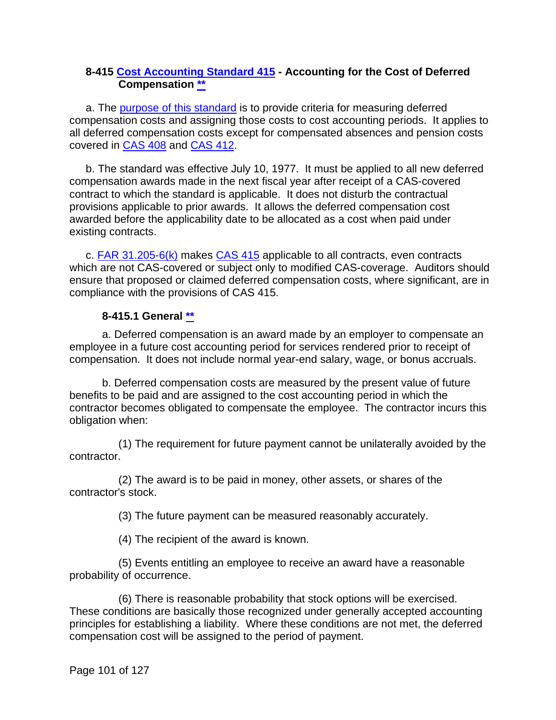### **8-415 [Cost Accounting Standard 415](http://www.ecfr.gov/cgi-bin/text-idx?SID=d102a5de394ed424ab06d4fb845c9e70&mc=true&node=pt48.7.9904&rgn=div5) - Accounting for the Cost of Deferred Compensation [\\*\\*](#page-4-7)**

a. The [purpose of this standard](http://www.ecfr.gov/cgi-bin/retrieveECFR?gp=&SID=d52d022299ac7b18f8150d3b0139693a&mc=true&r=SECTION&n=se48.7.9904_1415_620) is to provide criteria for measuring deferred compensation costs and assigning those costs to cost accounting periods. It applies to all deferred compensation costs except for compensated absences and pension costs covered in [CAS 408](http://www.ecfr.gov/cgi-bin/text-idx?SID=d102a5de394ed424ab06d4fb845c9e70&mc=true&node=pt48.7.9904&rgn=div5) and [CAS 412.](http://www.ecfr.gov/cgi-bin/text-idx?SID=d102a5de394ed424ab06d4fb845c9e70&mc=true&node=pt48.7.9904&rgn=div5)

b. The standard was effective July 10, 1977. It must be applied to all new deferred compensation awards made in the next fiscal year after receipt of a CAS-covered contract to which the standard is applicable. It does not disturb the contractual provisions applicable to prior awards. It allows the deferred compensation cost awarded before the applicability date to be allocated as a cost when paid under existing contracts.

c. FAR 31.205-6 $(k)$  makes [CAS 415](http://www.ecfr.gov/cgi-bin/text-idx?SID=d102a5de394ed424ab06d4fb845c9e70&mc=true&node=pt48.7.9904&rgn=div5) applicable to all contracts, even contracts which are not CAS-covered or subject only to modified CAS-coverage. Auditors should ensure that proposed or claimed deferred compensation costs, where significant, are in compliance with the provisions of CAS 415.

#### **8-415.1 General [\\*\\*](#page-4-8)**

a. Deferred compensation is an award made by an employer to compensate an employee in a future cost accounting period for services rendered prior to receipt of compensation. It does not include normal year-end salary, wage, or bonus accruals.

b. Deferred compensation costs are measured by the present value of future benefits to be paid and are assigned to the cost accounting period in which the contractor becomes obligated to compensate the employee. The contractor incurs this obligation when:

(1) The requirement for future payment cannot be unilaterally avoided by the contractor.

(2) The award is to be paid in money, other assets, or shares of the contractor's stock.

(3) The future payment can be measured reasonably accurately.

(4) The recipient of the award is known.

(5) Events entitling an employee to receive an award have a reasonable probability of occurrence.

(6) There is reasonable probability that stock options will be exercised. These conditions are basically those recognized under generally accepted accounting principles for establishing a liability. Where these conditions are not met, the deferred compensation cost will be assigned to the period of payment.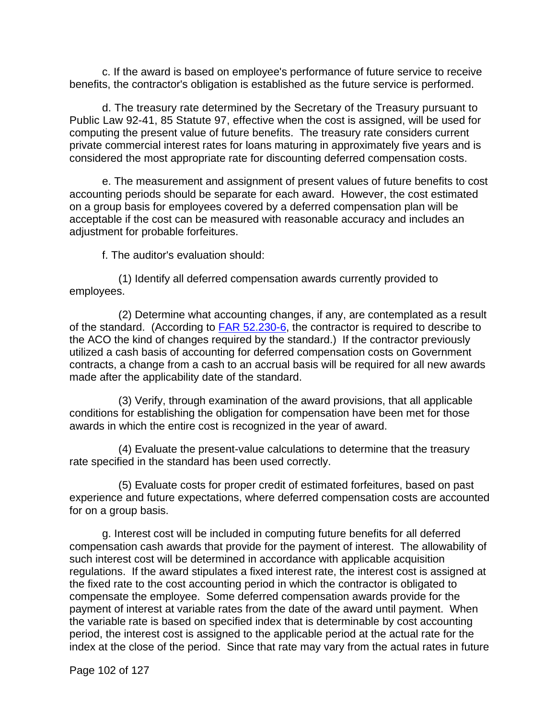c. If the award is based on employee's performance of future service to receive benefits, the contractor's obligation is established as the future service is performed.

d. The treasury rate determined by the Secretary of the Treasury pursuant to Public Law 92-41, 85 Statute 97, effective when the cost is assigned, will be used for computing the present value of future benefits. The treasury rate considers current private commercial interest rates for loans maturing in approximately five years and is considered the most appropriate rate for discounting deferred compensation costs.

e. The measurement and assignment of present values of future benefits to cost accounting periods should be separate for each award. However, the cost estimated on a group basis for employees covered by a deferred compensation plan will be acceptable if the cost can be measured with reasonable accuracy and includes an adjustment for probable forfeitures.

f. The auditor's evaluation should:

(1) Identify all deferred compensation awards currently provided to employees.

(2) Determine what accounting changes, if any, are contemplated as a result of the standard. (According to [FAR 52.230-6,](http://www.ecfr.gov/cgi-bin/text-idx?SID=494906eade3634270442954236e9af46&mc=true&node=se48.2.52_1230_66&rgn=div8) the contractor is required to describe to the ACO the kind of changes required by the standard.) If the contractor previously utilized a cash basis of accounting for deferred compensation costs on Government contracts, a change from a cash to an accrual basis will be required for all new awards made after the applicability date of the standard.

(3) Verify, through examination of the award provisions, that all applicable conditions for establishing the obligation for compensation have been met for those awards in which the entire cost is recognized in the year of award.

(4) Evaluate the present-value calculations to determine that the treasury rate specified in the standard has been used correctly.

(5) Evaluate costs for proper credit of estimated forfeitures, based on past experience and future expectations, where deferred compensation costs are accounted for on a group basis.

g. Interest cost will be included in computing future benefits for all deferred compensation cash awards that provide for the payment of interest. The allowability of such interest cost will be determined in accordance with applicable acquisition regulations. If the award stipulates a fixed interest rate, the interest cost is assigned at the fixed rate to the cost accounting period in which the contractor is obligated to compensate the employee. Some deferred compensation awards provide for the payment of interest at variable rates from the date of the award until payment. When the variable rate is based on specified index that is determinable by cost accounting period, the interest cost is assigned to the applicable period at the actual rate for the index at the close of the period. Since that rate may vary from the actual rates in future

Page 102 of 127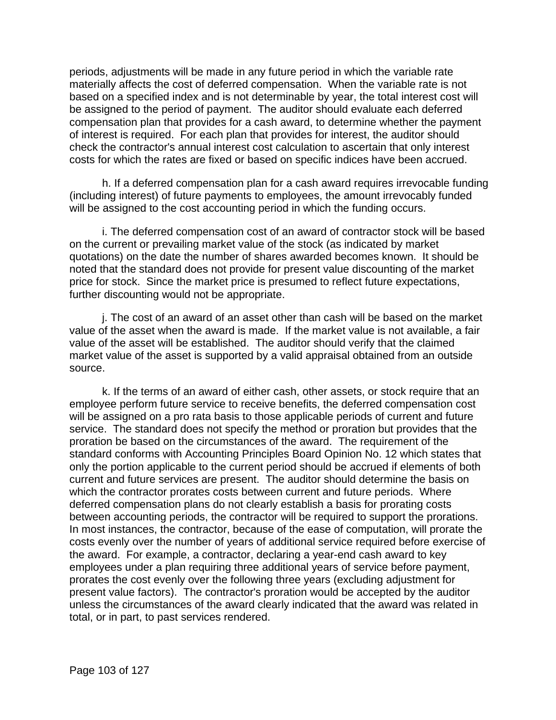periods, adjustments will be made in any future period in which the variable rate materially affects the cost of deferred compensation. When the variable rate is not based on a specified index and is not determinable by year, the total interest cost will be assigned to the period of payment. The auditor should evaluate each deferred compensation plan that provides for a cash award, to determine whether the payment of interest is required. For each plan that provides for interest, the auditor should check the contractor's annual interest cost calculation to ascertain that only interest costs for which the rates are fixed or based on specific indices have been accrued.

h. If a deferred compensation plan for a cash award requires irrevocable funding (including interest) of future payments to employees, the amount irrevocably funded will be assigned to the cost accounting period in which the funding occurs.

i. The deferred compensation cost of an award of contractor stock will be based on the current or prevailing market value of the stock (as indicated by market quotations) on the date the number of shares awarded becomes known. It should be noted that the standard does not provide for present value discounting of the market price for stock. Since the market price is presumed to reflect future expectations, further discounting would not be appropriate.

j. The cost of an award of an asset other than cash will be based on the market value of the asset when the award is made. If the market value is not available, a fair value of the asset will be established. The auditor should verify that the claimed market value of the asset is supported by a valid appraisal obtained from an outside source.

k. If the terms of an award of either cash, other assets, or stock require that an employee perform future service to receive benefits, the deferred compensation cost will be assigned on a pro rata basis to those applicable periods of current and future service. The standard does not specify the method or proration but provides that the proration be based on the circumstances of the award. The requirement of the standard conforms with Accounting Principles Board Opinion No. 12 which states that only the portion applicable to the current period should be accrued if elements of both current and future services are present. The auditor should determine the basis on which the contractor prorates costs between current and future periods. Where deferred compensation plans do not clearly establish a basis for prorating costs between accounting periods, the contractor will be required to support the prorations. In most instances, the contractor, because of the ease of computation, will prorate the costs evenly over the number of years of additional service required before exercise of the award. For example, a contractor, declaring a year-end cash award to key employees under a plan requiring three additional years of service before payment, prorates the cost evenly over the following three years (excluding adjustment for present value factors). The contractor's proration would be accepted by the auditor unless the circumstances of the award clearly indicated that the award was related in total, or in part, to past services rendered.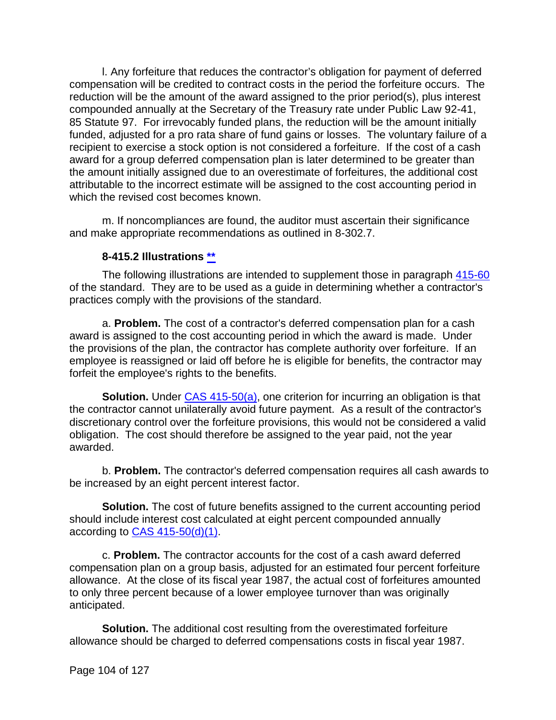l. Any forfeiture that reduces the contractor's obligation for payment of deferred compensation will be credited to contract costs in the period the forfeiture occurs. The reduction will be the amount of the award assigned to the prior period(s), plus interest compounded annually at the Secretary of the Treasury rate under Public Law 92-41, 85 Statute 97. For irrevocably funded plans, the reduction will be the amount initially funded, adjusted for a pro rata share of fund gains or losses. The voluntary failure of a recipient to exercise a stock option is not considered a forfeiture. If the cost of a cash award for a group deferred compensation plan is later determined to be greater than the amount initially assigned due to an overestimate of forfeitures, the additional cost attributable to the incorrect estimate will be assigned to the cost accounting period in which the revised cost becomes known.

m. If noncompliances are found, the auditor must ascertain their significance and make appropriate recommendations as outlined in 8-302.7.

## **8-415.2 Illustrations [\\*\\*](#page-4-9)**

The following illustrations are intended to supplement those in paragraph [415-60](http://www.ecfr.gov/cgi-bin/text-idx?SID=494906eade3634270442954236e9af46&mc=true&node=se48.7.9904_1415_660&rgn=div8) of the standard. They are to be used as a guide in determining whether a contractor's practices comply with the provisions of the standard.

a. **Problem.** The cost of a contractor's deferred compensation plan for a cash award is assigned to the cost accounting period in which the award is made. Under the provisions of the plan, the contractor has complete authority over forfeiture. If an employee is reassigned or laid off before he is eligible for benefits, the contractor may forfeit the employee's rights to the benefits.

**Solution.** Under [CAS 415-50\(a\),](http://www.ecfr.gov/cgi-bin/retrieveECFR?gp=&SID=494906eade3634270442954236e9af46&mc=true&r=SECTION&n=se48.7.9904_1415_650) one criterion for incurring an obligation is that the contractor cannot unilaterally avoid future payment. As a result of the contractor's discretionary control over the forfeiture provisions, this would not be considered a valid obligation. The cost should therefore be assigned to the year paid, not the year awarded.

b. **Problem.** The contractor's deferred compensation requires all cash awards to be increased by an eight percent interest factor.

**Solution.** The cost of future benefits assigned to the current accounting period should include interest cost calculated at eight percent compounded annually according to  $CAS$  415-50(d)(1).

c. **Problem.** The contractor accounts for the cost of a cash award deferred compensation plan on a group basis, adjusted for an estimated four percent forfeiture allowance. At the close of its fiscal year 1987, the actual cost of forfeitures amounted to only three percent because of a lower employee turnover than was originally anticipated.

**Solution.** The additional cost resulting from the overestimated forfeiture allowance should be charged to deferred compensations costs in fiscal year 1987.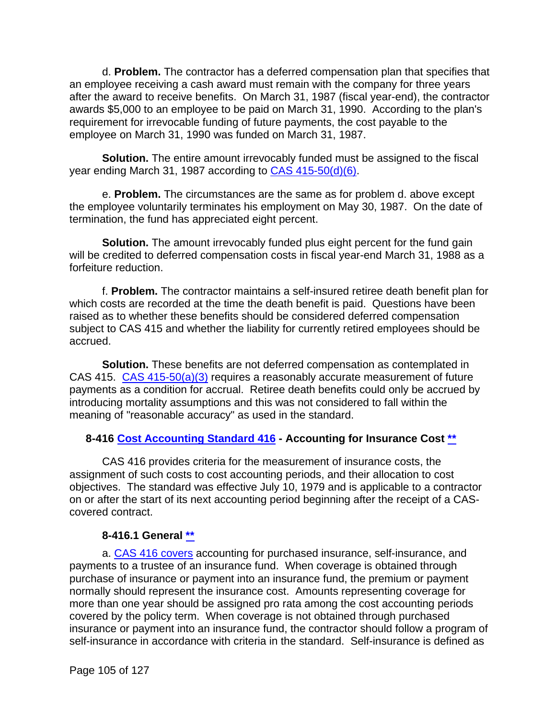d. **Problem.** The contractor has a deferred compensation plan that specifies that an employee receiving a cash award must remain with the company for three years after the award to receive benefits. On March 31, 1987 (fiscal year-end), the contractor awards \$5,000 to an employee to be paid on March 31, 1990. According to the plan's requirement for irrevocable funding of future payments, the cost payable to the employee on March 31, 1990 was funded on March 31, 1987.

**Solution.** The entire amount irrevocably funded must be assigned to the fiscal year ending March 31, 1987 according to [CAS 415-50\(d\)\(6\).](http://www.ecfr.gov/cgi-bin/retrieveECFR?gp=&SID=494906eade3634270442954236e9af46&mc=true&r=SECTION&n=se48.7.9904_1415_650)

e. **Problem.** The circumstances are the same as for problem d. above except the employee voluntarily terminates his employment on May 30, 1987. On the date of termination, the fund has appreciated eight percent.

**Solution.** The amount irrevocably funded plus eight percent for the fund gain will be credited to deferred compensation costs in fiscal year-end March 31, 1988 as a forfeiture reduction.

f. **Problem.** The contractor maintains a self-insured retiree death benefit plan for which costs are recorded at the time the death benefit is paid. Questions have been raised as to whether these benefits should be considered deferred compensation subject to CAS 415 and whether the liability for currently retired employees should be accrued.

**Solution.** These benefits are not deferred compensation as contemplated in CAS 415. [CAS 415-50\(a\)\(3\)](http://www.ecfr.gov/cgi-bin/retrieveECFR?gp=&SID=494906eade3634270442954236e9af46&mc=true&r=SECTION&n=se48.7.9904_1415_650) requires a reasonably accurate measurement of future payments as a condition for accrual. Retiree death benefits could only be accrued by introducing mortality assumptions and this was not considered to fall within the meaning of "reasonable accuracy" as used in the standard.

## **8-416 [Cost Accounting Standard 416](http://www.ecfr.gov/cgi-bin/text-idx?SID=6d3efc093f7398ce3324de7539a0ae7c&mc=true&node=pt48.7.9904&rgn=div5) - Accounting for Insurance Cost [\\*\\*](#page-4-10)**

CAS 416 provides criteria for the measurement of insurance costs, the assignment of such costs to cost accounting periods, and their allocation to cost objectives. The standard was effective July 10, 1979 and is applicable to a contractor on or after the start of its next accounting period beginning after the receipt of a CAScovered contract.

## **8-416.1 General [\\*\\*](#page-4-11)**

a. [CAS 416 covers](http://www.ecfr.gov/cgi-bin/retrieveECFR?gp=&SID=494906eade3634270442954236e9af46&mc=true&r=SECTION&n=se48.7.9904_1416_620) accounting for purchased insurance, self-insurance, and payments to a trustee of an insurance fund. When coverage is obtained through purchase of insurance or payment into an insurance fund, the premium or payment normally should represent the insurance cost. Amounts representing coverage for more than one year should be assigned pro rata among the cost accounting periods covered by the policy term. When coverage is not obtained through purchased insurance or payment into an insurance fund, the contractor should follow a program of self-insurance in accordance with criteria in the standard. Self-insurance is defined as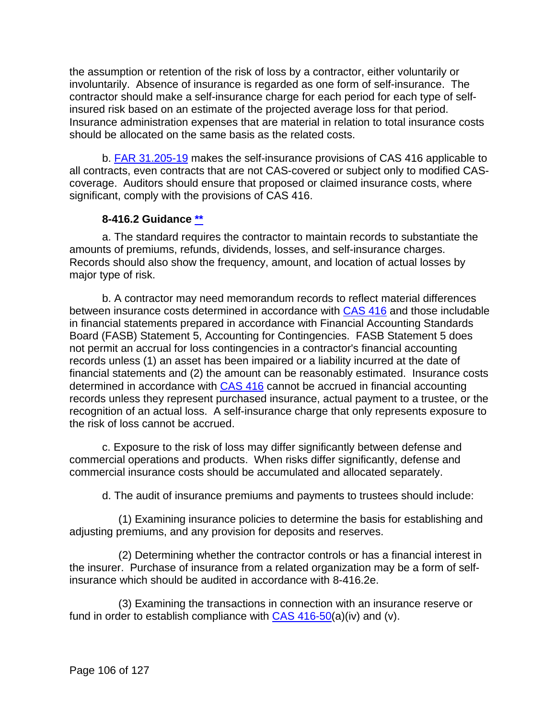the assumption or retention of the risk of loss by a contractor, either voluntarily or involuntarily. Absence of insurance is regarded as one form of self-insurance. The contractor should make a self-insurance charge for each period for each type of selfinsured risk based on an estimate of the projected average loss for that period. Insurance administration expenses that are material in relation to total insurance costs should be allocated on the same basis as the related costs.

b. [FAR 31.205-19](http://www.ecfr.gov/cgi-bin/text-idx?SID=494906eade3634270442954236e9af46&mc=true&node=se48.1.31_1205_619&rgn=div8) makes the self-insurance provisions of CAS 416 applicable to all contracts, even contracts that are not CAS-covered or subject only to modified CAScoverage. Auditors should ensure that proposed or claimed insurance costs, where significant, comply with the provisions of CAS 416.

# **8-416.2 Guidance [\\*\\*](#page-4-12)**

a. The standard requires the contractor to maintain records to substantiate the amounts of premiums, refunds, dividends, losses, and self-insurance charges. Records should also show the frequency, amount, and location of actual losses by major type of risk.

b. A contractor may need memorandum records to reflect material differences between insurance costs determined in accordance with [CAS 416](http://www.ecfr.gov/cgi-bin/text-idx?SID=6d3efc093f7398ce3324de7539a0ae7c&mc=true&node=pt48.7.9904&rgn=div5) and those includable in financial statements prepared in accordance with Financial Accounting Standards Board (FASB) Statement 5, Accounting for Contingencies. FASB Statement 5 does not permit an accrual for loss contingencies in a contractor's financial accounting records unless (1) an asset has been impaired or a liability incurred at the date of financial statements and (2) the amount can be reasonably estimated. Insurance costs determined in accordance with [CAS 416](http://www.ecfr.gov/cgi-bin/text-idx?SID=6d3efc093f7398ce3324de7539a0ae7c&mc=true&node=pt48.7.9904&rgn=div5) cannot be accrued in financial accounting records unless they represent purchased insurance, actual payment to a trustee, or the recognition of an actual loss. A self-insurance charge that only represents exposure to the risk of loss cannot be accrued.

c. Exposure to the risk of loss may differ significantly between defense and commercial operations and products. When risks differ significantly, defense and commercial insurance costs should be accumulated and allocated separately.

d. The audit of insurance premiums and payments to trustees should include:

(1) Examining insurance policies to determine the basis for establishing and adjusting premiums, and any provision for deposits and reserves.

(2) Determining whether the contractor controls or has a financial interest in the insurer. Purchase of insurance from a related organization may be a form of selfinsurance which should be audited in accordance with 8-416.2e.

(3) Examining the transactions in connection with an insurance reserve or fund in order to establish compliance with  $CAS$  416-50(a)(iv) and (v).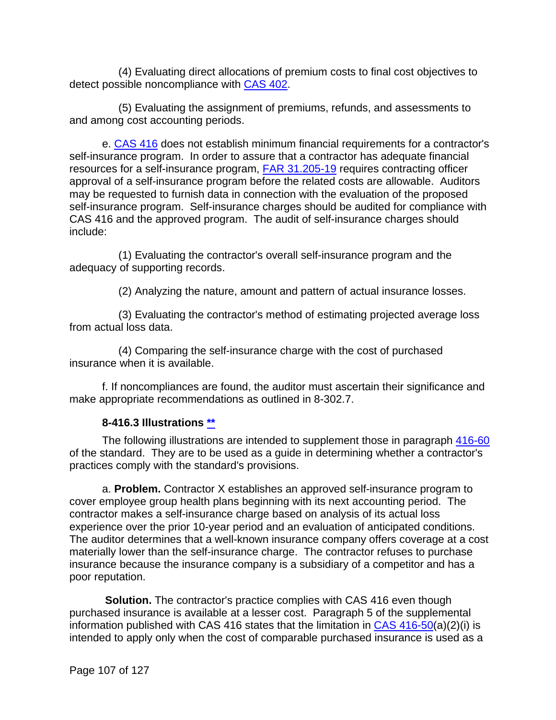(4) Evaluating direct allocations of premium costs to final cost objectives to detect possible noncompliance with [CAS 402.](http://www.ecfr.gov/cgi-bin/text-idx?SID=6d3efc093f7398ce3324de7539a0ae7c&mc=true&node=pt48.7.9904&rgn=div5)

(5) Evaluating the assignment of premiums, refunds, and assessments to and among cost accounting periods.

e. [CAS 416](http://www.ecfr.gov/cgi-bin/text-idx?SID=6d3efc093f7398ce3324de7539a0ae7c&mc=true&node=pt48.7.9904&rgn=div5) does not establish minimum financial requirements for a contractor's self-insurance program. In order to assure that a contractor has adequate financial resources for a self-insurance program, [FAR 31.205-19](http://www.ecfr.gov/cgi-bin/text-idx?SID=ad50597fb2ae890a62f8719ca3dcdeed&mc=true&node=se48.1.31_1205_619&rgn=div8) requires contracting officer approval of a self-insurance program before the related costs are allowable. Auditors may be requested to furnish data in connection with the evaluation of the proposed self-insurance program. Self-insurance charges should be audited for compliance with CAS 416 and the approved program. The audit of self-insurance charges should include:

(1) Evaluating the contractor's overall self-insurance program and the adequacy of supporting records.

(2) Analyzing the nature, amount and pattern of actual insurance losses.

(3) Evaluating the contractor's method of estimating projected average loss from actual loss data.

(4) Comparing the self-insurance charge with the cost of purchased insurance when it is available.

f. If noncompliances are found, the auditor must ascertain their significance and make appropriate recommendations as outlined in 8-302.7.

# **8-416.3 Illustrations [\\*\\*](#page-4-13)**

The following illustrations are intended to supplement those in paragraph [416-60](http://www.ecfr.gov/cgi-bin/text-idx?SID=ad50597fb2ae890a62f8719ca3dcdeed&mc=true&node=se48.7.9904_1416_660&rgn=div8) of the standard. They are to be used as a guide in determining whether a contractor's practices comply with the standard's provisions.

a. **Problem.** Contractor X establishes an approved self-insurance program to cover employee group health plans beginning with its next accounting period. The contractor makes a self-insurance charge based on analysis of its actual loss experience over the prior 10-year period and an evaluation of anticipated conditions. The auditor determines that a well-known insurance company offers coverage at a cost materially lower than the self-insurance charge. The contractor refuses to purchase insurance because the insurance company is a subsidiary of a competitor and has a poor reputation.

**Solution.** The contractor's practice complies with CAS 416 even though purchased insurance is available at a lesser cost. Paragraph 5 of the supplemental information published with CAS 416 states that the limitation in [CAS 416-50\(](http://www.ecfr.gov/cgi-bin/text-idx?SID=ad50597fb2ae890a62f8719ca3dcdeed&mc=true&node=se48.7.9904_1416_650&rgn=div8)a)(2)(i) is intended to apply only when the cost of comparable purchased insurance is used as a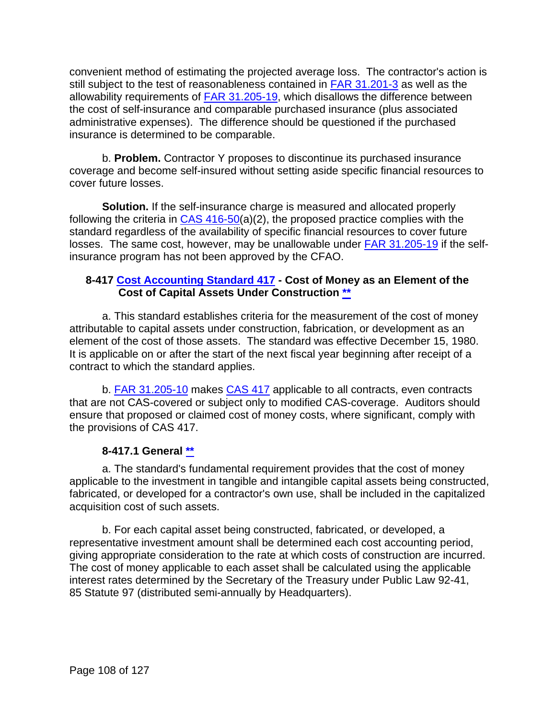convenient method of estimating the projected average loss. The contractor's action is still subject to the test of reasonableness contained in [FAR 31.201-3](http://www.ecfr.gov/cgi-bin/text-idx?SID=2e0fc29c738bee6af3cb66a3efc30e2c&mc=true&node=se48.1.31_1201_63&rgn=div8) as well as the allowability requirements of **FAR 31.205-19**, which disallows the difference between the cost of self-insurance and comparable purchased insurance (plus associated administrative expenses). The difference should be questioned if the purchased insurance is determined to be comparable.

b. **Problem.** Contractor Y proposes to discontinue its purchased insurance coverage and become self-insured without setting aside specific financial resources to cover future losses.

**Solution.** If the self-insurance charge is measured and allocated properly following the criteria in  $CAS$  416-50(a)(2), the proposed practice complies with the standard regardless of the availability of specific financial resources to cover future losses. The same cost, however, may be unallowable under [FAR 31.205-19](http://www.ecfr.gov/cgi-bin/text-idx?SID=2e0fc29c738bee6af3cb66a3efc30e2c&mc=true&node=se48.1.31_1205_619&rgn=div8) if the selfinsurance program has not been approved by the CFAO.

## **8-417 [Cost Accounting Standard 417](http://www.ecfr.gov/cgi-bin/text-idx?SID=2bfd5ab1592764d0d9af3a8b230cd658&mc=true&node=pt48.7.9904&rgn=div5) - Cost of Money as an Element of the Cost of Capital Assets Under Construction [\\*\\*](#page-4-14)**

a. This standard establishes criteria for the measurement of the cost of money attributable to capital assets under construction, fabrication, or development as an element of the cost of those assets. The standard was effective December 15, 1980. It is applicable on or after the start of the next fiscal year beginning after receipt of a contract to which the standard applies.

b. [FAR 31.205-10](http://www.ecfr.gov/cgi-bin/text-idx?SID=2e0fc29c738bee6af3cb66a3efc30e2c&mc=true&node=se48.1.31_1205_610&rgn=div8) makes [CAS 417](http://www.ecfr.gov/cgi-bin/text-idx?SID=2bfd5ab1592764d0d9af3a8b230cd658&mc=true&node=pt48.7.9904&rgn=div5) applicable to all contracts, even contracts that are not CAS-covered or subject only to modified CAS-coverage. Auditors should ensure that proposed or claimed cost of money costs, where significant, comply with the provisions of CAS 417.

## **8-417.1 General [\\*\\*](#page-4-15)**

a. The standard's fundamental requirement provides that the cost of money applicable to the investment in tangible and intangible capital assets being constructed, fabricated, or developed for a contractor's own use, shall be included in the capitalized acquisition cost of such assets.

b. For each capital asset being constructed, fabricated, or developed, a representative investment amount shall be determined each cost accounting period, giving appropriate consideration to the rate at which costs of construction are incurred. The cost of money applicable to each asset shall be calculated using the applicable interest rates determined by the Secretary of the Treasury under Public Law 92-41, 85 Statute 97 (distributed semi-annually by Headquarters).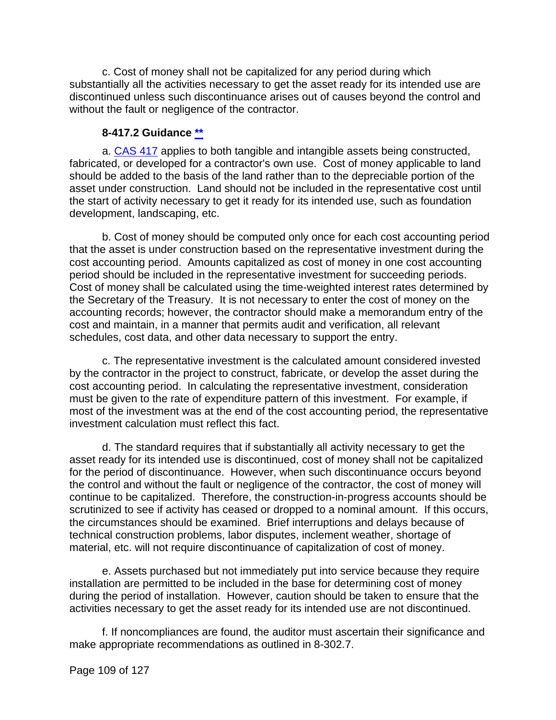c. Cost of money shall not be capitalized for any period during which substantially all the activities necessary to get the asset ready for its intended use are discontinued unless such discontinuance arises out of causes beyond the control and without the fault or negligence of the contractor.

#### **8-417.2 Guidance [\\*\\*](#page-4-0)**

a. [CAS 417](http://www.ecfr.gov/cgi-bin/text-idx?SID=2bfd5ab1592764d0d9af3a8b230cd658&mc=true&node=pt48.7.9904&rgn=div5) applies to both tangible and intangible assets being constructed, fabricated, or developed for a contractor's own use. Cost of money applicable to land should be added to the basis of the land rather than to the depreciable portion of the asset under construction. Land should not be included in the representative cost until the start of activity necessary to get it ready for its intended use, such as foundation development, landscaping, etc.

b. Cost of money should be computed only once for each cost accounting period that the asset is under construction based on the representative investment during the cost accounting period. Amounts capitalized as cost of money in one cost accounting period should be included in the representative investment for succeeding periods. Cost of money shall be calculated using the time-weighted interest rates determined by the Secretary of the Treasury. It is not necessary to enter the cost of money on the accounting records; however, the contractor should make a memorandum entry of the cost and maintain, in a manner that permits audit and verification, all relevant schedules, cost data, and other data necessary to support the entry.

c. The representative investment is the calculated amount considered invested by the contractor in the project to construct, fabricate, or develop the asset during the cost accounting period. In calculating the representative investment, consideration must be given to the rate of expenditure pattern of this investment. For example, if most of the investment was at the end of the cost accounting period, the representative investment calculation must reflect this fact.

d. The standard requires that if substantially all activity necessary to get the asset ready for its intended use is discontinued, cost of money shall not be capitalized for the period of discontinuance. However, when such discontinuance occurs beyond the control and without the fault or negligence of the contractor, the cost of money will continue to be capitalized. Therefore, the construction-in-progress accounts should be scrutinized to see if activity has ceased or dropped to a nominal amount. If this occurs, the circumstances should be examined. Brief interruptions and delays because of technical construction problems, labor disputes, inclement weather, shortage of material, etc. will not require discontinuance of capitalization of cost of money.

e. Assets purchased but not immediately put into service because they require installation are permitted to be included in the base for determining cost of money during the period of installation. However, caution should be taken to ensure that the activities necessary to get the asset ready for its intended use are not discontinued.

f. If noncompliances are found, the auditor must ascertain their significance and make appropriate recommendations as outlined in 8-302.7.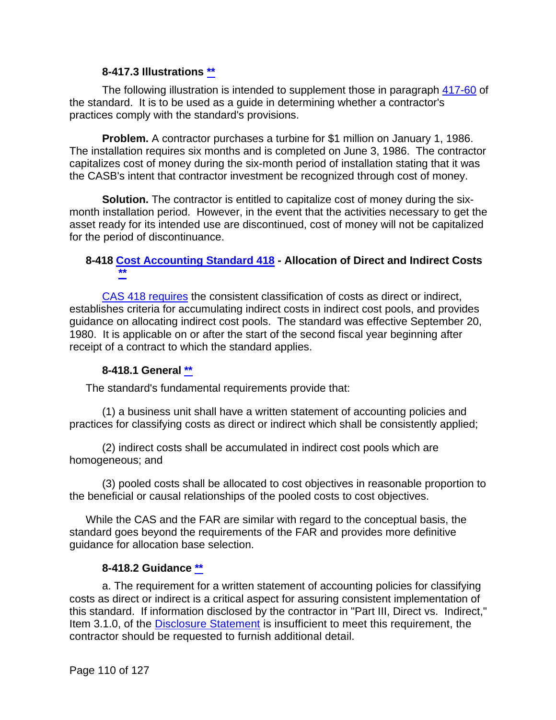### **8-417.3 Illustrations [\\*\\*](#page-4-1)**

The following illustration is intended to supplement those in paragraph [417-60](http://www.ecfr.gov/cgi-bin/text-idx?SID=2e0fc29c738bee6af3cb66a3efc30e2c&mc=true&node=se48.7.9904_1417_660&rgn=div8) of the standard. It is to be used as a guide in determining whether a contractor's practices comply with the standard's provisions.

**Problem.** A contractor purchases a turbine for \$1 million on January 1, 1986. The installation requires six months and is completed on June 3, 1986. The contractor capitalizes cost of money during the six-month period of installation stating that it was the CASB's intent that contractor investment be recognized through cost of money.

**Solution.** The contractor is entitled to capitalize cost of money during the sixmonth installation period. However, in the event that the activities necessary to get the asset ready for its intended use are discontinued, cost of money will not be capitalized for the period of discontinuance.

#### **8-418 [Cost Accounting Standard 418](http://www.ecfr.gov/cgi-bin/text-idx?SID=2bfd5ab1592764d0d9af3a8b230cd658&mc=true&node=pt48.7.9904&rgn=div5) - Allocation of Direct and Indirect Costs [\\*\\*](#page-4-2)**

[CAS 418 requires](http://www.ecfr.gov/cgi-bin/retrieveECFR?gp=&SID=2e0fc29c738bee6af3cb66a3efc30e2c&mc=true&r=SECTION&n=se48.7.9904_1418_620) the consistent classification of costs as direct or indirect, establishes criteria for accumulating indirect costs in indirect cost pools, and provides guidance on allocating indirect cost pools. The standard was effective September 20, 1980. It is applicable on or after the start of the second fiscal year beginning after receipt of a contract to which the standard applies.

### **8-418.1 General [\\*\\*](#page-4-3)**

The standard's fundamental requirements provide that:

(1) a business unit shall have a written statement of accounting policies and practices for classifying costs as direct or indirect which shall be consistently applied;

(2) indirect costs shall be accumulated in indirect cost pools which are homogeneous; and

(3) pooled costs shall be allocated to cost objectives in reasonable proportion to the beneficial or causal relationships of the pooled costs to cost objectives.

While the CAS and the FAR are similar with regard to the conceptual basis, the standard goes beyond the requirements of the FAR and provides more definitive guidance for allocation base selection.

#### **8-418.2 Guidance [\\*\\*](#page-4-4)**

a. The requirement for a written statement of accounting policies for classifying costs as direct or indirect is a critical aspect for assuring consistent implementation of this standard. If information disclosed by the contractor in "Part III, Direct vs. Indirect," Item 3.1.0, of the [Disclosure Statement](http://www.ecfr.gov/cgi-bin/text-idx?SID=2e0fc29c738bee6af3cb66a3efc30e2c&mc=true&node=se48.7.9903_1202_69&rgn=div8) is insufficient to meet this requirement, the contractor should be requested to furnish additional detail.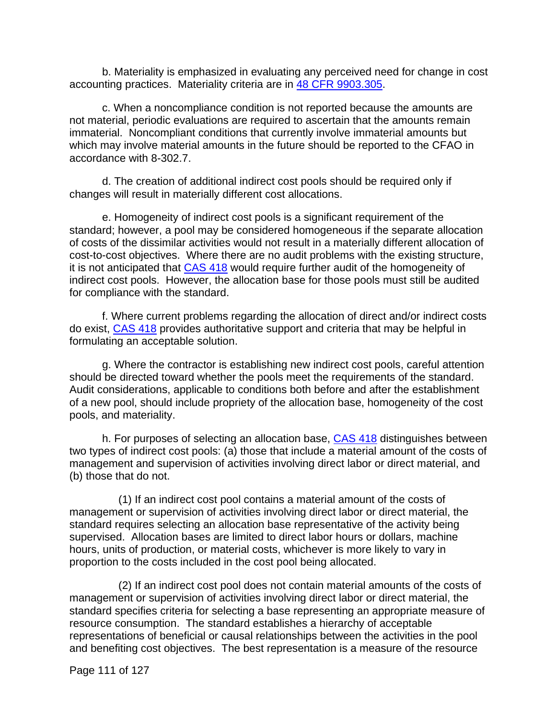b. Materiality is emphasized in evaluating any perceived need for change in cost accounting practices. Materiality criteria are in [48 CFR 9903.305.](http://www.ecfr.gov/cgi-bin/text-idx?SID=2e0fc29c738bee6af3cb66a3efc30e2c&mc=true&node=se48.7.9903_1305&rgn=div8)

c. When a noncompliance condition is not reported because the amounts are not material, periodic evaluations are required to ascertain that the amounts remain immaterial. Noncompliant conditions that currently involve immaterial amounts but which may involve material amounts in the future should be reported to the CFAO in accordance with 8-302.7.

d. The creation of additional indirect cost pools should be required only if changes will result in materially different cost allocations.

e. Homogeneity of indirect cost pools is a significant requirement of the standard; however, a pool may be considered homogeneous if the separate allocation of costs of the dissimilar activities would not result in a materially different allocation of cost-to-cost objectives. Where there are no audit problems with the existing structure, it is not anticipated that [CAS 418](http://www.ecfr.gov/cgi-bin/text-idx?SID=2bfd5ab1592764d0d9af3a8b230cd658&mc=true&node=pt48.7.9904&rgn=div5) would require further audit of the homogeneity of indirect cost pools. However, the allocation base for those pools must still be audited for compliance with the standard.

f. Where current problems regarding the allocation of direct and/or indirect costs do exist, [CAS 418](http://www.ecfr.gov/cgi-bin/text-idx?SID=2bfd5ab1592764d0d9af3a8b230cd658&mc=true&node=pt48.7.9904&rgn=div5) provides authoritative support and criteria that may be helpful in formulating an acceptable solution.

g. Where the contractor is establishing new indirect cost pools, careful attention should be directed toward whether the pools meet the requirements of the standard. Audit considerations, applicable to conditions both before and after the establishment of a new pool, should include propriety of the allocation base, homogeneity of the cost pools, and materiality.

h. For purposes of selecting an allocation base, [CAS 418](http://www.ecfr.gov/cgi-bin/text-idx?SID=2bfd5ab1592764d0d9af3a8b230cd658&mc=true&node=pt48.7.9904&rgn=div5) distinguishes between two types of indirect cost pools: (a) those that include a material amount of the costs of management and supervision of activities involving direct labor or direct material, and (b) those that do not.

(1) If an indirect cost pool contains a material amount of the costs of management or supervision of activities involving direct labor or direct material, the standard requires selecting an allocation base representative of the activity being supervised. Allocation bases are limited to direct labor hours or dollars, machine hours, units of production, or material costs, whichever is more likely to vary in proportion to the costs included in the cost pool being allocated.

(2) If an indirect cost pool does not contain material amounts of the costs of management or supervision of activities involving direct labor or direct material, the standard specifies criteria for selecting a base representing an appropriate measure of resource consumption. The standard establishes a hierarchy of acceptable representations of beneficial or causal relationships between the activities in the pool and benefiting cost objectives. The best representation is a measure of the resource

Page 111 of 127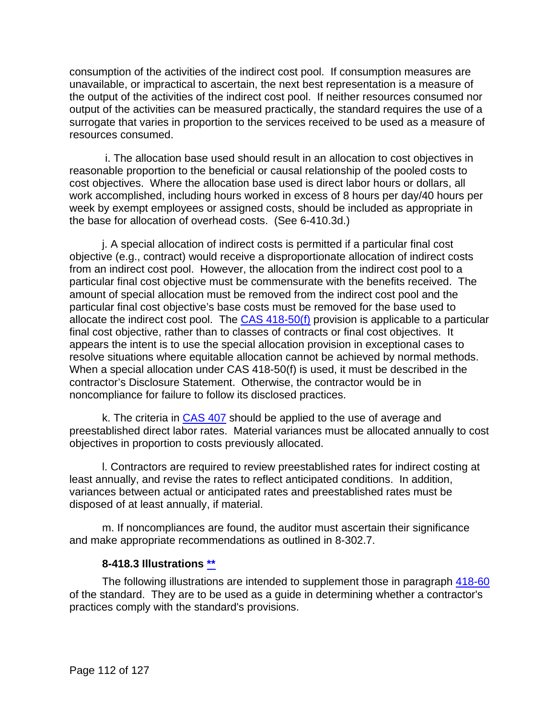consumption of the activities of the indirect cost pool. If consumption measures are unavailable, or impractical to ascertain, the next best representation is a measure of the output of the activities of the indirect cost pool. If neither resources consumed nor output of the activities can be measured practically, the standard requires the use of a surrogate that varies in proportion to the services received to be used as a measure of resources consumed.

i. The allocation base used should result in an allocation to cost objectives in reasonable proportion to the beneficial or causal relationship of the pooled costs to cost objectives. Where the allocation base used is direct labor hours or dollars, all work accomplished, including hours worked in excess of 8 hours per day/40 hours per week by exempt employees or assigned costs, should be included as appropriate in the base for allocation of overhead costs. (See 6-410.3d.)

j. A special allocation of indirect costs is permitted if a particular final cost objective (e.g., contract) would receive a disproportionate allocation of indirect costs from an indirect cost pool. However, the allocation from the indirect cost pool to a particular final cost objective must be commensurate with the benefits received. The amount of special allocation must be removed from the indirect cost pool and the particular final cost objective's base costs must be removed for the base used to allocate the indirect cost pool. The  $CAS$  418-50(f) provision is applicable to a particular final cost objective, rather than to classes of contracts or final cost objectives. It appears the intent is to use the special allocation provision in exceptional cases to resolve situations where equitable allocation cannot be achieved by normal methods. When a special allocation under CAS 418-50(f) is used, it must be described in the contractor's Disclosure Statement. Otherwise, the contractor would be in noncompliance for failure to follow its disclosed practices.

k. The criteria in [CAS 407](http://www.ecfr.gov/cgi-bin/text-idx?SID=2bfd5ab1592764d0d9af3a8b230cd658&mc=true&node=pt48.7.9904&rgn=div5) should be applied to the use of average and preestablished direct labor rates. Material variances must be allocated annually to cost objectives in proportion to costs previously allocated.

l. Contractors are required to review preestablished rates for indirect costing at least annually, and revise the rates to reflect anticipated conditions. In addition, variances between actual or anticipated rates and preestablished rates must be disposed of at least annually, if material.

m. If noncompliances are found, the auditor must ascertain their significance and make appropriate recommendations as outlined in 8-302.7.

### **8-418.3 Illustrations [\\*\\*](#page-4-5)**

The following illustrations are intended to supplement those in paragraph [418-60](http://www.ecfr.gov/cgi-bin/text-idx?SID=2e0fc29c738bee6af3cb66a3efc30e2c&mc=true&node=se48.7.9904_1418_660&rgn=div8) of the standard. They are to be used as a guide in determining whether a contractor's practices comply with the standard's provisions.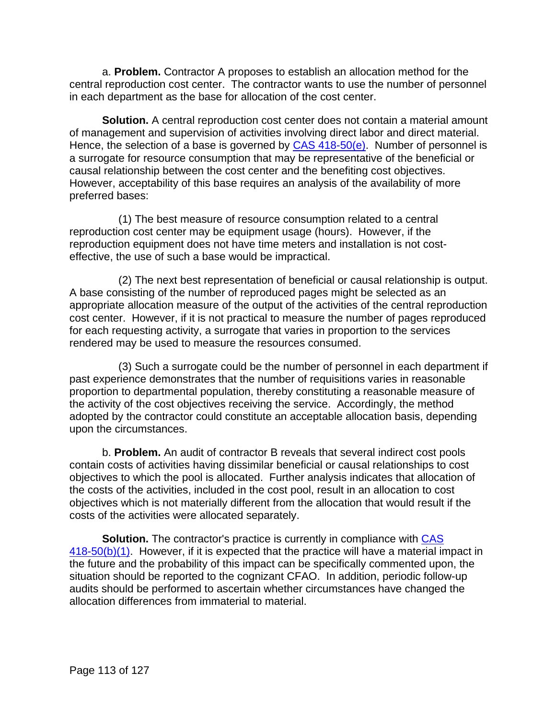a. **Problem.** Contractor A proposes to establish an allocation method for the central reproduction cost center. The contractor wants to use the number of personnel in each department as the base for allocation of the cost center.

**Solution.** A central reproduction cost center does not contain a material amount of management and supervision of activities involving direct labor and direct material. Hence, the selection of a base is governed by [CAS 418-50\(e\).](http://www.ecfr.gov/cgi-bin/retrieveECFR?gp=&SID=2e0fc29c738bee6af3cb66a3efc30e2c&mc=true&r=SECTION&n=se48.7.9904_1418_650) Number of personnel is a surrogate for resource consumption that may be representative of the beneficial or causal relationship between the cost center and the benefiting cost objectives. However, acceptability of this base requires an analysis of the availability of more preferred bases:

(1) The best measure of resource consumption related to a central reproduction cost center may be equipment usage (hours). However, if the reproduction equipment does not have time meters and installation is not costeffective, the use of such a base would be impractical.

(2) The next best representation of beneficial or causal relationship is output. A base consisting of the number of reproduced pages might be selected as an appropriate allocation measure of the output of the activities of the central reproduction cost center. However, if it is not practical to measure the number of pages reproduced for each requesting activity, a surrogate that varies in proportion to the services rendered may be used to measure the resources consumed.

(3) Such a surrogate could be the number of personnel in each department if past experience demonstrates that the number of requisitions varies in reasonable proportion to departmental population, thereby constituting a reasonable measure of the activity of the cost objectives receiving the service. Accordingly, the method adopted by the contractor could constitute an acceptable allocation basis, depending upon the circumstances.

b. **Problem.** An audit of contractor B reveals that several indirect cost pools contain costs of activities having dissimilar beneficial or causal relationships to cost objectives to which the pool is allocated. Further analysis indicates that allocation of the costs of the activities, included in the cost pool, result in an allocation to cost objectives which is not materially different from the allocation that would result if the costs of the activities were allocated separately.

**Solution.** The contractor's practice is currently in compliance with [CAS](http://www.ecfr.gov/cgi-bin/retrieveECFR?gp=&SID=2e0fc29c738bee6af3cb66a3efc30e2c&mc=true&r=SECTION&n=se48.7.9904_1418_650)   $418-50(b)(1)$ . However, if it is expected that the practice will have a material impact in the future and the probability of this impact can be specifically commented upon, the situation should be reported to the cognizant CFAO. In addition, periodic follow-up audits should be performed to ascertain whether circumstances have changed the allocation differences from immaterial to material.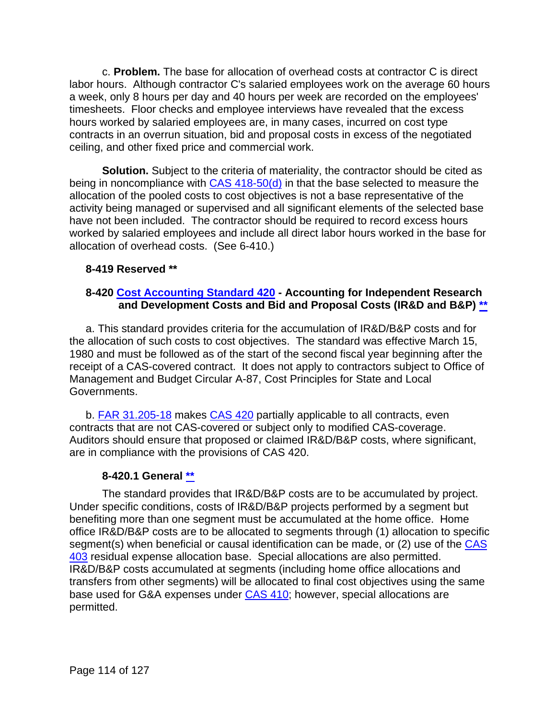c. **Problem.** The base for allocation of overhead costs at contractor C is direct labor hours. Although contractor C's salaried employees work on the average 60 hours a week, only 8 hours per day and 40 hours per week are recorded on the employees' timesheets. Floor checks and employee interviews have revealed that the excess hours worked by salaried employees are, in many cases, incurred on cost type contracts in an overrun situation, bid and proposal costs in excess of the negotiated ceiling, and other fixed price and commercial work.

**Solution.** Subject to the criteria of materiality, the contractor should be cited as being in noncompliance with [CAS 418-50\(d\)](http://www.ecfr.gov/cgi-bin/retrieveECFR?gp=&SID=2e0fc29c738bee6af3cb66a3efc30e2c&mc=true&r=SECTION&n=se48.7.9904_1418_650) in that the base selected to measure the allocation of the pooled costs to cost objectives is not a base representative of the activity being managed or supervised and all significant elements of the selected base have not been included. The contractor should be required to record excess hours worked by salaried employees and include all direct labor hours worked in the base for allocation of overhead costs. (See 6-410.)

### **8-419 Reserved [\\*\\*](#page-4-6)**

#### **8-420 [Cost Accounting Standard 420](http://www.ecfr.gov/cgi-bin/text-idx?SID=2bfd5ab1592764d0d9af3a8b230cd658&mc=true&node=pt48.7.9904&rgn=div5) - Accounting for Independent Research and Development Costs and Bid and Proposal Costs (IR&D and B&P) [\\*\\*](#page-4-7)**

a. This standard provides criteria for the accumulation of IR&D/B&P costs and for the allocation of such costs to cost objectives. The standard was effective March 15, 1980 and must be followed as of the start of the second fiscal year beginning after the receipt of a CAS-covered contract. It does not apply to contractors subject to Office of Management and Budget Circular A-87, Cost Principles for State and Local Governments.

b. **FAR 31.205-18** makes [CAS 420](http://www.ecfr.gov/cgi-bin/text-idx?SID=2bfd5ab1592764d0d9af3a8b230cd658&mc=true&node=pt48.7.9904&rgn=div5) partially applicable to all contracts, even contracts that are not CAS-covered or subject only to modified CAS-coverage. Auditors should ensure that proposed or claimed IR&D/B&P costs, where significant, are in compliance with the provisions of CAS 420.

### **8-420.1 General [\\*\\*](#page-5-0)**

The standard provides that IR&D/B&P costs are to be accumulated by project. Under specific conditions, costs of IR&D/B&P projects performed by a segment but benefiting more than one segment must be accumulated at the home office. Home office IR&D/B&P costs are to be allocated to segments through (1) allocation to specific segment(s) when beneficial or causal identification can be made, or (2) use of the [CAS](http://www.ecfr.gov/cgi-bin/text-idx?SID=2bfd5ab1592764d0d9af3a8b230cd658&mc=true&node=pt48.7.9904&rgn=div5)  [403](http://www.ecfr.gov/cgi-bin/text-idx?SID=2bfd5ab1592764d0d9af3a8b230cd658&mc=true&node=pt48.7.9904&rgn=div5) residual expense allocation base. Special allocations are also permitted. IR&D/B&P costs accumulated at segments (including home office allocations and transfers from other segments) will be allocated to final cost objectives using the same base used for G&A expenses under [CAS 410;](http://www.ecfr.gov/cgi-bin/text-idx?SID=2bfd5ab1592764d0d9af3a8b230cd658&mc=true&node=pt48.7.9904&rgn=div5) however, special allocations are permitted.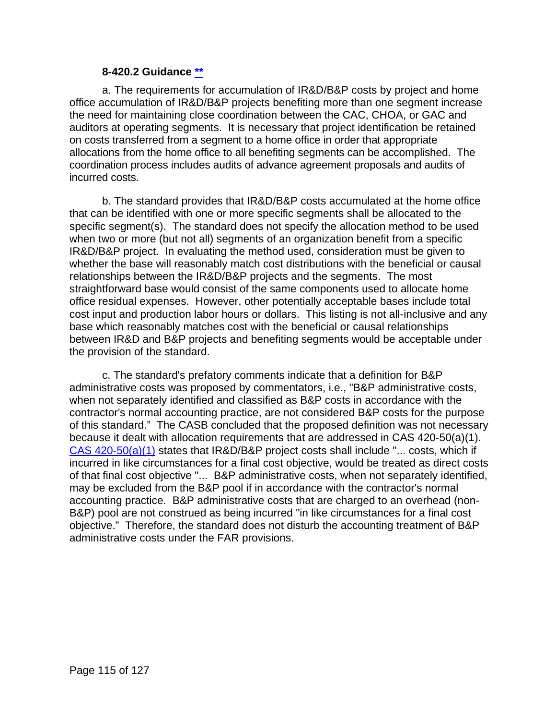#### **8-420.2 Guidance [\\*\\*](#page-5-1)**

a. The requirements for accumulation of IR&D/B&P costs by project and home office accumulation of IR&D/B&P projects benefiting more than one segment increase the need for maintaining close coordination between the CAC, CHOA, or GAC and auditors at operating segments. It is necessary that project identification be retained on costs transferred from a segment to a home office in order that appropriate allocations from the home office to all benefiting segments can be accomplished. The coordination process includes audits of advance agreement proposals and audits of incurred costs.

b. The standard provides that IR&D/B&P costs accumulated at the home office that can be identified with one or more specific segments shall be allocated to the specific segment(s). The standard does not specify the allocation method to be used when two or more (but not all) segments of an organization benefit from a specific IR&D/B&P project. In evaluating the method used, consideration must be given to whether the base will reasonably match cost distributions with the beneficial or causal relationships between the IR&D/B&P projects and the segments. The most straightforward base would consist of the same components used to allocate home office residual expenses. However, other potentially acceptable bases include total cost input and production labor hours or dollars. This listing is not all-inclusive and any base which reasonably matches cost with the beneficial or causal relationships between IR&D and B&P projects and benefiting segments would be acceptable under the provision of the standard.

c. The standard's prefatory comments indicate that a definition for B&P administrative costs was proposed by commentators, i.e., "B&P administrative costs, when not separately identified and classified as B&P costs in accordance with the contractor's normal accounting practice, are not considered B&P costs for the purpose of this standard." The CASB concluded that the proposed definition was not necessary because it dealt with allocation requirements that are addressed in CAS 420-50(a)(1). [CAS 420-50\(a\)\(1\)](http://www.ecfr.gov/cgi-bin/text-idx?SID=726e3888ae0c4d739778a41d92c4a72d&mc=true&node=se48.7.9904_1420_650&rgn=div8) states that IR&D/B&P project costs shall include "... costs, which if incurred in like circumstances for a final cost objective, would be treated as direct costs of that final cost objective "... B&P administrative costs, when not separately identified, may be excluded from the B&P pool if in accordance with the contractor's normal accounting practice. B&P administrative costs that are charged to an overhead (non-B&P) pool are not construed as being incurred "in like circumstances for a final cost objective." Therefore, the standard does not disturb the accounting treatment of B&P administrative costs under the FAR provisions.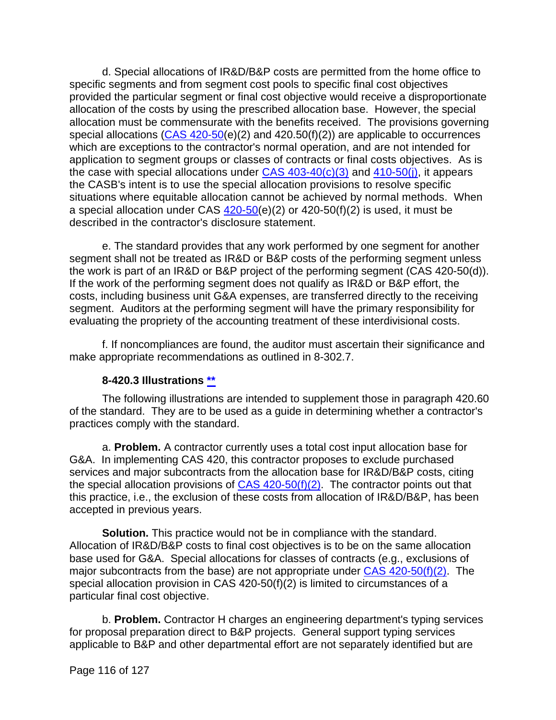d. Special allocations of IR&D/B&P costs are permitted from the home office to specific segments and from segment cost pools to specific final cost objectives provided the particular segment or final cost objective would receive a disproportionate allocation of the costs by using the prescribed allocation base. However, the special allocation must be commensurate with the benefits received. The provisions governing special allocations  $(CAS 420-50(e)(2)$  $(CAS 420-50(e)(2)$  and  $420.50(f)(2)$  are applicable to occurrences which are exceptions to the contractor's normal operation, and are not intended for application to segment groups or classes of contracts or final costs objectives. As is the case with special allocations under  $CAS$  403-40(c)(3) and [410-50\(j\),](http://www.ecfr.gov/cgi-bin/text-idx?SID=726e3888ae0c4d739778a41d92c4a72d&mc=true&node=se48.7.9904_1410_650&rgn=div8) it appears the CASB's intent is to use the special allocation provisions to resolve specific situations where equitable allocation cannot be achieved by normal methods. When a special allocation under CAS  $420-50(e)(2)$  or  $420-50(f)(2)$  is used, it must be described in the contractor's disclosure statement.

e. The standard provides that any work performed by one segment for another segment shall not be treated as IR&D or B&P costs of the performing segment unless the work is part of an IR&D or B&P project of the performing segment (CAS 420-50(d)). If the work of the performing segment does not qualify as IR&D or B&P effort, the costs, including business unit G&A expenses, are transferred directly to the receiving segment. Auditors at the performing segment will have the primary responsibility for evaluating the propriety of the accounting treatment of these interdivisional costs.

f. If noncompliances are found, the auditor must ascertain their significance and make appropriate recommendations as outlined in 8-302.7.

### **8-420.3 Illustrations [\\*\\*](#page-5-2)**

The following illustrations are intended to supplement those in paragraph 420.60 of the standard. They are to be used as a guide in determining whether a contractor's practices comply with the standard.

a. **Problem.** A contractor currently uses a total cost input allocation base for G&A. In implementing CAS 420, this contractor proposes to exclude purchased services and major subcontracts from the allocation base for IR&D/B&P costs, citing the special allocation provisions of [CAS 420-50\(f\)\(2\).](http://www.ecfr.gov/cgi-bin/text-idx?SID=726e3888ae0c4d739778a41d92c4a72d&mc=true&node=se48.7.9904_1420_650&rgn=div8) The contractor points out that this practice, i.e., the exclusion of these costs from allocation of IR&D/B&P, has been accepted in previous years.

**Solution.** This practice would not be in compliance with the standard. Allocation of IR&D/B&P costs to final cost objectives is to be on the same allocation base used for G&A. Special allocations for classes of contracts (e.g., exclusions of major subcontracts from the base) are not appropriate under [CAS 420-50\(f\)\(2\).](http://www.ecfr.gov/cgi-bin/text-idx?SID=726e3888ae0c4d739778a41d92c4a72d&mc=true&node=se48.7.9904_1420_650&rgn=div8) The special allocation provision in CAS 420-50(f)(2) is limited to circumstances of a particular final cost objective.

b. **Problem.** Contractor H charges an engineering department's typing services for proposal preparation direct to B&P projects. General support typing services applicable to B&P and other departmental effort are not separately identified but are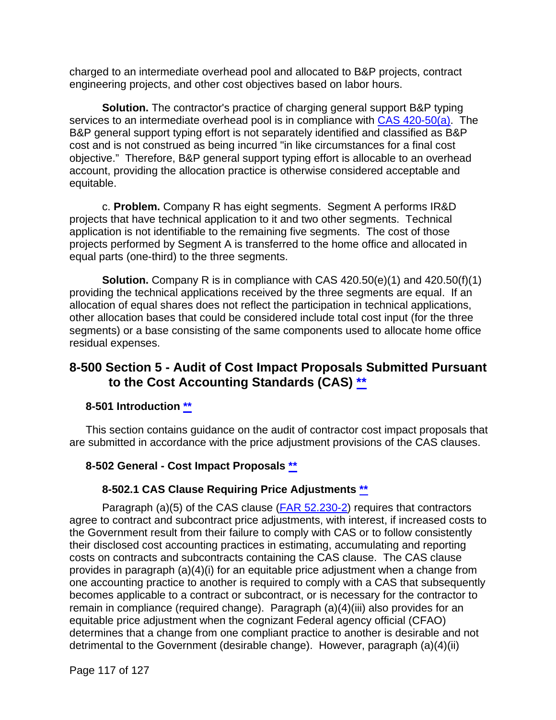charged to an intermediate overhead pool and allocated to B&P projects, contract engineering projects, and other cost objectives based on labor hours.

**Solution.** The contractor's practice of charging general support B&P typing services to an intermediate overhead pool is in compliance with [CAS 420-50\(a\).](http://www.ecfr.gov/cgi-bin/text-idx?SID=726e3888ae0c4d739778a41d92c4a72d&mc=true&node=se48.7.9904_1420_650&rgn=div8) The B&P general support typing effort is not separately identified and classified as B&P cost and is not construed as being incurred "in like circumstances for a final cost objective." Therefore, B&P general support typing effort is allocable to an overhead account, providing the allocation practice is otherwise considered acceptable and equitable.

c. **Problem.** Company R has eight segments. Segment A performs IR&D projects that have technical application to it and two other segments. Technical application is not identifiable to the remaining five segments. The cost of those projects performed by Segment A is transferred to the home office and allocated in equal parts (one-third) to the three segments.

**Solution.** Company R is in compliance with CAS 420.50(e)(1) and 420.50(f)(1) providing the technical applications received by the three segments are equal. If an allocation of equal shares does not reflect the participation in technical applications, other allocation bases that could be considered include total cost input (for the three segments) or a base consisting of the same components used to allocate home office residual expenses.

# **8-500 Section 5 - Audit of Cost Impact Proposals Submitted Pursuant to the Cost Accounting Standards (CAS) [\\*\\*](#page-5-3)**

# **8-501 Introduction [\\*\\*](#page-5-4)**

This section contains guidance on the audit of contractor cost impact proposals that are submitted in accordance with the price adjustment provisions of the CAS clauses.

### **8-502 General - Cost Impact Proposals [\\*\\*](#page-5-5)**

### **8-502.1 CAS Clause Requiring Price Adjustments [\\*\\*](#page-5-6)**

Paragraph (a)(5) of the CAS clause [\(FAR 52.230-2\)](http://www.ecfr.gov/cgi-bin/text-idx?SID=726e3888ae0c4d739778a41d92c4a72d&mc=true&node=se48.2.52_1230_62&rgn=div8) requires that contractors agree to contract and subcontract price adjustments, with interest, if increased costs to the Government result from their failure to comply with CAS or to follow consistently their disclosed cost accounting practices in estimating, accumulating and reporting costs on contracts and subcontracts containing the CAS clause. The CAS clause provides in paragraph (a)(4)(i) for an equitable price adjustment when a change from one accounting practice to another is required to comply with a CAS that subsequently becomes applicable to a contract or subcontract, or is necessary for the contractor to remain in compliance (required change). Paragraph (a)(4)(iii) also provides for an equitable price adjustment when the cognizant Federal agency official (CFAO) determines that a change from one compliant practice to another is desirable and not detrimental to the Government (desirable change). However, paragraph (a)(4)(ii)

Page 117 of 127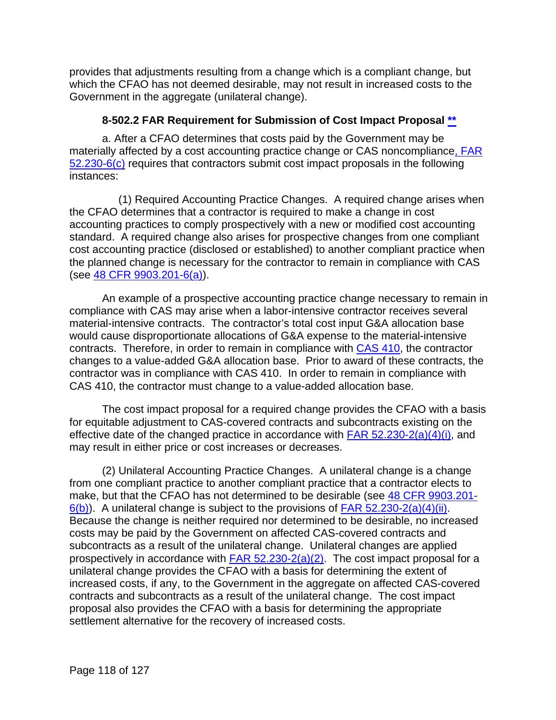provides that adjustments resulting from a change which is a compliant change, but which the CFAO has not deemed desirable, may not result in increased costs to the Government in the aggregate (unilateral change).

### **8-502.2 FAR Requirement for Submission of Cost Impact Proposal [\\*\\*](#page-5-7)**

a. After a CFAO determines that costs paid by the Government may be materially affected by a cost accounting practice change or CAS noncomplianc[e, FAR](http://www.ecfr.gov/cgi-bin/text-idx?SID=726e3888ae0c4d739778a41d92c4a72d&mc=true&node=se48.2.52_1230_66&rgn=div8)   $52.230 - 6(c)$  requires that contractors submit cost impact proposals in the following instances:

(1) Required Accounting Practice Changes. A required change arises when the CFAO determines that a contractor is required to make a change in cost accounting practices to comply prospectively with a new or modified cost accounting standard. A required change also arises for prospective changes from one compliant cost accounting practice (disclosed or established) to another compliant practice when the planned change is necessary for the contractor to remain in compliance with CAS (see [48 CFR 9903.201-6\(a\)\)](http://www.ecfr.gov/cgi-bin/text-idx?SID=726e3888ae0c4d739778a41d92c4a72d&mc=true&node=se48.7.9903_1201_66&rgn=div8).

An example of a prospective accounting practice change necessary to remain in compliance with CAS may arise when a labor-intensive contractor receives several material-intensive contracts. The contractor's total cost input G&A allocation base would cause disproportionate allocations of G&A expense to the material-intensive contracts. Therefore, in order to remain in compliance with [CAS 410,](http://www.ecfr.gov/cgi-bin/text-idx?SID=2bfd5ab1592764d0d9af3a8b230cd658&mc=true&node=pt48.7.9904&rgn=div5) the contractor changes to a value-added G&A allocation base. Prior to award of these contracts, the contractor was in compliance with CAS 410. In order to remain in compliance with CAS 410, the contractor must change to a value-added allocation base.

The cost impact proposal for a required change provides the CFAO with a basis for equitable adjustment to CAS-covered contracts and subcontracts existing on the effective date of the changed practice in accordance with  $FAR 52.230-2(a)(4)(i)$ , and may result in either price or cost increases or decreases.

(2) Unilateral Accounting Practice Changes. A unilateral change is a change from one compliant practice to another compliant practice that a contractor elects to make, but that the CFAO has not determined to be desirable (see [48 CFR 9903.201-](http://www.ecfr.gov/cgi-bin/text-idx?SID=726e3888ae0c4d739778a41d92c4a72d&mc=true&node=se48.7.9903_1201_66&rgn=div8) [6\(b\)\)](http://www.ecfr.gov/cgi-bin/text-idx?SID=726e3888ae0c4d739778a41d92c4a72d&mc=true&node=se48.7.9903_1201_66&rgn=div8). A unilateral change is subject to the provisions of [FAR 52.230-2\(a\)\(4\)\(ii\).](http://www.ecfr.gov/cgi-bin/text-idx?SID=726e3888ae0c4d739778a41d92c4a72d&mc=true&node=se48.2.52_1230_62&rgn=div8) Because the change is neither required nor determined to be desirable, no increased costs may be paid by the Government on affected CAS-covered contracts and subcontracts as a result of the unilateral change. Unilateral changes are applied prospectively in accordance with  $FAR 52.230-2(a)(2)$ . The cost impact proposal for a unilateral change provides the CFAO with a basis for determining the extent of increased costs, if any, to the Government in the aggregate on affected CAS-covered contracts and subcontracts as a result of the unilateral change. The cost impact proposal also provides the CFAO with a basis for determining the appropriate settlement alternative for the recovery of increased costs.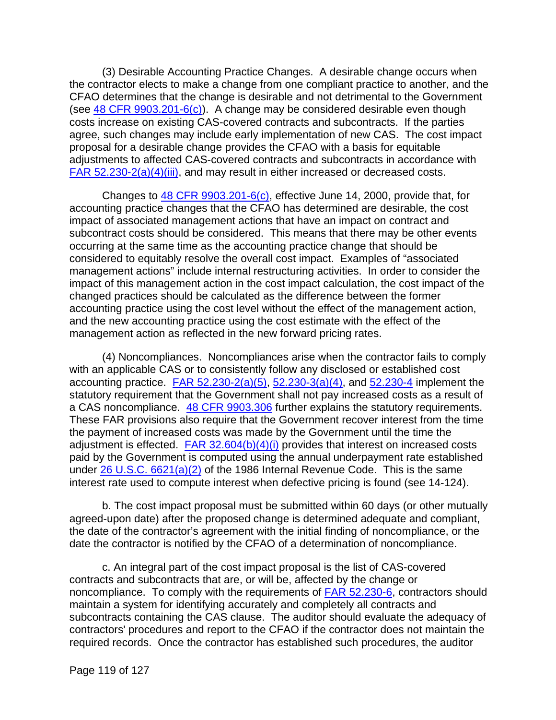(3) Desirable Accounting Practice Changes. A desirable change occurs when the contractor elects to make a change from one compliant practice to another, and the CFAO determines that the change is desirable and not detrimental to the Government (see  $\frac{48}{25}$  CFR 9903.201-6(c)). A change may be considered desirable even though costs increase on existing CAS-covered contracts and subcontracts. If the parties agree, such changes may include early implementation of new CAS. The cost impact proposal for a desirable change provides the CFAO with a basis for equitable adjustments to affected CAS-covered contracts and subcontracts in accordance with [FAR 52.230-2\(a\)\(4\)\(iii\),](http://www.ecfr.gov/cgi-bin/text-idx?SID=726e3888ae0c4d739778a41d92c4a72d&mc=true&node=se48.2.52_1230_62&rgn=div8) and may result in either increased or decreased costs.

Changes to [48 CFR 9903.201-6\(c\),](http://www.ecfr.gov/cgi-bin/text-idx?SID=726e3888ae0c4d739778a41d92c4a72d&mc=true&node=se48.7.9903_1201_66&rgn=div8) effective June 14, 2000, provide that, for accounting practice changes that the CFAO has determined are desirable, the cost impact of associated management actions that have an impact on contract and subcontract costs should be considered. This means that there may be other events occurring at the same time as the accounting practice change that should be considered to equitably resolve the overall cost impact. Examples of "associated management actions" include internal restructuring activities. In order to consider the impact of this management action in the cost impact calculation, the cost impact of the changed practices should be calculated as the difference between the former accounting practice using the cost level without the effect of the management action, and the new accounting practice using the cost estimate with the effect of the management action as reflected in the new forward pricing rates.

(4) Noncompliances. Noncompliances arise when the contractor fails to comply with an applicable CAS or to consistently follow any disclosed or established cost accounting practice. FAR  $52.230-2(a)(5)$ ,  $52.230-3(a)(4)$ , and  $52.230-4$  implement the statutory requirement that the Government shall not pay increased costs as a result of a CAS noncompliance. [48 CFR 9903.306](http://www.ecfr.gov/cgi-bin/text-idx?SID=726e3888ae0c4d739778a41d92c4a72d&mc=true&node=se48.7.9903_1306&rgn=div8) further explains the statutory requirements. These FAR provisions also require that the Government recover interest from the time the payment of increased costs was made by the Government until the time the adjustment is effected.  $FAR$  32.604(b)(4)(i) provides that interest on increased costs paid by the Government is computed using the annual underpayment rate established under [26 U.S.C. 6621\(a\)\(2\)](http://uscode.house.gov/view.xhtml?req=(title:26%20section:6621%20edition:prelim)%20OR%20(granuleid:USC-prelim-title26-section6621)&f=treesort&edition=prelim&num=0&jumpTo=true) of the 1986 Internal Revenue Code. This is the same interest rate used to compute interest when defective pricing is found (see 14-124).

b. The cost impact proposal must be submitted within 60 days (or other mutually agreed-upon date) after the proposed change is determined adequate and compliant, the date of the contractor's agreement with the initial finding of noncompliance, or the date the contractor is notified by the CFAO of a determination of noncompliance.

c. An integral part of the cost impact proposal is the list of CAS-covered contracts and subcontracts that are, or will be, affected by the change or noncompliance. To comply with the requirements of **FAR 52.230-6**, contractors should maintain a system for identifying accurately and completely all contracts and subcontracts containing the CAS clause. The auditor should evaluate the adequacy of contractors' procedures and report to the CFAO if the contractor does not maintain the required records. Once the contractor has established such procedures, the auditor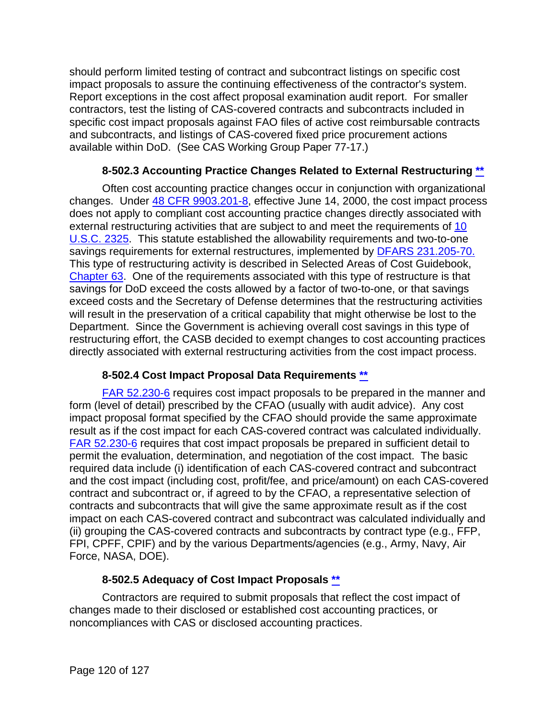should perform limited testing of contract and subcontract listings on specific cost impact proposals to assure the continuing effectiveness of the contractor's system. Report exceptions in the cost affect proposal examination audit report. For smaller contractors, test the listing of CAS-covered contracts and subcontracts included in specific cost impact proposals against FAO files of active cost reimbursable contracts and subcontracts, and listings of CAS-covered fixed price procurement actions available within DoD. (See CAS Working Group Paper 77-17.)

# **8-502.3 Accounting Practice Changes Related to External Restructuring [\\*\\*](#page-5-8)**

Often cost accounting practice changes occur in conjunction with organizational changes. Under [48 CFR 9903.201-8,](http://www.ecfr.gov/cgi-bin/text-idx?SID=ce5728532d008ce684deff7ac1ab393c&mc=true&node=se48.7.9903_1201_68&rgn=div8) effective June 14, 2000, the cost impact process does not apply to compliant cost accounting practice changes directly associated with external restructuring activities that are subject to and meet the requirements of [10](http://uscode.house.gov/view.xhtml?req=(title:10%20section:2325%20edition:prelim)%20OR%20(granuleid:USC-prelim-title10-section2325)&f=treesort&edition=prelim&num=0&jumpTo=true)  [U.S.C. 2325.](http://uscode.house.gov/view.xhtml?req=(title:10%20section:2325%20edition:prelim)%20OR%20(granuleid:USC-prelim-title10-section2325)&f=treesort&edition=prelim&num=0&jumpTo=true) This statute established the allowability requirements and two-to-one savings requirements for external restructures, implemented by [DFARS 231.205-70.](http://www.ecfr.gov/cgi-bin/text-idx?SID=0e38f4b4b364aef85a3089056c4456e5&mc=true&node=se48.3.231_1205_670&rgn=div8)  This type of restructuring activity is described in Selected Areas of Cost Guidebook, [Chapter 63.](https://viper.dcaa.mil/guidance/guidebooks/selected-areas-of-cost/3099/restructuring-costs) One of the requirements associated with this type of restructure is that savings for DoD exceed the costs allowed by a factor of two-to-one, or that savings exceed costs and the Secretary of Defense determines that the restructuring activities will result in the preservation of a critical capability that might otherwise be lost to the Department. Since the Government is achieving overall cost savings in this type of restructuring effort, the CASB decided to exempt changes to cost accounting practices directly associated with external restructuring activities from the cost impact process.

# **8-502.4 Cost Impact Proposal Data Requirements [\\*\\*](#page-5-9)**

[FAR 52.230-6](http://www.ecfr.gov/cgi-bin/text-idx?SID=0e38f4b4b364aef85a3089056c4456e5&mc=true&node=se48.2.52_1230_66&rgn=div8) requires cost impact proposals to be prepared in the manner and form (level of detail) prescribed by the CFAO (usually with audit advice). Any cost impact proposal format specified by the CFAO should provide the same approximate result as if the cost impact for each CAS-covered contract was calculated individually. [FAR 52.230-6](http://www.ecfr.gov/cgi-bin/text-idx?SID=0e38f4b4b364aef85a3089056c4456e5&mc=true&node=se48.2.52_1230_66&rgn=div8) requires that cost impact proposals be prepared in sufficient detail to permit the evaluation, determination, and negotiation of the cost impact. The basic required data include (i) identification of each CAS-covered contract and subcontract and the cost impact (including cost, profit/fee, and price/amount) on each CAS-covered contract and subcontract or, if agreed to by the CFAO, a representative selection of contracts and subcontracts that will give the same approximate result as if the cost impact on each CAS-covered contract and subcontract was calculated individually and (ii) grouping the CAS-covered contracts and subcontracts by contract type (e.g., FFP, FPI, CPFF, CPIF) and by the various Departments/agencies (e.g., Army, Navy, Air Force, NASA, DOE).

# **8-502.5 Adequacy of Cost Impact Proposals [\\*\\*](#page-5-10)**

Contractors are required to submit proposals that reflect the cost impact of changes made to their disclosed or established cost accounting practices, or noncompliances with CAS or disclosed accounting practices.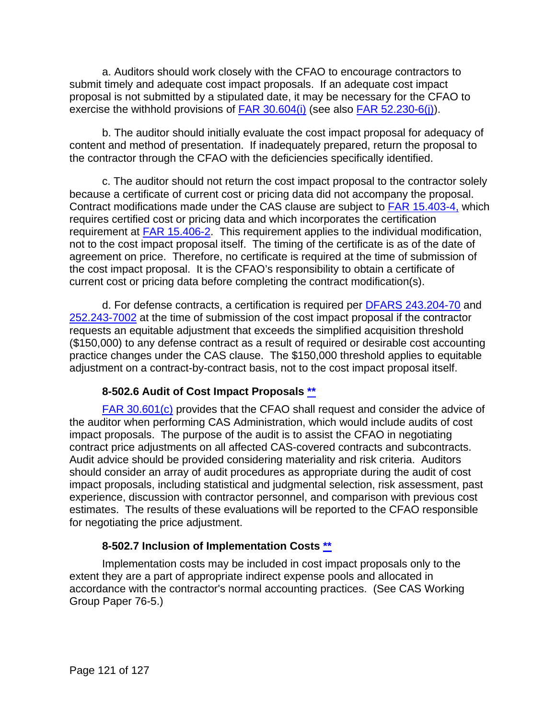a. Auditors should work closely with the CFAO to encourage contractors to submit timely and adequate cost impact proposals. If an adequate cost impact proposal is not submitted by a stipulated date, it may be necessary for the CFAO to exercise the withhold provisions of  $FAR$  30.604(i) (see also  $FAR$  52.230-6(i)).

b. The auditor should initially evaluate the cost impact proposal for adequacy of content and method of presentation. If inadequately prepared, return the proposal to the contractor through the CFAO with the deficiencies specifically identified.

c. The auditor should not return the cost impact proposal to the contractor solely because a certificate of current cost or pricing data did not accompany the proposal. Contract modifications made under the CAS clause are subject to [FAR 15.403-4,](http://www.ecfr.gov/cgi-bin/text-idx?SID=0e38f4b4b364aef85a3089056c4456e5&mc=true&node=se48.1.15_1403_64&rgn=div8) which requires certified cost or pricing data and which incorporates the certification requirement at [FAR 15.406-2.](http://www.ecfr.gov/cgi-bin/text-idx?SID=0e38f4b4b364aef85a3089056c4456e5&mc=true&node=se48.1.15_1406_62&rgn=div8) This requirement applies to the individual modification, not to the cost impact proposal itself. The timing of the certificate is as of the date of agreement on price. Therefore, no certificate is required at the time of submission of the cost impact proposal. It is the CFAO's responsibility to obtain a certificate of current cost or pricing data before completing the contract modification(s).

d. For defense contracts, a certification is required per [DFARS 243.204-70](http://www.ecfr.gov/cgi-bin/text-idx?SID=a120668985819b408269b4a190dd3c30&mc=true&node=sp48.3.243.243_12&rgn=div6) and [252.243-7002](http://www.ecfr.gov/cgi-bin/text-idx?SID=159604e171db74ef34960712b6859e71&mc=true&node=se48.3.252_1243_67002&rgn=div8) at the time of submission of the cost impact proposal if the contractor requests an equitable adjustment that exceeds the simplified acquisition threshold (\$150,000) to any defense contract as a result of required or desirable cost accounting practice changes under the CAS clause. The \$150,000 threshold applies to equitable adjustment on a contract-by-contract basis, not to the cost impact proposal itself.

# **8-502.6 Audit of Cost Impact Proposals [\\*\\*](#page-5-11)**

[FAR 30.601\(c\)](http://www.ecfr.gov/cgi-bin/text-idx?SID=5cb3d2c289da718abd806a6b54158cb9&mc=true&node=se48.1.30_1601&rgn=div8) provides that the CFAO shall request and consider the advice of the auditor when performing CAS Administration, which would include audits of cost impact proposals. The purpose of the audit is to assist the CFAO in negotiating contract price adjustments on all affected CAS-covered contracts and subcontracts. Audit advice should be provided considering materiality and risk criteria. Auditors should consider an array of audit procedures as appropriate during the audit of cost impact proposals, including statistical and judgmental selection, risk assessment, past experience, discussion with contractor personnel, and comparison with previous cost estimates. The results of these evaluations will be reported to the CFAO responsible for negotiating the price adjustment.

# **8-502.7 Inclusion of Implementation Costs [\\*\\*](#page-5-12)**

Implementation costs may be included in cost impact proposals only to the extent they are a part of appropriate indirect expense pools and allocated in accordance with the contractor's normal accounting practices. (See CAS Working Group Paper 76-5.)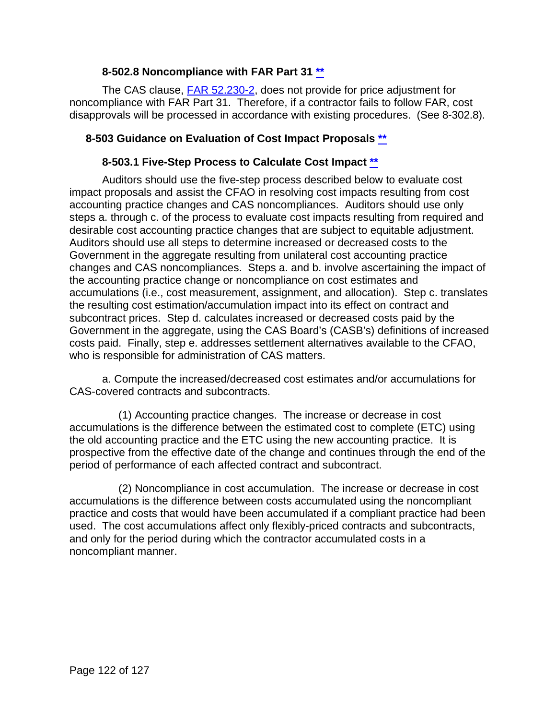### **8-502.8 Noncompliance with FAR Part 31 [\\*\\*](#page-5-13)**

The CAS clause, [FAR 52.230-2,](http://www.ecfr.gov/cgi-bin/text-idx?SID=0e38f4b4b364aef85a3089056c4456e5&mc=true&node=se48.2.52_1230_62&rgn=div8) does not provide for price adjustment for noncompliance with FAR Part 31. Therefore, if a contractor fails to follow FAR, cost disapprovals will be processed in accordance with existing procedures. (See 8-302.8).

### **8-503 Guidance on Evaluation of Cost Impact Proposals [\\*\\*](#page-5-14)**

#### **8-503.1 Five-Step Process to Calculate Cost Impact [\\*\\*](#page-5-15)**

Auditors should use the five-step process described below to evaluate cost impact proposals and assist the CFAO in resolving cost impacts resulting from cost accounting practice changes and CAS noncompliances. Auditors should use only steps a. through c. of the process to evaluate cost impacts resulting from required and desirable cost accounting practice changes that are subject to equitable adjustment. Auditors should use all steps to determine increased or decreased costs to the Government in the aggregate resulting from unilateral cost accounting practice changes and CAS noncompliances. Steps a. and b. involve ascertaining the impact of the accounting practice change or noncompliance on cost estimates and accumulations (i.e., cost measurement, assignment, and allocation). Step c. translates the resulting cost estimation/accumulation impact into its effect on contract and subcontract prices. Step d. calculates increased or decreased costs paid by the Government in the aggregate, using the CAS Board's (CASB's) definitions of increased costs paid. Finally, step e. addresses settlement alternatives available to the CFAO, who is responsible for administration of CAS matters.

a. Compute the increased/decreased cost estimates and/or accumulations for CAS-covered contracts and subcontracts.

(1) Accounting practice changes. The increase or decrease in cost accumulations is the difference between the estimated cost to complete (ETC) using the old accounting practice and the ETC using the new accounting practice. It is prospective from the effective date of the change and continues through the end of the period of performance of each affected contract and subcontract.

(2) Noncompliance in cost accumulation. The increase or decrease in cost accumulations is the difference between costs accumulated using the noncompliant practice and costs that would have been accumulated if a compliant practice had been used. The cost accumulations affect only flexibly-priced contracts and subcontracts, and only for the period during which the contractor accumulated costs in a noncompliant manner.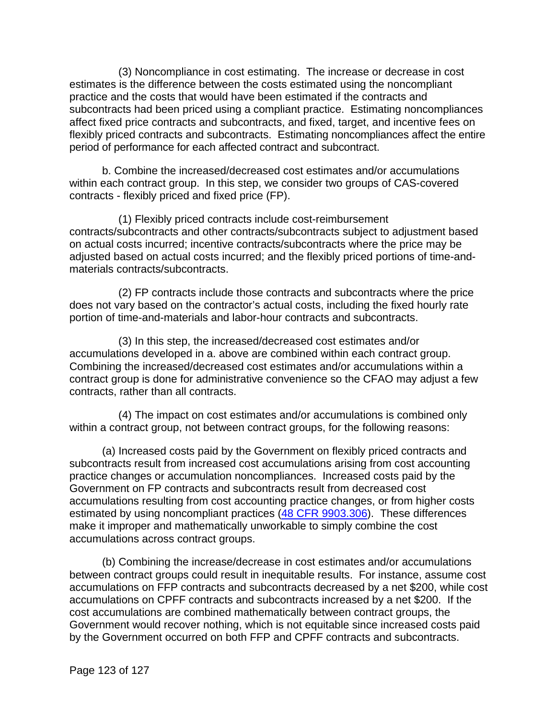(3) Noncompliance in cost estimating. The increase or decrease in cost estimates is the difference between the costs estimated using the noncompliant practice and the costs that would have been estimated if the contracts and subcontracts had been priced using a compliant practice. Estimating noncompliances affect fixed price contracts and subcontracts, and fixed, target, and incentive fees on flexibly priced contracts and subcontracts. Estimating noncompliances affect the entire period of performance for each affected contract and subcontract.

b. Combine the increased/decreased cost estimates and/or accumulations within each contract group. In this step, we consider two groups of CAS-covered contracts - flexibly priced and fixed price (FP).

(1) Flexibly priced contracts include cost-reimbursement contracts/subcontracts and other contracts/subcontracts subject to adjustment based on actual costs incurred; incentive contracts/subcontracts where the price may be adjusted based on actual costs incurred; and the flexibly priced portions of time-andmaterials contracts/subcontracts.

(2) FP contracts include those contracts and subcontracts where the price does not vary based on the contractor's actual costs, including the fixed hourly rate portion of time-and-materials and labor-hour contracts and subcontracts.

(3) In this step, the increased/decreased cost estimates and/or accumulations developed in a. above are combined within each contract group. Combining the increased/decreased cost estimates and/or accumulations within a contract group is done for administrative convenience so the CFAO may adjust a few contracts, rather than all contracts.

(4) The impact on cost estimates and/or accumulations is combined only within a contract group, not between contract groups, for the following reasons:

(a) Increased costs paid by the Government on flexibly priced contracts and subcontracts result from increased cost accumulations arising from cost accounting practice changes or accumulation noncompliances. Increased costs paid by the Government on FP contracts and subcontracts result from decreased cost accumulations resulting from cost accounting practice changes, or from higher costs estimated by using noncompliant practices [\(48 CFR 9903.306\)](http://www.ecfr.gov/cgi-bin/text-idx?SID=ce5728532d008ce684deff7ac1ab393c&mc=true&node=se48.7.9903_1306&rgn=div8). These differences make it improper and mathematically unworkable to simply combine the cost accumulations across contract groups.

(b) Combining the increase/decrease in cost estimates and/or accumulations between contract groups could result in inequitable results. For instance, assume cost accumulations on FFP contracts and subcontracts decreased by a net \$200, while cost accumulations on CPFF contracts and subcontracts increased by a net \$200. If the cost accumulations are combined mathematically between contract groups, the Government would recover nothing, which is not equitable since increased costs paid by the Government occurred on both FFP and CPFF contracts and subcontracts.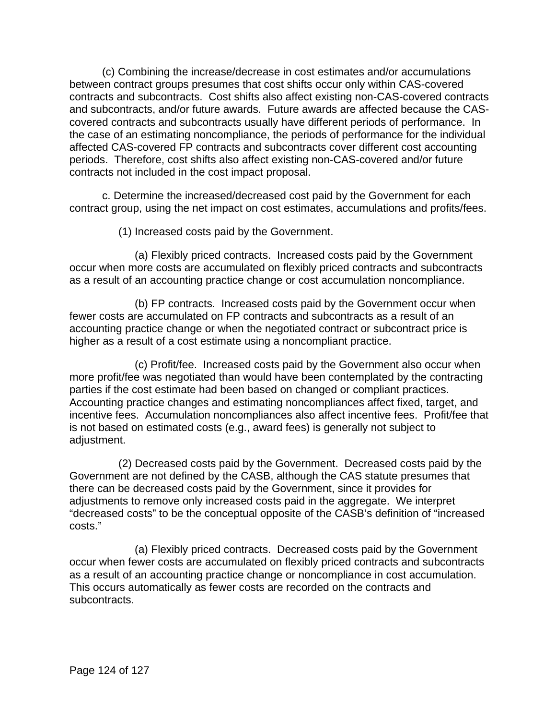(c) Combining the increase/decrease in cost estimates and/or accumulations between contract groups presumes that cost shifts occur only within CAS-covered contracts and subcontracts. Cost shifts also affect existing non-CAS-covered contracts and subcontracts, and/or future awards. Future awards are affected because the CAScovered contracts and subcontracts usually have different periods of performance. In the case of an estimating noncompliance, the periods of performance for the individual affected CAS-covered FP contracts and subcontracts cover different cost accounting periods. Therefore, cost shifts also affect existing non-CAS-covered and/or future contracts not included in the cost impact proposal.

c. Determine the increased/decreased cost paid by the Government for each contract group, using the net impact on cost estimates, accumulations and profits/fees.

(1) Increased costs paid by the Government.

(a) Flexibly priced contracts. Increased costs paid by the Government occur when more costs are accumulated on flexibly priced contracts and subcontracts as a result of an accounting practice change or cost accumulation noncompliance.

(b) FP contracts. Increased costs paid by the Government occur when fewer costs are accumulated on FP contracts and subcontracts as a result of an accounting practice change or when the negotiated contract or subcontract price is higher as a result of a cost estimate using a noncompliant practice.

(c) Profit/fee. Increased costs paid by the Government also occur when more profit/fee was negotiated than would have been contemplated by the contracting parties if the cost estimate had been based on changed or compliant practices. Accounting practice changes and estimating noncompliances affect fixed, target, and incentive fees. Accumulation noncompliances also affect incentive fees. Profit/fee that is not based on estimated costs (e.g., award fees) is generally not subject to adjustment.

(2) Decreased costs paid by the Government. Decreased costs paid by the Government are not defined by the CASB, although the CAS statute presumes that there can be decreased costs paid by the Government, since it provides for adjustments to remove only increased costs paid in the aggregate. We interpret "decreased costs" to be the conceptual opposite of the CASB's definition of "increased costs."

(a) Flexibly priced contracts. Decreased costs paid by the Government occur when fewer costs are accumulated on flexibly priced contracts and subcontracts as a result of an accounting practice change or noncompliance in cost accumulation. This occurs automatically as fewer costs are recorded on the contracts and subcontracts.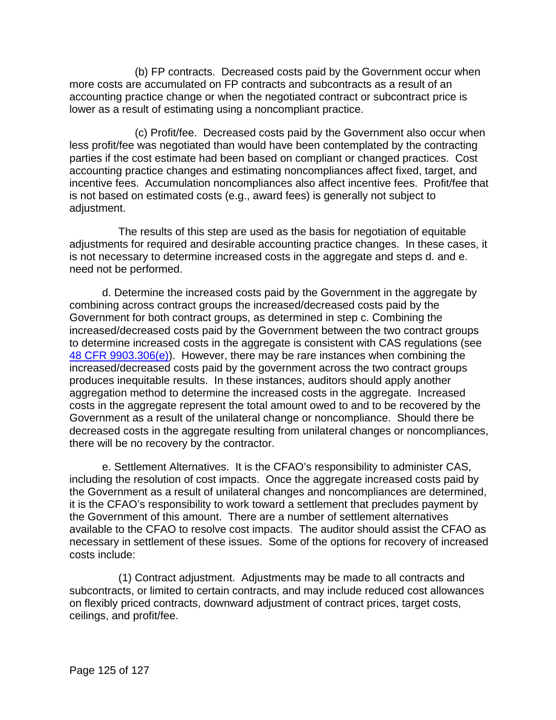(b) FP contracts. Decreased costs paid by the Government occur when more costs are accumulated on FP contracts and subcontracts as a result of an accounting practice change or when the negotiated contract or subcontract price is lower as a result of estimating using a noncompliant practice.

(c) Profit/fee. Decreased costs paid by the Government also occur when less profit/fee was negotiated than would have been contemplated by the contracting parties if the cost estimate had been based on compliant or changed practices. Cost accounting practice changes and estimating noncompliances affect fixed, target, and incentive fees. Accumulation noncompliances also affect incentive fees. Profit/fee that is not based on estimated costs (e.g., award fees) is generally not subject to adjustment.

The results of this step are used as the basis for negotiation of equitable adjustments for required and desirable accounting practice changes. In these cases, it is not necessary to determine increased costs in the aggregate and steps d. and e. need not be performed.

d. Determine the increased costs paid by the Government in the aggregate by combining across contract groups the increased/decreased costs paid by the Government for both contract groups, as determined in step c. Combining the increased/decreased costs paid by the Government between the two contract groups to determine increased costs in the aggregate is consistent with CAS regulations (see [48 CFR 9903.306\(e\)\)](http://www.ecfr.gov/cgi-bin/text-idx?SID=ce5728532d008ce684deff7ac1ab393c&mc=true&node=se48.7.9903_1306&rgn=div8). However, there may be rare instances when combining the increased/decreased costs paid by the government across the two contract groups produces inequitable results. In these instances, auditors should apply another aggregation method to determine the increased costs in the aggregate. Increased costs in the aggregate represent the total amount owed to and to be recovered by the Government as a result of the unilateral change or noncompliance. Should there be decreased costs in the aggregate resulting from unilateral changes or noncompliances, there will be no recovery by the contractor.

e. Settlement Alternatives. It is the CFAO's responsibility to administer CAS, including the resolution of cost impacts. Once the aggregate increased costs paid by the Government as a result of unilateral changes and noncompliances are determined, it is the CFAO's responsibility to work toward a settlement that precludes payment by the Government of this amount. There are a number of settlement alternatives available to the CFAO to resolve cost impacts. The auditor should assist the CFAO as necessary in settlement of these issues. Some of the options for recovery of increased costs include:

(1) Contract adjustment. Adjustments may be made to all contracts and subcontracts, or limited to certain contracts, and may include reduced cost allowances on flexibly priced contracts, downward adjustment of contract prices, target costs, ceilings, and profit/fee.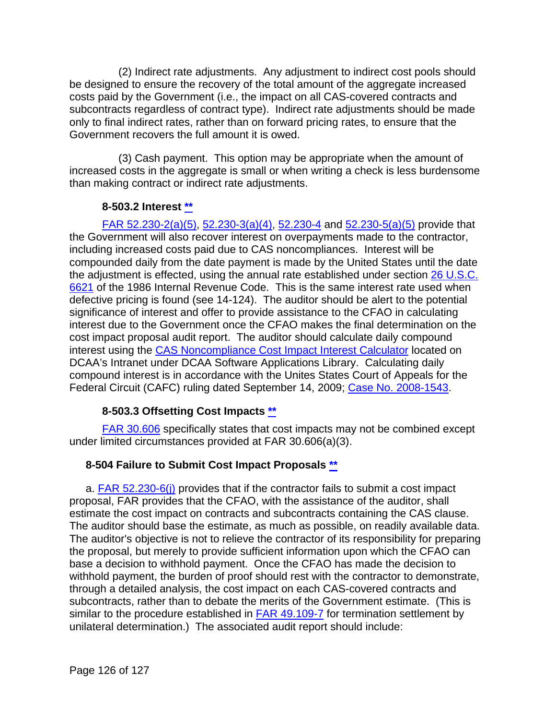(2) Indirect rate adjustments. Any adjustment to indirect cost pools should be designed to ensure the recovery of the total amount of the aggregate increased costs paid by the Government (i.e., the impact on all CAS-covered contracts and subcontracts regardless of contract type). Indirect rate adjustments should be made only to final indirect rates, rather than on forward pricing rates, to ensure that the Government recovers the full amount it is owed.

(3) Cash payment. This option may be appropriate when the amount of increased costs in the aggregate is small or when writing a check is less burdensome than making contract or indirect rate adjustments.

### **8-503.2 Interest [\\*\\*](#page-5-16)**

[FAR 52.230-2\(a\)\(5\),](http://www.ecfr.gov/cgi-bin/text-idx?SID=0e38f4b4b364aef85a3089056c4456e5&mc=true&node=se48.2.52_1230_62&rgn=div8) [52.230-3\(a\)\(4\),](http://www.ecfr.gov/cgi-bin/text-idx?SID=0e38f4b4b364aef85a3089056c4456e5&mc=true&node=se48.2.52_1230_63&rgn=div8) [52.230-4](http://www.ecfr.gov/cgi-bin/text-idx?SID=0e38f4b4b364aef85a3089056c4456e5&mc=true&node=se48.2.52_1230_64&rgn=div8) and [52.230-5\(a\)\(5\)](http://www.ecfr.gov/cgi-bin/text-idx?SID=0e38f4b4b364aef85a3089056c4456e5&mc=true&node=se48.2.52_1230_65&rgn=div8) provide that the Government will also recover interest on overpayments made to the contractor, including increased costs paid due to CAS noncompliances. Interest will be compounded daily from the date payment is made by the United States until the date the adjustment is effected, using the annual rate established under section [26 U.S.C.](http://uscode.house.gov/view.xhtml?req=(title:26%20section:6621%20edition:prelim)%20OR%20(granuleid:USC-prelim-title26-section6621)&f=treesort&edition=prelim&num=0&jumpTo=true)  [6621](http://uscode.house.gov/view.xhtml?req=(title:26%20section:6621%20edition:prelim)%20OR%20(granuleid:USC-prelim-title26-section6621)&f=treesort&edition=prelim&num=0&jumpTo=true) of the 1986 Internal Revenue Code. This is the same interest rate used when defective pricing is found (see 14-124). The auditor should be alert to the potential significance of interest and offer to provide assistance to the CFAO in calculating interest due to the Government once the CFAO makes the final determination on the cost impact proposal audit report. The auditor should calculate daily compound interest using the [CAS Noncompliance Cost Impact Interest Calculator](https://intranet.dcaa.mil/SitePages/Software%20Applications%20Library.aspx) located on DCAA's Intranet under DCAA Software Applications Library. Calculating daily compound interest is in accordance with the Unites States Court of Appeals for the Federal Circuit (CAFC) ruling dated September 14, 2009; [Case No. 2008-1543.](http://www.cafc.uscourts.gov/sites/default/files/opinions-orders/08-1543.pdf)

# **8-503.3 Offsetting Cost Impacts [\\*\\*](#page-5-17)**

[FAR 30.606](http://www.ecfr.gov/cgi-bin/text-idx?SID=0e38f4b4b364aef85a3089056c4456e5&mc=true&node=se48.1.30_1606&rgn=div8) specifically states that cost impacts may not be combined except under limited circumstances provided at FAR 30.606(a)(3).

# **8-504 Failure to Submit Cost Impact Proposals [\\*\\*](#page-5-18)**

a. [FAR 52.230-6\(j\)](http://www.ecfr.gov/cgi-bin/text-idx?SID=0e38f4b4b364aef85a3089056c4456e5&mc=true&node=se48.2.52_1230_66&rgn=div8) provides that if the contractor fails to submit a cost impact proposal, FAR provides that the CFAO, with the assistance of the auditor, shall estimate the cost impact on contracts and subcontracts containing the CAS clause. The auditor should base the estimate, as much as possible, on readily available data. The auditor's objective is not to relieve the contractor of its responsibility for preparing the proposal, but merely to provide sufficient information upon which the CFAO can base a decision to withhold payment. Once the CFAO has made the decision to withhold payment, the burden of proof should rest with the contractor to demonstrate, through a detailed analysis, the cost impact on each CAS-covered contracts and subcontracts, rather than to debate the merits of the Government estimate. (This is similar to the procedure established in **FAR 49.109-7** for termination settlement by unilateral determination.) The associated audit report should include: